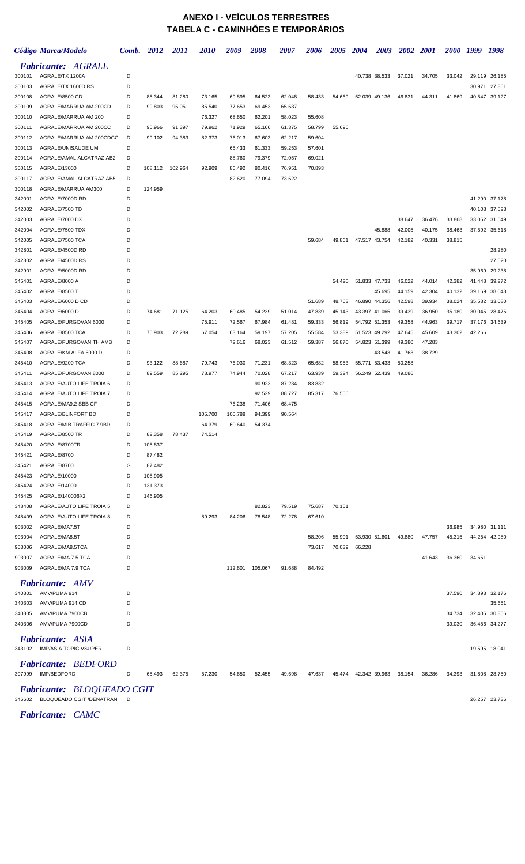## **ANEXO I - VEÍCULOS TERRESTRES TABELA C - CAMINHÕES E TEMPORÁRIOS**

|                  | Código Marca/Modelo                                     |        | Comb. 2012       | 2011    | 2010    | 2009    | 2008    | 2007   | 2006   | 2005   | 2004          | <b>2003</b>   | <b>2002</b> | <b>2001</b> | 2000 1999 |        | 1998          |
|------------------|---------------------------------------------------------|--------|------------------|---------|---------|---------|---------|--------|--------|--------|---------------|---------------|-------------|-------------|-----------|--------|---------------|
|                  | <b>Fabricante: AGRALE</b>                               |        |                  |         |         |         |         |        |        |        |               |               |             |             |           |        |               |
| 300101           | AGRALE/TX 1200A                                         | D      |                  |         |         |         |         |        |        |        |               | 40.738 38.533 | 37.021      | 34.705      | 33.042    |        | 29.119 26.185 |
| 300103           | AGRALE/TX 1600D RS                                      | D      |                  |         |         |         |         |        |        |        |               |               |             |             |           | 30.971 | 27.861        |
| 300108           | AGRALE/8500 CD                                          | D      | 85.344           | 81.280  | 73.165  | 69.895  | 64.523  | 62.048 | 58.433 | 54.669 |               | 52.039 49.136 | 46.831      | 44.311      | 41.869    |        | 40.547 39.127 |
| 300109           | AGRALE/MARRUA AM 200CD                                  | D      | 99.803           | 95.051  | 85.540  | 77.653  | 69.453  | 65.537 |        |        |               |               |             |             |           |        |               |
| 300110           | AGRALE/MARRUA AM 200                                    | D      |                  |         | 76.327  | 68.650  | 62.201  | 58.023 | 55.608 |        |               |               |             |             |           |        |               |
| 300111           | AGRALE/MARRUA AM 200CC                                  | D      | 95.966           | 91.397  | 79.962  | 71.929  | 65.166  | 61.375 | 58.799 | 55.696 |               |               |             |             |           |        |               |
| 300112           | AGRALE/MARRUA AM 200CDCC                                | D      | 99.102           | 94.383  | 82.373  | 76.013  | 67.603  | 62.217 | 59.604 |        |               |               |             |             |           |        |               |
| 300113           | AGRALE/UNISAUDE UM                                      | D      |                  |         |         | 65.433  | 61.333  | 59.253 | 57.601 |        |               |               |             |             |           |        |               |
| 300114           | AGRALE/AMAL ALCATRAZ AB2                                | D      |                  |         |         | 88.760  | 79.379  | 72.057 | 69.021 |        |               |               |             |             |           |        |               |
| 300115           | AGRALE/13000                                            | D      | 108.112          | 102.964 | 92.909  | 86.492  | 80.416  | 76.951 | 70.893 |        |               |               |             |             |           |        |               |
| 300117<br>300118 | AGRALE/AMAL ALCATRAZ AB5<br>AGRALE/MARRUA AM300         | D<br>D | 124.959          |         |         | 82.620  | 77.094  | 73.522 |        |        |               |               |             |             |           |        |               |
| 342001           | AGRALE/7000D RD                                         | D      |                  |         |         |         |         |        |        |        |               |               |             |             |           |        | 41.290 37.178 |
| 342002           | AGRALE/7500 TD                                          | D      |                  |         |         |         |         |        |        |        |               |               |             |             |           |        | 40.103 37.523 |
| 342003           | AGRALE/7000 DX                                          | D      |                  |         |         |         |         |        |        |        |               |               | 38.647      | 36.476      | 33.868    |        | 33.052 31.549 |
| 342004           | AGRALE/7500 TDX                                         | D      |                  |         |         |         |         |        |        |        |               | 45.888        | 42.005      | 40.175      | 38.463    |        | 37.592 35.618 |
| 342005           | AGRALE/7500 TCA                                         | D      |                  |         |         |         |         |        | 59.684 | 49.861 |               | 47.517 43.754 | 42.182      | 40.331      | 38.815    |        |               |
| 342801           | AGRALE/4500D RD                                         | D      |                  |         |         |         |         |        |        |        |               |               |             |             |           |        | 28.280        |
| 342802           | AGRALE/4500D RS                                         | D      |                  |         |         |         |         |        |        |        |               |               |             |             |           |        | 27.520        |
| 342901           | AGRALE/5000D RD                                         | D      |                  |         |         |         |         |        |        |        |               |               |             |             |           |        | 35.969 29.238 |
| 345401           | AGRALE/8000 A                                           | D      |                  |         |         |         |         |        |        | 54.420 | 51.833 47.733 |               | 46.022      | 44.014      | 42.382    | 41.448 | 39.272        |
| 345402           | AGRALE/8500 T                                           | D      |                  |         |         |         |         |        |        |        |               | 45.695        | 44.159      | 42.304      | 40.132    | 39.169 | 38.043        |
| 345403           | AGRALE/6000 D CD                                        | D      |                  |         |         |         |         |        | 51.689 | 48.763 |               | 46.890 44.356 | 42.598      | 39.934      | 38.024    |        | 35.582 33.080 |
| 345404           | AGRALE/6000 D                                           | D      | 74.681           | 71.125  | 64.203  | 60.485  | 54.239  | 51.014 | 47.839 | 45.143 |               | 43.397 41.065 | 39.439      | 36.950      | 35.180    |        | 30.045 28.475 |
| 345405           | AGRALE/FURGOVAN 6000                                    | D      |                  |         | 75.911  | 72.567  | 67.984  | 61.481 | 59.333 | 56.819 |               | 54.792 51.353 | 49.358      | 44.963      | 39.717    |        | 37.176 34.639 |
| 345406           | AGRALE/8500 TCA                                         | D      | 75.903           | 72.289  | 67.054  | 63.164  | 59.197  | 57.205 | 55.584 | 53.389 |               | 51.523 49.292 | 47.645      | 45.609      | 43.302    | 42.266 |               |
| 345407           | AGRALE/FURGOVAN TH AMB                                  | D      |                  |         |         | 72.616  | 68.023  | 61.512 | 59.387 | 56.870 |               | 54.823 51.399 | 49.380      | 47.283      |           |        |               |
| 345408           | AGRALE/KM ALFA 6000 D                                   | D      |                  |         |         |         |         |        |        |        |               | 43.543        | 41.763      | 38.729      |           |        |               |
| 345410           | AGRALE/9200 TCA                                         | D      | 93.122           | 88.687  | 79.743  | 76.030  | 71.231  | 68.323 | 65.682 | 58.953 |               | 55.771 53.433 | 50.258      |             |           |        |               |
| 345411           | AGRALE/FURGOVAN 8000                                    | D      | 89.559           | 85.295  | 78.977  | 74.944  | 70.028  | 67.217 | 63.939 | 59.324 |               | 56.249 52.439 | 49.086      |             |           |        |               |
| 345413           | AGRALE/AUTO LIFE TROIA 6                                | D      |                  |         |         |         | 90.923  | 87.234 | 83.832 |        |               |               |             |             |           |        |               |
| 345414           | AGRALE/AUTO LIFE TROIA 7                                | D      |                  |         |         |         | 92.529  | 88.727 | 85.317 | 76.556 |               |               |             |             |           |        |               |
| 345415           | AGRALE/MA9.2 SBB CF                                     | D      |                  |         |         | 76.238  | 71.406  | 68.475 |        |        |               |               |             |             |           |        |               |
| 345417           | AGRALE/BLINFORT BD                                      | D      |                  |         | 105.700 | 100.788 | 94.399  | 90.564 |        |        |               |               |             |             |           |        |               |
| 345418           | AGRALE/MIB TRAFFIC 7.9BD                                | D      |                  |         | 64.379  | 60.640  | 54.374  |        |        |        |               |               |             |             |           |        |               |
| 345419           | AGRALE/8500 TR                                          | D      | 82.358           | 78.437  | 74.514  |         |         |        |        |        |               |               |             |             |           |        |               |
| 345420           | AGRALE/8700TR                                           | D      | 105.837          |         |         |         |         |        |        |        |               |               |             |             |           |        |               |
| 345421<br>345421 | AGRALE/8700<br>AGRALE/8700                              | D<br>G | 87.482<br>87.482 |         |         |         |         |        |        |        |               |               |             |             |           |        |               |
| 345423           | AGRALE/10000                                            | D      | 108.905          |         |         |         |         |        |        |        |               |               |             |             |           |        |               |
| 345424           | AGRALE/14000                                            | D      | 131.373          |         |         |         |         |        |        |        |               |               |             |             |           |        |               |
| 345425           | AGRALE/140006X2                                         | D      | 146.905          |         |         |         |         |        |        |        |               |               |             |             |           |        |               |
| 348408           | AGRALE/AUTO LIFE TROIA 5                                | D      |                  |         |         |         | 82.823  | 79.519 | 75.687 | 70.151 |               |               |             |             |           |        |               |
| 348409           | AGRALE/AUTO LIFE TROIA 8                                | D      |                  |         | 89.293  | 84.206  | 78.548  | 72.278 | 67.610 |        |               |               |             |             |           |        |               |
| 903002           | AGRALE/MA7.5T                                           | D      |                  |         |         |         |         |        |        |        |               |               |             |             | 36.985    |        | 34.980 31.111 |
| 903004           | AGRALE/MA8.5T                                           | D      |                  |         |         |         |         |        | 58.206 | 55.901 |               | 53.930 51.601 | 49.880      | 47.757      | 45.315    |        | 44.254 42.980 |
| 903006           | AGRALE/MA8.5TCA                                         | D      |                  |         |         |         |         |        | 73.617 | 70.039 | 66.228        |               |             |             |           |        |               |
| 903007           | AGRALE/MA 7.5 TCA                                       | D      |                  |         |         |         |         |        |        |        |               |               |             | 41.643      | 36.360    | 34.651 |               |
| 903009           | AGRALE/MA 7.9 TCA                                       | D      |                  |         |         | 112.601 | 105.067 | 91.688 | 84.492 |        |               |               |             |             |           |        |               |
|                  |                                                         |        |                  |         |         |         |         |        |        |        |               |               |             |             |           |        |               |
| 340301           | <b>Fabricante:</b> AMV<br>AMV/PUMA 914                  | D      |                  |         |         |         |         |        |        |        |               |               |             |             | 37.590    |        | 34.893 32.176 |
| 340303           | AMV/PUMA 914 CD                                         | D      |                  |         |         |         |         |        |        |        |               |               |             |             |           |        | 35.651        |
| 340305           | AMV/PUMA 7900CB                                         | D      |                  |         |         |         |         |        |        |        |               |               |             |             | 34.734    |        | 32.405 30.856 |
| 340306           | AMV/PUMA 7900CD                                         | D      |                  |         |         |         |         |        |        |        |               |               |             |             | 39.030    |        | 36.456 34.277 |
|                  |                                                         |        |                  |         |         |         |         |        |        |        |               |               |             |             |           |        |               |
|                  | <b>Fabricante: ASIA</b><br>343102 IMP/ASIA TOPIC VSUPER | D      |                  |         |         |         |         |        |        |        |               |               |             |             |           |        | 19.595 18.041 |
| 307999           | <b>Fabricante: BEDFORD</b><br>IMP/BEDFORD               | D      | 65.493           | 62.375  | 57.230  | 54.650  | 52.455  | 49.698 | 47.637 | 45.474 | 42.342 39.963 |               | 38.154      | 36.286      | 34.393    |        | 31.808 28.750 |
|                  | <b>Fabricante: BLOQUEADO CGIT</b>                       |        |                  |         |         |         |         |        |        |        |               |               |             |             |           |        |               |
| 346602           | BLOQUEADO CGIT /DENATRAN D                              |        |                  |         |         |         |         |        |        |        |               |               |             |             |           |        | 26.257 23.736 |

*Fabricante: CAMC*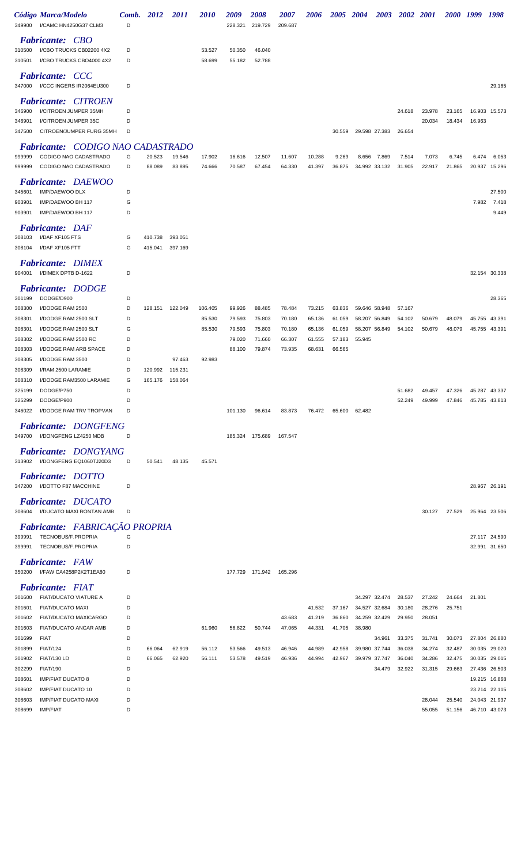| 349900           | Código Marca/Modelo<br>I/CAMC HN4250G37 CLM3                      | Comb.<br>D | 2012    | <i>2011</i> | <i>2010</i> | 2009<br>228.321 | <i><b>2008</b></i><br>219.729 | <i><b>2007</b></i><br>209.687 | <i><b>2006</b></i> | <i><b>2005</b></i> | 2004          | 2003   | <b>2002</b>      | 2001             | <i><b>2000</b></i> | 1999          | 1998          |
|------------------|-------------------------------------------------------------------|------------|---------|-------------|-------------|-----------------|-------------------------------|-------------------------------|--------------------|--------------------|---------------|--------|------------------|------------------|--------------------|---------------|---------------|
|                  | <b>Fabricante: CBO</b>                                            |            |         |             |             |                 |                               |                               |                    |                    |               |        |                  |                  |                    |               |               |
| 310500           | I/CBO TRUCKS CB02200 4X2                                          | D          |         |             | 53.527      | 50.350          | 46.040                        |                               |                    |                    |               |        |                  |                  |                    |               |               |
| 310501           | I/CBO TRUCKS CBO4000 4X2                                          | D          |         |             | 58.699      | 55.182          | 52.788                        |                               |                    |                    |               |        |                  |                  |                    |               |               |
| 347000           | <b>Fabricante: CCC</b><br>I/CCC INGERS IR2064EU300                | D          |         |             |             |                 |                               |                               |                    |                    |               |        |                  |                  |                    |               | 29.165        |
|                  | <b>Fabricante: CITROEN</b>                                        |            |         |             |             |                 |                               |                               |                    |                    |               |        |                  |                  |                    |               |               |
| 346900           | I/CITROEN JUMPER 35MH                                             | D          |         |             |             |                 |                               |                               |                    |                    |               |        | 24.618           | 23.978           | 23.165             |               | 16.903 15.573 |
| 346901<br>347500 | I/CITROEN JUMPER 35C<br>CITROEN/JUMPER FURG 35MH                  | D<br>D     |         |             |             |                 |                               |                               |                    | 30.559             | 29.598 27.383 |        | 26.654           | 20.034           | 18.434             | 16.963        |               |
|                  |                                                                   |            |         |             |             |                 |                               |                               |                    |                    |               |        |                  |                  |                    |               |               |
| 999999           | <b>Fabricante:</b> CODIGO NAO CADASTRADO<br>CODIGO NAO CADASTRADO | G          | 20.523  | 19.546      | 17.902      | 16.616          | 12.507                        | 11.607                        | 10.288             | 9.269              | 8.656         | 7.869  | 7.514            | 7.073            | 6.745              | 6.474         | 6.053         |
| 999999           | CODIGO NAO CADASTRADO                                             | D          | 88.089  | 83.895      | 74.666      | 70.587          | 67.454                        | 64.330                        | 41.397             | 36.875             | 34.992 33.132 |        | 31.905           | 22.917           | 21.865             |               | 20.937 15.296 |
| 345601           | <b>Fabricante: DAEWOO</b><br><b>IMP/DAEWOO DLX</b>                | D          |         |             |             |                 |                               |                               |                    |                    |               |        |                  |                  |                    |               | 27.500        |
| 903901           | IMP/DAEWOO BH 117                                                 | G          |         |             |             |                 |                               |                               |                    |                    |               |        |                  |                  |                    | 7.982         | 7.418         |
| 903901           | IMP/DAEWOO BH 117                                                 | D          |         |             |             |                 |                               |                               |                    |                    |               |        |                  |                  |                    |               | 9.449         |
|                  | <b>Fabricante: DAF</b>                                            |            |         |             |             |                 |                               |                               |                    |                    |               |        |                  |                  |                    |               |               |
| 308103           | I/DAF XF105 FTS                                                   | G          | 410.738 | 393.051     |             |                 |                               |                               |                    |                    |               |        |                  |                  |                    |               |               |
| 308104           | I/DAF XF105 FTT                                                   | G          | 415.041 | 397.169     |             |                 |                               |                               |                    |                    |               |        |                  |                  |                    |               |               |
| 904001           | <b>Fabricante: DIMEX</b><br>I/DIMEX DPTB D-1622                   | D          |         |             |             |                 |                               |                               |                    |                    |               |        |                  |                  |                    |               | 32.154 30.338 |
|                  | <b>Fabricante: DODGE</b>                                          |            |         |             |             |                 |                               |                               |                    |                    |               |        |                  |                  |                    |               |               |
| 301199           | DODGE/D900                                                        | D          |         |             |             |                 |                               |                               |                    |                    |               |        |                  |                  |                    |               | 28.365        |
| 308300           | I/DODGE RAM 2500                                                  | D          | 128.151 | 122.049     | 106.405     | 99.926          | 88.485                        | 78.484                        | 73.215             | 63.836             | 59.646 58.948 |        | 57.167           |                  |                    |               |               |
| 308301           | I/DODGE RAM 2500 SLT                                              | D          |         |             | 85.530      | 79.593          | 75.803                        | 70.180                        | 65.136             | 61.059             | 58.207 56.849 |        | 54.102           | 50.679           | 48.079             | 45.755        | 43.391        |
| 308301           | I/DODGE RAM 2500 SLT                                              | G          |         |             | 85.530      | 79.593          | 75.803                        | 70.180                        | 65.136             | 61.059             | 58.207 56.849 |        | 54.102           | 50.679           | 48.079             |               | 45.755 43.391 |
| 308302           | I/DODGE RAM 2500 RC                                               | D          |         |             |             | 79.020          | 71.660                        | 66.307                        | 61.555             | 57.183             | 55.945        |        |                  |                  |                    |               |               |
| 308303<br>308305 | I/DODGE RAM ARB SPACE<br>I/DODGE RAM 3500                         | D<br>D     |         | 97.463      | 92.983      | 88.100          | 79.874                        | 73.935                        | 68.631             | 66.565             |               |        |                  |                  |                    |               |               |
| 308309           | I/RAM 2500 LARAMIE                                                | D          | 120.992 | 115.231     |             |                 |                               |                               |                    |                    |               |        |                  |                  |                    |               |               |
| 308310           | I/DODGE RAM3500 LARAMIE                                           | G          | 165.176 | 158.064     |             |                 |                               |                               |                    |                    |               |        |                  |                  |                    |               |               |
| 325199           | DODGE/P750                                                        | D          |         |             |             |                 |                               |                               |                    |                    |               |        | 51.682           | 49.457           | 47.326             |               | 45.287 43.337 |
| 325299           | DODGE/P900                                                        | D          |         |             |             |                 |                               |                               |                    |                    |               |        | 52.249           | 49.999           | 47.846             |               | 45.785 43.813 |
| 346022           | I/DODGE RAM TRV TROPVAN                                           | D          |         |             |             | 101.130         | 96.614                        | 83.873                        | 76.472             | 65.600             | 62.482        |        |                  |                  |                    |               |               |
|                  | <b>Fabricante: DONGFENG</b><br>349700 I/DONGFENG LZ4250 MDB       | D          |         |             |             |                 | 185.324 175.689               | 167.547                       |                    |                    |               |        |                  |                  |                    |               |               |
| 313902           | Fabricante: DONGYANG<br>I/DONGFENG EQ1060TJ20D3                   | D          | 50.541  | 48.135      | 45.571      |                 |                               |                               |                    |                    |               |        |                  |                  |                    |               |               |
|                  | Fabricante: DOTTO<br>347200 I/DOTTO F87 MACCHINE                  | D          |         |             |             |                 |                               |                               |                    |                    |               |        |                  |                  |                    | 28.967 26.191 |               |
| 308604           | <b>Fabricante: DUCATO</b><br>I/DUCATO MAXI RONTAN AMB             | D          |         |             |             |                 |                               |                               |                    |                    |               |        |                  | 30.127           | 27.529             |               | 25.964 23.506 |
|                  | Fabricante: FABRICAÇÃO PROPRIA                                    |            |         |             |             |                 |                               |                               |                    |                    |               |        |                  |                  |                    |               |               |
| 399991           | TECNOBUS/F.PROPRIA                                                | G          |         |             |             |                 |                               |                               |                    |                    |               |        |                  |                  |                    |               | 27.117 24.590 |
| 399991           | TECNOBUS/F.PROPRIA                                                | D          |         |             |             |                 |                               |                               |                    |                    |               |        |                  |                  |                    |               | 32.991 31.650 |
| 350200           | <b>Fabricante:</b> FAW<br>I/FAW CA4258P2K2T1EA80                  | D          |         |             |             |                 | 177.729 171.942               | 165.296                       |                    |                    |               |        |                  |                  |                    |               |               |
|                  | <b>Fabricante:</b> FIAT                                           |            |         |             |             |                 |                               |                               |                    |                    |               |        |                  |                  |                    |               |               |
| 301600           | FIAT/DUCATO VIATURE A                                             | D          |         |             |             |                 |                               |                               |                    |                    | 34.297 32.474 |        | 28.537           | 27.242           | 24.664             | 21.801        |               |
| 301601           | <b>FIAT/DUCATO MAXI</b>                                           | D          |         |             |             |                 |                               |                               | 41.532             | 37.167             | 34.527 32.684 |        | 30.180           | 28.276           | 25.751             |               |               |
| 301602           | FIAT/DUCATO MAXICARGO                                             | D          |         |             |             |                 |                               | 43.683                        | 41.219             | 36.860             | 34.259 32.429 |        | 29.950           | 28.051           |                    |               |               |
| 301603           | FIAT/DUCATO ANCAR AMB                                             | D          |         |             | 61.960      | 56.822          | 50.744                        | 47.065                        | 44.331             | 41.705             | 38.980        |        |                  |                  |                    |               |               |
| 301699<br>301899 | <b>FIAT</b><br><b>FIAT/124</b>                                    | D<br>D     | 66.064  | 62.919      | 56.112      | 53.566          | 49.513                        | 46.946                        | 44.989             | 42.958             | 39.980 37.744 | 34.961 | 33.375<br>36.038 | 31.741<br>34.274 | 30.073<br>32.487   | 27.804 26.880 | 30.035 29.020 |
| 301902           | <b>FIAT/130 LD</b>                                                | D          | 66.065  | 62.920      | 56.111      | 53.578          | 49.519                        | 46.936                        | 44.994             | 42.967             | 39.979 37.747 |        | 36.040           | 34.286           | 32.475             |               | 30.035 29.015 |
| 302299           | <b>FIAT/190</b>                                                   | D          |         |             |             |                 |                               |                               |                    |                    |               | 34.479 | 32.922           | 31.315           | 29.663             |               | 27.436 26.503 |
| 308601           | <b>IMP/FIAT DUCATO 8</b>                                          | D          |         |             |             |                 |                               |                               |                    |                    |               |        |                  |                  |                    |               | 19.215 16.868 |
| 308602           | <b>IMP/FIAT DUCATO 10</b>                                         | D          |         |             |             |                 |                               |                               |                    |                    |               |        |                  |                  |                    |               | 23.214 22.115 |
| 308603           | <b>IMP/FIAT DUCATO MAXI</b>                                       | D          |         |             |             |                 |                               |                               |                    |                    |               |        |                  | 28.044           | 25.540             | 24.043 21.937 |               |
| 308699           | <b>IMP/FIAT</b>                                                   | D          |         |             |             |                 |                               |                               |                    |                    |               |        |                  | 55.055           | 51.156             |               | 46.710 43.073 |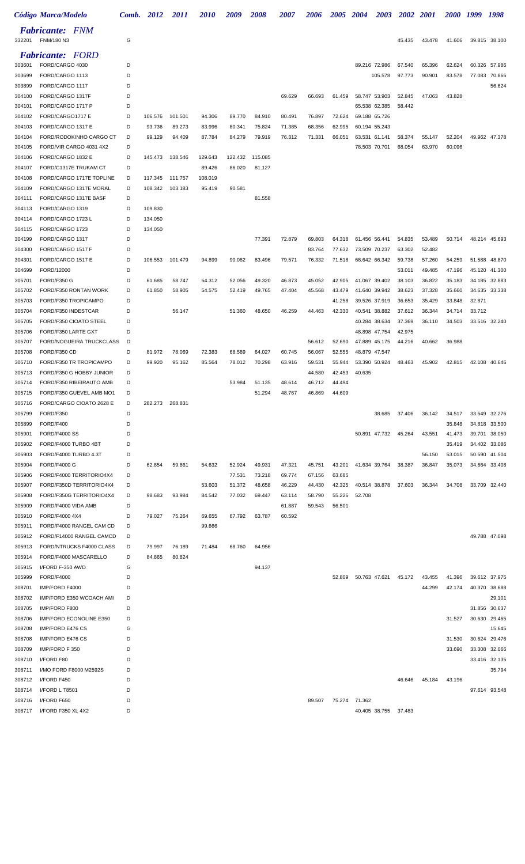|                  | Código Marca/Modelo                                  | Comb.  | 2012    | 2011    | <i>2010</i> | 2009             | 2008             | 2007             | 2006             | <i><b>2005</b></i> | 2004          | 2003                           | <b>2002</b>      | 2001             | 2000 1999        |        | 1998          |
|------------------|------------------------------------------------------|--------|---------|---------|-------------|------------------|------------------|------------------|------------------|--------------------|---------------|--------------------------------|------------------|------------------|------------------|--------|---------------|
| 332201           | <b>Fabricante:</b> FNM<br>FNM/180 N3                 | G      |         |         |             |                  |                  |                  |                  |                    |               |                                | 45.435           | 43.478           | 41.606           |        | 39.815 38.100 |
|                  | <b>Fabricante:</b> FORD                              |        |         |         |             |                  |                  |                  |                  |                    |               |                                |                  |                  |                  |        |               |
| 303601           | FORD/CARGO 4030                                      | D      |         |         |             |                  |                  |                  |                  |                    |               | 89.216 72.986                  | 67.540           | 65.396           | 62.624           | 60.326 | 57.986        |
| 303699           | FORD/CARGO 1113                                      | D      |         |         |             |                  |                  |                  |                  |                    |               | 105.578                        | 97.773           | 90.901           | 83.578           | 77.083 | 70.866        |
| 303899           | FORD/CARGO 1117                                      | D      |         |         |             |                  |                  |                  |                  |                    |               |                                |                  |                  |                  |        | 56.624        |
| 304100<br>304101 | FORD/CARGO 1317F<br>FORD/CARGO 1717 P                | D<br>D |         |         |             |                  |                  | 69.629           | 66.693           | 61.459             |               | 58.747 53.903<br>65.538 62.385 | 52.845<br>58.442 | 47.063           | 43.828           |        |               |
| 304102           | FORD/CARGO1717 E                                     | D      | 106.576 | 101.501 | 94.306      | 89.770           | 84.910           | 80.491           | 76.897           | 72.624             | 69.188 65.726 |                                |                  |                  |                  |        |               |
| 304103           | FORD/CARGO 1317 E                                    | D      | 93.736  | 89.273  | 83.996      | 80.341           | 75.824           | 71.385           | 68.356           | 62.995             |               | 60.194 55.243                  |                  |                  |                  |        |               |
| 304104           | FORD/RODOKINHO CARGO CT                              | D      | 99.129  | 94.409  | 87.784      | 84.279           | 79.919           | 76.312           | 71.331           | 66.051             | 63.531 61.141 |                                | 58.374           | 55.147           | 52.204           |        | 49.962 47.378 |
| 304105           | FORD/VIR CARGO 4031 4X2                              | D      |         |         |             |                  |                  |                  |                  |                    |               | 78.503 70.701                  | 68.054           | 63.970           | 60.096           |        |               |
| 304106           | FORD/CARGO 1832 E                                    | D      | 145.473 | 138.546 | 129.643     | 122.432          | 115.085          |                  |                  |                    |               |                                |                  |                  |                  |        |               |
| 304107           | FORD/C1317E TRUKAM CT                                | D      |         |         | 89.426      | 86.020           | 81.127           |                  |                  |                    |               |                                |                  |                  |                  |        |               |
| 304108           | FORD/CARGO 1717E TOPLINE<br>FORD/CARGO 1317E MORAL   | D<br>D | 117.345 | 111.757 | 108.019     |                  |                  |                  |                  |                    |               |                                |                  |                  |                  |        |               |
| 304109<br>304111 | FORD/CARGO 1317E BASF                                | D      | 108.342 | 103.183 | 95.419      | 90.581           | 81.558           |                  |                  |                    |               |                                |                  |                  |                  |        |               |
| 304113           | FORD/CARGO 1319                                      | D      | 109.830 |         |             |                  |                  |                  |                  |                    |               |                                |                  |                  |                  |        |               |
| 304114           | FORD/CARGO 1723 L                                    | D      | 134.050 |         |             |                  |                  |                  |                  |                    |               |                                |                  |                  |                  |        |               |
| 304115           | FORD/CARGO 1723                                      | D      | 134.050 |         |             |                  |                  |                  |                  |                    |               |                                |                  |                  |                  |        |               |
| 304199           | FORD/CARGO 1317                                      | D      |         |         |             |                  | 77.391           | 72.879           | 69.803           | 64.318             | 61.456 56.441 |                                | 54.835           | 53.489           | 50.714           |        | 48.214 45.693 |
| 304300           | FORD/CARGO 1517 F                                    | D      |         |         |             |                  |                  |                  | 83.764           | 77.632             | 73.509 70.237 |                                | 63.302           | 52.482           |                  |        |               |
| 304301           | FORD/CARGO 1517 E                                    | D      | 106.553 | 101.479 | 94.899      | 90.082           | 83.496           | 79.571           | 76.332           | 71.518             |               | 68.642 66.342                  | 59.738           | 57.260           | 54.259           | 51.588 | 48.870        |
| 304699           | FORD/12000                                           | D      |         |         |             |                  |                  |                  |                  |                    |               |                                | 53.011           | 49.485           | 47.196           |        | 45.120 41.300 |
| 305701           | FORD/F350 G                                          | D<br>D | 61.685  | 58.747  | 54.312      | 52.056           | 49.320           | 46.873           | 45.052           | 42.905             | 41.067 39.402 |                                | 38.103           | 36.822           | 35.183           | 34.185 | 32.883        |
| 305702<br>305703 | FORD/F350 RONTAN WORK<br>FORD/F350 TROPICAMPO        | D      | 61.850  | 58.905  | 54.575      | 52.419           | 49.765           | 47.404           | 45.568           | 43.479<br>41.258   |               | 41.640 39.942<br>39.526 37.919 | 38.623<br>36.653 | 37.328<br>35.429 | 35.660<br>33.848 | 32.871 | 34.635 33.338 |
| 305704           | FORD/F350 INDESTCAR                                  | D      |         | 56.147  |             | 51.360           | 48.650           | 46.259           | 44.463           | 42.330             |               | 40.541 38.882                  | 37.612           | 36.344           | 34.714           | 33.712 |               |
| 305705           | FORD/F350 CIOATO STEEL                               | D      |         |         |             |                  |                  |                  |                  |                    |               | 40.284 38.634                  | 37.369           | 36.110           | 34.503           |        | 33.516 32.240 |
| 305706           | FORD/F350 LARTE GXT                                  | D      |         |         |             |                  |                  |                  |                  |                    |               | 48.898 47.754                  | 42.975           |                  |                  |        |               |
| 305707           | FORD/NOGUEIRA TRUCKCLASS                             | D      |         |         |             |                  |                  |                  | 56.612           | 52.690             |               | 47.889 45.175                  | 44.216           | 40.662           | 36.988           |        |               |
| 305708           | FORD/F350 CD                                         | D      | 81.972  | 78.069  | 72.383      | 68.589           | 64.027           | 60.745           | 56.067           | 52.555             | 48.879 47.547 |                                |                  |                  |                  |        |               |
| 305710           | FORD/F350 TR TROPICAMPO                              | D      | 99.920  | 95.162  | 85.564      | 78.012           | 70.298           | 63.916           | 59.531           | 55.944             | 53.390 50.924 |                                | 48.463           | 45.902           | 42.815           |        | 42.108 40.646 |
| 305713           | FORD/F350 G HOBBY JUNIOR                             | D      |         |         |             |                  |                  |                  | 44.580           | 42.453             | 40.635        |                                |                  |                  |                  |        |               |
| 305714           | FORD/F350 RIBEIRAUTO AMB                             | D      |         |         |             | 53.984           | 51.135           | 48.614           | 46.712           | 44.494             |               |                                |                  |                  |                  |        |               |
| 305715<br>305716 | FORD/F350 GUEVEL AMB MO1<br>FORD/CARGO CIOATO 2628 E | D      | 282.273 | 268.831 |             |                  | 51.294           | 48.767           | 46.869           | 44.609             |               |                                |                  |                  |                  |        |               |
| 305799           | FORD/F350                                            | D      |         |         |             |                  |                  |                  |                  |                    |               | 38.685                         | 37.406           | 36.142           | 34.517           |        | 33.549 32.276 |
| 305899           | FORD/F400                                            | D      |         |         |             |                  |                  |                  |                  |                    |               |                                |                  |                  | 35.848           |        | 34.818 33.500 |
| 305901           | <b>FORD/F4000 SS</b>                                 | D      |         |         |             |                  |                  |                  |                  |                    |               | 50.891 47.732                  | 45.264           | 43.551           | 41.473           | 39.701 | 38.050        |
| 305902           | FORD/F4000 TURBO 4BT                                 | D      |         |         |             |                  |                  |                  |                  |                    |               |                                |                  |                  | 35.419           |        | 34.402 33.086 |
| 305903           | FORD/F4000 TURBO 4.3T                                | D      |         |         |             |                  |                  |                  |                  |                    |               |                                |                  | 56.150           | 53.015           |        | 50.590 41.504 |
| 305904           | <b>FORD/F4000 G</b>                                  | D      | 62.854  | 59.861  | 54.632      | 52.924           | 49.931           | 47.321           | 45.751           | 43.201             |               | 41.634 39.764                  | 38.387           | 36.847           | 35.073           |        | 34.664 33.408 |
| 305906<br>305907 | FORD/F4000 TERRITORIO4X4<br>FORD/F350D TERRITORIO4X4 | D<br>D |         |         | 53.603      | 77.531<br>51.372 | 73.218<br>48.658 | 69.774<br>46.229 | 67.156<br>44.430 | 63.685<br>42.325   |               | 40.514 38.878                  | 37.603           | 36.344           | 34.708           |        | 33.709 32.440 |
| 305908           | FORD/F350G TERRITORIO4X4                             | D      | 98.683  | 93.984  | 84.542      | 77.032           | 69.447           | 63.114           | 58.790           | 55.226             | 52.708        |                                |                  |                  |                  |        |               |
| 305909           | FORD/F4000 VIDA AMB                                  | D      |         |         |             |                  |                  | 61.887           | 59.543           | 56.501             |               |                                |                  |                  |                  |        |               |
| 305910           | FORD/F4000 4X4                                       | D      | 79.027  | 75.264  | 69.655      | 67.792           | 63.787           | 60.592           |                  |                    |               |                                |                  |                  |                  |        |               |
| 305911           | FORD/F4000 RANGEL CAM CD                             | D      |         |         | 99.666      |                  |                  |                  |                  |                    |               |                                |                  |                  |                  |        |               |
| 305912           | FORD/F14000 RANGEL CAMCD                             | D      |         |         |             |                  |                  |                  |                  |                    |               |                                |                  |                  |                  |        | 49.788 47.098 |
| 305913           | FORD/NTRUCKS F4000 CLASS                             | D      | 79.997  | 76.189  | 71.484      | 68.760           | 64.956           |                  |                  |                    |               |                                |                  |                  |                  |        |               |
| 305914           | FORD/F4000 MASCARELLO                                | D      | 84.865  | 80.824  |             |                  |                  |                  |                  |                    |               |                                |                  |                  |                  |        |               |
| 305915<br>305999 | I/FORD F-350 AWD<br><b>FORD/F4000</b>                | G<br>D |         |         |             |                  | 94.137           |                  |                  | 52.809             |               | 50.763 47.621                  | 45.172           | 43.455           | 41.396           |        | 39.612 37.975 |
| 308701           | IMP/FORD F4000                                       | D      |         |         |             |                  |                  |                  |                  |                    |               |                                |                  | 44.299           | 42.174           |        | 40.370 38.688 |
| 308702           | IMP/FORD E350 WCOACH AMI                             | D      |         |         |             |                  |                  |                  |                  |                    |               |                                |                  |                  |                  |        | 29.101        |
| 308705           | IMP/FORD F800                                        | D      |         |         |             |                  |                  |                  |                  |                    |               |                                |                  |                  |                  |        | 31.856 30.637 |
| 308706           | IMP/FORD ECONOLINE E350                              | D      |         |         |             |                  |                  |                  |                  |                    |               |                                |                  |                  | 31.527           |        | 30.630 29.465 |
| 308708           | IMP/FORD E476 CS                                     | G      |         |         |             |                  |                  |                  |                  |                    |               |                                |                  |                  |                  |        | 15.645        |
| 308708           | IMP/FORD E476 CS                                     | D      |         |         |             |                  |                  |                  |                  |                    |               |                                |                  |                  | 31.530           |        | 30.624 29.476 |
| 308709           | IMP/FORD F 350                                       | D      |         |         |             |                  |                  |                  |                  |                    |               |                                |                  |                  | 33.690           |        | 33.308 32.066 |
| 308710           | I/FORD F80                                           | D<br>D |         |         |             |                  |                  |                  |                  |                    |               |                                |                  |                  |                  |        | 33.416 32.135 |
| 308711<br>308712 | I/MO FORD F8000 M2592S<br>I/FORD F450                | D      |         |         |             |                  |                  |                  |                  |                    |               |                                | 46.646           | 45.184           | 43.196           |        | 35.794        |
| 308714           | I/FORD L T8501                                       | D      |         |         |             |                  |                  |                  |                  |                    |               |                                |                  |                  |                  |        | 97.614 93.548 |
| 308716           | I/FORD F650                                          | D      |         |         |             |                  |                  |                  | 89.507           |                    | 75.274 71.362 |                                |                  |                  |                  |        |               |
| 308717           | I/FORD F350 XL 4X2                                   | D      |         |         |             |                  |                  |                  |                  |                    |               | 40.405 38.755 37.483           |                  |                  |                  |        |               |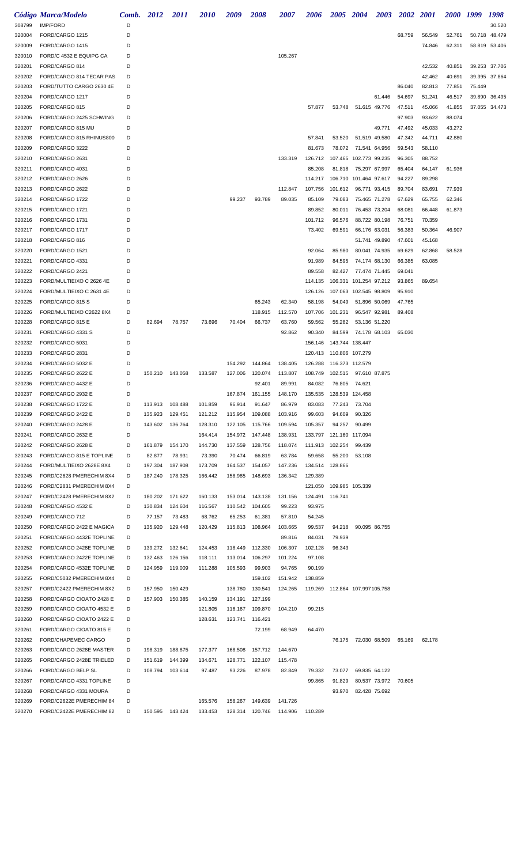|        | <b>Código Marca/Modelo</b> | Comb. 2012 |                 | <i>2011</i> | <i>2010</i> | 2009    | <b>2008</b>               | 2007    | 2006                    |                           | 2005 2004                        | <b>2003</b>   | <b>2002 2001</b> |        | 2000 1999 |        | 1998          |
|--------|----------------------------|------------|-----------------|-------------|-------------|---------|---------------------------|---------|-------------------------|---------------------------|----------------------------------|---------------|------------------|--------|-----------|--------|---------------|
| 308799 | <b>IMP/FORD</b>            | D          |                 |             |             |         |                           |         |                         |                           |                                  |               |                  |        |           |        | 30.520        |
| 320004 | FORD/CARGO 1215            | D          |                 |             |             |         |                           |         |                         |                           |                                  |               | 68.759           | 56.549 | 52.761    |        | 50.718 48.479 |
| 320009 | FORD/CARGO 1415            | D          |                 |             |             |         |                           |         |                         |                           |                                  |               |                  | 74.846 | 62.311    |        | 58.819 53.406 |
| 320010 | FORD/C 4532 E EQUIPG CA    | D          |                 |             |             |         |                           | 105.267 |                         |                           |                                  |               |                  |        |           |        |               |
| 320201 | FORD/CARGO 814             | D          |                 |             |             |         |                           |         |                         |                           |                                  |               |                  | 42.532 | 40.851    |        | 39.253 37.706 |
| 320202 | FORD/CARGO 814 TECAR PAS   | D          |                 |             |             |         |                           |         |                         |                           |                                  |               |                  | 42.462 | 40.691    |        | 39.395 37.864 |
| 320203 | FORD/TUTTO CARGO 2630 4E   | D          |                 |             |             |         |                           |         |                         |                           |                                  |               | 86.040           | 82.813 | 77.851    | 75.449 |               |
| 320204 | FORD/CARGO 1217            | D          |                 |             |             |         |                           |         |                         |                           |                                  | 61.446        | 54.697           | 51.241 | 46.517    |        | 39.890 36.495 |
| 320205 | FORD/CARGO 815             | D          |                 |             |             |         |                           |         | 57.877                  |                           | 53.748 51.615 49.776             |               | 47.511           | 45.066 | 41.855    |        | 37.055 34.473 |
| 320206 | FORD/CARGO 2425 SCHWING    | D          |                 |             |             |         |                           |         |                         |                           |                                  |               | 97.903           | 93.622 | 88.074    |        |               |
|        | FORD/CARGO 815 MU          | D          |                 |             |             |         |                           |         |                         |                           |                                  | 49.771        | 47.492           | 45.033 | 43.272    |        |               |
| 320207 |                            |            |                 |             |             |         |                           |         |                         |                           |                                  |               |                  |        |           |        |               |
| 320208 | FORD/CARGO 815 RHINUS800   | D          |                 |             |             |         |                           |         | 57.841                  | 53.520                    |                                  | 51.519 49.580 | 47.342           | 44.711 | 42.880    |        |               |
| 320209 | FORD/CARGO 3222            | D          |                 |             |             |         |                           |         | 81.673                  |                           | 78.072 71.541 64.956             |               | 59.543           | 58.110 |           |        |               |
| 320210 | FORD/CARGO 2631            | D          |                 |             |             |         |                           | 133.319 | 126.712                 |                           | 107.465 102.773 99.235           |               | 96.305           | 88.752 |           |        |               |
| 320211 | FORD/CARGO 4031            | D          |                 |             |             |         |                           |         | 85.208                  |                           | 81.818 75.297 67.997             |               | 65.404           | 64.147 | 61.936    |        |               |
| 320212 | FORD/CARGO 2626            | D          |                 |             |             |         |                           |         | 114.217                 |                           | 106.710 101.464 97.617           |               | 94.227           | 89.298 |           |        |               |
| 320213 | FORD/CARGO 2622            | D          |                 |             |             |         |                           | 112.847 | 107.756                 | 101.612                   |                                  | 96.771 93.415 | 89.704           | 83.691 | 77.939    |        |               |
| 320214 | FORD/CARGO 1722            | D          |                 |             |             | 99.237  | 93.789                    | 89.035  | 85.109                  | 79.083                    |                                  | 75.465 71.278 | 67.629           | 65.755 | 62.346    |        |               |
| 320215 | FORD/CARGO 1721            | D          |                 |             |             |         |                           |         | 89.852                  | 80.011                    |                                  | 76.453 73.204 | 68.081           | 66.448 | 61.873    |        |               |
| 320216 | FORD/CARGO 1731            | D          |                 |             |             |         |                           |         | 101.712                 | 96.576                    |                                  | 88.722 80.198 | 76.751           | 70.359 |           |        |               |
| 320217 | FORD/CARGO 1717            | D          |                 |             |             |         |                           |         | 73.402                  | 69.591                    |                                  | 66.176 63.031 | 56.383           | 50.364 | 46.907    |        |               |
| 320218 | FORD/CARGO 816             | D          |                 |             |             |         |                           |         |                         |                           |                                  | 51.741 49.890 | 47.601           | 45.168 |           |        |               |
| 320220 | FORD/CARGO 1521            | D          |                 |             |             |         |                           |         | 92.064                  | 85.980                    |                                  | 80.041 74.935 | 69.629           | 62.868 | 58.528    |        |               |
| 320221 | FORD/CARGO 4331            | D          |                 |             |             |         |                           |         | 91.989                  | 84.595                    | 74.174 68.130                    |               | 66.385           | 63.085 |           |        |               |
| 320222 | FORD/CARGO 2421            | D          |                 |             |             |         |                           |         | 89.558                  | 82.427                    | 77.474 71.445                    |               | 69.041           |        |           |        |               |
| 320223 | FORD/MULTIEIXO C 2626 4E   | D          |                 |             |             |         |                           |         | 114.135                 |                           | 106.331 101.254 97.212           |               | 93.865           | 89.654 |           |        |               |
| 320224 |                            | D          |                 |             |             |         |                           |         |                         |                           |                                  |               |                  |        |           |        |               |
|        | FORD/MULTIEIXO C 2631 4E   |            |                 |             |             |         |                           |         | 126.126                 |                           | 107.063 102.545 98.809           |               | 95.910           |        |           |        |               |
| 320225 | FORD/CARGO 815 S           | D          |                 |             |             |         | 65.243                    | 62.340  | 58.198                  | 54.049                    |                                  | 51.896 50.069 | 47.765           |        |           |        |               |
| 320226 | FORD/MULTIEIXO C2622 8X4   | D          |                 |             |             |         | 118.915                   | 112.570 | 107.706                 | 101.231                   |                                  | 96.547 92.981 | 89.408           |        |           |        |               |
| 320228 | FORD/CARGO 815 E           | D          | 82.694          | 78.757      | 73.696      | 70.404  | 66.737                    | 63.760  | 59.562                  | 55.282                    |                                  | 53.136 51.220 |                  |        |           |        |               |
| 320231 | FORD/CARGO 4331 S          | D          |                 |             |             |         |                           | 92.862  | 90.340                  | 84.599                    |                                  | 74.178 68.103 | 65.030           |        |           |        |               |
| 320232 | FORD/CARGO 5031            | D          |                 |             |             |         |                           |         |                         | 156.146  143.744  138.447 |                                  |               |                  |        |           |        |               |
| 320233 | FORD/CARGO 2831            | D          |                 |             |             |         |                           |         |                         | 120.413 110.806 107.279   |                                  |               |                  |        |           |        |               |
| 320234 | FORD/CARGO 5032 E          | D          |                 |             |             | 154.292 | 144.864                   | 138.405 | 126.288                 |                           | 116.373 112.579                  |               |                  |        |           |        |               |
| 320235 | FORD/CARGO 2622 E          | D          | 150.210 143.058 |             | 133.587     | 127.006 | 120.074                   | 113.807 | 108.749                 |                           | 102.515 97.610 87.875            |               |                  |        |           |        |               |
| 320236 | FORD/CARGO 4432 E          | D          |                 |             |             |         | 92.401                    | 89.991  | 84.082                  |                           | 76.805 74.621                    |               |                  |        |           |        |               |
| 320237 | FORD/CARGO 2932 E          | D          |                 |             |             |         | 167.874  161.155  148.170 |         | 135.535 128.539 124.458 |                           |                                  |               |                  |        |           |        |               |
| 320238 | FORD/CARGO 1722 E          | D          | 113.913 108.488 |             | 101.859     | 96.914  | 91.647                    | 86.979  | 83.083                  |                           | 77.243 73.704                    |               |                  |        |           |        |               |
| 320239 | FORD/CARGO 2422 E          | D          | 135.923         | 129.451     | 121.212     |         | 115.954 109.088           | 103.916 | 99.603                  | 94.609                    | 90.326                           |               |                  |        |           |        |               |
| 320240 | FORD/CARGO 2428 E          | D          | 143.602         | 136.764     | 128.310     |         | 122.105 115.766           | 109.594 | 105.357                 | 94.257                    | 90.499                           |               |                  |        |           |        |               |
| 320241 | FORD/CARGO 2632 E          | D          |                 |             | 164.414     |         | 154.972 147.448           | 138.931 |                         |                           | 133.797 121.160 117.094          |               |                  |        |           |        |               |
| 320242 | FORD/CARGO 2628 E          | D          | 161.879         | 154.170     | 144.730     |         | 137.559 128.756           | 118.074 |                         | 111.913 102.254           | 99.439                           |               |                  |        |           |        |               |
| 320243 | FORD/CARGO 815 E TOPLINE   | D          | 82.877          | 78.931      | 73.390      | 70.474  | 66.819                    | 63.784  | 59.658                  | 55.200                    | 53.108                           |               |                  |        |           |        |               |
|        |                            |            |                 |             |             |         |                           |         |                         |                           |                                  |               |                  |        |           |        |               |
| 320244 | FORD/MULTIEIXO 2628E 8X4   | D          | 197.304         | 187.908     | 173.709     |         | 164.537 154.057           | 147.236 |                         | 134.514 128.866           |                                  |               |                  |        |           |        |               |
| 320245 | FORD/C2628 PMERECHIM 8X4   | D          | 187.240         | 178.325     | 166.442     |         | 158.985 148.693           | 136.342 | 129.389                 |                           |                                  |               |                  |        |           |        |               |
| 320246 | FORD/C2831 PMERECHIM 8X4   | D          |                 |             |             |         |                           |         |                         |                           | 121.050 109.985 105.339          |               |                  |        |           |        |               |
| 320247 | FORD/C2428 PMERECHIM 8X2   | D          | 180.202         | 171.622     | 160.133     |         | 153.014 143.138           | 131.156 |                         | 124.491 116.741           |                                  |               |                  |        |           |        |               |
| 320248 | FORD/CARGO 4532 E          | D          | 130.834         | 124.604     | 116.567     |         | 110.542 104.605           | 99.223  | 93.975                  |                           |                                  |               |                  |        |           |        |               |
| 320249 | FORD/CARGO 712             | D          | 77.157          | 73.483      | 68.762      | 65.253  | 61.381                    | 57.810  | 54.245                  |                           |                                  |               |                  |        |           |        |               |
| 320250 | FORD/CARGO 2422 E MAGICA   | D          | 135.920         | 129.448     | 120.429     |         | 115.813 108.964           | 103.665 | 99.537                  | 94.218                    |                                  | 90.095 86.755 |                  |        |           |        |               |
| 320251 | FORD/CARGO 4432E TOPLINE   | D          |                 |             |             |         |                           | 89.816  | 84.031                  | 79.939                    |                                  |               |                  |        |           |        |               |
| 320252 | FORD/CARGO 2428E TOPLINE   | D          | 139.272         | 132.641     | 124.453     |         | 118.449 112.330           | 106.307 | 102.128                 | 96.343                    |                                  |               |                  |        |           |        |               |
| 320253 | FORD/CARGO 2422E TOPLINE   | D          | 132.463         | 126.156     | 118.111     | 113.014 | 106.297                   | 101.224 | 97.108                  |                           |                                  |               |                  |        |           |        |               |
| 320254 | FORD/CARGO 4532E TOPLINE   | D          | 124.959         | 119.009     | 111.288     | 105.593 | 99.903                    | 94.765  | 90.199                  |                           |                                  |               |                  |        |           |        |               |
| 320255 | FORD/C5032 PMERECHIM 8X4   | D          |                 |             |             |         | 159.102                   | 151.942 | 138.859                 |                           |                                  |               |                  |        |           |        |               |
| 320257 | FORD/C2422 PMERECHIM 8X2   | D          | 157.950         | 150.429     |             | 138.780 | 130.541                   | 124.265 |                         |                           | 119.269  112.864  107.997105.758 |               |                  |        |           |        |               |
| 320258 | FORD/CARGO CIOATO 2428 E   | D          | 157.903         | 150.385     | 140.159     |         | 134.191 127.199           |         |                         |                           |                                  |               |                  |        |           |        |               |
| 320259 | FORD/CARGO CIOATO 4532 E   | D          |                 |             | 121.805     |         | 116.167 109.870           | 104.210 | 99.215                  |                           |                                  |               |                  |        |           |        |               |
|        |                            |            |                 |             |             |         |                           |         |                         |                           |                                  |               |                  |        |           |        |               |
| 320260 | FORD/CARGO CIOATO 2422 E   | D          |                 |             | 128.631     |         | 123.741 116.421           |         |                         |                           |                                  |               |                  |        |           |        |               |
| 320261 | FORD/CARGO CIOATO 815 E    | D          |                 |             |             |         | 72.199                    | 68.949  | 64.470                  |                           |                                  |               |                  |        |           |        |               |
| 320262 | FORD/CHAPEMEC CARGO        | D          |                 |             |             |         |                           |         |                         |                           | 76.175 72.030 68.509             |               | 65.169           | 62.178 |           |        |               |
| 320263 | FORD/CARGO 2628E MASTER    | D          | 198.319         | 188.875     | 177.377     | 168.508 | 157.712                   | 144.670 |                         |                           |                                  |               |                  |        |           |        |               |
| 320265 | FORD/CARGO 2428E TRIELED   | D          | 151.619         | 144.399     | 134.671     | 128.771 | 122.107                   | 115.478 |                         |                           |                                  |               |                  |        |           |        |               |
| 320266 | FORD/CARGO BELP SL         | D          | 108.794         | 103.614     | 97.487      | 93.226  | 87.978                    | 82.849  | 79.332                  | 73.077                    |                                  | 69.835 64.122 |                  |        |           |        |               |
| 320267 | FORD/CARGO 4331 TOPLINE    | D          |                 |             |             |         |                           |         | 99.865                  | 91.829                    |                                  | 80.537 73.972 | 70.605           |        |           |        |               |
| 320268 | FORD/CARGO 4331 MOURA      | D          |                 |             |             |         |                           |         |                         | 93.970                    | 82.428 75.692                    |               |                  |        |           |        |               |
| 320269 | FORD/C2622E PMERECHIM 84   | D          |                 |             | 165.576     |         | 158.267 149.639           | 141.726 |                         |                           |                                  |               |                  |        |           |        |               |
| 320270 | FORD/C2422E PMERECHIM 82   | D          | 150.595         | 143.424     | 133.453     |         | 128.314 120.746           | 114.906 | 110.289                 |                           |                                  |               |                  |        |           |        |               |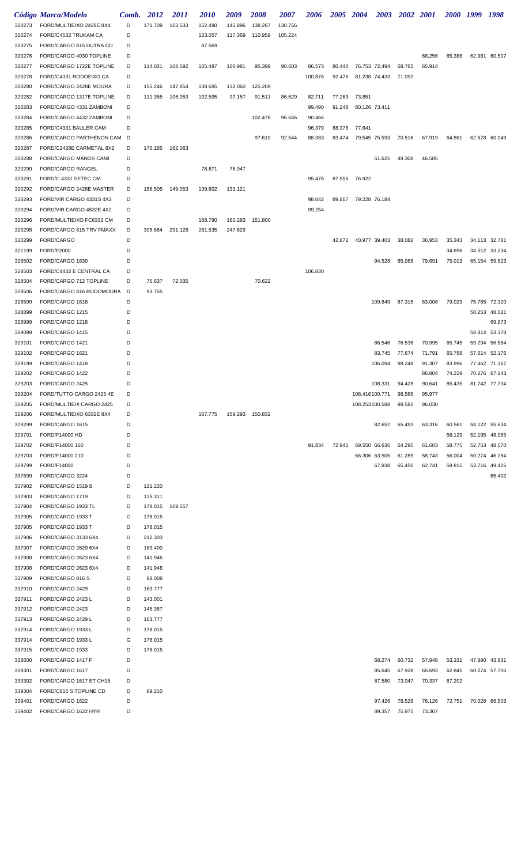|                  | Código Marca/Modelo                                | Comb.  | 2012               | <i>2011</i> | <i>2010</i> | 2009    | <b>2008</b>     | 2007    | 2006             | 2005 2004 |                | <b>2003</b>   | 2002 2001 |                  | <i>2000</i>      | 1999             | 1998                    |
|------------------|----------------------------------------------------|--------|--------------------|-------------|-------------|---------|-----------------|---------|------------------|-----------|----------------|---------------|-----------|------------------|------------------|------------------|-------------------------|
| 320273           | FORD/MULTIEIXO 2428E 8X4                           | D      | 171.709            | 163.533     | 152.490     | 145.896 | 138.267         | 130.756 |                  |           |                |               |           |                  |                  |                  |                         |
| 320274           | FORD/C4532 TRUKAM CA                               | D      |                    |             | 123.057     | 117.369 | 110.959         | 105.224 |                  |           |                |               |           |                  |                  |                  |                         |
| 320275           | FORD/CARGO 815 DUTRA CD                            | D      |                    |             | 87.569      |         |                 |         |                  |           |                |               |           |                  |                  |                  |                         |
| 320276           | FORD/CARGO 4030 TOPLINE                            | D      |                    |             |             |         |                 |         |                  |           |                |               |           | 68.256           | 65.388           |                  | 62.981 60.507           |
| 320277           | FORD/CARGO 1722E TOPLINE                           | D      | 114.021            | 108.592     | 105.497     | 100.981 | 95.399          | 90.603  | 86.573           | 80.440    |                | 76.753 72.494 | 68.765    | 65.914           |                  |                  |                         |
| 320278           | FORD/C4331 RODOEIXO CA                             | D      |                    |             |             |         |                 |         | 100.878          | 92.476    |                | 81.238 74.433 | 71.092    |                  |                  |                  |                         |
| 320280           | FORD/CARGO 2428E MOURA                             | D      | 155.246            | 147.854     | 138.695     | 132.060 | 125.209         |         |                  |           |                |               |           |                  |                  |                  |                         |
| 320282           | FORD/CARGO 1317E TOPLINE                           | D      | 111.355            | 106.053     | 102.595     | 97.157  | 91.511          | 86.629  | 82.711           | 77.269    | 73.851         |               |           |                  |                  |                  |                         |
| 320283<br>320284 | FORD/CARGO 4331 ZAMBONI<br>FORD/CARGO 4432 ZAMBONI | D<br>D |                    |             |             |         | 102.478         | 96.646  | 99.490<br>90.466 | 91.248    | 80.126 73.411  |               |           |                  |                  |                  |                         |
| 320285           | FORD/C4331 BAULER CAM                              | D      |                    |             |             |         |                 |         | 96.379           | 88.376    | 77.641         |               |           |                  |                  |                  |                         |
| 320286           | FORD/CARGO PARTHENON CAM D                         |        |                    |             |             |         | 97.610          | 92.544  | 88.383           | 83.474    | 79.545 75.593  |               | 70.516    | 67.919           | 64.861           |                  | 62.678 60.049           |
| 320287           | FORD/C2428E CARMETAL 8X2                           | D      | 170.165 162.063    |             |             |         |                 |         |                  |           |                |               |           |                  |                  |                  |                         |
| 320288           | FORD/CARGO MANOS CAMI                              | D      |                    |             |             |         |                 |         |                  |           |                | 51.625        | 49.308    | 46.585           |                  |                  |                         |
| 320290           | FORD/CARGO RANGEL                                  | D      |                    |             | 78.671      | 76.947  |                 |         |                  |           |                |               |           |                  |                  |                  |                         |
| 320291           | FORD/C 4331 SETEC CM                               | D      |                    |             |             |         |                 |         | 95.476           |           | 87.555 76.922  |               |           |                  |                  |                  |                         |
| 320292           | FORD/CARGO 2428E MASTER                            | D      | 156.505            | 149.053     | 139.802     | 133.121 |                 |         |                  |           |                |               |           |                  |                  |                  |                         |
| 320293           | FORD/VIR CARGO 4331S 4X2                           | D      |                    |             |             |         |                 |         | 98.042           | 89.867    | 79.228 76.184  |               |           |                  |                  |                  |                         |
| 320294           | FORD/VIR CARGO 4532E 4X2                           | G      |                    |             |             |         |                 |         | 99.254           |           |                |               |           |                  |                  |                  |                         |
| 320296           | FORD/MULTIEIXO FC6332 CM                           | D      |                    |             | 168.790     | 160.283 | 151.800         |         |                  |           |                |               |           |                  |                  |                  |                         |
| 320298           | FORD/CARGO 815 TRV FMAXX                           | D      | 305.684            | 291.128     | 261.535     | 247.629 |                 |         |                  |           |                |               |           |                  |                  |                  |                         |
| 320299           | FORD/CARGO                                         | D      |                    |             |             |         |                 |         |                  | 42.872    | 40.977 39.403  |               | 38.082    | 36.953           | 35.343           |                  | 34.113 32.781           |
| 321199<br>328502 | FORD/F2000<br>FORD/CARGO 1630                      | D<br>D |                    |             |             |         |                 |         |                  |           |                | 94.528        | 85.068    | 79.691           | 34.896<br>75.013 | 34.512<br>65.154 | 33.234<br>59.623        |
| 328503           | FORD/C4432 E CENTRAL CA                            | D      |                    |             |             |         |                 |         | 106.830          |           |                |               |           |                  |                  |                  |                         |
| 328504           | FORD/CARGO 712 TOPLINE                             | D      | 75.637             | 72.035      |             |         | 70.622          |         |                  |           |                |               |           |                  |                  |                  |                         |
| 328506           | FORD/CARGO 816 RODOMOURA                           | D      | 93.755             |             |             |         |                 |         |                  |           |                |               |           |                  |                  |                  |                         |
| 328599           | FORD/CARGO 1618                                    | D      |                    |             |             |         |                 |         |                  |           |                | 109.649       | 87.315    | 83.008           | 79.029           | 75.765           | 72.320                  |
| 328899           | FORD/CARGO 1215                                    | D      |                    |             |             |         |                 |         |                  |           |                |               |           |                  |                  | 50.253           | 48.021                  |
| 328999           | FORD/CARGO 1218                                    | D      |                    |             |             |         |                 |         |                  |           |                |               |           |                  |                  |                  | 69.873                  |
| 329099           | FORD/CARGO 1415                                    | D      |                    |             |             |         |                 |         |                  |           |                |               |           |                  |                  |                  | 58.814 53.378           |
| 329101           | FORD/CARGO 1421                                    | D      |                    |             |             |         |                 |         |                  |           |                | 86.546        | 76.536    | 70.995           | 65.745           | 59.294           | 56.584                  |
| 329102           | FORD/CARGO 1621                                    | D      |                    |             |             |         |                 |         |                  |           |                | 83.745        | 77.674    | 71.791           | 65.768           | 57.614           | 52.176                  |
| 329199           | FORD/CARGO 1418<br>FORD/CARGO 1422                 | D<br>D |                    |             |             |         |                 |         |                  |           |                | 106.094       | 98.248    | 91.307           | 83.996           |                  | 77.462 71.167           |
| 329202<br>329203 | FORD/CARGO 2425                                    | D      |                    |             |             |         |                 |         |                  |           |                | 108.331       | 94.428    | 86.804<br>90.641 | 74.229<br>85.435 | 70.276           | 67.143<br>81.742 77.734 |
| 329204           | FORD/TUTTO CARGO 2425 4E                           | D      |                    |             |             |         |                 |         |                  |           | 108.416100.771 |               | 98.566    | 95.977           |                  |                  |                         |
| 329205           | FORD/MULTIEIX CARGO 2425                           | D      |                    |             |             |         |                 |         |                  |           | 108.253100.588 |               | 98.581    | 96.030           |                  |                  |                         |
| 329206           | FORD/MULTIEIXO 6332E 8X4                           | D      |                    |             | 167.775     |         | 159.293 150.832 |         |                  |           |                |               |           |                  |                  |                  |                         |
| 329299           | FORD/CARGO 1615                                    | D      |                    |             |             |         |                 |         |                  |           |                | 82.652        | 65.493    | 63.316           | 60.561           |                  | 58.122 55.634           |
| 329701           | FORD/F14000 HD                                     | D      |                    |             |             |         |                 |         |                  |           |                |               |           |                  | 58.129           |                  | 52.195 48.055           |
| 329702           | FORD/F14000 160                                    | D      |                    |             |             |         |                 |         | 91.834           | 72.941    |                | 69.550 66.636 | 64.295    | 61.603           | 58.775           |                  | 52.753 48.570           |
| 329703           | FORD/F14000 210                                    | D      |                    |             |             |         |                 |         |                  |           |                | 66.306 63.505 | 61.289    | 58.743           | 56.004           | 50.274           | 46.284                  |
| 329799           | FORD/F14000                                        | D      |                    |             |             |         |                 |         |                  |           |                | 67.838        | 65.450    | 62.741           | 59.815           | 53.716           | 49.426                  |
| 337699           | FORD/CARGO 3224                                    | D      |                    |             |             |         |                 |         |                  |           |                |               |           |                  |                  |                  | 65.402                  |
| 337902<br>337903 | FORD/CARGO 1519 B<br>FORD/CARGO 1719               | D<br>D | 121.220<br>125.311 |             |             |         |                 |         |                  |           |                |               |           |                  |                  |                  |                         |
| 337904           | FORD/CARGO 1933 TL                                 | D      | 178.015            | 169.557     |             |         |                 |         |                  |           |                |               |           |                  |                  |                  |                         |
| 337905           | FORD/CARGO 1933 T                                  | G      | 178.015            |             |             |         |                 |         |                  |           |                |               |           |                  |                  |                  |                         |
| 337905           | FORD/CARGO 1933 T                                  | D      | 178.015            |             |             |         |                 |         |                  |           |                |               |           |                  |                  |                  |                         |
| 337906           | FORD/CARGO 3133 6X4                                | D      | 212.303            |             |             |         |                 |         |                  |           |                |               |           |                  |                  |                  |                         |
| 337907           | FORD/CARGO 2629 6X4                                | D      | 189.400            |             |             |         |                 |         |                  |           |                |               |           |                  |                  |                  |                         |
| 337908           | FORD/CARGO 2623 6X4                                | G      | 141.946            |             |             |         |                 |         |                  |           |                |               |           |                  |                  |                  |                         |
| 337908           | FORD/CARGO 2623 6X4                                | D      | 141.946            |             |             |         |                 |         |                  |           |                |               |           |                  |                  |                  |                         |
| 337909           | FORD/CARGO 816 S                                   | D      | 88.008             |             |             |         |                 |         |                  |           |                |               |           |                  |                  |                  |                         |
| 337910           | FORD/CARGO 2429                                    | D      | 163.777            |             |             |         |                 |         |                  |           |                |               |           |                  |                  |                  |                         |
| 337911           | FORD/CARGO 2423 L                                  | D      | 143.001            |             |             |         |                 |         |                  |           |                |               |           |                  |                  |                  |                         |
| 337912           | FORD/CARGO 2423                                    | D      | 145.387            |             |             |         |                 |         |                  |           |                |               |           |                  |                  |                  |                         |
| 337913<br>337914 | FORD/CARGO 2429 L<br>FORD/CARGO 1933 L             | D<br>D | 163.777<br>178.015 |             |             |         |                 |         |                  |           |                |               |           |                  |                  |                  |                         |
| 337914           | FORD/CARGO 1933 L                                  | G      | 178.015            |             |             |         |                 |         |                  |           |                |               |           |                  |                  |                  |                         |
| 337915           | FORD/CARGO 1933                                    | D      | 178.015            |             |             |         |                 |         |                  |           |                |               |           |                  |                  |                  |                         |
| 338600           | FORD/CARGO 1417 F                                  | D      |                    |             |             |         |                 |         |                  |           |                | 68.274        | 60.732    | 57.948           | 53.331           |                  | 47.890 43.831           |
| 339301           | FORD/CARGO 1617                                    | D      |                    |             |             |         |                 |         |                  |           |                | 85.645        | 67.928    | 65.693           | 62.845           |                  | 60.274 57.706           |
| 339302           | FORD/CARGO 1617 ET CH15                            | D      |                    |             |             |         |                 |         |                  |           |                | 87.580        | 73.047    | 70.337           | 67.202           |                  |                         |
| 339304           | FORD/C816 S TOPLINE CD                             | D      | 89.210             |             |             |         |                 |         |                  |           |                |               |           |                  |                  |                  |                         |
| 339401           | FORD/CARGO 1622                                    | D      |                    |             |             |         |                 |         |                  |           |                | 97.426        | 78.528    | 76.126           | 72.751           |                  | 70.028 66.503           |
| 339402           | FORD/CARGO 1622 HYR                                | D      |                    |             |             |         |                 |         |                  |           |                | 89.357        | 75.975    | 73.307           |                  |                  |                         |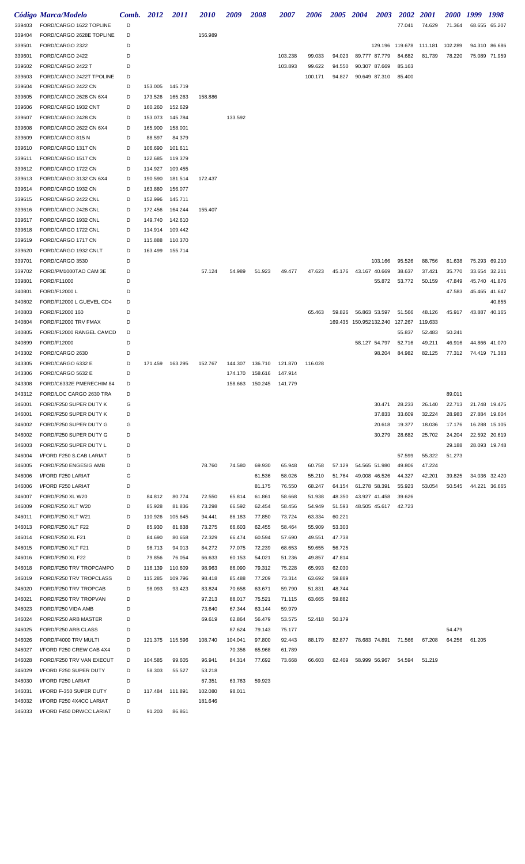|                  | Código Marca/Modelo                              | Comb.  | 2012              | <i>2011</i>       | <i>2010</i>      | 2009               | <i><b>2008</b></i> | <i><b>2007</b></i> | 2006             | 2005 2004        |                        | <b>2003</b>   | <b>2002</b> | <i>2001</i>                     | <i><b>2000</b></i> | 1999   | 1998          |
|------------------|--------------------------------------------------|--------|-------------------|-------------------|------------------|--------------------|--------------------|--------------------|------------------|------------------|------------------------|---------------|-------------|---------------------------------|--------------------|--------|---------------|
| 339403           | FORD/CARGO 1622 TOPLINE                          | D      |                   |                   |                  |                    |                    |                    |                  |                  |                        |               | 77.041      | 74.629                          | 71.364             |        | 68.655 65.207 |
| 339404           | FORD/CARGO 2628E TOPLINE                         | D      |                   |                   | 156.989          |                    |                    |                    |                  |                  |                        |               |             |                                 |                    |        |               |
| 339501           | FORD/CARGO 2322                                  | D      |                   |                   |                  |                    |                    |                    |                  |                  |                        |               |             | 129.196 119.678 111.181 102.289 |                    |        | 94.310 86.686 |
| 339601           | FORD/CARGO 2422                                  | D      |                   |                   |                  |                    |                    | 103.238            | 99.033           | 94.023           |                        | 89.777 87.779 | 84.682      | 81.739                          | 78.220             |        | 75.089 71.959 |
| 339602           | FORD/CARGO 2422 T                                | D      |                   |                   |                  |                    |                    | 103.893            | 99.622           | 94.550           |                        | 90.307 87.669 | 85.163      |                                 |                    |        |               |
| 339603           | FORD/CARGO 2422T TPOLINE                         | D      |                   |                   |                  |                    |                    |                    | 100.171          | 94.827           |                        | 90.649 87.310 | 85.400      |                                 |                    |        |               |
| 339604           | FORD/CARGO 2422 CN                               | D      | 153.005           | 145.719           |                  |                    |                    |                    |                  |                  |                        |               |             |                                 |                    |        |               |
| 339605           | FORD/CARGO 2628 CN 6X4                           | D      | 173.526           | 165.263           | 158.886          |                    |                    |                    |                  |                  |                        |               |             |                                 |                    |        |               |
| 339606           | FORD/CARGO 1932 CNT                              | D      | 160.260           | 152.629           |                  |                    |                    |                    |                  |                  |                        |               |             |                                 |                    |        |               |
| 339607           | FORD/CARGO 2428 CN                               | D      | 153.073           | 145.784           |                  | 133.592            |                    |                    |                  |                  |                        |               |             |                                 |                    |        |               |
| 339608<br>339609 | FORD/CARGO 2622 CN 6X4<br>FORD/CARGO 815 N       | D<br>D | 165.900<br>88.597 | 158.001<br>84.379 |                  |                    |                    |                    |                  |                  |                        |               |             |                                 |                    |        |               |
| 339610           | FORD/CARGO 1317 CN                               | D      | 106.690           | 101.611           |                  |                    |                    |                    |                  |                  |                        |               |             |                                 |                    |        |               |
| 339611           | FORD/CARGO 1517 CN                               | D      | 122.685           | 119.379           |                  |                    |                    |                    |                  |                  |                        |               |             |                                 |                    |        |               |
| 339612           | FORD/CARGO 1722 CN                               | D      | 114.927           | 109.455           |                  |                    |                    |                    |                  |                  |                        |               |             |                                 |                    |        |               |
| 339613           | FORD/CARGO 3132 CN 6X4                           | D      | 190.590           | 181.514           | 172.437          |                    |                    |                    |                  |                  |                        |               |             |                                 |                    |        |               |
| 339614           | FORD/CARGO 1932 CN                               | D      | 163.880           | 156.077           |                  |                    |                    |                    |                  |                  |                        |               |             |                                 |                    |        |               |
| 339615           | FORD/CARGO 2422 CNL                              | D      | 152.996           | 145.711           |                  |                    |                    |                    |                  |                  |                        |               |             |                                 |                    |        |               |
| 339616           | FORD/CARGO 2428 CNL                              | D      | 172.456           | 164.244           | 155.407          |                    |                    |                    |                  |                  |                        |               |             |                                 |                    |        |               |
| 339617           | FORD/CARGO 1932 CNL                              | D      | 149.740           | 142.610           |                  |                    |                    |                    |                  |                  |                        |               |             |                                 |                    |        |               |
| 339618           | FORD/CARGO 1722 CNL                              | D      | 114.914           | 109.442           |                  |                    |                    |                    |                  |                  |                        |               |             |                                 |                    |        |               |
| 339619           | FORD/CARGO 1717 CN                               | D      | 115.888           | 110.370           |                  |                    |                    |                    |                  |                  |                        |               |             |                                 |                    |        |               |
| 339620           | FORD/CARGO 1932 CNLT                             | D      | 163.499           | 155.714           |                  |                    |                    |                    |                  |                  |                        |               |             |                                 |                    |        |               |
| 339701           | FORD/CARGO 3530                                  | D      |                   |                   |                  |                    |                    |                    |                  |                  |                        | 103.166       | 95.526      | 88.756                          | 81.638             |        | 75.293 69.210 |
| 339702           | FORD/PM1000TAO CAM 3E                            | D      |                   |                   | 57.124           | 54.989             | 51.923             | 49.477             | 47.623           | 45.176           | 43.167 40.669          |               | 38.637      | 37.421                          | 35.770             | 33.654 | 32.211        |
| 339801           | FORD/F11000                                      | D      |                   |                   |                  |                    |                    |                    |                  |                  |                        | 55.872        | 53.772      | 50.159                          | 47.849             | 45.740 | 41.876        |
| 340801           | FORD/F12000 L                                    | D      |                   |                   |                  |                    |                    |                    |                  |                  |                        |               |             |                                 | 47.583             |        | 45.465 41.647 |
| 340802           | FORD/F12000 L GUEVEL CD4                         | D      |                   |                   |                  |                    |                    |                    |                  |                  |                        |               |             |                                 |                    |        | 40.855        |
| 340803           | FORD/F12000 160                                  | D      |                   |                   |                  |                    |                    |                    | 65.463           | 59.826           |                        | 56.863 53.597 | 51.566      | 48.126                          | 45.917             |        | 43.887 40.165 |
| 340804           | FORD/F12000 TRV FMAX                             | D      |                   |                   |                  |                    |                    |                    |                  |                  | 169.435 150.952132.240 |               | 127.267     | 119.633                         |                    |        |               |
| 340805           | FORD/F12000 RANGEL CAMCD                         | D      |                   |                   |                  |                    |                    |                    |                  |                  |                        |               | 55.837      | 52.483                          | 50.241             |        |               |
| 340899           | FORD/F12000                                      | D      |                   |                   |                  |                    |                    |                    |                  |                  |                        | 58.127 54.797 | 52.716      | 49.211                          | 46.916             |        | 44.866 41.070 |
| 343302           | FORD/CARGO 2630                                  | D      |                   |                   |                  |                    |                    |                    |                  |                  |                        | 98.204        | 84.982      | 82.125                          | 77.312             |        | 74.419 71.383 |
| 343305           | FORD/CARGO 6332 E                                | D      | 171.459           | 163.295           | 152.767          | 144.307            | 136.710            | 121.870            | 116.028          |                  |                        |               |             |                                 |                    |        |               |
| 343306<br>343308 | FORD/CARGO 5632 E<br>FORD/C6332E PMERECHIM 84    | D<br>D |                   |                   |                  | 174.170<br>158.663 | 158.616<br>150.245 | 147.914<br>141.779 |                  |                  |                        |               |             |                                 |                    |        |               |
| 343312           | FORD/LOC CARGO 2630 TRA                          | D      |                   |                   |                  |                    |                    |                    |                  |                  |                        |               |             |                                 | 89.011             |        |               |
| 346001           | FORD/F250 SUPER DUTY K                           | G      |                   |                   |                  |                    |                    |                    |                  |                  |                        | 30.471        | 28.233      | 26.140                          | 22.713             |        | 21.748 19.475 |
| 346001           | FORD/F250 SUPER DUTY K                           | D      |                   |                   |                  |                    |                    |                    |                  |                  |                        | 37.833        | 33.609      | 32.224                          | 28.983             |        | 27.884 19.604 |
| 346002           | FORD/F250 SUPER DUTY G                           | G      |                   |                   |                  |                    |                    |                    |                  |                  |                        | 20.618        | 19.377      | 18.036                          | 17.176             |        | 16.288 15.105 |
| 346002           | FORD/F250 SUPER DUTY G                           | D      |                   |                   |                  |                    |                    |                    |                  |                  |                        | 30.279        | 28.682      | 25.702                          | 24.204             |        | 22.592 20.619 |
| 346003           | FORD/F250 SUPER DUTY L                           | D      |                   |                   |                  |                    |                    |                    |                  |                  |                        |               |             |                                 | 29.188             |        | 28.093 19.748 |
| 346004           | I/FORD F250 S.CAB LARIAT                         | D      |                   |                   |                  |                    |                    |                    |                  |                  |                        |               | 57.599      | 55.322                          | 51.273             |        |               |
| 346005           | FORD/F250 ENGESIG AMB                            | D      |                   |                   | 78.760           | 74.580             | 69.930             | 65.948             | 60.758           | 57.129           |                        | 54.565 51.980 | 49.806      | 47.224                          |                    |        |               |
| 346006           | I/FORD F250 LARIAT                               | G      |                   |                   |                  |                    | 61.536             | 58.026             | 55.210           | 51.764           |                        | 49.008 46.526 | 44.327      | 42.201                          | 39.825             |        | 34.036 32.420 |
| 346006           | I/FORD F250 LARIAT                               | D      |                   |                   |                  |                    | 81.175             | 76.550             | 68.247           | 64.154           |                        | 61.278 58.391 | 55.923      | 53.054                          | 50.545             | 44.221 | 36.665        |
| 346007           | FORD/F250 XL W20                                 | D      | 84.812            | 80.774            | 72.550           | 65.814             | 61.861             | 58.668             | 51.938           | 48.350           |                        | 43.927 41.458 | 39.626      |                                 |                    |        |               |
| 346009           | FORD/F250 XLT W20                                | D      | 85.928            | 81.836            | 73.298           | 66.592             | 62.454             | 58.456             | 54.949           | 51.593           |                        | 48.505 45.617 | 42.723      |                                 |                    |        |               |
| 346011           | FORD/F250 XLT W21                                | D      | 110.926           | 105.645           | 94.441           | 86.183             | 77.850             | 73.724             | 63.334           | 60.221           |                        |               |             |                                 |                    |        |               |
| 346013           | FORD/F250 XLT F22                                | D      | 85.930            | 81.838            | 73.275           | 66.603             | 62.455             | 58.464             | 55.909           | 53.303           |                        |               |             |                                 |                    |        |               |
| 346014           | FORD/F250 XL F21                                 | D      | 84.690            | 80.658            | 72.329           | 66.474             | 60.594             | 57.690             | 49.551           | 47.738           |                        |               |             |                                 |                    |        |               |
| 346015           | FORD/F250 XLT F21                                | D      | 98.713            | 94.013            | 84.272           | 77.075             | 72.239             | 68.653             | 59.655           | 56.725           |                        |               |             |                                 |                    |        |               |
| 346016           | FORD/F250 XL F22                                 | D      | 79.856            | 76.054            | 66.633           | 60.153             | 54.021             | 51.236             | 49.857           | 47.814           |                        |               |             |                                 |                    |        |               |
| 346018           | FORD/F250 TRV TROPCAMPO                          | D      | 116.139           | 110.609           | 98.963           | 86.090             | 79.312             | 75.228             | 65.993           | 62.030           |                        |               |             |                                 |                    |        |               |
| 346019<br>346020 | FORD/F250 TRV TROPCLASS<br>FORD/F250 TRV TROPCAB | D<br>D | 115.285<br>98.093 | 109.796<br>93.423 | 98.418<br>83.824 | 85.488<br>70.658   | 77.209<br>63.671   | 73.314<br>59.790   | 63.692<br>51.831 | 59.889<br>48.744 |                        |               |             |                                 |                    |        |               |
| 346021           | FORD/F250 TRV TROPVAN                            | D      |                   |                   | 97.213           | 88.017             | 75.521             | 71.115             | 63.665           | 59.882           |                        |               |             |                                 |                    |        |               |
| 346023           | FORD/F250 VIDA AMB                               | D      |                   |                   | 73.640           | 67.344             | 63.144             | 59.979             |                  |                  |                        |               |             |                                 |                    |        |               |
| 346024           | FORD/F250 ARB MASTER                             | D      |                   |                   | 69.619           | 62.864             | 56.479             | 53.575             | 52.418           | 50.179           |                        |               |             |                                 |                    |        |               |
| 346025           | FORD/F250 ARB CLASS                              | D      |                   |                   |                  | 87.624             | 79.143             | 75.177             |                  |                  |                        |               |             |                                 | 54.479             |        |               |
| 346026           | FORD/F4000 TRV MULTI                             | D      | 121.375 115.596   |                   | 108.740          | 104.041            | 97.800             | 92.443             | 88.179           | 82.877           |                        | 78.683 74.891 | 71.566      | 67.208                          | 64.256             | 61.205 |               |
| 346027           | I/FORD F250 CREW CAB 4X4                         | D      |                   |                   |                  | 70.356             | 65.968             | 61.789             |                  |                  |                        |               |             |                                 |                    |        |               |
| 346028           | FORD/F250 TRV VAN EXECUT                         | D      | 104.585           | 99.605            | 96.941           | 84.314             | 77.692             | 73.668             | 66.603           | 62.409           |                        | 58.999 56.967 | 54.594      | 51.219                          |                    |        |               |
| 346029           | I/FORD F250 SUPER DUTY                           | D      | 58.303            | 55.527            | 53.218           |                    |                    |                    |                  |                  |                        |               |             |                                 |                    |        |               |
| 346030           | <b>I/FORD F250 LARIAT</b>                        | D      |                   |                   | 67.351           | 63.763             | 59.923             |                    |                  |                  |                        |               |             |                                 |                    |        |               |
| 346031           | I/FORD F-350 SUPER DUTY                          | D      | 117.484           | 111.891           | 102.080          | 98.011             |                    |                    |                  |                  |                        |               |             |                                 |                    |        |               |
| 346032           | I/FORD F250 4X4CC LARIAT                         | D      |                   |                   | 181.646          |                    |                    |                    |                  |                  |                        |               |             |                                 |                    |        |               |
| 346033           | I/FORD F450 DRWCC LARIAT                         | D      | 91.203            | 86.861            |                  |                    |                    |                    |                  |                  |                        |               |             |                                 |                    |        |               |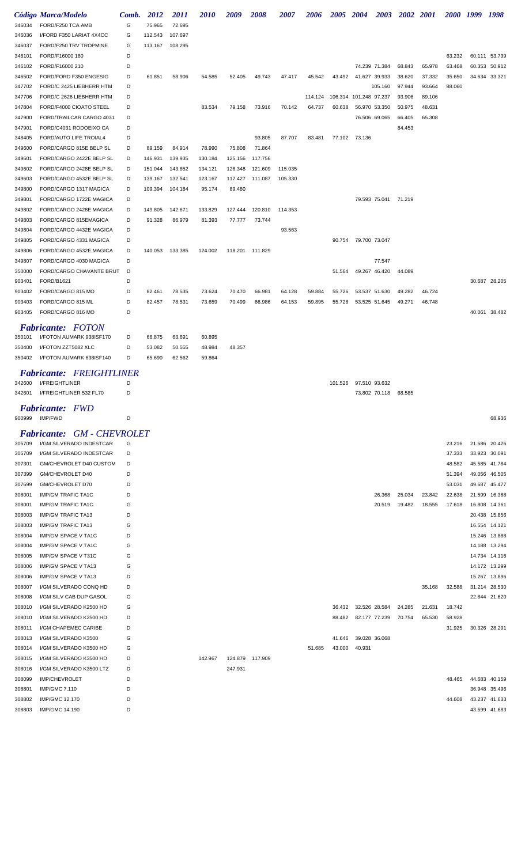|                  | Código Marca/Modelo                                    | Comb.  | 2012    | <i>2011</i> | <i>2010</i> | 2009    | <i><b>2008</b></i> | <i><b>2007</b></i> | 2006    | 2005 2004 |                        |                      | 2003 2002 2001 |        |        | 2000 1999 1998 |                                |
|------------------|--------------------------------------------------------|--------|---------|-------------|-------------|---------|--------------------|--------------------|---------|-----------|------------------------|----------------------|----------------|--------|--------|----------------|--------------------------------|
| 346034           | FORD/F250 TCA AMB                                      | G      | 75.965  | 72.695      |             |         |                    |                    |         |           |                        |                      |                |        |        |                |                                |
| 346036           | I/FORD F350 LARIAT 4X4CC<br>FORD/F250 TRV TROPMINE     | G<br>G | 112.543 | 107.697     |             |         |                    |                    |         |           |                        |                      |                |        |        |                |                                |
| 346037<br>346101 | FORD/F16000 160                                        | D      | 113.167 | 108.295     |             |         |                    |                    |         |           |                        |                      |                |        | 63.232 |                | 60.111 53.739                  |
| 346102           | FORD/F16000 210                                        | D      |         |             |             |         |                    |                    |         |           |                        | 74.239 71.384        | 68.843         | 65.978 | 63.468 |                | 60.353 50.912                  |
| 346502           | FORD/FORD F350 ENGESIG                                 | D      | 61.851  | 58.906      | 54.585      | 52.405  | 49.743             | 47.417             | 45.542  | 43.492    | 41.627 39.933          |                      | 38.620         | 37.332 | 35.650 |                | 34.634 33.321                  |
| 347702           | FORD/C 2425 LIEBHERR HTM                               | D      |         |             |             |         |                    |                    |         |           |                        | 105.160              | 97.944         | 93.664 | 88.060 |                |                                |
| 347706           | FORD/C 2626 LIEBHERR HTM                               | D      |         |             |             |         |                    |                    | 114.124 |           | 106.314 101.248 97.237 |                      | 93.906         | 89.106 |        |                |                                |
| 347804           | FORD/F4000 CIOATO STEEL                                | D      |         |             | 83.534      | 79.158  | 73.916             | 70.142             | 64.737  | 60.638    | 56.970                 | 53.350               | 50.975         | 48.631 |        |                |                                |
| 347900           | FORD/TRAILCAR CARGO 4031                               | D      |         |             |             |         |                    |                    |         |           |                        | 76.506 69.065        | 66.405         | 65.308 |        |                |                                |
| 347901           | FORD/C4031 RODOEIXO CA                                 | D      |         |             |             |         |                    |                    |         |           |                        |                      | 84.453         |        |        |                |                                |
| 348405           | <b>FORD/AUTO LIFE TROIAL4</b>                          | D      |         |             |             |         | 93.805             | 87.707             | 83.481  | 77.102    | 73.136                 |                      |                |        |        |                |                                |
| 349600           | FORD/CARGO 815E BELP SL                                | D      | 89.159  | 84.914      | 78.990      | 75.808  | 71.864             |                    |         |           |                        |                      |                |        |        |                |                                |
| 349601           | FORD/CARGO 2422E BELP SL                               | D      | 146.931 | 139.935     | 130.184     | 125.156 | 117.756            |                    |         |           |                        |                      |                |        |        |                |                                |
| 349602           | FORD/CARGO 2428E BELP SL                               | D      | 151.044 | 143.852     | 134.121     | 128.348 | 121.609            | 115.035            |         |           |                        |                      |                |        |        |                |                                |
| 349603           | FORD/CARGO 4532E BELP SL                               | D      | 139.167 | 132.541     | 123.167     | 117.427 | 111.087            | 105.330            |         |           |                        |                      |                |        |        |                |                                |
| 349800           | FORD/CARGO 1317 MAGICA                                 | D      | 109.394 | 104.184     | 95.174      | 89.480  |                    |                    |         |           |                        |                      |                |        |        |                |                                |
| 349801           | FORD/CARGO 1722E MAGICA                                | D      |         |             |             |         |                    |                    |         |           |                        | 79.593 75.041 71.219 |                |        |        |                |                                |
| 349802           | FORD/CARGO 2428E MAGICA                                | D      | 149.805 | 142.671     | 133.829     | 127.444 | 120.810            | 114.353            |         |           |                        |                      |                |        |        |                |                                |
| 349803           | FORD/CARGO 815EMAGICA                                  | D      | 91.328  | 86.979      | 81.393      | 77.777  | 73.744             |                    |         |           |                        |                      |                |        |        |                |                                |
| 349804           | FORD/CARGO 4432E MAGICA                                | D      |         |             |             |         |                    | 93.563             |         |           |                        |                      |                |        |        |                |                                |
| 349805           | FORD/CARGO 4331 MAGICA                                 | D      |         |             |             |         |                    |                    |         | 90.754    | 79.700 73.047          |                      |                |        |        |                |                                |
| 349806           | FORD/CARGO 4532E MAGICA                                | D      | 140.053 | 133.385     | 124.002     | 118.201 | 111.829            |                    |         |           |                        |                      |                |        |        |                |                                |
| 349807           | FORD/CARGO 4030 MAGICA                                 | D      |         |             |             |         |                    |                    |         |           |                        | 77.547               |                |        |        |                |                                |
| 350000           | FORD/CARGO CHAVANTE BRUT                               | D      |         |             |             |         |                    |                    |         | 51.564    |                        | 49.267 46.420        | 44.089         |        |        |                |                                |
| 903401           | FORD/B1621                                             | D      |         |             |             |         |                    |                    |         |           |                        |                      |                |        |        |                | 30.687 28.205                  |
| 903402           | FORD/CARGO 815 MO                                      | D      | 82.461  | 78.535      | 73.624      | 70.470  | 66.981             | 64.128             | 59.884  | 55.726    |                        | 53.537 51.630        | 49.282         | 46.724 |        |                |                                |
| 903403<br>903405 | FORD/CARGO 815 ML<br>FORD/CARGO 816 MO                 | D<br>D | 82.457  | 78.531      | 73.659      | 70.499  | 66.986             | 64.153             | 59.895  | 55.728    |                        | 53.525 51.645        | 49.271         | 46.748 |        |                | 40.061 38.482                  |
|                  |                                                        |        |         |             |             |         |                    |                    |         |           |                        |                      |                |        |        |                |                                |
|                  | <b>Fabricante:</b> FOTON                               |        |         |             |             |         |                    |                    |         |           |                        |                      |                |        |        |                |                                |
| 350101           | I/FOTON AUMARK 938ISF170                               | D      | 66.875  | 63.691      | 60.895      |         |                    |                    |         |           |                        |                      |                |        |        |                |                                |
| 350400           | I/FOTON ZZT5082 XLC                                    | D      | 53.082  | 50.555      | 48.984      | 48.357  |                    |                    |         |           |                        |                      |                |        |        |                |                                |
| 350402           | I/FOTON AUMARK 638ISF140                               | D      | 65.690  | 62.562      | 59.864      |         |                    |                    |         |           |                        |                      |                |        |        |                |                                |
|                  | <i>FREIGHTLINER</i><br>Fabricante:                     |        |         |             |             |         |                    |                    |         |           |                        |                      |                |        |        |                |                                |
| 342600           | <b>I/FREIGHTLINER</b>                                  | D      |         |             |             |         |                    |                    |         |           | 101.526 97.510 93.632  |                      |                |        |        |                |                                |
| 342601           | I/FREIGHTLINER 532 FL70                                | D      |         |             |             |         |                    |                    |         |           |                        | 73.802 70.118        | 68.585         |        |        |                |                                |
|                  | <b>Fabricante:</b> FWD                                 |        |         |             |             |         |                    |                    |         |           |                        |                      |                |        |        |                |                                |
|                  | 900999 IMP/FWD                                         | D      |         |             |             |         |                    |                    |         |           |                        |                      |                |        |        |                | 68.936                         |
|                  |                                                        |        |         |             |             |         |                    |                    |         |           |                        |                      |                |        |        |                |                                |
|                  | <b>Fabricante: GM - CHEVROLET</b>                      |        |         |             |             |         |                    |                    |         |           |                        |                      |                |        |        |                |                                |
| 305709           | I/GM SILVERADO INDESTCAR                               | G      |         |             |             |         |                    |                    |         |           |                        |                      |                |        | 23.216 |                | 21.586 20.426                  |
| 305709           | I/GM SILVERADO INDESTCAR                               | D      |         |             |             |         |                    |                    |         |           |                        |                      |                |        | 37.333 |                | 33.923 30.091                  |
| 307301           | GM/CHEVROLET D40 CUSTOM                                | D      |         |             |             |         |                    |                    |         |           |                        |                      |                |        | 48.582 |                | 45.585 41.784                  |
| 307399           | GM/CHEVROLET D40                                       | D      |         |             |             |         |                    |                    |         |           |                        |                      |                |        | 51.394 |                | 49.056 46.505                  |
| 307699           | GM/CHEVROLET D70                                       | D      |         |             |             |         |                    |                    |         |           |                        |                      |                |        | 53.031 |                | 49.687 45.477                  |
| 308001           | <b>IMP/GM TRAFIC TA1C</b>                              | D      |         |             |             |         |                    |                    |         |           |                        | 26.368               | 25.034         | 23.842 | 22.638 |                | 21.599 16.388                  |
| 308001           | <b>IMP/GM TRAFIC TA1C</b>                              | G      |         |             |             |         |                    |                    |         |           |                        | 20.519               | 19.482         | 18.555 | 17.618 |                | 16.808 14.361                  |
| 308003<br>308003 | <b>IMP/GM TRAFIC TA13</b><br><b>IMP/GM TRAFIC TA13</b> | D<br>G |         |             |             |         |                    |                    |         |           |                        |                      |                |        |        |                | 20.438 15.856<br>16.554 14.121 |
| 308004           | <b>IMP/GM SPACE V TA1C</b>                             | D      |         |             |             |         |                    |                    |         |           |                        |                      |                |        |        |                | 15.246 13.888                  |
| 308004           | <b>IMP/GM SPACE V TA1C</b>                             | G      |         |             |             |         |                    |                    |         |           |                        |                      |                |        |        |                | 14.188 13.294                  |
| 308005           | IMP/GM SPACE V T31C                                    | G      |         |             |             |         |                    |                    |         |           |                        |                      |                |        |        |                | 14.734 14.116                  |
| 308006           | IMP/GM SPACE V TA13                                    | G      |         |             |             |         |                    |                    |         |           |                        |                      |                |        |        |                | 14.172 13.299                  |
| 308006           | IMP/GM SPACE V TA13                                    | D      |         |             |             |         |                    |                    |         |           |                        |                      |                |        |        |                | 15.267 13.896                  |
| 308007           | I/GM SILVERADO CONQ HD                                 | D      |         |             |             |         |                    |                    |         |           |                        |                      |                | 35.168 | 32.588 |                | 31.214 28.530                  |
| 308008           | I/GM SILV CAB DUP GASOL                                | G      |         |             |             |         |                    |                    |         |           |                        |                      |                |        |        |                | 22.844 21.620                  |
| 308010           | I/GM SILVERADO K2500 HD                                | G      |         |             |             |         |                    |                    |         | 36.432    |                        | 32.526 28.584        | 24.285         | 21.631 | 18.742 |                |                                |
| 308010           | I/GM SILVERADO K2500 HD                                | D      |         |             |             |         |                    |                    |         | 88.482    |                        | 82.177 77.239        | 70.754         | 65.530 | 58.928 |                |                                |
| 308011           | I/GM CHAPEMEC CARIBE                                   | D      |         |             |             |         |                    |                    |         |           |                        |                      |                |        | 31.925 |                | 30.326 28.291                  |
| 308013           | I/GM SILVERADO K3500                                   | G      |         |             |             |         |                    |                    |         | 41.646    | 39.028 36.068          |                      |                |        |        |                |                                |
| 308014           | I/GM SILVERADO K3500 HD                                | G      |         |             |             |         |                    |                    | 51.685  | 43.000    | 40.931                 |                      |                |        |        |                |                                |
| 308015           | I/GM SILVERADO K3500 HD                                | D      |         |             | 142.967     |         | 124.879 117.909    |                    |         |           |                        |                      |                |        |        |                |                                |
| 308016           | I/GM SILVERADO K3500 LTZ                               | D      |         |             |             | 247.931 |                    |                    |         |           |                        |                      |                |        |        |                |                                |
| 308099           | <b>IMP/CHEVROLET</b>                                   | D      |         |             |             |         |                    |                    |         |           |                        |                      |                |        | 48.465 |                | 44.683 40.159                  |
| 308801           | <b>IMP/GMC 7.110</b>                                   | D      |         |             |             |         |                    |                    |         |           |                        |                      |                |        |        |                | 36.948 35.496                  |
| 308802           | IMP/GMC 12.170                                         | D      |         |             |             |         |                    |                    |         |           |                        |                      |                |        | 44.608 |                | 43.237 41.633                  |
| 308803           | IMP/GMC 14.190                                         | D      |         |             |             |         |                    |                    |         |           |                        |                      |                |        |        |                | 43.599 41.683                  |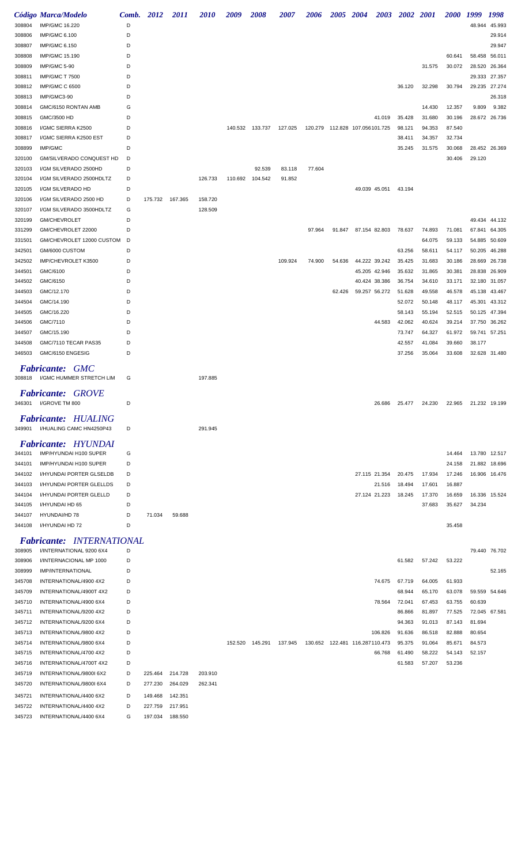|        | Código Marca/Modelo                     | Comb. | 2012            | 2011    | <i>2010</i> | 2009    | 2008    | <i><b>2007</b></i> | 2006    | <i><b>2005</b></i> | 2004                             | <b>2003</b> | <b>2002</b> | <b>2001</b> | <i><b>2000</b></i> | 1999   | 1998          |
|--------|-----------------------------------------|-------|-----------------|---------|-------------|---------|---------|--------------------|---------|--------------------|----------------------------------|-------------|-------------|-------------|--------------------|--------|---------------|
| 308804 | IMP/GMC 16.220                          | D     |                 |         |             |         |         |                    |         |                    |                                  |             |             |             |                    | 48.944 | 45.993        |
| 308806 | <b>IMP/GMC 6.100</b>                    | D     |                 |         |             |         |         |                    |         |                    |                                  |             |             |             |                    |        | 29.914        |
| 308807 | <b>IMP/GMC 6.150</b>                    | D     |                 |         |             |         |         |                    |         |                    |                                  |             |             |             |                    |        | 29.947        |
| 308808 | <b>IMP/GMC 15.190</b>                   | D     |                 |         |             |         |         |                    |         |                    |                                  |             |             |             | 60.641             | 58.458 | 56.011        |
| 308809 | IMP/GMC 5-90                            | D     |                 |         |             |         |         |                    |         |                    |                                  |             |             | 31.575      | 30.072             | 28.520 | 26.364        |
| 308811 | <b>IMP/GMC T 7500</b>                   | D     |                 |         |             |         |         |                    |         |                    |                                  |             |             |             |                    | 29.333 | 27.357        |
| 308812 | <b>IMP/GMC C 6500</b>                   | D     |                 |         |             |         |         |                    |         |                    |                                  |             | 36.120      | 32.298      | 30.794             | 29.235 | 27.274        |
| 308813 | IMP/GMC3-90                             | D     |                 |         |             |         |         |                    |         |                    |                                  |             |             |             |                    |        | 26.318        |
| 308814 | GMC/6150 RONTAN AMB                     | G     |                 |         |             |         |         |                    |         |                    |                                  |             |             | 14.430      | 12.357             | 9.809  | 9.382         |
| 308815 | GMC/3500 HD                             | D     |                 |         |             |         |         |                    |         |                    |                                  | 41.019      | 35.428      | 31.680      | 30.196             | 28.672 | 26.736        |
| 308816 | I/GMC SIERRA K2500                      | D     |                 |         |             | 140.532 | 133.737 | 127.025            | 120.279 |                    | 112.828 107.056101.725           |             | 98.121      | 94.353      | 87.540             |        |               |
| 308817 | I/GMC SIERRA K2500 EST                  | D     |                 |         |             |         |         |                    |         |                    |                                  |             | 38.411      | 34.357      | 32.734             |        |               |
| 308899 | IMP/GMC                                 | D     |                 |         |             |         |         |                    |         |                    |                                  |             | 35.245      | 31.575      | 30.068             |        | 28.452 26.369 |
| 320100 | <b>GM/SILVERADO CONQUEST HD</b>         | D     |                 |         |             |         |         |                    |         |                    |                                  |             |             |             | 30.406             | 29.120 |               |
| 320103 | I/GM SILVERADO 2500HD                   | D     |                 |         |             |         | 92.539  | 83.118             | 77.604  |                    |                                  |             |             |             |                    |        |               |
|        | I/GM SILVERADO 2500HDLTZ                | D     |                 |         | 126.733     | 110.692 | 104.542 | 91.852             |         |                    |                                  |             |             |             |                    |        |               |
| 320104 |                                         |       |                 |         |             |         |         |                    |         |                    |                                  |             |             |             |                    |        |               |
| 320105 | I/GM SILVERADO HD                       | D     |                 |         |             |         |         |                    |         |                    | 49.039 45.051                    |             | 43.194      |             |                    |        |               |
| 320106 | I/GM SILVERADO 2500 HD                  | D     | 175.732         | 167.365 | 158.720     |         |         |                    |         |                    |                                  |             |             |             |                    |        |               |
| 320107 | I/GM SILVERADO 3500HDLTZ                | G     |                 |         | 128.509     |         |         |                    |         |                    |                                  |             |             |             |                    |        |               |
| 320199 | <b>GM/CHEVROLET</b>                     | D     |                 |         |             |         |         |                    |         |                    |                                  |             |             |             |                    | 49.434 | 44.132        |
| 331299 | GM/CHEVROLET 22000                      | D     |                 |         |             |         |         |                    | 97.964  | 91.847             | 87.154 82.803                    |             | 78.637      | 74.893      | 71.081             | 67.841 | 64.305        |
| 331501 | GM/CHEVROLET 12000 CUSTOM               | D     |                 |         |             |         |         |                    |         |                    |                                  |             |             | 64.075      | 59.133             | 54.885 | 50.609        |
| 342501 | GM/6000 CUSTOM                          | D     |                 |         |             |         |         |                    |         |                    |                                  |             | 63.256      | 58.611      | 54.117             | 50.205 | 46.288        |
| 342502 | IMP/CHEVROLET K3500                     | D     |                 |         |             |         |         | 109.924            | 74.900  | 54.636             | 44.222 39.242                    |             | 35.425      | 31.683      | 30.186             | 28.669 | 26.738        |
| 344501 | GMC/6100                                | D     |                 |         |             |         |         |                    |         |                    | 45.205 42.946                    |             | 35.632      | 31.865      | 30.381             | 28.838 | 26.909        |
| 344502 | GMC/6150                                | D     |                 |         |             |         |         |                    |         |                    | 40.424 38.386                    |             | 36.754      | 34.610      | 33.171             | 32.180 | 31.057        |
| 344503 | GMC/12.170                              | D     |                 |         |             |         |         |                    |         | 62.426             | 59.257 56.272                    |             | 51.628      | 49.558      | 46.578             | 45.138 | 43.467        |
| 344504 | GMC/14.190                              | D     |                 |         |             |         |         |                    |         |                    |                                  |             | 52.072      | 50.148      | 48.117             | 45.301 | 43.312        |
| 344505 | GMC/16.220                              | D     |                 |         |             |         |         |                    |         |                    |                                  |             | 58.143      | 55.194      | 52.515             | 50.125 | 47.394        |
| 344506 | GMC/7110                                | D     |                 |         |             |         |         |                    |         |                    |                                  | 44.583      | 42.062      | 40.624      | 39.214             | 37.750 | 36.262        |
| 344507 | GMC/15.190                              | D     |                 |         |             |         |         |                    |         |                    |                                  |             | 73.747      | 64.327      | 61.972             |        | 59.741 57.251 |
| 344508 | GMC/7110 TECAR PAS35                    | D     |                 |         |             |         |         |                    |         |                    |                                  |             | 42.557      | 41.084      | 39.660             | 38.177 |               |
| 346503 | GMC/6150 ENGESIG                        | D     |                 |         |             |         |         |                    |         |                    |                                  |             | 37.256      | 35.064      | 33.608             |        | 32.628 31.480 |
|        |                                         |       |                 |         |             |         |         |                    |         |                    |                                  |             |             |             |                    |        |               |
|        | <b>GMC</b><br><i><b>Fabricante:</b></i> |       |                 |         |             |         |         |                    |         |                    |                                  |             |             |             |                    |        |               |
| 308818 | I/GMC HUMMER STRETCH LIM                | G     |                 |         | 197.885     |         |         |                    |         |                    |                                  |             |             |             |                    |        |               |
|        | <b>Fabricante: GROVE</b>                |       |                 |         |             |         |         |                    |         |                    |                                  |             |             |             |                    |        |               |
| 346301 | I/GROVE TM 800                          | D     |                 |         |             |         |         |                    |         |                    |                                  | 26.686      | 25.477      |             |                    |        |               |
|        |                                         |       |                 |         |             |         |         |                    |         |                    |                                  |             |             | 24.230      | 22.965             |        | 21.232 19.199 |
|        | <b>Fabricante: HUALING</b>              |       |                 |         |             |         |         |                    |         |                    |                                  |             |             |             |                    |        |               |
|        | 349901 I/HUALING CAMC HN4250P43         | D     |                 |         | 291.945     |         |         |                    |         |                    |                                  |             |             |             |                    |        |               |
|        |                                         |       |                 |         |             |         |         |                    |         |                    |                                  |             |             |             |                    |        |               |
|        | <b>Fabricante: HYUNDAI</b>              |       |                 |         |             |         |         |                    |         |                    |                                  |             |             |             |                    |        |               |
| 344101 | IMP/HYUNDAI H100 SUPER                  | G     |                 |         |             |         |         |                    |         |                    |                                  |             |             |             | 14.464             |        | 13.780 12.517 |
| 344101 | IMP/HYUNDAI H100 SUPER                  | D     |                 |         |             |         |         |                    |         |                    |                                  |             |             |             | 24.158             |        | 21.882 18.696 |
| 344102 | I/HYUNDAI PORTER GLSELDB                | D     |                 |         |             |         |         |                    |         |                    | 27.115 21.354                    |             | 20.475      | 17.934      | 17.246             |        | 16.906 16.476 |
| 344103 | I/HYUNDAI PORTER GLELLDS                | D     |                 |         |             |         |         |                    |         |                    |                                  | 21.516      | 18.494      | 17.601      | 16.887             |        |               |
| 344104 | I/HYUNDAI PORTER GLELLD                 | D     |                 |         |             |         |         |                    |         |                    | 27.124 21.223                    |             | 18.245      | 17.370      | 16.659             |        | 16.336 15.524 |
| 344105 | I/HYUNDAI HD 65                         | D     |                 |         |             |         |         |                    |         |                    |                                  |             |             | 37.683      | 35.627             | 34.234 |               |
| 344107 | HYUNDAI/HD 78                           | D     | 71.034          | 59.688  |             |         |         |                    |         |                    |                                  |             |             |             |                    |        |               |
| 344108 | I/HYUNDAI HD 72                         | D     |                 |         |             |         |         |                    |         |                    |                                  |             |             |             | 35.458             |        |               |
|        | <b>Fabricante: INTERNATIONAL</b>        |       |                 |         |             |         |         |                    |         |                    |                                  |             |             |             |                    |        |               |
| 308905 | I/INTERNATIONAL 9200 6X4                | D     |                 |         |             |         |         |                    |         |                    |                                  |             |             |             |                    |        | 79.440 76.702 |
|        |                                         | D     |                 |         |             |         |         |                    |         |                    |                                  |             |             |             |                    |        |               |
| 308906 | I/INTERNACIONAL MP 1000                 |       |                 |         |             |         |         |                    |         |                    |                                  |             | 61.582      | 57.242      | 53.222             |        |               |
| 308999 | IMP/INTERNATIONAL                       | D     |                 |         |             |         |         |                    |         |                    |                                  |             |             |             |                    |        | 52.165        |
| 345708 | INTERNATIONAL/4900 4X2                  | D     |                 |         |             |         |         |                    |         |                    |                                  | 74.675      | 67.719      | 64.005      | 61.933             |        |               |
| 345709 | INTERNATIONAL/4900T 4X2                 | D     |                 |         |             |         |         |                    |         |                    |                                  |             | 68.944      | 65.170      | 63.078             |        | 59.559 54.646 |
| 345710 | INTERNATIONAL/4900 6X4                  | D     |                 |         |             |         |         |                    |         |                    |                                  | 78.564      | 72.041      | 67.453      | 63.755             | 60.639 |               |
| 345711 | INTERNATIONAL/9200 4X2                  | D     |                 |         |             |         |         |                    |         |                    |                                  |             | 86.866      | 81.897      | 77.525             |        | 72.045 67.581 |
| 345712 | INTERNATIONAL/9200 6X4                  | D     |                 |         |             |         |         |                    |         |                    |                                  |             | 94.363      | 91.013      | 87.143             | 81.694 |               |
| 345713 | INTERNATIONAL/9800 4X2                  | D     |                 |         |             |         |         |                    |         |                    | 106.826                          |             | 91.636      | 86.518      | 82.888             | 80.654 |               |
| 345714 | INTERNATIONAL/9800 6X4                  | D     |                 |         |             | 152.520 | 145.291 | 137.945            |         |                    | 130.652  122.481  116.287110.473 |             | 95.375      | 91.064      | 85.671             | 84.573 |               |
| 345715 | INTERNATIONAL/4700 4X2                  | D     |                 |         |             |         |         |                    |         |                    | 66.768                           |             | 61.490      | 58.222      | 54.143             | 52.157 |               |
| 345716 | INTERNATIONAL/4700T 4X2                 | D     |                 |         |             |         |         |                    |         |                    |                                  |             | 61.583      | 57.207      | 53.236             |        |               |
| 345719 | INTERNATIONAL/9800I 6X2                 | D     | 225.464         | 214.728 | 203.910     |         |         |                    |         |                    |                                  |             |             |             |                    |        |               |
| 345720 | INTERNATIONAL/9800I 6X4                 | D     | 277.230         | 264.029 | 262.341     |         |         |                    |         |                    |                                  |             |             |             |                    |        |               |
| 345721 | INTERNATIONAL/4400 6X2                  | D     | 149.468         | 142.351 |             |         |         |                    |         |                    |                                  |             |             |             |                    |        |               |
| 345722 | INTERNATIONAL/4400 4X2                  | D     | 227.759         | 217.951 |             |         |         |                    |         |                    |                                  |             |             |             |                    |        |               |
| 345723 | INTERNATIONAL/4400 6X4                  | G     | 197.034 188.550 |         |             |         |         |                    |         |                    |                                  |             |             |             |                    |        |               |
|        |                                         |       |                 |         |             |         |         |                    |         |                    |                                  |             |             |             |                    |        |               |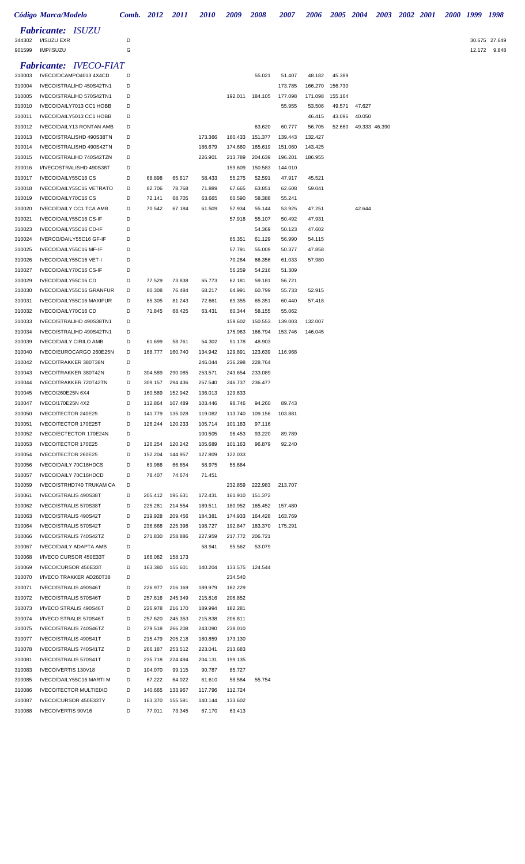|                  | Código Marca/Modelo                                  |        | <b>Comb.</b> 2012  | <b>2011</b>        | <i>2010</i>        | 2009               | <b>2008</b>               | 2007              | 2006              | 2005 2004         |        |               | 2003 2002 2001 |  | 2000 1999 | 1998          |
|------------------|------------------------------------------------------|--------|--------------------|--------------------|--------------------|--------------------|---------------------------|-------------------|-------------------|-------------------|--------|---------------|----------------|--|-----------|---------------|
| 344302           | <b>Fabricante: ISUZU</b><br>I/ISUZU EXR              | D      |                    |                    |                    |                    |                           |                   |                   |                   |        |               |                |  |           | 30.675 27.649 |
| 901599           | IMP/ISUZU                                            | G      |                    |                    |                    |                    |                           |                   |                   |                   |        |               |                |  |           | 12.172 9.848  |
|                  | <b>Fabricante: IVECO-FIAT</b>                        |        |                    |                    |                    |                    |                           |                   |                   |                   |        |               |                |  |           |               |
| 310003           | IVECO/DCAMPO4013 4X4CD                               | D      |                    |                    |                    |                    | 55.021                    | 51.407            | 48.182            | 45.389            |        |               |                |  |           |               |
| 310004           | IVECO/STRALIHD 450S42TN1                             | D      |                    |                    |                    |                    |                           | 173.785           | 166.270           | 156.730           |        |               |                |  |           |               |
| 310005<br>310010 | IVECO/STRALIHD 570S42TN1<br>IVECO/DAILY7013 CC1 HOBB | D<br>D |                    |                    |                    | 192.011            | 184.105                   | 177.098<br>55.955 | 171.098<br>53.506 | 155.164<br>49.571 | 47.627 |               |                |  |           |               |
| 310011           | IVECO/DAILY5013 CC1 HOBB                             | D      |                    |                    |                    |                    |                           |                   | 46.415            | 43.096            | 40.050 |               |                |  |           |               |
| 310012           | IVECO/DAILY13 RONTAN AMB                             | D      |                    |                    |                    |                    | 63.620                    | 60.777            | 56.705            | 52.660            |        | 49.333 46.390 |                |  |           |               |
| 310013           | IVECO/STRALISHD 490S38TN                             | D      |                    |                    | 173.366            | 160.433            | 151.377                   | 139.443           | 132.427           |                   |        |               |                |  |           |               |
| 310014           | IVECO/STRALISHD 490S42TN                             | D      |                    |                    | 186.679            | 174.660            | 165.619                   | 151.060           | 143.425           |                   |        |               |                |  |           |               |
| 310015           | IVECO/STRALIHD 740S42TZN                             | D      |                    |                    | 226.901            | 213.789            | 204.639                   | 196.201           | 186.955           |                   |        |               |                |  |           |               |
| 310016           | I/IVECOSTRALISHD 490S38T<br>IVECO/DAILY55C16 CS      | D      |                    |                    |                    | 159.609            | 150.583                   | 144.010           |                   |                   |        |               |                |  |           |               |
| 310017<br>310018 | IVECO/DAILY55C16 VETRATO                             | D<br>D | 68.898<br>82.706   | 65.617<br>78.768   | 58.433<br>71.889   | 55.275<br>67.665   | 52.591<br>63.851          | 47.917<br>62.608  | 45.521<br>59.041  |                   |        |               |                |  |           |               |
| 310019           | IVECO/DAILY70C16 CS                                  | D      | 72.141             | 68.705             | 63.665             | 60.590             | 58.388                    | 55.241            |                   |                   |        |               |                |  |           |               |
| 310020           | <b>IVECO/DAILY CC1 TCA AMB</b>                       | D      | 70.542             | 67.184             | 61.509             | 57.934             | 55.144                    | 53.925            | 47.251            |                   | 42.644 |               |                |  |           |               |
| 310021           | IVECO/DAILY55C16 CS-IF                               | D      |                    |                    |                    | 57.918             | 55.107                    | 50.492            | 47.931            |                   |        |               |                |  |           |               |
| 310023           | IVECO/DAILY55C16 CD-IF                               | D      |                    |                    |                    |                    | 54.369                    | 50.123            | 47.602            |                   |        |               |                |  |           |               |
| 310024           | IVERCO/DAILY55C16 GF-IF                              | D      |                    |                    |                    | 65.351             | 61.129                    | 56.990            | 54.115            |                   |        |               |                |  |           |               |
| 310025           | IVECO/DAILY55C16 MF-IF                               | D      |                    |                    |                    | 57.791             | 55.009                    | 50.377            | 47.858            |                   |        |               |                |  |           |               |
| 310026           | IVECO/DAILY55C16 VET-I                               | D<br>D |                    |                    |                    | 70.284             | 66.356                    | 61.033            | 57.980            |                   |        |               |                |  |           |               |
| 310027<br>310029 | IVECO/DAILY70C16 CS-IF<br>IVECO/DAILY55C16 CD        | D      | 77.529             | 73.838             | 65.773             | 56.259<br>62.181   | 54.216<br>59.181          | 51.309<br>56.721  |                   |                   |        |               |                |  |           |               |
| 310030           | IVECO/DAILY55C16 GRANFUR                             | D      | 80.308             | 76.484             | 68.217             | 64.991             | 60.799                    | 55.733            | 52.915            |                   |        |               |                |  |           |               |
| 310031           | IVECO/DAILY55C16 MAXIFUR                             | D      | 85.305             | 81.243             | 72.661             | 69.355             | 65.351                    | 60.440            | 57.418            |                   |        |               |                |  |           |               |
| 310032           | IVECO/DAILY70C16 CD                                  | D      | 71.845             | 68.425             | 63.431             | 60.344             | 58.155                    | 55.062            |                   |                   |        |               |                |  |           |               |
| 310033           | IVECO/STRALIHD 490S38TN1                             | D      |                    |                    |                    | 159.602            | 150.553                   | 139.003           | 132.007           |                   |        |               |                |  |           |               |
| 310034           | IVECO/STRALIHD 490S42TN1                             | D      |                    |                    |                    | 175.963            | 166.794                   | 153.746           | 146.045           |                   |        |               |                |  |           |               |
| 310039           | <b>IVECO/DAILY CIRILO AMB</b>                        | D      | 61.699             | 58.761             | 54.302             | 51.178             | 48.903                    |                   |                   |                   |        |               |                |  |           |               |
| 310040           | IVECO/EUROCARGO 260E25N                              | D<br>D | 168.777            | 160.740            | 134.942<br>246.044 | 129.891<br>236.298 | 123.639<br>228.764        | 116.968           |                   |                   |        |               |                |  |           |               |
| 310042<br>310043 | IVECO/TRAKKER 380T38N<br>IVECO/TRAKKER 380T42N       | D      | 304.589            | 290.085            | 253.571            | 243.654            | 233.089                   |                   |                   |                   |        |               |                |  |           |               |
| 310044           | IVECO/TRAKKER 720T42TN                               | D      | 309.157            | 294.436            | 257.540            | 246.737            | 236.477                   |                   |                   |                   |        |               |                |  |           |               |
| 310045           | IVECO/260E25N 6X4                                    | D      | 160.589            | 152.942            | 136.013            | 129.833            |                           |                   |                   |                   |        |               |                |  |           |               |
| 310047           | IVECO/170E25N 4X2                                    | D      | 112.864            | 107.489            | 103.446            | 98.746             | 94.260                    | 89.743            |                   |                   |        |               |                |  |           |               |
| 310050           | IVECO/TECTOR 240E25                                  | D      | 141.779            | 135.028            | 119.082            | 113.740            | 109.156                   | 103.881           |                   |                   |        |               |                |  |           |               |
| 310051           | IVECO/TECTOR 170E25T                                 | D      | 126.244            | 120.233            | 105.714            | 101.183            | 97.116                    |                   |                   |                   |        |               |                |  |           |               |
| 310052           | IVECO/ECTECTOR 170E24N                               | D      |                    |                    | 100.505            | 96.453             | 93.220                    | 89.789            |                   |                   |        |               |                |  |           |               |
| 310053<br>310054 | IVECO/TECTOR 170E25<br>IVECO/TECTOR 260E25           | D<br>D | 126.254<br>152.204 | 120.242<br>144.957 | 105.689<br>127.809 | 101.163<br>122.033 | 96.879                    | 92.240            |                   |                   |        |               |                |  |           |               |
| 310056           | IVECO/DAILY 70C16HDCS                                | D      | 69.986             | 66.654             | 58.975             | 55.684             |                           |                   |                   |                   |        |               |                |  |           |               |
| 310057           | IVECO/DAILY 70C16HDCD                                | D      | 78.407             | 74.674             | 71.451             |                    |                           |                   |                   |                   |        |               |                |  |           |               |
| 310059           | IVECO/STRHD740 TRUKAM CA                             | D      |                    |                    |                    | 232.859            | 222.983                   | 213.707           |                   |                   |        |               |                |  |           |               |
| 310061           | IVECO/STRALIS 490S38T                                | D      | 205.412            | 195.631            | 172.431            |                    | 161.910 151.372           |                   |                   |                   |        |               |                |  |           |               |
| 310062           | IVECO/STRALIS 570S38T                                | D      | 225.281            | 214.554            | 189.511            |                    | 180.952 165.452           | 157.480           |                   |                   |        |               |                |  |           |               |
| 310063           | IVECO/STRALIS 490S42T                                | D      | 219.928            | 209.456            | 184.381            |                    | 174.933 164.428           | 163.769           |                   |                   |        |               |                |  |           |               |
| 310064           | IVECO/STRALIS 570S42T                                | D      | 236.668            | 225.398            | 198.727            | 192.847            | 183.370                   | 175.291           |                   |                   |        |               |                |  |           |               |
| 310066<br>310067 | IVECO/STRALIS 740S42TZ<br>IVECO/DAILY ADAPTA AMB     | D<br>D | 271.830            | 258.886            | 227.959<br>58.941  | 55.562             | 217.772 206.721<br>53.079 |                   |                   |                   |        |               |                |  |           |               |
| 310068           | I/IVECO CURSOR 450E33T                               | D      | 166.082            | 158.173            |                    |                    |                           |                   |                   |                   |        |               |                |  |           |               |
| 310069           | IVECO/CURSOR 450E33T                                 | D      | 163.380            | 155.601            | 140.204            |                    | 133.575 124.544           |                   |                   |                   |        |               |                |  |           |               |
| 310070           | I/IVECO TRAKKER AD260T38                             | D      |                    |                    |                    | 234.540            |                           |                   |                   |                   |        |               |                |  |           |               |
| 310071           | IVECO/STRALIS 490S46T                                | D      | 226.977            | 216.169            | 189.979            | 182.229            |                           |                   |                   |                   |        |               |                |  |           |               |
| 310072           | IVECO/STRALIS 570S46T                                | D      | 257.616            | 245.349            | 215.816            | 206.852            |                           |                   |                   |                   |        |               |                |  |           |               |
| 310073           | I/IVECO STRALIS 490S46T                              | D      | 226.978            | 216.170            | 189.994            | 182.281            |                           |                   |                   |                   |        |               |                |  |           |               |
| 310074           | I/IVECO STRALIS 570S46T                              | D      | 257.620            | 245.353            | 215.838            | 206.811            |                           |                   |                   |                   |        |               |                |  |           |               |
| 310075<br>310077 | IVECO/STRALIS 740S46TZ<br>IVECO/STRALIS 490S41T      | D<br>D | 279.518<br>215.479 | 266.208<br>205.218 | 243.090<br>180.859 | 238.010<br>173.130 |                           |                   |                   |                   |        |               |                |  |           |               |
| 310078           | IVECO/STRALIS 740S41TZ                               | D      | 266.187            | 253.512            | 223.041            | 213.683            |                           |                   |                   |                   |        |               |                |  |           |               |
| 310081           | IVECO/STRALIS 570S41T                                | D      | 235.718            | 224.494            | 204.131            | 199.135            |                           |                   |                   |                   |        |               |                |  |           |               |
| 310083           | IVECO/VERTIS 130V18                                  | D      | 104.070            | 99.115             | 90.787             | 85.727             |                           |                   |                   |                   |        |               |                |  |           |               |
| 310085           | IVECO/DAILY55C16 MARTI M                             | D      | 67.222             | 64.022             | 61.610             | 58.584             | 55.754                    |                   |                   |                   |        |               |                |  |           |               |
| 310086           | <b>IVECO/TECTOR MULTIEIXO</b>                        | D      | 140.665            | 133.967            | 117.796            | 112.724            |                           |                   |                   |                   |        |               |                |  |           |               |
| 310087           | IVECO/CURSOR 450E33TY                                | D      | 163.370            | 155.591            | 140.144            | 133.602            |                           |                   |                   |                   |        |               |                |  |           |               |
| 310088           | IVECO/VERTIS 90V16                                   | D      | 77.011             | 73.345             | 67.170             | 63.413             |                           |                   |                   |                   |        |               |                |  |           |               |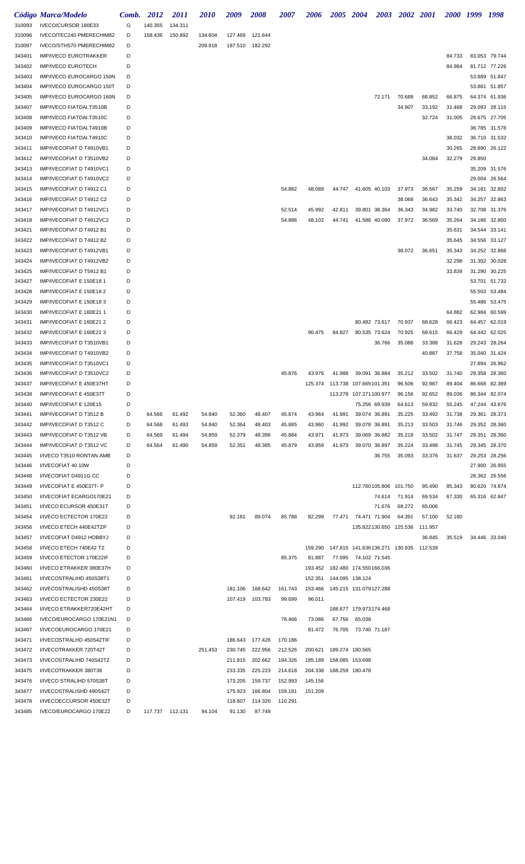|                  | Código Marca/Modelo                                  | Comb.  | 2012            | <i>2011</i> | <i>2010</i> | 2009    | 2008                               | <i><b>2007</b></i> | 2006    | 2005 2004       | <b>2003</b>                                        | 2002 2001     |         |                  | 2000 1999 | 1998                           |
|------------------|------------------------------------------------------|--------|-----------------|-------------|-------------|---------|------------------------------------|--------------------|---------|-----------------|----------------------------------------------------|---------------|---------|------------------|-----------|--------------------------------|
| 310093           | IVECO/CURSOR 180E33                                  | G      | 140.355         | 134.311     |             |         |                                    |                    |         |                 |                                                    |               |         |                  |           |                                |
| 310096           | IVECO/TEC240 PMERECHIM82                             | D      | 158.436         | 150.892     | 134.604     | 127.469 | 121.644                            |                    |         |                 |                                                    |               |         |                  |           |                                |
| 310097           | IVECO/STH570 PMERECHIM82                             | D      |                 |             | 209.918     |         | 197.510 182.292                    |                    |         |                 |                                                    |               |         |                  |           |                                |
| 343401           | <b>IMP/IVECO EUROTRAKKER</b>                         | D      |                 |             |             |         |                                    |                    |         |                 |                                                    |               |         | 84.733           |           | 83.053 79.744                  |
| 343402           | <b>IMP/IVECO EUROTECH</b>                            | D      |                 |             |             |         |                                    |                    |         |                 |                                                    |               |         | 84.984           |           | 81.712 77.226                  |
| 343403           | IMP/IVECO EUROCARGO 150N                             | D      |                 |             |             |         |                                    |                    |         |                 |                                                    |               |         |                  |           | 53.889 51.847                  |
| 343404           | IMP/IVECO EUROCARGO 150T                             | D      |                 |             |             |         |                                    |                    |         |                 |                                                    |               |         |                  |           | 53.881 51.857                  |
| 343405           | IMP/IVECO EUROCARGO 160N                             | D      |                 |             |             |         |                                    |                    |         |                 | 72.171                                             | 70.688        | 68.852  | 66.875           |           | 64.374 61.936                  |
| 343407           | IMP/IVECO FIATDAI.T3510B                             | D      |                 |             |             |         |                                    |                    |         |                 |                                                    | 34.907        | 33.192  | 31.468           | 29.093    | 28.115                         |
| 343408           | IMP/IVECO FIATDAI.T3510C                             | D      |                 |             |             |         |                                    |                    |         |                 |                                                    |               | 32.724  | 31.005           |           | 28.675 27.705                  |
| 343409           | IMP/IVECO FIATDAI.T4910B                             | D      |                 |             |             |         |                                    |                    |         |                 |                                                    |               |         |                  |           | 36.785 31.578                  |
| 343410           | IMP/IVECO FIATDAI.T4910C                             | D      |                 |             |             |         |                                    |                    |         |                 |                                                    |               |         | 38.032           |           | 36.710 31.532                  |
| 343411           | IMP/IVECOFIAT D T4910VB1                             | D      |                 |             |             |         |                                    |                    |         |                 |                                                    |               |         | 30.265           |           | 28.890 26.122                  |
| 343412           | IMP/IVECOFIAT D T3510VB2                             | D      |                 |             |             |         |                                    |                    |         |                 |                                                    |               | 34.084  | 32.279           | 29.850    |                                |
| 343413           | IMP/IVECOFIAT D T4910VC1                             | D      |                 |             |             |         |                                    |                    |         |                 |                                                    |               |         |                  |           | 35.209 31.576                  |
| 343414           | IMP/IVECOFIAT D T4910VC2                             | D      |                 |             |             |         |                                    |                    |         |                 |                                                    |               |         |                  | 29.004    | 26.564                         |
| 343415           | IMP/IVECOFIAT D T4912 C1                             | D      |                 |             |             |         |                                    | 54.882             | 48.089  |                 | 44.747 41.605 40.103                               | 37.973        | 36.567  | 35.259           | 34.181    | 32.802                         |
| 343416           | IMP/IVECOFIAT D T4912 C2                             | D      |                 |             |             |         |                                    |                    |         |                 |                                                    | 38.068        | 36.643  | 35.342           | 34.257    | 32.863                         |
| 343417           | IMP/IVECOFIAT D T4912VC1                             | D<br>D |                 |             |             |         |                                    | 52.514             | 45.992  | 42.811          | 39.801 38.364                                      | 36.343        | 34.982  | 33.740           |           | 32.708 31.376<br>34.186 32.800 |
| 343418           | IMP/IVECOFIAT D T4912VC2<br>IMP/IVECOFIAT D T4912 B1 | D      |                 |             |             |         |                                    | 54.886             | 48.102  | 44.741          | 41.586 40.090                                      | 37.972        | 36.569  | 35.264<br>35.631 |           | 34.544 33.141                  |
| 343421<br>343422 | IMP/IVECOFIAT D T4912 B2                             | D      |                 |             |             |         |                                    |                    |         |                 |                                                    |               |         | 35.645           |           | 34.556 33.127                  |
| 343423           | IMP/IVECOFIAT D T4912VB1                             | D      |                 |             |             |         |                                    |                    |         |                 |                                                    | 38.072        | 36.651  | 35.343           |           | 34.252 32.866                  |
| 343424           | IMP/IVECOFIAT D T4912VB2                             | D      |                 |             |             |         |                                    |                    |         |                 |                                                    |               |         | 32.298           | 31.302    | 30.028                         |
| 343425           | <b>IMP/IVECOFIAT D T5912 B1</b>                      | D      |                 |             |             |         |                                    |                    |         |                 |                                                    |               |         | 33.839           | 31.290    | 30.225                         |
| 343427           | IMP/IVECOFIAT E 150E18 1                             | D      |                 |             |             |         |                                    |                    |         |                 |                                                    |               |         |                  |           | 53.701 51.732                  |
| 343428           | IMP/IVECOFIAT E 150E18 2                             | D      |                 |             |             |         |                                    |                    |         |                 |                                                    |               |         |                  |           | 55.503 53.484                  |
| 343429           | IMP/IVECOFIAT E 150E183                              | D      |                 |             |             |         |                                    |                    |         |                 |                                                    |               |         |                  |           | 55.486 53.475                  |
| 343430           | IMP/IVECOFIAT E 160E21 1                             | D      |                 |             |             |         |                                    |                    |         |                 |                                                    |               |         | 64.882           | 62.984    | 60.599                         |
| 343431           | IMP/IVECOFIAT E 160E21 2                             | D      |                 |             |             |         |                                    |                    |         |                 | 80.482 73.617                                      | 70.937        | 68.628  | 66.423           | 64.457    | 62.019                         |
| 343432           | IMP/IVECOFIAT E 160E213                              | D      |                 |             |             |         |                                    |                    | 90.475  | 84.827          | 80.535 73.624                                      | 70.925        | 68.615  | 66.429           |           | 64.442 62.025                  |
| 343433           | IMP/IVECOFIAT D T3510VB1                             | D      |                 |             |             |         |                                    |                    |         |                 | 36.766                                             | 35.088        | 33.388  | 31.628           |           | 29.243 28.264                  |
| 343434           | IMP/IVECOFIAT D T4910VB2                             | D      |                 |             |             |         |                                    |                    |         |                 |                                                    |               | 40.887  | 37.758           |           | 35.040 31.424                  |
| 343435           | IMP/IVECOFIAT D T3510VC1                             | D      |                 |             |             |         |                                    |                    |         |                 |                                                    |               |         |                  | 27.894    | 26.962                         |
| 343436           | IMP/IVECOFIAT D T3510VC2                             | D      |                 |             |             |         |                                    | 45.876             | 43.976  | 41.988          | 39.091 36.884                                      | 35.212        | 33.502  | 31.740           | 29.358    | 28.360                         |
| 343437           | IMP/IVECOFIAT E 450E37HT                             | D      |                 |             |             |         |                                    |                    |         |                 |                                                    | 96.506        | 92.987  | 89.404           |           | 86.668 82.369                  |
| 343438           | IMP/IVECOFIAT E 450E37T                              | D      |                 |             |             |         |                                    |                    |         |                 | 113.278 107.271100.977                             | 96.156        | 92.652  | 89.036           | 86.344    | 82.074                         |
| 343440           | IMP/IVECOFIAT E 120E15                               | D      |                 |             |             |         |                                    |                    |         |                 | 75.256 69.939                                      | 64.613        | 59.832  | 55.245           |           | 47.244 43.876                  |
| 343441           | IMP/IVECOFIAT D T3512 B                              | D      | 64.566          | 61.492      | 54.840      | 52.360  | 48.407                             | 45.874             | 43.964  | 41.991          | 39.074 36.891                                      | 35.225        | 33.492  | 31.738           |           | 29.361 28.373                  |
| 343442           | IMP/IVECOFIAT D T3512 C                              | D      | 64.568          | 61.493      | 54.840      | 52.364  | 48.403                             | 45.885             | 43.960  | 41.992          | 39.078 36.891                                      | 35.213        | 33.503  | 31.746           |           | 29.352 28.360                  |
| 343443           | IMP/IVECOFIAT D T3512 VB                             | D      | 64.569          | 61.494      | 54.859      | 52.379  | 48.396                             | 45.884             | 43.971  | 41.973          | 39.069 36.882                                      | 35.218        | 33.502  | 31.747           |           | 29.351 28.360                  |
| 343444           | IMP/IVECOFIAT D T3512 VC                             | D      | 64.564          | 61.490      | 54.859      | 52.351  | 48.385                             | 45.879             | 43.959  | 41.973          | 39.070 36.897                                      | 35.224        | 33.498  | 31.745           |           | 29.345 28.370                  |
| 343445           | I/IVECO T3510 RONTAN AMB                             | D      |                 |             |             |         |                                    |                    |         |                 | 36.755                                             | 35.093        | 33.376  | 31.637           |           | 29.253 28.256                  |
| 343446           | I/IVECOFIAT 40 10W                                   | D      |                 |             |             |         |                                    |                    |         |                 |                                                    |               |         |                  |           | 27.900 26.955                  |
| 343448           | I/IVECOFIAT D4911G CC                                | D      |                 |             |             |         |                                    |                    |         |                 |                                                    |               |         |                  |           | 28.362 26.556                  |
| 343449           | I/IVECOFIAT E 450E37T- P                             | D      |                 |             |             |         |                                    |                    |         |                 | 112.760105.806 101.750                             |               | 95.490  | 85.343           |           | 80.620 74.874                  |
| 343450           | I/IVECOFIAT ECARGO170E21                             | D      |                 |             |             |         |                                    |                    |         |                 |                                                    | 74.614 71.914 | 69.534  | 67.330           |           | 65.316 62.847                  |
| 343451           | I/IVECO ECURSOR 450E31T                              | D      |                 |             |             |         |                                    |                    |         |                 | 71.676                                             | 68.272        | 65.006  |                  |           |                                |
| 343454           | I/IVECO ECTECTOR 170E22                              | D      |                 |             |             | 92.181  | 89.074                             | 85.788             | 82.299  |                 | 77.471 74.471 71.904                               | 64.391        | 57.100  | 52.180           |           |                                |
| 343456           | I/IVECO ETECH 440E42TZP                              | D      |                 |             |             |         |                                    |                    |         |                 | 135.822130.650 125.536                             |               | 111.957 |                  |           |                                |
| 343457           | I/IVECOFIAT D4912 HOBBYJ                             | D      |                 |             |             |         |                                    |                    |         |                 |                                                    |               | 36.845  | 35.519           |           | 34.446 33.040                  |
| 343458           | I/IVECO ETECH 740E42 TZ                              | D      |                 |             |             |         |                                    |                    |         |                 | 159.290  147.815  141.636136.271  130.935  112.539 |               |         |                  |           |                                |
| 343459           | I/IVECO ETECTOR 170E22IF                             | D      |                 |             |             |         |                                    | 85.375             | 81.887  |                 | 77.095 74.102 71.545                               |               |         |                  |           |                                |
| 343460           | I/IVECO ETRAKKER 380E37H                             | D      |                 |             |             |         |                                    |                    |         |                 | 193.452  182.480  174.550166.036                   |               |         |                  |           |                                |
| 343461           | I/IVECOSTRALIHD 450S38T1                             | D      |                 |             |             |         |                                    |                    | 152.351 | 144.095 138.124 |                                                    |               |         |                  |           |                                |
| 343462           | I/IVECOSTRALISHD 450S38T                             | D      |                 |             |             | 181.106 | 168.642                            | 161.743            | 153.466 |                 |                                                    |               |         |                  |           |                                |
| 343463           | I/IVECO ECTECTOR 230E22                              | D      |                 |             |             |         | 107.419 103.783                    | 99.699             | 96.011  |                 |                                                    |               |         |                  |           |                                |
| 343464           | I/IVECO ETRAKKER720E42HT                             | D      |                 |             |             |         |                                    |                    |         |                 | 188.677 179.973174.468                             |               |         |                  |           |                                |
| 343466           | IVECO/EUROCARGO 170E21N1                             | D      |                 |             |             |         |                                    | 78.466             | 73.086  | 67.756          | 65.038                                             |               |         |                  |           |                                |
| 343467           | I/IVECOEUROCARGO 170E21                              | D<br>D |                 |             |             |         |                                    | 170.186            | 81.472  |                 | 76.705 73.740 71.187                               |               |         |                  |           |                                |
| 343471<br>343472 | I/IVECOSTRALHD 450S42TIF<br>I/IVECOTRAKKER 720T42T   | D      |                 |             | 251.453     |         | 186.643 177.426<br>230.745 222.956 | 212.526            | 200.621 | 189.274 180.565 |                                                    |               |         |                  |           |                                |
| 343473           | I/IVECOSTRALIHD 740S42TZ                             | D      |                 |             |             | 211.815 | 202.662                            | 194.326            | 185.189 | 158.085 153.698 |                                                    |               |         |                  |           |                                |
| 343475           | I/IVECOTRAKKER 380T38                                | D      |                 |             |             | 233.335 | 225.223                            | 214.618            | 204.338 | 188.259 180.478 |                                                    |               |         |                  |           |                                |
| 343476           | I/IVECO STRALIHD 570S38T                             | D      |                 |             |             | 173.205 | 159.737                            | 152.993            | 145.156 |                 |                                                    |               |         |                  |           |                                |
| 343477           | I/IVECOSTRALISHD 490S42T                             | D      |                 |             |             | 175.923 | 166.804                            | 159.181            | 151.209 |                 |                                                    |               |         |                  |           |                                |
| 343478           | I/IVECOECCURSOR 450E32T                              | D      |                 |             |             | 118.607 | 114.320                            | 110.291            |         |                 |                                                    |               |         |                  |           |                                |
| 343485           | IVECO/EUROCARGO 170E22                               | D      | 117.737 112.131 |             | 94.104      | 91.130  | 87.749                             |                    |         |                 |                                                    |               |         |                  |           |                                |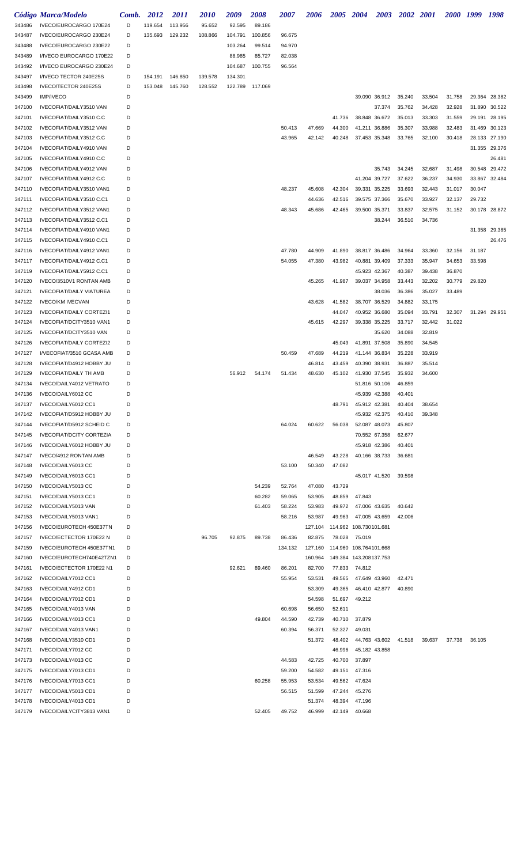|                  | Código Marca/Modelo                                   | Comb.  | 2012               | 2011               | <i>2010</i>        | 2009               | 2008             | 2007             | 2006             | 2005 2004        |                                  | <b>2003</b>   | 2002 2001        |                  | 2000 1999 |        | 1998          |
|------------------|-------------------------------------------------------|--------|--------------------|--------------------|--------------------|--------------------|------------------|------------------|------------------|------------------|----------------------------------|---------------|------------------|------------------|-----------|--------|---------------|
| 343486           | IVECO/EUROCARGO 170E24                                | D      | 119.654            | 113.956            | 95.652             | 92.595             | 89.186           |                  |                  |                  |                                  |               |                  |                  |           |        |               |
| 343487           | IVECO/EUROCARGO 230E24                                | D      | 135.693            | 129.232            | 108.866            | 104.791            | 100.856          | 96.675           |                  |                  |                                  |               |                  |                  |           |        |               |
| 343488           | IVECO/EUROCARGO 230E22                                | D      |                    |                    |                    | 103.264            | 99.514           | 94.970           |                  |                  |                                  |               |                  |                  |           |        |               |
| 343489           | I/IVECO EUROCARGO 170E22                              | D      |                    |                    |                    | 88.985             | 85.727           | 82.038           |                  |                  |                                  |               |                  |                  |           |        |               |
| 343492           | I/IVECO EUROCARGO 230E24<br>I/IVECO TECTOR 240E25S    | D<br>D |                    |                    |                    | 104.687            | 100.755          | 96.564           |                  |                  |                                  |               |                  |                  |           |        |               |
| 343497<br>343498 | IVECO/TECTOR 240E25S                                  | D      | 154.191<br>153.048 | 146.850<br>145.760 | 139.578<br>128.552 | 134.301<br>122.789 | 117.069          |                  |                  |                  |                                  |               |                  |                  |           |        |               |
| 343499           | <b>IMP/IVECO</b>                                      | D      |                    |                    |                    |                    |                  |                  |                  |                  |                                  | 39.090 36.912 | 35.240           | 33.504           | 31.758    | 29.364 | 28.382        |
| 347100           | IVECOFIAT/DAILY3510 VAN                               | D      |                    |                    |                    |                    |                  |                  |                  |                  |                                  | 37.374        | 35.762           | 34.428           | 32.928    | 31.890 | 30.522        |
| 347101           | IVECOFIAT/DAILY3510 C.C                               | D      |                    |                    |                    |                    |                  |                  |                  | 41.736           |                                  | 38.848 36.672 | 35.013           | 33.303           | 31.559    | 29.191 | 28.195        |
| 347102           | IVECOFIAT/DAILY3512 VAN                               | D      |                    |                    |                    |                    |                  | 50.413           | 47.669           | 44.300           |                                  | 41.211 36.886 | 35.307           | 33.988           | 32.483    | 31.469 | 30.123        |
| 347103           | IVECOFIAT/DAILY3512 C.C                               | D      |                    |                    |                    |                    |                  | 43.965           | 42.142           | 40.248           |                                  | 37.453 35.348 | 33.765           | 32.100           | 30.418    | 28.133 | 27.190        |
| 347104           | IVECOFIAT/DAILY4910 VAN                               | D      |                    |                    |                    |                    |                  |                  |                  |                  |                                  |               |                  |                  |           | 31.355 | 29.376        |
| 347105           | IVECOFIAT/DAILY4910 C.C                               | D      |                    |                    |                    |                    |                  |                  |                  |                  |                                  |               |                  |                  |           |        | 26.481        |
| 347106           | IVECOFIAT/DAILY4912 VAN                               | D      |                    |                    |                    |                    |                  |                  |                  |                  |                                  | 35.743        | 34.245           | 32.687           | 31.498    | 30.548 | 29.472        |
| 347107           | IVECOFIAT/DAILY4912 C.C                               | D      |                    |                    |                    |                    |                  |                  |                  |                  |                                  | 41.204 39.727 | 37.622           | 36.237           | 34.930    | 33.867 | 32.484        |
| 347110           | IVECOFIAT/DAILY3510 VAN1                              | D      |                    |                    |                    |                    |                  | 48.237           | 45.608           | 42.304           | 39.331 35.225                    |               | 33.693           | 32.443           | 31.017    | 30.047 |               |
| 347111<br>347112 | IVECOFIAT/DAILY3510 C.C1                              | D<br>D |                    |                    |                    |                    |                  |                  | 44.636           | 42.516           |                                  | 39.575 37.366 | 35.670           | 33.927           | 32.137    | 29.732 |               |
| 347113           | IVECOFIAT/DAILY3512 VAN1<br>IVECOFIAT/DAILY3512 C.C1  | D      |                    |                    |                    |                    |                  | 48.343           | 45.686           | 42.465           | 39.500 35.371                    | 38.244        | 33.837<br>36.510 | 32.575<br>34.736 | 31.152    |        | 30.178 28.872 |
| 347114           | IVECOFIAT/DAILY4910 VAN1                              | D      |                    |                    |                    |                    |                  |                  |                  |                  |                                  |               |                  |                  |           |        | 31.358 29.385 |
| 347115           | IVECOFIAT/DAILY4910 C.C1                              | D      |                    |                    |                    |                    |                  |                  |                  |                  |                                  |               |                  |                  |           |        | 26.476        |
| 347116           | IVECOFIAT/DAILY4912 VAN1                              | D      |                    |                    |                    |                    |                  | 47.780           | 44.909           | 41.890           |                                  | 38.817 36.486 | 34.964           | 33.360           | 32.156    | 31.187 |               |
| 347117           | IVECOFIAT/DAILY4912 C.C1                              | D      |                    |                    |                    |                    |                  | 54.055           | 47.380           | 43.982           |                                  | 40.881 39.409 | 37.333           | 35.947           | 34.653    | 33.598 |               |
| 347119           | IVECOFIAT/DAILY5912 C.C1                              | D      |                    |                    |                    |                    |                  |                  |                  |                  |                                  | 45.923 42.367 | 40.387           | 39.438           | 36.870    |        |               |
| 347120           | IVECO/3510V1 RONTAN AMB                               | D      |                    |                    |                    |                    |                  |                  | 45.265           | 41.987           |                                  | 39.037 34.958 | 33.443           | 32.202           | 30.779    | 29.820 |               |
| 347121           | <b>IVECOFIAT/DAILY VIATUREA</b>                       | D      |                    |                    |                    |                    |                  |                  |                  |                  |                                  | 38.036        | 36.386           | 35.027           | 33.489    |        |               |
| 347122           | <b>IVECO/KM IVECVAN</b>                               | D      |                    |                    |                    |                    |                  |                  | 43.628           | 41.582           | 38.707 36.529                    |               | 34.882           | 33.175           |           |        |               |
| 347123           | <b>IVECOFIAT/DAILY CORTEZI1</b>                       | D      |                    |                    |                    |                    |                  |                  |                  | 44.047           |                                  | 40.952 36.680 | 35.094           | 33.791           | 32.307    |        | 31.294 29.951 |
| 347124           | IVECOFIAT/DCITY3510 VAN1                              | D      |                    |                    |                    |                    |                  |                  | 45.615           | 42.297           | 39.338 35.225                    |               | 33.717           | 32.442           | 31.022    |        |               |
| 347125           | IVECOFIAT/DCITY3510 VAN                               | D      |                    |                    |                    |                    |                  |                  |                  |                  |                                  | 35.620        | 34.088           | 32.819           |           |        |               |
| 347126           | <b>IVECOFIAT/DAILY CORTEZI2</b>                       | D      |                    |                    |                    |                    |                  |                  |                  | 45.049           | 41.891 37.508                    |               | 35.890           | 34.545           |           |        |               |
| 347127<br>347128 | I/VECOFIAT/3510 GCASA AMB<br>IVECOFIAT/D4912 HOBBY JU | D<br>D |                    |                    |                    |                    |                  | 50.459           | 47.689<br>46.814 | 44.219<br>43.459 | 41.144 36.834<br>40.390 38.931   |               | 35.228<br>36.887 | 33.919<br>35.514 |           |        |               |
| 347129           | <b>IVECOFIAT/DAILY TH AMB</b>                         | D      |                    |                    |                    | 56.912             | 54.174           | 51.434           | 48.630           | 45.102           | 41.930 37.545                    |               | 35.932           | 34.600           |           |        |               |
| 347134           | IVECO/DAILY4012 VETRATO                               | D      |                    |                    |                    |                    |                  |                  |                  |                  |                                  | 51.816 50.106 | 46.859           |                  |           |        |               |
| 347136           | IVECO/DAILY6012 CC                                    | D      |                    |                    |                    |                    |                  |                  |                  |                  |                                  | 45.939 42.388 | 40.401           |                  |           |        |               |
| 347137           | IVECO/DAILY6012 CC1                                   | D      |                    |                    |                    |                    |                  |                  |                  | 48.791           | 45.912 42.381                    |               | 40.404           | 38.654           |           |        |               |
| 347142           | IVECOFIAT/D5912 HOBBY JU                              | D      |                    |                    |                    |                    |                  |                  |                  |                  |                                  | 45.932 42.375 | 40.410           | 39.348           |           |        |               |
| 347144           | IVECOFIAT/D5912 SCHEID C                              | D      |                    |                    |                    |                    |                  | 64.024           | 60.622           | 56.038           |                                  | 52.087 48.073 | 45.807           |                  |           |        |               |
| 347145           | <b>IVECOFIAT/DCITY CORTEZIA</b>                       | D      |                    |                    |                    |                    |                  |                  |                  |                  |                                  | 70.552 67.358 | 62.677           |                  |           |        |               |
| 347146           | IVECO/DAILY6012 HOBBY JU                              | D      |                    |                    |                    |                    |                  |                  |                  |                  |                                  | 45.918 42.386 | 40.401           |                  |           |        |               |
| 347147           | IVECO/4912 RONTAN AMB                                 | D      |                    |                    |                    |                    |                  |                  | 46.549           | 43.228           |                                  | 40.166 38.733 | 36.681           |                  |           |        |               |
| 347148           | IVECO/DAILY6013 CC                                    | D      |                    |                    |                    |                    |                  | 53.100           | 50.340           | 47.082           |                                  |               |                  |                  |           |        |               |
| 347149           | IVECO/DAILY6013 CC1                                   | D      |                    |                    |                    |                    |                  |                  |                  |                  |                                  | 45.017 41.520 | 39.598           |                  |           |        |               |
| 347150<br>347151 | IVECO/DAILY5013 CC<br>IVECO/DAILY5013 CC1             | D<br>D |                    |                    |                    |                    | 54.239<br>60.282 | 52.764<br>59.065 | 47.080<br>53.905 | 43.729<br>48.859 | 47.843                           |               |                  |                  |           |        |               |
| 347152           | IVECO/DAILY5013 VAN                                   | D      |                    |                    |                    |                    | 61.403           | 58.224           | 53.983           | 49.972           | 47.006 43.635                    |               | 40.642           |                  |           |        |               |
| 347153           | IVECO/DAILY5013 VAN1                                  | D      |                    |                    |                    |                    |                  | 58.216           | 53.987           | 49.963           | 47.005 43.659                    |               | 42.006           |                  |           |        |               |
| 347156           | IVECO/EUROTECH 450E37TN                               | D      |                    |                    |                    |                    |                  |                  |                  |                  | 127.104 114.962 108.730101.681   |               |                  |                  |           |        |               |
| 347157           | IVECO/ECTECTOR 170E22 N                               | D      |                    |                    | 96.705             | 92.875             | 89.738           | 86.436           | 82.875           |                  | 78.028 75.019                    |               |                  |                  |           |        |               |
| 347159           | IVECO/EUROTECH 450E37TN1                              | D      |                    |                    |                    |                    |                  | 134.132          |                  |                  | 127.160  114.960  108.764101.668 |               |                  |                  |           |        |               |
| 347160           | IVECO/EUROTECH740E42TZN1                              | D      |                    |                    |                    |                    |                  |                  | 160.964          |                  | 149.384 143.208137.753           |               |                  |                  |           |        |               |
| 347161           | IVECO/ECTECTOR 170E22 N1                              | D      |                    |                    |                    | 92.621             | 89.460           | 86.201           | 82.700           |                  | 77.833 74.812                    |               |                  |                  |           |        |               |
| 347162           | IVECO/DAILY7012 CC1                                   | D      |                    |                    |                    |                    |                  | 55.954           | 53.531           | 49.565           | 47.649 43.960                    |               | 42.471           |                  |           |        |               |
| 347163           | IVECO/DAILY4912 CD1                                   | D      |                    |                    |                    |                    |                  |                  | 53.309           | 49.365           |                                  | 46.410 42.877 | 40.890           |                  |           |        |               |
| 347164           | IVECO/DAILY7012 CD1                                   | D      |                    |                    |                    |                    |                  |                  | 54.598           | 51.697           | 49.212                           |               |                  |                  |           |        |               |
| 347165           | IVECO/DAILY4013 VAN                                   | D      |                    |                    |                    |                    |                  | 60.698           | 56.650           | 52.611           |                                  |               |                  |                  |           |        |               |
| 347166<br>347167 | IVECO/DAILY4013 CC1<br>IVECO/DAILY4013 VAN1           | D<br>D |                    |                    |                    |                    | 49.804           | 44.590<br>60.394 | 42.739<br>56.371 | 40.710<br>52.327 | 37.879<br>49.031                 |               |                  |                  |           |        |               |
| 347168           | IVECO/DAILY3510 CD1                                   | D      |                    |                    |                    |                    |                  |                  | 51.372           | 48.402           |                                  | 44.763 43.602 | 41.518           | 39.637           | 37.738    | 36.105 |               |
| 347171           | IVECO/DAILY7012 CC                                    | D      |                    |                    |                    |                    |                  |                  |                  | 46.996           | 45.182 43.858                    |               |                  |                  |           |        |               |
| 347173           | IVECO/DAILY4013 CC                                    | D      |                    |                    |                    |                    |                  | 44.583           | 42.725           | 40.700           | 37.897                           |               |                  |                  |           |        |               |
| 347175           | IVECO/DAILY7013 CD1                                   | D      |                    |                    |                    |                    |                  | 59.200           | 54.582           | 49.151           | 47.316                           |               |                  |                  |           |        |               |
| 347176           | IVECO/DAILY7013 CC1                                   | D      |                    |                    |                    |                    | 60.258           | 55.953           | 53.534           | 49.562           | 47.624                           |               |                  |                  |           |        |               |
| 347177           | IVECO/DAILY5013 CD1                                   | D      |                    |                    |                    |                    |                  | 56.515           | 51.599           | 47.244           | 45.276                           |               |                  |                  |           |        |               |
| 347178           | IVECO/DAILY4013 CD1                                   | D      |                    |                    |                    |                    |                  |                  | 51.374           | 48.394           | 47.196                           |               |                  |                  |           |        |               |
| 347179           | IVECO/DAILYCITY3813 VAN1                              | D      |                    |                    |                    |                    | 52.405           | 49.752           | 46.999           | 42.149           | 40.668                           |               |                  |                  |           |        |               |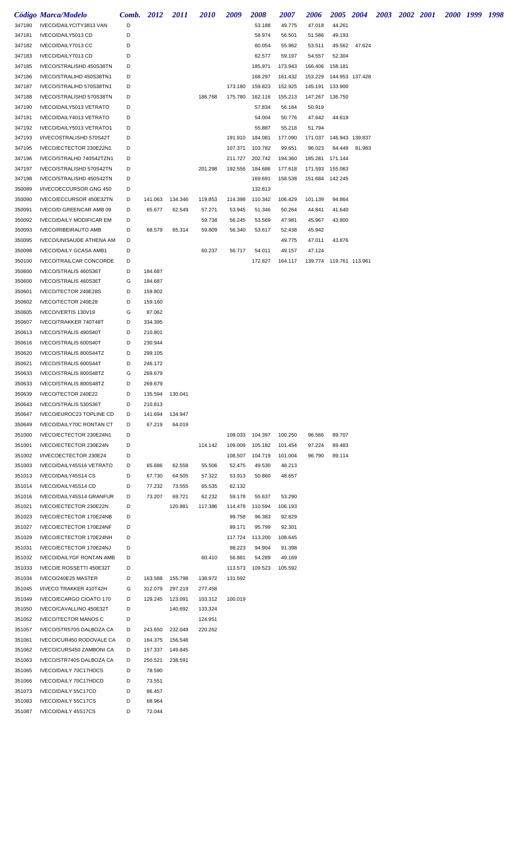|        | Código Marca/Modelo             | Comb. 2012 |                 | 2011    | <i>2010</i> | 2009    | 2008            | <i><b>2007</b></i> | 2006                      | 2005 2004 |               | 2003 2002 2001 |  | 2000 1999 1998 |  |
|--------|---------------------------------|------------|-----------------|---------|-------------|---------|-----------------|--------------------|---------------------------|-----------|---------------|----------------|--|----------------|--|
| 347180 | IVECO/DAILYCITY3813 VAN         | D          |                 |         |             |         | 53.188          | 49.775             | 47.018                    | 44.261    |               |                |  |                |  |
| 347181 | IVECO/DAILY5013 CD              | D          |                 |         |             |         | 58.974          | 56.501             | 51.586                    | 49.193    |               |                |  |                |  |
| 347182 | IVECO/DAILY7013 CC              | D          |                 |         |             |         | 60.054          | 55.962             | 53.511                    | 49.562    | 47.624        |                |  |                |  |
| 347183 | IVECO/DAILY7013 CD              | D          |                 |         |             |         | 62.577          | 59.197             | 54.557                    | 52.304    |               |                |  |                |  |
| 347185 | IVECO/STRALISHD 450S38TN        | D          |                 |         |             |         | 185.971         | 173.943            | 166.406                   | 158.181   |               |                |  |                |  |
| 347186 | IVECO/STRALIHD 450S38TN1        | D          |                 |         |             |         | 168.297         | 161.432            | 153.229  144.953  137.428 |           |               |                |  |                |  |
| 347187 | IVECO/STRALIHD 570S38TN1        | D          |                 |         |             | 173.180 | 159.823         | 152.925            | 145.191                   | 133.900   |               |                |  |                |  |
| 347188 | IVECO/STRALISHD 570S38TN        | D          |                 |         | 186.768     | 175.780 | 162.116         | 155.213            | 147.267 136.750           |           |               |                |  |                |  |
| 347190 | IVECO/DAILY5013 VETRATO         | D          |                 |         |             |         | 57.834          | 56.184             | 50.919                    |           |               |                |  |                |  |
| 347191 | IVECO/DAILY4013 VETRATO         | D          |                 |         |             |         | 54.004          | 50.776             | 47.642                    | 44.619    |               |                |  |                |  |
| 347192 | IVECO/DAILY5013 VETRATO1        | D          |                 |         |             |         | 55.887          | 55.218             | 51.794                    |           |               |                |  |                |  |
| 347193 | I/IVECOSTRALISHD 570S42T        | D          |                 |         |             | 191.910 | 184.081         | 177.090            | 171.037  146.943  139.837 |           |               |                |  |                |  |
| 347195 | IVECO/ECTECTOR 230E22N1         | D          |                 |         |             | 107.371 | 103.782         | 99.651             | 96.023                    |           | 84.449 81.983 |                |  |                |  |
| 347196 | IVECO/STRALHD 740S42TZN1        | D          |                 |         |             | 211.727 | 202.742         | 194.360            | 185.281                   | 171.144   |               |                |  |                |  |
| 347197 | IVECO/STRALISHD 570S42TN        | D          |                 |         | 201.298     | 192.556 | 184.686         | 177.618            | 171.593 155.063           |           |               |                |  |                |  |
| 347198 | IVECO/STRALISHD 450S42TN        | D          |                 |         |             |         | 169.691         | 158.538            | 151.684 142.245           |           |               |                |  |                |  |
| 350089 | I/IVECOECCURSOR GNG 450         | D          |                 |         |             |         | 132.813         |                    |                           |           |               |                |  |                |  |
| 350090 | IVECO/ECCURSOR 450E32TN         | D          | 141.063         | 134.346 | 119.853     | 114.398 | 110.342         | 106.429            | 101.139                   | 94.864    |               |                |  |                |  |
| 350091 | IVECO/D GREENCAR AMB 09         | D          | 65.677          | 62.549  | 57.271      | 53.945  | 51.346          | 50.264             | 44.841                    | 41.640    |               |                |  |                |  |
| 350092 | <b>IVECO/DAILY MODIFICAR EM</b> | D          |                 |         | 59.738      | 56.245  | 53.569          | 47.981             | 45.967                    | 43.800    |               |                |  |                |  |
| 350093 | <b>IVECO/RIBEIRAUTO AMB</b>     | D          | 68.579          | 65.314  | 59.809      | 56.340  | 53.617          | 52.438             | 45.942                    |           |               |                |  |                |  |
| 350095 | <b>IVECO/UNISAUDE ATHENA AM</b> | D          |                 |         |             |         |                 | 49.775             | 47.011                    | 43.876    |               |                |  |                |  |
| 350098 | <b>IVECO/DAILY GCASA AMB1</b>   | D          |                 |         | 60.237      | 56.717  | 54.011          | 49.157             | 47.124                    |           |               |                |  |                |  |
| 350100 | <b>IVECO/TRAILCAR CONCORDE</b>  | D          |                 |         |             |         | 172.827         | 164.117            | 139.774 119.761 113.961   |           |               |                |  |                |  |
| 350600 | IVECO/STRALIS 460S36T           | D          | 184.687         |         |             |         |                 |                    |                           |           |               |                |  |                |  |
| 350600 | IVECO/STRALIS 460S36T           | G          | 184.687         |         |             |         |                 |                    |                           |           |               |                |  |                |  |
| 350601 | IVECO/TECTOR 240E28S            | D          | 159.802         |         |             |         |                 |                    |                           |           |               |                |  |                |  |
| 350602 | IVECO/TECTOR 240E28             | D          | 159.160         |         |             |         |                 |                    |                           |           |               |                |  |                |  |
| 350605 | IVECO/VERTIS 130V19             | G          | 87.062          |         |             |         |                 |                    |                           |           |               |                |  |                |  |
| 350607 | IVECO/TRAKKER 740T48T           | D          | 334.395         |         |             |         |                 |                    |                           |           |               |                |  |                |  |
| 350613 | IVECO/STRALIS 490S40T           | D          | 210.801         |         |             |         |                 |                    |                           |           |               |                |  |                |  |
| 350616 | IVECO/STRALIS 600S40T           | D          | 230.944         |         |             |         |                 |                    |                           |           |               |                |  |                |  |
| 350620 | IVECO/STRALIS 800S44TZ          | D          | 299.105         |         |             |         |                 |                    |                           |           |               |                |  |                |  |
| 350621 | IVECO/STRALIS 600S44T           | D          | 246.172         |         |             |         |                 |                    |                           |           |               |                |  |                |  |
| 350633 | IVECO/STRALIS 800S48TZ          | G          | 269.679         |         |             |         |                 |                    |                           |           |               |                |  |                |  |
| 350633 | IVECO/STRALIS 800S48TZ          | D          | 269.679         |         |             |         |                 |                    |                           |           |               |                |  |                |  |
| 350639 | IVECO/TECTOR 240E22             | D          | 135.594 130.041 |         |             |         |                 |                    |                           |           |               |                |  |                |  |
| 350643 | IVECO/STRALIS 530S36T           | D          | 210.813         |         |             |         |                 |                    |                           |           |               |                |  |                |  |
| 350647 | IVECO/EUROC23 TOPLINE CD        | D          | 141.694         | 134.947 |             |         |                 |                    |                           |           |               |                |  |                |  |
| 350649 | IVECO/DAILY70C RONTAN CT        | D          | 67.219          | 64.019  |             |         |                 |                    |                           |           |               |                |  |                |  |
| 351000 | IVECO/ECTECTOR 230E24N1         | D          |                 |         |             |         | 108.033 104.397 | 100.250            | 96.566                    | 89.707    |               |                |  |                |  |
| 351001 | IVECO/ECTECTOR 230E24N          | D          |                 |         | 114.142     | 109.009 | 105.182         | 101.454            | 97.224                    | 89.483    |               |                |  |                |  |
| 351002 | I/IVECOECTECTOR 230E24          | D          |                 |         |             | 108.507 | 104.719         | 101.004            | 96.790                    | 89.114    |               |                |  |                |  |
| 351003 | IVECO/DAILY45S16 VETRATO        | D          | 65.686          | 62.558  | 55.506      | 52.475  | 49.530          | 48.213             |                           |           |               |                |  |                |  |
| 351013 | IVECO/DAILY45S14 CS             | D          | 67.730          | 64.505  | 57.322      | 53.913  | 50.860          | 48.657             |                           |           |               |                |  |                |  |
| 351014 | IVECO/DAILY45S14 CD             | D          | 77.232          | 73.555  | 65.535      | 62.132  |                 |                    |                           |           |               |                |  |                |  |
| 351016 | IVECO/DAILY45S14 GRANFUR        | D          | 73.207          | 69.721  | 62.232      | 59.178  | 55.637          | 53.290             |                           |           |               |                |  |                |  |
| 351021 | IVECO/ECTECTOR 230E22N          | D          |                 | 120.881 | 117.386     | 114.478 | 110.594         | 106.193            |                           |           |               |                |  |                |  |
| 351023 | IVECO/ECTECTOR 170E24NB         | D          |                 |         |             | 99.758  | 96.383          | 92.829             |                           |           |               |                |  |                |  |
| 351027 | IVECO/ECTECTOR 170E24NF         | D          |                 |         |             | 99.171  | 95.799          | 92.301             |                           |           |               |                |  |                |  |
| 351029 | IVECO/ECTECTOR 170E24NH         | D          |                 |         |             | 117.724 | 113.200         | 108.645            |                           |           |               |                |  |                |  |
| 351031 | IVECO/ECTECTOR 170E24NJ         | D          |                 |         |             | 98.223  | 94.904          | 91.398             |                           |           |               |                |  |                |  |
| 351032 | <b>IVECO/DAILYGF RONTAN AMB</b> | D          |                 |         | 60.410      | 56.881  | 54.289          | 49.169             |                           |           |               |                |  |                |  |
| 351033 | IVECO/E ROSSETTI 450E32T        | D          |                 |         |             | 113.573 | 109.523         | 105.592            |                           |           |               |                |  |                |  |
| 351034 | IVECO/240E25 MASTER             | D          | 163.588         | 155.798 | 138.972     | 131.592 |                 |                    |                           |           |               |                |  |                |  |
| 351045 | I/IVECO TRAKKER 410T42H         | G          | 312.079         | 297.219 | 277.458     |         |                 |                    |                           |           |               |                |  |                |  |
| 351049 | IVECO/ECARGO CIOATO 170         | D          | 129.245         | 123.091 | 103.312     | 100.019 |                 |                    |                           |           |               |                |  |                |  |
| 351050 | IVECO/CAVALLINO 450E32T         | D          |                 | 140.692 | 133.324     |         |                 |                    |                           |           |               |                |  |                |  |
| 351052 | <b>IVECO/TECTOR MANOS C</b>     | D          |                 |         | 124.951     |         |                 |                    |                           |           |               |                |  |                |  |
| 351057 | IVECO/STR570S DALBOZA CA        | D          | 243.650         | 232.049 | 220.262     |         |                 |                    |                           |           |               |                |  |                |  |
| 351061 | IVECO/CUR450 RODOVALE CA        | D          | 164.375         | 156.548 |             |         |                 |                    |                           |           |               |                |  |                |  |
| 351062 | IVECO/CURS450 ZAMBONI CA        | D          | 157.337         | 149.845 |             |         |                 |                    |                           |           |               |                |  |                |  |
| 351063 | IVECO/STR740S DALBOZA CA        | D          | 250.521         | 238.591 |             |         |                 |                    |                           |           |               |                |  |                |  |
| 351065 | IVECO/DAILY 70C17HDCS           | D          | 78.590          |         |             |         |                 |                    |                           |           |               |                |  |                |  |
| 351066 | IVECO/DAILY 70C17HDCD           | D          | 73.551          |         |             |         |                 |                    |                           |           |               |                |  |                |  |
| 351073 | IVECO/DAILY 55C17CD             | D          | 86.457          |         |             |         |                 |                    |                           |           |               |                |  |                |  |
| 351083 | IVECO/DAILY 55C17CS             | D          | 68.964          |         |             |         |                 |                    |                           |           |               |                |  |                |  |
| 351087 | IVECO/DAILY 45S17CS             | D          | 72.044          |         |             |         |                 |                    |                           |           |               |                |  |                |  |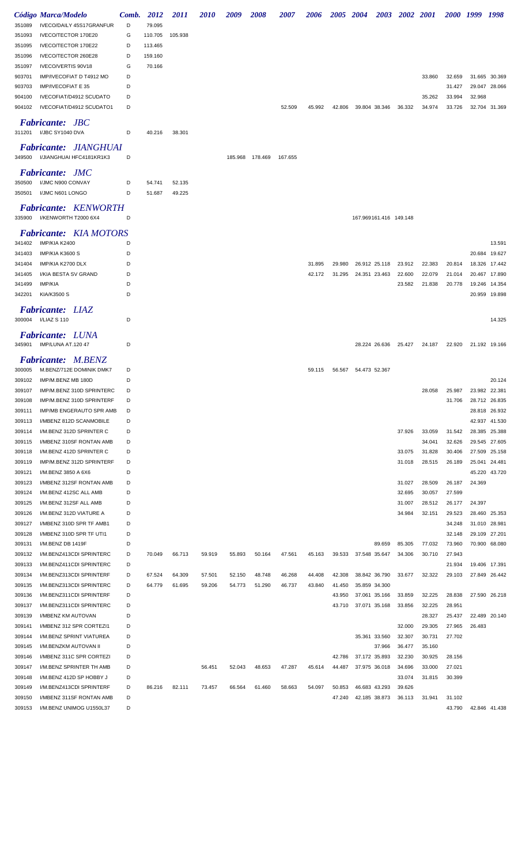|        | Código Marca/Modelo             | Comb. | 2012    | <i>2011</i> | <i>2010</i> | 2009    | <b>2008</b> | <i><b>2007</b></i> | 2006   | 2005 2004 |                        |               | 2003 2002 2001 |        |        | 2000 1999 1998 |               |
|--------|---------------------------------|-------|---------|-------------|-------------|---------|-------------|--------------------|--------|-----------|------------------------|---------------|----------------|--------|--------|----------------|---------------|
| 351089 | IVECO/DAILY 45S17GRANFUR        | D     | 79.095  |             |             |         |             |                    |        |           |                        |               |                |        |        |                |               |
| 351093 | IVECO/TECTOR 170E20             | G     | 110.705 | 105.938     |             |         |             |                    |        |           |                        |               |                |        |        |                |               |
| 351095 | IVECO/TECTOR 170E22             | D     | 113.465 |             |             |         |             |                    |        |           |                        |               |                |        |        |                |               |
| 351096 | IVECO/TECTOR 260E28             | D     | 159.160 |             |             |         |             |                    |        |           |                        |               |                |        |        |                |               |
| 351097 | IVECO/VERTIS 90V18              | G     | 70.166  |             |             |         |             |                    |        |           |                        |               |                |        |        |                |               |
| 903701 | IMP/IVECOFIAT D T4912 MO        | D     |         |             |             |         |             |                    |        |           |                        |               |                | 33.860 | 32.659 |                | 31.665 30.369 |
| 903703 | IMP/IVECOFIAT E 35              | D     |         |             |             |         |             |                    |        |           |                        |               |                |        | 31.427 |                | 29.047 28.066 |
| 904100 | IVECOFIAT/D4912 SCUDATO         | D     |         |             |             |         |             |                    |        |           |                        |               |                | 35.262 | 33.994 | 32.968         |               |
| 904102 | IVECOFIAT/D4912 SCUDATO1        | D     |         |             |             |         |             | 52.509             | 45.992 | 42.806    | 39.804 38.346          |               | 36.332         | 34.974 | 33.726 |                | 32.704 31.369 |
|        | <b>Fabricante: JBC</b>          |       |         |             |             |         |             |                    |        |           |                        |               |                |        |        |                |               |
|        | 311201 I/JBC SY1040 DVA         | D     | 40.216  | 38.301      |             |         |             |                    |        |           |                        |               |                |        |        |                |               |
|        |                                 |       |         |             |             |         |             |                    |        |           |                        |               |                |        |        |                |               |
|        | <b>Fabricante: JIANGHUAI</b>    |       |         |             |             |         |             |                    |        |           |                        |               |                |        |        |                |               |
|        | 349500 I/JIANGHUAI HFC4181KR1K3 | D     |         |             |             | 185.968 | 178.469     | 167.655            |        |           |                        |               |                |        |        |                |               |
|        | <b>Fabricante: JMC</b>          |       |         |             |             |         |             |                    |        |           |                        |               |                |        |        |                |               |
| 350500 | I/JMC N900 CONVAY               | D     | 54.741  | 52.135      |             |         |             |                    |        |           |                        |               |                |        |        |                |               |
| 350501 | I/JMC N601 LONGO                | D     | 51.687  | 49.225      |             |         |             |                    |        |           |                        |               |                |        |        |                |               |
|        | <b>Fabricante: KENWORTH</b>     |       |         |             |             |         |             |                    |        |           |                        |               |                |        |        |                |               |
|        | 335900 I/KENWORTH T2000 6X4     | D     |         |             |             |         |             |                    |        |           | 167.969161.416 149.148 |               |                |        |        |                |               |
|        |                                 |       |         |             |             |         |             |                    |        |           |                        |               |                |        |        |                |               |
|        | <b>Fabricante:</b> KIA MOTORS   |       |         |             |             |         |             |                    |        |           |                        |               |                |        |        |                |               |
| 341402 | IMP/KIA K2400                   | D     |         |             |             |         |             |                    |        |           |                        |               |                |        |        |                | 13.591        |
| 341403 | IMP/KIA K3600 S                 | D     |         |             |             |         |             |                    |        |           |                        |               |                |        |        |                | 20.684 19.627 |
| 341404 | IMP/KIA K2700 DLX               | D     |         |             |             |         |             |                    | 31.895 | 29.980    | 26.912 25.118          |               | 23.912         | 22.383 | 20.814 |                | 18.326 17.442 |
| 341405 | I/KIA BESTA SV GRAND            | D     |         |             |             |         |             |                    | 42.172 | 31.295    | 24.351 23.463          |               | 22.600         | 22.079 | 21.014 |                | 20.467 17.890 |
| 341499 | IMP/KIA                         | D     |         |             |             |         |             |                    |        |           |                        |               | 23.582         | 21.838 | 20.778 |                | 19.246 14.354 |
| 342201 | KIA/K3500 S                     | D     |         |             |             |         |             |                    |        |           |                        |               |                |        |        |                | 20.959 19.898 |
|        | Fabricante: LIAZ                |       |         |             |             |         |             |                    |        |           |                        |               |                |        |        |                |               |
|        | 300004    I/LIAZ S    110       | D     |         |             |             |         |             |                    |        |           |                        |               |                |        |        |                | 14.325        |
|        |                                 |       |         |             |             |         |             |                    |        |           |                        |               |                |        |        |                |               |
|        | <b>Fabricante: LUNA</b>         |       |         |             |             |         |             |                    |        |           |                        | 28.224 26.636 |                |        |        |                |               |
|        | 345901 IMP/LUNA AT.120 47       | D     |         |             |             |         |             |                    |        |           |                        |               | 25.427         | 24.187 | 22.920 |                | 21.192 19.166 |
|        | <b>Fabricante: M.BENZ</b>       |       |         |             |             |         |             |                    |        |           |                        |               |                |        |        |                |               |
| 300005 | M.BENZ/712E DOMINIK DMK7        | D     |         |             |             |         |             |                    | 59.115 | 56.567    | 54.473 52.367          |               |                |        |        |                |               |
| 309102 | IMP/M.BENZ MB 180D              | D     |         |             |             |         |             |                    |        |           |                        |               |                |        |        |                | 20.124        |
| 309107 | IMP/M.BENZ 310D SPRINTERC       | D     |         |             |             |         |             |                    |        |           |                        |               |                | 28.058 | 25.987 |                | 23.982 22.381 |
| 309108 | IMP/M.BENZ 310D SPRINTERF       | D     |         |             |             |         |             |                    |        |           |                        |               |                |        | 31.706 |                | 28.712 26.835 |
| 309111 | IMP/MB ENGERAUTO SPR AMB        | D     |         |             |             |         |             |                    |        |           |                        |               |                |        |        |                | 28.818 26.932 |
| 309113 | I/MBENZ 812D SCANMOBILE         | D     |         |             |             |         |             |                    |        |           |                        |               |                |        |        |                | 42.937 41.530 |
| 309114 | I/M.BENZ 312D SPRINTER C        | D     |         |             |             |         |             |                    |        |           |                        |               | 37.926         | 33.059 | 31.542 | 28.385         | 25.388        |
| 309115 | I/MBENZ 310SF RONTAN AMB        | D     |         |             |             |         |             |                    |        |           |                        |               |                | 34.041 | 32.626 |                | 29.545 27.605 |
| 309118 | I/M.BENZ 412D SPRINTER C        | D     |         |             |             |         |             |                    |        |           |                        |               | 33.075         | 31.828 | 30.406 |                | 27.509 25.158 |
| 309119 | IMP/M.BENZ 312D SPRINTERF       | D     |         |             |             |         |             |                    |        |           |                        |               | 31.018         | 28.515 | 26.189 |                | 25.041 24.481 |
| 309121 | I/M.BENZ 3850 A 6X6             | D     |         |             |             |         |             |                    |        |           |                        |               |                |        |        |                | 45.220 43.720 |
| 309123 | I/MBENZ 312SF RONTAN AMB        | D     |         |             |             |         |             |                    |        |           |                        |               | 31.027         | 28.509 | 26.187 | 24.369         |               |
| 309124 | I/M.BENZ 412SC ALL AMB          | D     |         |             |             |         |             |                    |        |           |                        |               | 32.695         | 30.057 | 27.599 |                |               |
| 309125 | I/M.BENZ 312SF ALL AMB          | D     |         |             |             |         |             |                    |        |           |                        |               | 31.007         | 28.512 | 26.177 | 24.397         |               |
| 309126 | I/M.BENZ 312D VIATURE A         | D     |         |             |             |         |             |                    |        |           |                        |               | 34.984         | 32.151 | 29.523 |                | 28.460 25.353 |
| 309127 | I/MBENZ 310D SPR TF AMB1        | D     |         |             |             |         |             |                    |        |           |                        |               |                |        | 34.248 |                | 31.010 28.981 |
| 309128 | I/MBENZ 310D SPR TF UTI1        | D     |         |             |             |         |             |                    |        |           |                        |               |                |        | 32.148 |                | 29.109 27.201 |
| 309131 | I/M.BENZ DB 1419F               | D     |         |             |             |         |             |                    |        |           |                        | 89.659        | 85.305         | 77.032 | 73.960 |                | 70.900 68.080 |
| 309132 | I/M.BENZ413CDI SPRINTERC        | D     | 70.049  | 66.713      | 59.919      | 55.893  | 50.164      | 47.561             | 45.163 | 39.533    | 37.548 35.647          |               | 34.306         | 30.710 | 27.943 |                |               |
| 309133 | I/M.BENZ411CDI SPRINTERC        | D     |         |             |             |         |             |                    |        |           |                        |               |                |        | 21.934 |                | 19.406 17.391 |
| 309134 | I/M.BENZ313CDI SPRINTERF        | D     | 67.524  | 64.309      | 57.501      | 52.150  | 48.748      | 46.268             | 44.408 | 42.308    | 38.842 36.790          |               | 33.677         | 32.322 | 29.103 |                | 27.849 26.442 |
| 309135 | I/M.BENZ313CDI SPRINTERC        | D     | 64.779  | 61.695      | 59.206      | 54.773  | 51.290      | 46.737             | 43.840 | 41.450    | 35.859 34.300          |               |                |        |        |                |               |
| 309136 | I/M.BENZ311CDI SPRINTERF        | D     |         |             |             |         |             |                    |        | 43.950    | 37.061 35.166          |               | 33.859         | 32.225 | 28.838 |                | 27.590 26.218 |
| 309137 | I/M.BENZ311CDI SPRINTERC        | D     |         |             |             |         |             |                    |        | 43.710    | 37.071 35.168          |               | 33.856         | 32.225 | 28.951 |                |               |
| 309139 | I/MBENZ KM AUTOVAN              | D     |         |             |             |         |             |                    |        |           |                        |               |                | 28.327 | 25.437 |                | 22.489 20.140 |
| 309141 | I/MBENZ 312 SPR CORTEZI1        | D     |         |             |             |         |             |                    |        |           |                        |               | 32.000         | 29.305 | 27.965 | 26.483         |               |
| 309144 | I/M.BENZ SPRINT VIATUREA        | D     |         |             |             |         |             |                    |        |           | 35.361 33.560          |               | 32.307         | 30.731 | 27.702 |                |               |
| 309145 | I/M.BENZKM AUTOVAN II           | D     |         |             |             |         |             |                    |        |           |                        | 37.966        | 36.477         | 35.160 |        |                |               |
| 309146 | I/MBENZ 311C SPR CORTEZI        | D     |         |             |             |         |             |                    |        | 42.786    | 37.172 35.893          |               | 32.230         | 30.925 | 28.156 |                |               |
| 309147 | I/M.BENZ SPRINTER TH AMB        | D     |         |             | 56.451      | 52.043  | 48.653      | 47.287             | 45.614 | 44.487    | 37.975 36.018          |               | 34.696         | 33.000 | 27.021 |                |               |
| 309148 | I/M.BENZ 412D SP HOBBY J        | D     |         |             |             |         |             |                    |        |           |                        |               | 33.074         | 31.815 | 30.399 |                |               |
| 309149 | I/M.BENZ413CDI SPRINTERF        | D     | 86.216  | 82.111      | 73.457      | 66.564  | 61.460      | 58.663             | 54.097 | 50.853    | 46.683 43.293          |               | 39.626         |        |        |                |               |
| 309150 | I/MBENZ 311SF RONTAN AMB        | D     |         |             |             |         |             |                    |        | 47.240    | 42.185 38.873          |               | 36.113         | 31.941 | 31.102 |                |               |
| 309153 | I/M.BENZ UNIMOG U1550L37        | D     |         |             |             |         |             |                    |        |           |                        |               |                |        | 43.790 |                | 42.846 41.438 |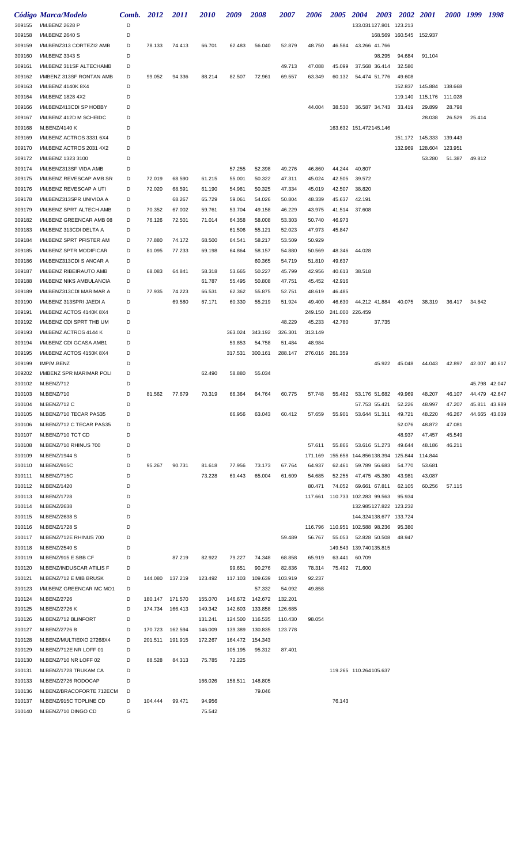|                  | Código Marca/Modelo                                | Comb. 2012 |         | <i>2011</i> | <i>2010</i> | 2009               | <i><b>2008</b></i> | <i><b>2007</b></i> | 2006    | <b>2005</b>                    | <b>2004</b>                    | <b>2003</b>   | 2002 2001               |                           | 2000 1999 |        | 1998          |
|------------------|----------------------------------------------------|------------|---------|-------------|-------------|--------------------|--------------------|--------------------|---------|--------------------------------|--------------------------------|---------------|-------------------------|---------------------------|-----------|--------|---------------|
| 309155           | I/M.BENZ 2628 P                                    | D          |         |             |             |                    |                    |                    |         |                                |                                |               | 133.031 127.801 123.213 |                           |           |        |               |
| 309158           | I/M.BENZ 2640 S                                    | D          |         |             |             |                    |                    |                    |         |                                |                                |               | 168.569 160.545 152.937 |                           |           |        |               |
| 309159           | I/M.BENZ313 CORTEZI2 AMB                           | D          | 78.133  | 74.413      | 66.701      | 62.483             | 56.040             | 52.879             | 48.750  | 46.584                         |                                | 43.266 41.766 |                         |                           |           |        |               |
| 309160           | I/M.BENZ 3343 S                                    | D          |         |             |             |                    |                    |                    |         |                                |                                | 98.295        | 94.684                  | 91.104                    |           |        |               |
| 309161           | I/M.BENZ 311SF ALTECHAMB                           | D          |         |             |             |                    |                    | 49.713             | 47.088  | 45.099                         |                                | 37.568 36.414 | 32.580                  |                           |           |        |               |
| 309162           | I/MBENZ 313SF RONTAN AMB                           | D          | 99.052  | 94.336      | 88.214      | 82.507             | 72.961             | 69.557             | 63.349  | 60.132                         |                                | 54.474 51.776 | 49.608                  |                           |           |        |               |
| 309163           | I/M.BENZ 4140K 8X4                                 | D          |         |             |             |                    |                    |                    |         |                                |                                |               | 152.837                 | 145.884 138.668           |           |        |               |
| 309164           | I/M.BENZ 1828 4X2                                  | D          |         |             |             |                    |                    |                    |         |                                |                                |               | 119.140                 | 115.176 111.028           |           |        |               |
| 309166           | I/M.BENZ413CDI SP HOBBY                            | D          |         |             |             |                    |                    |                    | 44.004  |                                | 38.530 36.587 34.743           |               | 33.419                  | 29.899                    | 28.798    |        |               |
| 309167           | I/M.BENZ 412D M SCHEIDC                            | D          |         |             |             |                    |                    |                    |         |                                |                                |               |                         | 28.038                    | 26.529    | 25.414 |               |
| 309168           | M.BENZ/4140 K                                      | D          |         |             |             |                    |                    |                    |         |                                | 163.632 151.472145.146         |               |                         |                           |           |        |               |
| 309169           | I/M.BENZ ACTROS 3331 6X4                           | D          |         |             |             |                    |                    |                    |         |                                |                                |               |                         | 151.172  145.333  139.443 |           |        |               |
| 309170           | I/M.BENZ ACTROS 2031 4X2                           | D          |         |             |             |                    |                    |                    |         |                                |                                |               | 132.969                 | 128.604                   | 123.951   |        |               |
| 309172           | I/M.BENZ 1323 3100                                 | D          |         |             |             |                    |                    |                    |         |                                |                                |               |                         | 53.280                    | 51.387    | 49.812 |               |
| 309174           | I/M.BENZ313SF VIDA AMB                             | D          |         |             |             | 57.255             | 52.398             | 49.276             | 46.860  | 44.244                         | 40.807                         |               |                         |                           |           |        |               |
| 309175           | I/M.BENZ REVESCAP AMB SR                           | D          | 72.019  | 68.590      | 61.215      | 55.001             | 50.322             | 47.311             | 45.024  | 42.505                         | 39.572                         |               |                         |                           |           |        |               |
| 309176           | I/M.BENZ REVESCAP A UTI                            | D          | 72.020  | 68.591      | 61.190      | 54.981             | 50.325             | 47.334             | 45.019  | 42.507                         | 38.820                         |               |                         |                           |           |        |               |
| 309178           | I/M.BENZ313SPR UNIVIDA A                           | D          |         | 68.267      | 65.729      | 59.061             | 54.026             | 50.804             | 48.339  | 45.637                         | 42.191                         |               |                         |                           |           |        |               |
| 309179           | I/M.BENZ SPRT ALTECH AMB                           | D          | 70.352  | 67.002      | 59.761      | 53.704             | 49.158             | 46.229             | 43.975  | 41.514                         | 37.608                         |               |                         |                           |           |        |               |
| 309182           | I/M.BENZ GREENCAR AMB 08                           | D          | 76.126  | 72.501      | 71.014      | 64.358             | 58.008             | 53.303             | 50.740  | 46.973                         |                                |               |                         |                           |           |        |               |
| 309183           | I/M.BENZ 313CDI DELTA A                            | D          |         |             |             | 61.506             | 55.121             | 52.023             | 47.973  | 45.847                         |                                |               |                         |                           |           |        |               |
| 309184           | I/M.BENZ SPRT PFISTER AM                           | D          | 77.880  | 74.172      | 68.500      | 64.541             | 58.217             | 53.509             | 50.929  |                                |                                |               |                         |                           |           |        |               |
| 309185           | I/M.BENZ SPTR MODIFICAR                            | D          | 81.095  | 77.233      | 69.198      | 64.864             | 58.157             | 54.880             | 50.569  | 48.346                         | 44.028                         |               |                         |                           |           |        |               |
| 309186           | I/M.BENZ313CDI S ANCAR A                           | D          |         |             |             |                    | 60.365             | 54.719             | 51.810  | 49.637                         |                                |               |                         |                           |           |        |               |
| 309187           | I/M.BENZ RIBEIRAUTO AMB                            | D          | 68.083  | 64.841      | 58.318      | 53.665             | 50.227             | 45.799             | 42.956  | 40.613                         | 38.518                         |               |                         |                           |           |        |               |
| 309188           | I/M.BENZ NIKS AMBULANCIA                           | D          |         |             | 61.787      | 55.495             | 50.808             | 47.751             | 45.452  | 42.916                         |                                |               |                         |                           |           |        |               |
| 309189           | I/M.BENZ313CDI MARIMAR A                           | D          | 77.935  | 74.223      | 66.531      | 62.362             | 55.875             | 52.751             | 48.619  | 46.485                         |                                |               |                         |                           |           |        |               |
| 309190           | I/M.BENZ 313SPRI JAEDI A                           | D          |         | 69.580      | 67.171      | 60.330             | 55.219             | 51.924             | 49.400  | 46.630                         |                                | 44.212 41.884 | 40.075                  | 38.319                    | 36.417    | 34.842 |               |
| 309191           | I/M.BENZ ACTOS 4140K 8X4                           | D          |         |             |             |                    |                    |                    | 249.150 |                                | 241.000 226.459                |               |                         |                           |           |        |               |
| 309192           | I/M.BENZ CDI SPRT THB UM                           | D          |         |             |             |                    |                    | 48.229             | 45.233  | 42.780                         |                                | 37.735        |                         |                           |           |        |               |
| 309193           | I/M.BENZ ACTROS 4144 K                             | D          |         |             |             | 363.024            | 343.192            | 326.301            | 313.149 |                                |                                |               |                         |                           |           |        |               |
| 309194           | I/M.BENZ CDI GCASA AMB1                            | D          |         |             |             | 59.853             | 54.758             | 51.484             | 48.984  |                                |                                |               |                         |                           |           |        |               |
| 309195           | I/M.BENZ ACTOS 4150K 8X4                           | D          |         |             |             | 317.531            | 300.161            | 288.147            |         | 276.016 261.359                |                                |               |                         |                           |           |        |               |
| 309199           | IMP/M.BENZ                                         | D          |         |             |             |                    |                    |                    |         |                                |                                | 45.922        | 45.048                  | 44.043                    | 42.897    |        | 42.007 40.617 |
| 309202           | I/MBENZ SPR MARIMAR POLI                           | D          |         |             | 62.490      | 58.880             | 55.034             |                    |         |                                |                                |               |                         |                           |           |        |               |
| 310102           | M.BENZ/712                                         | D          |         |             |             |                    |                    |                    |         |                                |                                |               |                         |                           |           |        | 45.798 42.047 |
| 310103           | M.BENZ/710                                         | D          | 81.562  | 77.679      | 70.319      | 66.364             | 64.764             | 60.775             | 57.748  | 55.482                         |                                | 53.176 51.682 | 49.969                  | 48.207                    | 46.107    | 44.479 | 42.647        |
| 310104           | M.BENZ/712 C                                       | D          |         |             |             |                    |                    |                    |         |                                |                                | 57.753 55.421 | 52.226                  | 48.997                    | 47.207    |        | 45.811 43.989 |
| 310105           | M.BENZ/710 TECAR PAS35                             | D          |         |             |             | 66.956             | 63.043             | 60.412             | 57.659  | 55.901                         |                                | 53.644 51.311 | 49.721                  | 48.220                    | 46.267    |        | 44.665 43.039 |
| 310106           | M.BENZ/712 C TECAR PAS35                           | D          |         |             |             |                    |                    |                    |         |                                |                                |               | 52.076                  | 48.872                    | 47.081    |        |               |
| 310107           | M.BENZ/710 TCT CD                                  | D          |         |             |             |                    |                    |                    |         |                                |                                |               | 48.937                  | 47.457                    | 45.549    |        |               |
| 310108           | M.BENZ/710 RHINUS 700                              | D          |         |             |             |                    |                    |                    | 57.611  | 55.866                         |                                | 53.616 51.273 | 49.644                  | 48.186                    | 46.211    |        |               |
| 310109           | M.BENZ/1944 S                                      | D          |         |             |             |                    |                    |                    | 171.169 |                                | 155.658 144.856138.394 125.844 |               |                         | 114.844                   |           |        |               |
| 310110           | M.BENZ/915C                                        | D          | 95.267  | 90.731      | 81.618      | 77.956             | 73.173             | 67.764             | 64.937  | 62.461                         |                                | 59.789 56.683 | 54.770                  | 53.681                    |           |        |               |
| 310111           | M.BENZ/715C                                        | D          |         |             | 73.228      | 69.443             | 65.004             | 61.609             | 54.685  | 52.255                         |                                | 47.475 45.380 | 43.981                  | 43.087                    |           |        |               |
| 310112           | M.BENZ/1420                                        | D          |         |             |             |                    |                    |                    | 80.471  | 74.052                         |                                | 69.661 67.811 | 62.105                  | 60.256                    | 57.115    |        |               |
| 310113           | M.BENZ/1728                                        | D          |         |             |             |                    |                    |                    |         | 117.661 110.733 102.283 99.563 |                                |               | 95.934                  |                           |           |        |               |
| 310114           | M.BENZ/2638                                        | D          |         |             |             |                    |                    |                    |         |                                |                                |               | 132.985127.822 123.232  |                           |           |        |               |
| 310115           | M.BENZ/2638 S                                      | D<br>D     |         |             |             |                    |                    |                    |         |                                |                                |               | 144.324138.677 133.724  |                           |           |        |               |
| 310116           | M.BENZ/1728 S<br>M.BENZ/712E RHINUS 700            | D          |         |             |             |                    |                    |                    |         | 116.796 110.951 102.588 98.236 |                                |               | 95.380<br>48.947        |                           |           |        |               |
| 310117           |                                                    |            |         |             |             |                    |                    | 59.489             | 56.767  | 55.053                         |                                | 52.828 50.508 |                         |                           |           |        |               |
| 310118           | M.BENZ/2540 S                                      | D          |         |             |             |                    |                    |                    |         |                                | 149.543 139.740135.815         |               |                         |                           |           |        |               |
| 310119           | M.BENZ/915 E SBB CF                                | D          |         | 87.219      | 82.922      | 79.227             | 74.348             | 68.858             | 65.919  | 63.441                         | 60.709                         |               |                         |                           |           |        |               |
| 310120           | M.BENZ/INDUSCAR ATILIS F                           | D          |         |             |             | 99.651             | 90.276             | 82.836             | 78.314  |                                | 75.492 71.600                  |               |                         |                           |           |        |               |
| 310121           | M.BENZ/712 E MIB BRUSK                             | D          | 144.080 | 137.219     | 123.492     |                    | 117.103 109.639    | 103.919            | 92.237  |                                |                                |               |                         |                           |           |        |               |
| 310123           | I/M.BENZ GREENCAR MC MO1                           | D          |         |             |             |                    | 57.332             | 54.092             | 49.858  |                                |                                |               |                         |                           |           |        |               |
| 310124           | M.BENZ/2726                                        | D          | 180.147 | 171.570     | 155.070     |                    | 146.672 142.672    | 132.201            |         |                                |                                |               |                         |                           |           |        |               |
| 310125           | M.BENZ/2726 K                                      | D          | 174.734 | 166.413     | 149.342     | 142.603            | 133.858            | 126.685            |         |                                |                                |               |                         |                           |           |        |               |
| 310126           | M.BENZ/712 BLINFORT                                | D          |         |             | 131.241     | 124.500            | 116.535            | 110.430            | 98.054  |                                |                                |               |                         |                           |           |        |               |
| 310127           | M.BENZ/2726 B                                      | D          | 170.723 | 162.594     | 146.009     | 139.389            | 130.835            | 123.778            |         |                                |                                |               |                         |                           |           |        |               |
| 310128           | M.BENZ/MULTIEIXO 27268X4<br>M.BENZ/712E NR LOFF 01 | D<br>D     | 201.511 | 191.915     | 172.267     | 164.472<br>105.195 | 154.343<br>95.312  | 87.401             |         |                                |                                |               |                         |                           |           |        |               |
| 310129           |                                                    | D          |         |             |             | 72.225             |                    |                    |         |                                |                                |               |                         |                           |           |        |               |
| 310130           | M.BENZ/710 NR LOFF 02                              | D          | 88.528  | 84.313      | 75.785      |                    |                    |                    |         |                                |                                |               |                         |                           |           |        |               |
| 310131           | M.BENZ/1728 TRUKAM CA                              | D          |         |             |             |                    |                    |                    |         |                                | 119.265 110.264105.637         |               |                         |                           |           |        |               |
| 310133           | M.BENZ/2726 RODOCAP                                |            |         |             | 166.026     | 158.511            | 148.805<br>79.046  |                    |         |                                |                                |               |                         |                           |           |        |               |
| 310136           | M.BENZ/BRACOFORTE 712ECM                           | D          |         |             |             |                    |                    |                    |         |                                |                                |               |                         |                           |           |        |               |
| 310137<br>310140 | M.BENZ/915C TOPLINE CD                             | D<br>G     | 104.444 | 99.471      | 94.956      |                    |                    |                    |         | 76.143                         |                                |               |                         |                           |           |        |               |
|                  | M.BENZ/710 DINGO CD                                |            |         |             | 75.542      |                    |                    |                    |         |                                |                                |               |                         |                           |           |        |               |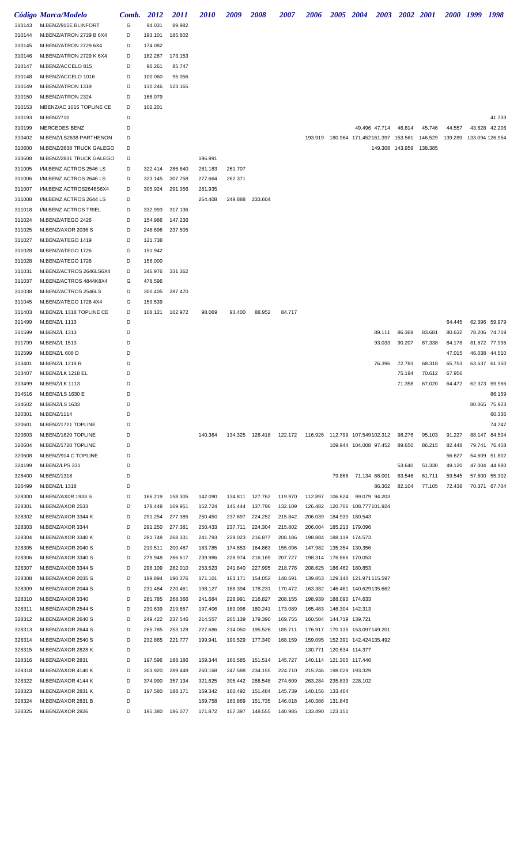|        | Código Marca/Modelo      | Comb. | 2012    | <i>2011</i> | <i><b>2010</b></i> | 2009    | 2008                                                        | <i><b>2007</b></i> | 2006                    | <b>2005</b>     | <b>2004</b>                      | 2003            | 2002 2001 |         | <i>2000</i> | 1999   | 1998            |
|--------|--------------------------|-------|---------|-------------|--------------------|---------|-------------------------------------------------------------|--------------------|-------------------------|-----------------|----------------------------------|-----------------|-----------|---------|-------------|--------|-----------------|
| 310143 | M.BENZ/915E BLINFORT     | G     | 94.031  | 89.982      |                    |         |                                                             |                    |                         |                 |                                  |                 |           |         |             |        |                 |
| 310144 | M.BENZ/ATRON 2729 B 6X4  | D     | 193.101 | 185.802     |                    |         |                                                             |                    |                         |                 |                                  |                 |           |         |             |        |                 |
|        | M.BENZ/ATRON 2729 6X4    | D     | 174.082 |             |                    |         |                                                             |                    |                         |                 |                                  |                 |           |         |             |        |                 |
| 310145 |                          | D     |         |             |                    |         |                                                             |                    |                         |                 |                                  |                 |           |         |             |        |                 |
| 310146 | M.BENZ/ATRON 2729 K 6X4  | D     | 182.267 | 173.153     |                    |         |                                                             |                    |                         |                 |                                  |                 |           |         |             |        |                 |
| 310147 | M.BENZ/ACCELO 815        |       | 90.261  | 85.747      |                    |         |                                                             |                    |                         |                 |                                  |                 |           |         |             |        |                 |
| 310148 | M.BENZ/ACCELO 1016       | D     | 100.060 | 95.056      |                    |         |                                                             |                    |                         |                 |                                  |                 |           |         |             |        |                 |
| 310149 | M.BENZ/ATRON 1319        | D     | 130.246 | 123.165     |                    |         |                                                             |                    |                         |                 |                                  |                 |           |         |             |        |                 |
| 310150 | M.BENZ/ATRON 2324        | D     | 168.079 |             |                    |         |                                                             |                    |                         |                 |                                  |                 |           |         |             |        |                 |
| 310153 | MBENZ/AC 1016 TOPLINE CE | D     | 102.201 |             |                    |         |                                                             |                    |                         |                 |                                  |                 |           |         |             |        |                 |
| 310193 | M.BENZ/710               | D     |         |             |                    |         |                                                             |                    |                         |                 |                                  |                 |           |         |             |        | 41.733          |
| 310199 | MERCEDES BENZ            | D     |         |             |                    |         |                                                             |                    |                         |                 | 49.496 47.714                    |                 | 46.814    | 45.746  | 44.557      | 43.628 | 42.206          |
| 310402 | M.BENZ/LS2638 PARTHENON  | D     |         |             |                    |         |                                                             |                    | 193.919                 |                 | 180.964 171.452161.397 153.561   |                 |           | 146.529 | 139.289     |        | 133.094 126.954 |
| 310600 | M.BENZ/2638 TRUCK GALEGO | D     |         |             |                    |         |                                                             |                    |                         |                 |                                  | 149.308 143.959 |           | 138.385 |             |        |                 |
| 310608 | M.BENZ/2831 TRUCK GALEGO | D     |         |             | 196.991            |         |                                                             |                    |                         |                 |                                  |                 |           |         |             |        |                 |
| 311005 | I/M.BENZ ACTROS 2546 LS  | D     | 322.414 | 286.840     | 281.183            | 261.707 |                                                             |                    |                         |                 |                                  |                 |           |         |             |        |                 |
| 311006 | I/M.BENZ ACTROS 2646 LS  | D     | 323.145 | 307.758     | 277.664            | 262.371 |                                                             |                    |                         |                 |                                  |                 |           |         |             |        |                 |
| 311007 | I/M.BENZ ACTROS2646S6X4  | D     | 305.924 | 291.356     | 281.935            |         |                                                             |                    |                         |                 |                                  |                 |           |         |             |        |                 |
| 311008 | I/M.BENZ ACTROS 2644 LS  | D     |         |             | 264.408            |         | 249.888 233.604                                             |                    |                         |                 |                                  |                 |           |         |             |        |                 |
| 311018 | I/M.BENZ ACTROS TRIEL    | D     | 332.993 | 317.136     |                    |         |                                                             |                    |                         |                 |                                  |                 |           |         |             |        |                 |
| 311024 | M.BENZ/ATEGO 2426        | D     | 154.986 | 147.236     |                    |         |                                                             |                    |                         |                 |                                  |                 |           |         |             |        |                 |
| 311025 | M.BENZ/AXOR 2036 S       | D     | 248.696 | 237.505     |                    |         |                                                             |                    |                         |                 |                                  |                 |           |         |             |        |                 |
| 311027 | M.BENZ/ATEGO 1419        | D     | 121.738 |             |                    |         |                                                             |                    |                         |                 |                                  |                 |           |         |             |        |                 |
| 311028 | M.BENZ/ATEGO 1726        | G     | 151.942 |             |                    |         |                                                             |                    |                         |                 |                                  |                 |           |         |             |        |                 |
| 311028 | M.BENZ/ATEGO 1726        | D     | 156.000 |             |                    |         |                                                             |                    |                         |                 |                                  |                 |           |         |             |        |                 |
| 311031 | M.BENZ/ACTROS 2646LS6X4  | D     | 346.976 | 331.362     |                    |         |                                                             |                    |                         |                 |                                  |                 |           |         |             |        |                 |
| 311037 | M.BENZ/ACTROS 4844K8X4   | G     | 478.596 |             |                    |         |                                                             |                    |                         |                 |                                  |                 |           |         |             |        |                 |
| 311038 | M.BENZ/ACTROS 2546LS     | D     | 300.405 | 287.470     |                    |         |                                                             |                    |                         |                 |                                  |                 |           |         |             |        |                 |
| 311045 | M.BENZ/ATEGO 1726 4X4    | G     | 159.539 |             |                    |         |                                                             |                    |                         |                 |                                  |                 |           |         |             |        |                 |
| 311403 | M.BENZ/L 1318 TOPLINE CE | D     | 108.121 | 102.972     | 98.069             | 93.400  | 88.952                                                      | 84.717             |                         |                 |                                  |                 |           |         |             |        |                 |
| 311499 | M.BENZ/L 1113            | D     |         |             |                    |         |                                                             |                    |                         |                 |                                  |                 |           |         | 64.445      |        | 62.396 59.979   |
| 311599 | M.BENZ/L 1313            | D     |         |             |                    |         |                                                             |                    |                         |                 |                                  | 89.111          | 86.369    | 83.681  | 80.632      | 78.206 | 74.719          |
| 311799 | M.BENZ/L 1513            | D     |         |             |                    |         |                                                             |                    |                         |                 |                                  | 93.033          | 90.207    | 87.338  | 84.178      |        | 81.672 77.996   |
|        | M.BENZ/L 608 D           | D     |         |             |                    |         |                                                             |                    |                         |                 |                                  |                 |           |         |             |        |                 |
| 312599 |                          |       |         |             |                    |         |                                                             |                    |                         |                 |                                  |                 |           |         | 47.015      | 46.038 | 44.510          |
| 313401 | M.BENZ/L 1218 R          | D     |         |             |                    |         |                                                             |                    |                         |                 |                                  | 76.396          | 72.783    | 68.318  | 65.753      |        | 63.637 61.150   |
| 313407 | M.BENZ/LK 1218 EL        | D     |         |             |                    |         |                                                             |                    |                         |                 |                                  |                 | 75.194    | 70.612  | 67.956      |        |                 |
| 313499 | M.BENZ/LK 1113           | D     |         |             |                    |         |                                                             |                    |                         |                 |                                  |                 | 71.358    | 67.020  | 64.472      |        | 62.373 59.966   |
| 314516 | M.BENZ/LS 1630 E         | D     |         |             |                    |         |                                                             |                    |                         |                 |                                  |                 |           |         |             |        | 86.159          |
| 314602 | M.BENZ/LS 1633           | D     |         |             |                    |         |                                                             |                    |                         |                 |                                  |                 |           |         |             |        | 80.065 75.923   |
| 320301 | M.BENZ/1114              | D     |         |             |                    |         |                                                             |                    |                         |                 |                                  |                 |           |         |             |        | 60.336          |
| 320601 | M.BENZ/1721 TOPLINE      | D     |         |             |                    |         |                                                             |                    |                         |                 |                                  |                 |           |         |             |        | 74.747          |
| 320603 | M.BENZ/1620 TOPLINE      | D     |         |             | 140.364            |         | 134.325  126.418  122.172  116.926  112.799  107.549102.312 |                    |                         |                 |                                  |                 | 98.276    | 95.103  | 91.227      | 88.147 | 84.504          |
| 320604 | M.BENZ/1720 TOPLINE      | D     |         |             |                    |         |                                                             |                    |                         |                 | 109.944 104.008 97.452           |                 | 89.650    | 86.215  | 82.448      | 79.741 | 76.458          |
| 320608 | M.BENZ/914 C TOPLINE     | D     |         |             |                    |         |                                                             |                    |                         |                 |                                  |                 |           |         | 56.627      | 54.609 | 51.802          |
| 324199 | M.BENZ/LPS 331           | D     |         |             |                    |         |                                                             |                    |                         |                 |                                  |                 | 53.640    | 51.330  | 49.120      | 47.004 | 44.980          |
| 326400 | M.BENZ/1318              | D     |         |             |                    |         |                                                             |                    |                         |                 | 79.868 71.134 68.001             |                 | 63.546    | 61.711  | 59.545      | 57.800 | 55.302          |
| 326499 | M.BENZ/L 1318            | D     |         |             |                    |         |                                                             |                    |                         |                 |                                  | 86.302          | 82.104    | 77.105  | 72.438      |        | 70.371 67.704   |
| 328300 | M.BENZ/AX0R 1933 S       | D     | 166.219 | 158.305     | 142.090            |         | 134.811 127.762                                             | 119.970            | 112.897                 | 106.624         | 99.079 94.203                    |                 |           |         |             |        |                 |
| 328301 | M.BENZ/AXOR 2533         | D     | 178.448 | 169.951     | 152.724            | 145.444 | 137.796                                                     | 132.109            | 126.482                 |                 | 120.706 108.777101.924           |                 |           |         |             |        |                 |
| 328302 | M.BENZ/AXOR 3344 K       | D     | 291.254 | 277.385     | 250.450            | 237.697 | 224.252                                                     | 215.842            | 206.039                 | 184.930 180.543 |                                  |                 |           |         |             |        |                 |
| 328303 | M.BENZ/AXOR 3344         | D     | 291.250 | 277.381     | 250.433            | 237.711 | 224.304                                                     | 215.802            | 206.004                 |                 | 185.213 179.096                  |                 |           |         |             |        |                 |
| 328304 | M.BENZ/AXOR 3340 K       | D     | 281.748 | 268.331     | 241.793            | 229.023 | 216.877                                                     | 208.186            | 198.884                 |                 | 188.119 174.573                  |                 |           |         |             |        |                 |
| 328305 | M.BENZ/AXOR 2040 S       | D     | 210.511 | 200.487     | 183.785            | 174.853 | 164.863                                                     | 155.096            | 147.982                 | 135.354 130.356 |                                  |                 |           |         |             |        |                 |
| 328306 | M.BENZ/AXOR 3340 S       | D     | 279.948 | 266.617     | 239.986            | 228.974 | 216.169                                                     | 207.727            | 198.314 176.866 170.053 |                 |                                  |                 |           |         |             |        |                 |
| 328307 | M.BENZ/AXOR 3344 S       | D     | 296.109 | 282.010     | 253.523            | 241.640 | 227.995                                                     | 218.776            | 208.625                 | 186.462 180.853 |                                  |                 |           |         |             |        |                 |
| 328308 | M.BENZ/AXOR 2035 S       | D     | 199.894 | 190.376     | 171.101            | 163.171 | 154.052                                                     | 148.691            | 139.853                 |                 |                                  |                 |           |         |             |        |                 |
| 328309 | M.BENZ/AXOR 2044 S       | D     | 231.484 | 220.461     | 198.127            | 188.394 | 178.231                                                     | 170.472            | 163.382                 |                 | 146.461  140.629135.662          |                 |           |         |             |        |                 |
| 328310 | M.BENZ/AXOR 3340         | D     | 281.785 | 268.366     | 241.684            | 228.991 | 216.827                                                     | 208.155            | 198.939                 |                 | 188.090 174.633                  |                 |           |         |             |        |                 |
| 328311 | M.BENZ/AXOR 2544 S       | D     | 230.639 | 219.657     | 197.406            | 189.098 | 180.241                                                     | 173.089            | 165.483                 |                 | 146.304 142.313                  |                 |           |         |             |        |                 |
| 328312 | M.BENZ/AXOR 2640 S       | D     | 249.422 | 237.546     | 214.557            | 205.139 | 179.390                                                     | 169.755            | 160.504                 | 144.719 139.721 |                                  |                 |           |         |             |        |                 |
| 328313 | M.BENZ/AXOR 2644 S       | D     | 265.785 | 253.128     | 227.686            | 214.050 | 195.526                                                     | 185.711            |                         |                 | 176.917  170.135  153.097149.201 |                 |           |         |             |        |                 |
| 328314 | M.BENZ/AXOR 2540 S       | D     | 232.865 | 221.777     | 199.941            | 190.529 | 177.340                                                     | 168.159            | 159.095                 |                 | 152.391 142.424135.492           |                 |           |         |             |        |                 |
|        |                          | D     |         |             |                    |         |                                                             |                    | 130.771                 |                 |                                  |                 |           |         |             |        |                 |
| 328315 | M.BENZ/AXOR 2828 K       |       |         |             |                    |         |                                                             |                    |                         | 120.634 114.377 |                                  |                 |           |         |             |        |                 |
| 328316 | M.BENZ/AXOR 2831         | D     | 197.596 | 188.186     | 169.344            | 160.585 | 151.514                                                     | 145.727            | 140.114 121.305 117.446 |                 |                                  |                 |           |         |             |        |                 |
| 328318 | M.BENZ/AXOR 4140 K       | D     | 303.920 | 289.448     | 260.168            | 247.588 | 234.155                                                     | 224.710            | 215.246                 | 198.029 193.329 |                                  |                 |           |         |             |        |                 |
| 328322 | M.BENZ/AXOR 4144 K       | D     | 374.990 | 357.134     | 321.625            | 305.442 | 288.548                                                     | 274.609            | 263.284                 | 235.839 228.102 |                                  |                 |           |         |             |        |                 |
| 328323 | M.BENZ/AXOR 2831 K       | D     | 197.580 | 188.171     | 169.342            | 160.492 | 151.484                                                     | 145.739            | 140.156                 | 133.464         |                                  |                 |           |         |             |        |                 |
| 328324 | M.BENZ/AXOR 2831 B       | D     |         |             | 169.758            | 160.869 | 151.735                                                     | 146.018            | 140.386                 | 131.846         |                                  |                 |           |         |             |        |                 |
| 328325 | M.BENZ/AXOR 2826         | D     | 195.380 | 186.077     | 171.872            | 157.397 | 148.555                                                     | 140.985            | 133.490 123.151         |                 |                                  |                 |           |         |             |        |                 |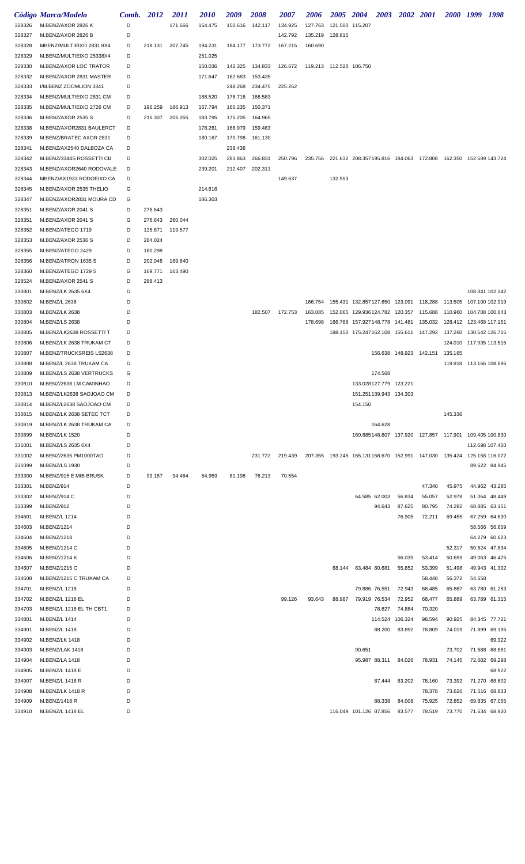|                  | Código Marca/Modelo                            | Comb.  | <b>2012</b> | <i>2011</i>        | <i>2010</i>        | 2009               | <i><b>2008</b></i> | <i><b>2007</b></i> | 2006                               | 2005 2004       |                                                                               | 2003 2002 2001                  |                  |         | 2000 1999 1998          |               |
|------------------|------------------------------------------------|--------|-------------|--------------------|--------------------|--------------------|--------------------|--------------------|------------------------------------|-----------------|-------------------------------------------------------------------------------|---------------------------------|------------------|---------|-------------------------|---------------|
| 328326           | M.BENZ/AXOR 2826 K                             | D      |             | 171.666            | 164.475            |                    | 150.616 142.117    | 134.925            | 127.763                            | 121.500 115.207 |                                                                               |                                 |                  |         |                         |               |
| 328327           | M.BENZ/AXOR 2826 B                             | D      |             |                    |                    |                    |                    | 142.792            | 135.219 128.815                    |                 |                                                                               |                                 |                  |         |                         |               |
| 328328           | MBENZ/MULTIEIXO 2831 8X4                       | D      | 218.131     | 207.745            | 194.231            |                    | 184.177 173.772    | 167.215            | 160.690                            |                 |                                                                               |                                 |                  |         |                         |               |
| 328329           | M.BENZ/MULTIEIXO 25338X4                       | D      |             |                    | 251.025            |                    |                    |                    |                                    |                 |                                                                               |                                 |                  |         |                         |               |
| 328330           | M.BENZ/AXOR LOC TRATOR                         | D      |             |                    | 150.036            |                    | 142.325 134.833    |                    | 126.672  119.213  112.520  106.750 |                 |                                                                               |                                 |                  |         |                         |               |
| 328332           | M.BENZ/AXOR 2831 MASTER                        | D      |             |                    | 171.647            | 162.683            | 153.435            |                    |                                    |                 |                                                                               |                                 |                  |         |                         |               |
| 328333           | I/M.BENZ ZOOMLION 3341                         | D      |             |                    |                    | 248.268            | 234.475            | 225.262            |                                    |                 |                                                                               |                                 |                  |         |                         |               |
| 328334           | M.BENZ/MULTIEIXO 2831 CM                       | D      |             |                    | 188.520            | 178.716            | 168.583            |                    |                                    |                 |                                                                               |                                 |                  |         |                         |               |
| 328335           | M.BENZ/MULTIEIXO 2726 CM                       | D      | 196.259     | 186.913<br>205.055 | 167.794            | 160.235            | 150.371            |                    |                                    |                 |                                                                               |                                 |                  |         |                         |               |
| 328336<br>328338 | M.BENZ/AXOR 2535 S<br>M.BENZ/AXOR2831 BAULERCT | D<br>D | 215.307     |                    | 183.795<br>178.261 | 175.205<br>168.979 | 164.965<br>159.483 |                    |                                    |                 |                                                                               |                                 |                  |         |                         |               |
| 328339           | M.BENZ/BRATEC AXOR 2831                        | D      |             |                    | 180.167            | 170.798            | 161.130            |                    |                                    |                 |                                                                               |                                 |                  |         |                         |               |
| 328341           | M.BENZ/AX2540 DALBOZA CA                       | D      |             |                    |                    | 238.436            |                    |                    |                                    |                 |                                                                               |                                 |                  |         |                         |               |
| 328342           | M.BENZ/3344S ROSSETTI CB                       | D      |             |                    | 302.025            | 283.863            | 266.831            | 250.796            |                                    |                 | 235.756 221.632 208.357195.816 184.063 172.808 162.350 152.589 143.724        |                                 |                  |         |                         |               |
| 328343           | M.BENZ/AXOR2640 RODOVALE                       | D      |             |                    | 239.201            | 212.407            | 202.311            |                    |                                    |                 |                                                                               |                                 |                  |         |                         |               |
| 328344           | MBENZ/AX1933 RODOEIXO CA                       | D      |             |                    |                    |                    |                    | 149.637            |                                    | 132.553         |                                                                               |                                 |                  |         |                         |               |
| 328345           | M.BENZ/AXOR 2535 THELIO                        | G      |             |                    | 214.616            |                    |                    |                    |                                    |                 |                                                                               |                                 |                  |         |                         |               |
| 328347           | M.BENZ/AXOR2831 MOURA CD                       | G      |             |                    | 186.303            |                    |                    |                    |                                    |                 |                                                                               |                                 |                  |         |                         |               |
| 328351           | M.BENZ/AXOR 2041 S                             | D      | 276.643     |                    |                    |                    |                    |                    |                                    |                 |                                                                               |                                 |                  |         |                         |               |
| 328351           | M.BENZ/AXOR 2041 S                             | G      | 276.643     | 260.044            |                    |                    |                    |                    |                                    |                 |                                                                               |                                 |                  |         |                         |               |
| 328352           | M.BENZ/ATEGO 1719                              | D      | 125.871     | 119.577            |                    |                    |                    |                    |                                    |                 |                                                                               |                                 |                  |         |                         |               |
| 328353           | M.BENZ/AXOR 2536 S                             | D      | 284.024     |                    |                    |                    |                    |                    |                                    |                 |                                                                               |                                 |                  |         |                         |               |
| 328355           | M.BENZ/ATEGO 2429                              | D      | 180.298     |                    |                    |                    |                    |                    |                                    |                 |                                                                               |                                 |                  |         |                         |               |
| 328356           | M.BENZ/ATRON 1635 S                            | D      | 202.046     | 189.840            |                    |                    |                    |                    |                                    |                 |                                                                               |                                 |                  |         |                         |               |
| 328360           | M.BENZ/ATEGO 1729 S                            | G<br>D | 169.771     | 163.490            |                    |                    |                    |                    |                                    |                 |                                                                               |                                 |                  |         |                         |               |
| 328524<br>330801 | M.BENZ/AXOR 2541 S<br>M.BENZ/LK 2635 6X4       | D      | 288.413     |                    |                    |                    |                    |                    |                                    |                 |                                                                               |                                 |                  |         | 108.341 102.342         |               |
| 330802           | M.BENZ/L 2638                                  | D      |             |                    |                    |                    |                    |                    | 166.754                            |                 | 155.431 132.857127.650 123.091 118.288 113.505 107.100 102.919                |                                 |                  |         |                         |               |
| 330803           | M.BENZ/LK 2638                                 | D      |             |                    |                    |                    | 182.507            | 172.753            | 163.085                            |                 | 152.065 129.936124.782 120.357 115.688 110.960                                |                                 |                  |         | 104.708 100.643         |               |
| 330804           | M.BENZ/LS 2638                                 | D      |             |                    |                    |                    |                    |                    | 178.698                            |                 | 166.788 157.927148.778 141.481                                                |                                 | 135.032          |         |                         |               |
| 330805           | M.BENZ/LK2638 ROSSETTI T                       | D      |             |                    |                    |                    |                    |                    |                                    |                 | 188.150 175.247162.108 155.611 147.292 137.260 130.542 126.715                |                                 |                  |         |                         |               |
| 330806           | M.BENZ/LK 2638 TRUKAM CT                       | D      |             |                    |                    |                    |                    |                    |                                    |                 |                                                                               |                                 |                  |         | 124.010 117.935 113.515 |               |
| 330807           | M.BENZ/TRUCKSREIS LS2638                       | D      |             |                    |                    |                    |                    |                    |                                    |                 |                                                                               | 156.638 148.923 142.151 135.165 |                  |         |                         |               |
| 330808           | M.BENZ/L 2638 TRUKAM CA                        | D      |             |                    |                    |                    |                    |                    |                                    |                 |                                                                               |                                 |                  |         | 119.918 113.166 108.696 |               |
| 330809           | M.BENZ/LS 2638 VERTRUCKS                       | G      |             |                    |                    |                    |                    |                    |                                    |                 | 174.568                                                                       |                                 |                  |         |                         |               |
| 330810           | M.BENZ/2638 LM CAMINHAO                        | D      |             |                    |                    |                    |                    |                    |                                    |                 | 133.028127.779 123.221                                                        |                                 |                  |         |                         |               |
| 330813           | M.BENZ/LK2638 SAOJOAO CM                       | D      |             |                    |                    |                    |                    |                    |                                    |                 | 151.251139.943 134.303                                                        |                                 |                  |         |                         |               |
| 330814           | M.BENZ/L2638 SAOJOAO CM                        | D      |             |                    |                    |                    |                    |                    |                                    |                 | 154.150                                                                       |                                 |                  |         |                         |               |
| 330815           | M.BENZ/LK 2638 SETEC TCT                       | D      |             |                    |                    |                    |                    |                    |                                    |                 |                                                                               |                                 |                  | 145.336 |                         |               |
| 330819           | M.BENZ/LK 2638 TRUKAM CA                       | D      |             |                    |                    |                    |                    |                    |                                    |                 | 164.628                                                                       |                                 |                  |         |                         |               |
| 330899<br>331001 | M.BENZ/LK 1520<br>M.BENZ/LS 2635 6X4           | D<br>D |             |                    |                    |                    |                    |                    |                                    |                 | 160.685148.607  137.920  127.857  117.901  109.405  100.830                   |                                 |                  |         | 112.698 107.460         |               |
| 331002           | M.BENZ/2635 PM1000TAO                          | D      |             |                    |                    |                    |                    | 231.722 219.439    |                                    |                 | 207.355  193.245  165.131158.670  152.991  147.030  135.424  125.158  116.072 |                                 |                  |         |                         |               |
| 331099           | M.BENZ/LS 1930                                 | D      |             |                    |                    |                    |                    |                    |                                    |                 |                                                                               |                                 |                  |         |                         | 89.622 84.945 |
| 333300           | M.BENZ/915 E MIB BRUSK                         | D      | 99.187      | 94.464             | 84.959             | 81.198             | 76.213             | 70.554             |                                    |                 |                                                                               |                                 |                  |         |                         |               |
| 333301           | M.BENZ/914                                     | D      |             |                    |                    |                    |                    |                    |                                    |                 |                                                                               |                                 | 47.340           | 45.975  |                         | 44.962 43.285 |
| 333302           | M.BENZ/914 C                                   | D      |             |                    |                    |                    |                    |                    |                                    |                 | 64.585 62.003                                                                 | 56.834                          | 55.057           | 52.978  |                         | 51.064 48.449 |
| 333399           | M.BENZ/912                                     | D      |             |                    |                    |                    |                    |                    |                                    |                 | 94.643                                                                        | 87.625                          | 80.795           | 74.282  | 68.885 63.151           |               |
| 334601           | M.BENZ/L 1214                                  | D      |             |                    |                    |                    |                    |                    |                                    |                 |                                                                               | 76.905                          | 72.211           | 69.455  |                         | 67.259 64.630 |
| 334603           | M.BENZ/1214                                    | D      |             |                    |                    |                    |                    |                    |                                    |                 |                                                                               |                                 |                  |         |                         | 58.566 56.609 |
| 334604           | M.BENZ/1218                                    | D      |             |                    |                    |                    |                    |                    |                                    |                 |                                                                               |                                 |                  |         |                         | 64.279 60.623 |
| 334605           | M.BENZ/1214 C                                  | D      |             |                    |                    |                    |                    |                    |                                    |                 |                                                                               |                                 |                  | 52.317  |                         | 50.524 47.834 |
| 334606           | M.BENZ/1214 K                                  | D      |             |                    |                    |                    |                    |                    |                                    |                 |                                                                               | 56.039                          | 53.414           | 50.659  |                         | 49.063 46.475 |
| 334607           | M.BENZ/1215 C                                  | D      |             |                    |                    |                    |                    |                    |                                    | 68.144          | 63.484 60.681                                                                 | 55.852                          | 53.399           | 51.498  |                         | 49.943 41.302 |
| 334608           | M.BENZ/1215 C TRUKAM CA                        | D      |             |                    |                    |                    |                    |                    |                                    |                 |                                                                               |                                 | 58.448           | 56.372  | 54.658                  |               |
| 334701           | M.BENZ/L 1218                                  | D<br>D |             |                    |                    |                    |                    | 99.126             |                                    |                 | 79.886 76.551                                                                 | 72.943                          | 68.485           | 65.867  |                         | 63.780 61.283 |
| 334702<br>334703 | M.BENZ/L 1218 EL<br>M.BENZ/L 1218 EL TH CBT1   | D      |             |                    |                    |                    |                    |                    | 93.643                             | 88.987          | 79.919 76.534<br>78.627                                                       | 72.952<br>74.884                | 68.477<br>70.320 | 65.889  |                         | 63.789 61.315 |
| 334801           | M.BENZ/L 1414                                  | D      |             |                    |                    |                    |                    |                    |                                    |                 | 114.524                                                                       | 106.324                         | 98.594           | 90.925  |                         | 84.345 77.721 |
| 334901           | M.BENZ/L 1418                                  | D      |             |                    |                    |                    |                    |                    |                                    |                 | 88.200                                                                        | 83.892                          | 78.809           | 74.019  |                         | 71.899 69.195 |
| 334902           | <b>M.BENZ/LK 1418</b>                          | D      |             |                    |                    |                    |                    |                    |                                    |                 |                                                                               |                                 |                  |         |                         | 69.322        |
| 334903           | M.BENZ/LAK 1418                                | D      |             |                    |                    |                    |                    |                    |                                    |                 | 90.651                                                                        |                                 |                  | 73.702  | 71.588 68.861           |               |
| 334904           | M.BENZ/LA 1418                                 | D      |             |                    |                    |                    |                    |                    |                                    |                 | 95.987 88.311                                                                 | 84.026                          | 78.931           | 74.145  |                         | 72.002 69.298 |
| 334905           | M.BENZ/L 1418 E                                | D      |             |                    |                    |                    |                    |                    |                                    |                 |                                                                               |                                 |                  |         |                         | 68.922        |
| 334907           | M.BENZ/L 1418 R                                | D      |             |                    |                    |                    |                    |                    |                                    |                 | 87.444                                                                        | 83.202                          | 78.160           | 73.392  |                         | 71.270 68.602 |
| 334908           | M.BENZ/LK 1418 R                               | D      |             |                    |                    |                    |                    |                    |                                    |                 |                                                                               |                                 | 78.378           | 73.626  |                         | 71.516 68.833 |
| 334909           | M.BENZ/1418 R                                  | D      |             |                    |                    |                    |                    |                    |                                    |                 | 88.338                                                                        | 84.008                          | 75.925           | 72.852  |                         | 69.835 67.055 |
| 334910           | M.BENZ/L 1418 EL                               | D      |             |                    |                    |                    |                    |                    |                                    |                 | 116.049 101.126 87.856                                                        | 83.577                          | 78.519           | 73.770  |                         | 71.634 68.920 |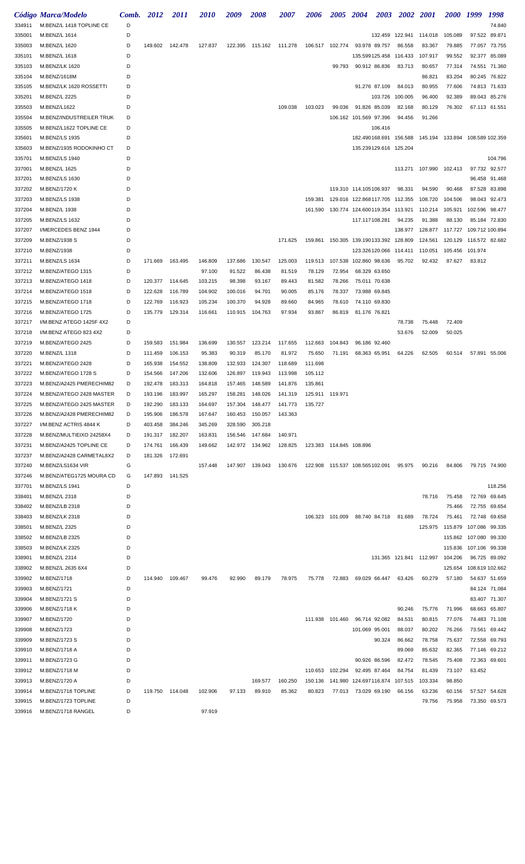|        | Código Marca/Modelo      | Comb. | 2012    | <i>2011</i> | <i>2010</i> | 2009    | 2008    | <i><b>2007</b></i> | 2006                                      | 2005    | <b>2004</b>                    | <b>2003</b> | <b>2002</b>                    | <b>2001</b>                                    | <i>2000</i>            | 1999            | 1998          |
|--------|--------------------------|-------|---------|-------------|-------------|---------|---------|--------------------|-------------------------------------------|---------|--------------------------------|-------------|--------------------------------|------------------------------------------------|------------------------|-----------------|---------------|
| 334911 | M.BENZ/L 1418 TOPLINE CE | D     |         |             |             |         |         |                    |                                           |         |                                |             |                                |                                                |                        |                 | 74.840        |
| 335001 | M.BENZ/L 1614            | D     |         |             |             |         |         |                    |                                           |         |                                |             | 132.459 122.941                | 114.018                                        | 105.089                |                 | 97.522 89.871 |
| 335003 | M.BENZ/L 1620            | D     | 149.602 | 142.478     | 127.837     | 122.395 | 115.162 | 111.278            | 106.517 102.774 93.978 89.757             |         |                                |             | 86.558                         | 83.367                                         | 79.885                 | 77.057          | 73.755        |
| 335101 | M.BENZ/L 1618            | D     |         |             |             |         |         |                    |                                           |         | 135.599125.458                 |             | 116.433                        | 107.917                                        | 99.552                 | 92.377          | 85.089        |
| 335103 | M.BENZ/LK 1620           | D     |         |             |             |         |         |                    |                                           | 99.793  | 90.912 86.836                  |             | 83.713                         | 80.657                                         | 77.314                 |                 | 74.551 71.360 |
| 335104 | M.BENZ/1618M             | D     |         |             |             |         |         |                    |                                           |         |                                |             |                                | 86.821                                         | 83.204                 |                 | 80.245 76.822 |
| 335105 | M.BENZ/LK 1620 ROSSETTI  | D     |         |             |             |         |         |                    |                                           |         | 91.276 87.109                  |             | 84.013                         | 80.955                                         | 77.606                 |                 | 74.813 71.633 |
| 335201 | M.BENZ/L 2225            | D     |         |             |             |         |         |                    |                                           |         |                                | 103.726     | 100.005                        | 96.400                                         | 92.389                 |                 | 89.043 85.276 |
| 335503 | M.BENZ/L1622             | D     |         |             |             |         |         | 109.038            | 103.023                                   | 99.036  | 91.826 85.039                  |             | 82.168                         | 80.129                                         | 76.302                 |                 | 67.113 61.551 |
| 335504 | M.BENZ/INDUSTREILER TRUK | D     |         |             |             |         |         |                    |                                           |         | 106.162 101.569 97.396         |             | 94.456                         | 91.266                                         |                        |                 |               |
| 335505 | M.BENZ/L1622 TOPLINE CE  | D     |         |             |             |         |         |                    |                                           |         |                                | 106.416     |                                |                                                |                        |                 |               |
| 335601 | M.BENZ/LS 1935           | D     |         |             |             |         |         |                    |                                           |         |                                |             | 182.490168.691 156.588         | 145.194 133.894 108.589 102.359                |                        |                 |               |
| 335603 | M.BENZ/1935 RODOKINHO CT | D     |         |             |             |         |         |                    |                                           |         | 135.239129.616 125.204         |             |                                |                                                |                        |                 |               |
| 335701 | M.BENZ/LS 1940           | D     |         |             |             |         |         |                    |                                           |         |                                |             |                                |                                                |                        |                 | 104.796       |
| 337001 | M.BENZ/L 1625            | D     |         |             |             |         |         |                    |                                           |         |                                |             |                                | 113.271 107.990 102.413                        |                        |                 | 97.732 92.577 |
| 337201 | M.BENZ/LS 1630           | D     |         |             |             |         |         |                    |                                           |         |                                |             |                                |                                                |                        |                 | 96.458 91.468 |
| 337202 | M.BENZ/1720 K            | D     |         |             |             |         |         |                    |                                           |         | 119.310 114.105106.937         |             | 98.331                         | 94.590                                         | 90.468                 |                 | 87.528 83.898 |
| 337203 | <b>M.BENZ/LS 1938</b>    | D     |         |             |             |         |         |                    | 159.381                                   |         | 129.016 122.868117.705 112.355 |             |                                | 108.720                                        | 104.506                |                 | 98.043 92.473 |
| 337204 | M.BENZ/L 1938            | D     |         |             |             |         |         |                    | 161.590                                   |         |                                |             |                                | 130.774 124.600119.354 113.921 110.214 105.921 |                        | 102.596         | 98.477        |
| 337205 | M.BENZ/LS 1632           | D     |         |             |             |         |         |                    |                                           |         | 117.117108.281                 |             | 94.235                         | 91.388                                         | 88.130                 |                 | 85.184 72.830 |
| 337207 | I/MERCEDES BENZ 1944     | D     |         |             |             |         |         |                    |                                           |         |                                |             | 138.977                        | 128.877 117.727                                |                        | 109.712 100.894 |               |
| 337209 | M.BENZ/1938 S            | D     |         |             |             |         |         | 171.625            | 159.861  150.305  139.190133.392  128.809 |         |                                |             |                                | 124.561                                        | 120.129                | 116.572 82.682  |               |
| 337210 | M.BENZ/1938              | D     |         |             |             |         |         |                    |                                           |         |                                |             | 123.326120.066 114.411 110.051 |                                                | 105.456                | 101.974         |               |
| 337211 | M.BENZ/LS 1634           | D     | 171.669 | 163.495     | 146.809     | 137.686 | 130.547 | 125.003            | 119.513                                   |         | 107.538 102.860 98.636         |             | 95.702                         | 92.432                                         | 87.627                 | 83.812          |               |
| 337212 | M.BENZ/ATEGO 1315        | D     |         |             | 97.100      | 91.522  | 86.438  | 81.519             | 78.129                                    | 72.954  | 68.329 63.650                  |             |                                |                                                |                        |                 |               |
| 337213 | M.BENZ/ATEGO 1418        | D     | 120.377 | 114.645     | 103.215     | 98.398  | 93.167  | 89.443             | 81.582                                    | 78.266  | 75.011 70.638                  |             |                                |                                                |                        |                 |               |
| 337214 | M.BENZ/ATEGO 1518        | D     | 122.628 | 116.789     | 104.902     | 100.016 | 94.701  | 90.005             | 85.176                                    | 78.337  | 73.988 69.845                  |             |                                |                                                |                        |                 |               |
| 337215 | M.BENZ/ATEGO 1718        | D     | 122.769 | 116.923     | 105.234     | 100.370 | 94.928  | 89.660             | 84.965                                    | 78.610  | 74.110 69.830                  |             |                                |                                                |                        |                 |               |
| 337216 | M.BENZ/ATEGO 1725        | D     | 135.779 | 129.314     | 116.661     | 110.915 | 104.763 | 97.934             | 93.867                                    | 86.819  | 81.176 76.821                  |             |                                |                                                |                        |                 |               |
| 337217 | I/M.BENZ ATEGO 1425F 4X2 | D     |         |             |             |         |         |                    |                                           |         |                                |             | 78.738                         | 75.448                                         | 72.409                 |                 |               |
| 337218 | I/M.BENZ ATEGO 823 4X2   | D     |         |             |             |         |         |                    |                                           |         |                                |             | 53.676                         | 52.009                                         | 50.025                 |                 |               |
| 337219 | M.BENZ/ATEGO 2425        | D     | 159.583 | 151.984     | 136.699     | 130.557 | 123.214 | 117.655            | 112.663                                   | 104.843 | 96.186 92.460                  |             |                                |                                                |                        |                 |               |
| 337220 | M.BENZ/L 1318            | D     | 111.459 | 106.153     | 95.383      | 90.319  | 85.170  | 81.972             | 75.650                                    | 71.191  | 68.363 65.951                  |             | 64.226                         | 62.505                                         | 60.514                 |                 | 57.891 55.006 |
| 337221 | M.BENZ/ATEGO 2428        | D     | 165.938 | 154.552     | 138.809     | 132.933 | 124.307 | 118.689            | 111.698                                   |         |                                |             |                                |                                                |                        |                 |               |
| 337222 | M.BENZ/ATEGO 1728 S      | D     | 154.566 | 147.206     | 132.606     | 126.897 | 119.943 | 113.998            | 105.112                                   |         |                                |             |                                |                                                |                        |                 |               |
| 337223 | M.BENZ/A2425 PMERECHIM82 | D     | 192.478 | 183.313     | 164.818     | 157.465 | 148.589 | 141.876            | 135.861                                   |         |                                |             |                                |                                                |                        |                 |               |
| 337224 | M.BENZ/ATEGO 2428 MASTER | D     | 193.196 | 183.997     | 165.297     | 158.281 | 148.026 | 141.319            | 125.911 119.971                           |         |                                |             |                                |                                                |                        |                 |               |
| 337225 | M.BENZ/ATEGO 2425 MASTER | D     | 192.290 | 183.133     | 164.697     | 157.304 | 148.477 | 141.773            | 135.727                                   |         |                                |             |                                |                                                |                        |                 |               |
| 337226 | M.BENZ/A2428 PMERECHIM82 | D     | 195.906 | 186.578     | 167.647     | 160.453 | 150.057 | 143.363            |                                           |         |                                |             |                                |                                                |                        |                 |               |
| 337227 | I/M.BENZ ACTRIS 4844 K   | D     | 403.458 | 384.246     | 345.269     | 328.590 | 305.218 |                    |                                           |         |                                |             |                                |                                                |                        |                 |               |
| 337228 | M.BENZ/MULTIEIXO 24258X4 | D     | 191.317 | 182.207     | 163.831     | 156.546 | 147.684 | 140.971            |                                           |         |                                |             |                                |                                                |                        |                 |               |
| 337231 | M.BENZ/A2425 TOPLINE CE  | D     | 174.761 | 166.439     | 149.662     | 142.972 | 134.962 | 128.825            | 123.383  114.845  108.896                 |         |                                |             |                                |                                                |                        |                 |               |
| 337237 | M.BENZ/A2428 CARMETAL8X2 | D     | 181.326 | 172.691     |             |         |         |                    |                                           |         |                                |             |                                |                                                |                        |                 |               |
| 337240 | M.BENZ/LS1634 VIR        | G     |         |             | 157.448     | 147.907 | 139.043 | 130.676            | 122.908  115.537  108.565102.091          |         |                                |             | 95.975                         | 90.216                                         | 84.806                 |                 | 79.715 74.900 |
| 337246 | M.BENZ/ATEG1725 MOURA CD | G     | 147.893 | 141.525     |             |         |         |                    |                                           |         |                                |             |                                |                                                |                        |                 |               |
| 337701 | M.BENZ/LS 1941           | D     |         |             |             |         |         |                    |                                           |         |                                |             |                                |                                                |                        |                 | 118.256       |
| 338401 | M.BENZ/L 2318            | D     |         |             |             |         |         |                    |                                           |         |                                |             |                                | 78.716                                         | 75.458                 |                 | 72.769 69.645 |
| 338402 | M.BENZ/LB 2318           | D     |         |             |             |         |         |                    |                                           |         |                                |             |                                |                                                | 75.466                 |                 | 72.755 69.654 |
| 338403 | M.BENZ/LK 2318           | D     |         |             |             |         |         |                    | 106.323 101.009                           |         | 88.740 84.718                  |             | 81.689                         | 78.724                                         | 75.461                 | 72.748          | 69.658        |
| 338501 | M.BENZ/L 2325            | D     |         |             |             |         |         |                    |                                           |         |                                |             |                                | 125.975 115.879                                |                        | 107.086 99.335  |               |
| 338502 | M.BENZ/LB 2325           | D     |         |             |             |         |         |                    |                                           |         |                                |             |                                |                                                | 115.862 107.080 99.330 |                 |               |
| 338503 | M.BENZ/LK 2325           | D     |         |             |             |         |         |                    |                                           |         |                                |             |                                |                                                | 115.836                | 107.106 99.338  |               |
| 338901 | M.BENZ/L 2314            | D     |         |             |             |         |         |                    |                                           |         |                                |             |                                | 131.365 121.841 112.997 104.206                |                        |                 | 96.725 89.092 |
| 338902 | M.BENZ/L 2635 6X4        | D     |         |             |             |         |         |                    |                                           |         |                                |             |                                |                                                | 125.654                | 108.619 102.662 |               |
| 339902 | M.BENZ/1718              | D     | 114.940 | 109.467     | 99.476      | 92.990  | 89.179  | 78.975             | 75.778                                    | 72.883  | 69.029 66.447                  |             | 63.426                         | 60.279                                         | 57.180                 |                 | 54.637 51.659 |
| 339903 | M.BENZ/1721              | D     |         |             |             |         |         |                    |                                           |         |                                |             |                                |                                                |                        |                 | 84.124 71.084 |
| 339904 | M.BENZ/1721 S            | D     |         |             |             |         |         |                    |                                           |         |                                |             |                                |                                                |                        |                 | 83.407 71.307 |
| 339906 | M.BENZ/1718 K            | D     |         |             |             |         |         |                    |                                           |         |                                |             | 90.246                         | 75.776                                         | 71.996                 |                 | 68.663 65.807 |
| 339907 | M.BENZ/1720              | D     |         |             |             |         |         |                    | 111.938 101.460 96.714 92.082             |         |                                |             | 84.531                         | 80.815                                         | 77.076                 |                 | 74.483 71.108 |
| 339908 | M.BENZ/1723              | D     |         |             |             |         |         |                    |                                           |         | 101.069 95.001                 |             | 88.037                         | 80.202                                         | 76.266                 | 73.561          | 69.442        |
| 339909 | M.BENZ/1723 S            | D     |         |             |             |         |         |                    |                                           |         |                                | 90.324      | 86.662                         | 78.758                                         | 75.637                 |                 | 72.558 69.793 |
| 339910 | M.BENZ/1718 A            | D     |         |             |             |         |         |                    |                                           |         |                                |             | 89.069                         | 85.632                                         | 82.365                 |                 | 77.146 69.212 |
| 339911 | M.BENZ/1723 G            | D     |         |             |             |         |         |                    |                                           |         | 90.926 86.596                  |             | 82.472                         | 78.545                                         | 75.408                 |                 | 72.363 69.601 |
| 339912 | M.BENZ/1718 M            | D     |         |             |             |         |         |                    | 110.653                                   | 102.294 | 92.495 87.464                  |             | 84.754                         | 81.439                                         | 73.107                 | 63.452          |               |
| 339913 | M.BENZ/1720 A            | D     |         |             |             |         | 169.577 | 160.250            | 150.136                                   |         | 141.980 124.697116.874         |             | 107.515                        | 103.334                                        | 98.850                 |                 |               |
| 339914 | M.BENZ/1718 TOPLINE      | D     | 119.750 | 114.048     | 102.906     | 97.133  | 89.910  | 85.362             | 80.823                                    | 77.013  | 73.029 69.190                  |             | 66.156                         | 63.236                                         | 60.156                 |                 | 57.527 54.628 |
| 339915 | M.BENZ/1723 TOPLINE      | D     |         |             |             |         |         |                    |                                           |         |                                |             |                                | 79.756                                         | 75.958                 |                 | 73.350 69.573 |
| 339916 | M.BENZ/1718 RANGEL       | D     |         |             | 97.919      |         |         |                    |                                           |         |                                |             |                                |                                                |                        |                 |               |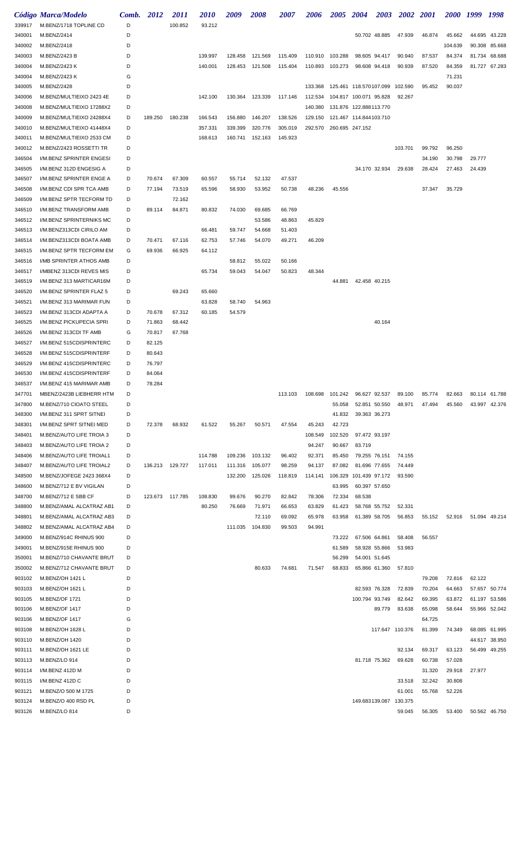|                  | Código Marca/Modelo                                 | Comb.  | 2012            | <i>2011</i> | <i>2010</i> | 2009    | 2008            | 2007    | 2006    | 2005 2004              |                        | <b>2003</b>   | 2002 2001        |                                                                 |                  | 2000 1999 | 1998          |
|------------------|-----------------------------------------------------|--------|-----------------|-------------|-------------|---------|-----------------|---------|---------|------------------------|------------------------|---------------|------------------|-----------------------------------------------------------------|------------------|-----------|---------------|
| 339917           | M.BENZ/1718 TOPLINE CD                              | D      |                 | 100.852     | 93.212      |         |                 |         |         |                        |                        |               |                  |                                                                 |                  |           |               |
| 340001           | M.BENZ/2414                                         | D      |                 |             |             |         |                 |         |         |                        |                        | 50.702 48.885 | 47.939           | 46.874                                                          | 45.662           |           | 44.695 43.228 |
| 340002           | M.BENZ/2418                                         | D      |                 |             |             |         |                 |         |         |                        |                        |               |                  |                                                                 | 104.639          |           | 90.308 85.668 |
| 340003           | M.BENZ/2423 B                                       | D      |                 |             | 139.997     | 128.458 | 121.569         | 115.409 | 110.910 | 103.288                |                        | 98.605 94.417 | 90.940           | 87.537                                                          | 84.374           | 81.734    | 68.688        |
| 340004           | M.BENZ/2423 K                                       | D      |                 |             | 140.001     |         | 128.453 121.508 | 115.404 |         | 110.893 103.273        |                        | 98.608 94.418 | 90.939           | 87.520                                                          | 84.359           |           | 81.727 67.283 |
| 340004           | M.BENZ/2423 K                                       | G      |                 |             |             |         |                 |         |         |                        |                        |               |                  |                                                                 | 71.231           |           |               |
| 340005           | M.BENZ/2428                                         | D      |                 |             |             |         |                 |         | 133.368 | 125.461 118.570107.099 |                        |               | 102.590          | 95.452                                                          | 90.037           |           |               |
| 340006           | M.BENZ/MULTIEIXO 2423 4E                            | D      |                 |             | 142.100     |         | 130.364 123.339 | 117.146 | 112.534 | 104.817 100.071 95.828 |                        |               | 92.267           |                                                                 |                  |           |               |
| 340008           | M.BENZ/MULTIEIXO 17288X2                            | D      |                 |             |             |         |                 |         | 140.380 |                        | 131.876 122.888113.770 |               |                  |                                                                 |                  |           |               |
| 340009           | M.BENZ/MULTIEIXO 24288X4                            | D      | 189.250         | 180.238     | 166.543     | 156.880 | 146.207         | 138.526 | 129.150 |                        | 121.467 114.844103.710 |               |                  |                                                                 |                  |           |               |
| 340010           | M.BENZ/MULTIEIXO 41448X4                            | D<br>D |                 |             | 357.331     | 339.399 | 320.776         | 305.019 | 292.570 | 260.695 247.152        |                        |               |                  |                                                                 |                  |           |               |
| 340011<br>340012 | M.BENZ/MULTIEIXO 2533 CM<br>M.BENZ/2423 ROSSETTI TR | D      |                 |             | 168.613     | 160.741 | 152.163         | 145.923 |         |                        |                        |               | 103.701          | 99.792                                                          | 96.250           |           |               |
| 346504           | I/M.BENZ SPRINTER ENGESI                            | D      |                 |             |             |         |                 |         |         |                        |                        |               |                  | 34.190                                                          | 30.798           | 29.777    |               |
| 346505           | I/M.BENZ 312D ENGESIG A                             | D      |                 |             |             |         |                 |         |         |                        |                        | 34.170 32.934 | 29.638           | 28.424                                                          | 27.463           | 24.439    |               |
| 346507           | I/M.BENZ SPRINTER ENGE A                            | D      | 70.674          | 67.309      | 60.557      | 55.714  | 52.132          | 47.537  |         |                        |                        |               |                  |                                                                 |                  |           |               |
| 346508           | I/M.BENZ CDI SPR TCA AMB                            | D      | 77.194          | 73.519      | 65.596      | 58.930  | 53.952          | 50.738  | 48.236  | 45.556                 |                        |               |                  | 37.347                                                          | 35.729           |           |               |
| 346509           | I/M.BENZ SPTR TECFORM TD                            | D      |                 | 72.162      |             |         |                 |         |         |                        |                        |               |                  |                                                                 |                  |           |               |
| 346510           | I/M.BENZ TRANSFORM AMB                              | D      | 89.114          | 84.871      | 80.832      | 74.030  | 69.685          | 66.769  |         |                        |                        |               |                  |                                                                 |                  |           |               |
| 346512           | I/M.BENZ SPRINTERNIKS MC                            | D      |                 |             |             |         | 53.586          | 48.863  | 45.829  |                        |                        |               |                  |                                                                 |                  |           |               |
| 346513           | I/M.BENZ313CDI CIRILO AM                            | D      |                 |             | 66.481      | 59.747  | 54.668          | 51.403  |         |                        |                        |               |                  |                                                                 |                  |           |               |
| 346514           | I/M.BENZ313CDI BOATA AMB                            | D      | 70.471          | 67.116      | 62.753      | 57.746  | 54.070          | 49.271  | 46.209  |                        |                        |               |                  |                                                                 |                  |           |               |
| 346515           | I/M.BENZ SPTR TECFORM EM                            | G      | 69.936          | 66.925      | 64.112      |         |                 |         |         |                        |                        |               |                  |                                                                 |                  |           |               |
| 346516           | I/MB SPRINTER ATHOS AMB                             | D      |                 |             |             | 58.812  | 55.022          | 50.166  |         |                        |                        |               |                  |                                                                 |                  |           |               |
| 346517           | I/MBENZ 313CDI REVES MIS                            | D      |                 |             | 65.734      | 59.043  | 54.047          | 50.823  | 48.344  |                        |                        |               |                  |                                                                 |                  |           |               |
| 346519           | I/M.BENZ 313 MARTICAR16M                            | D      |                 |             |             |         |                 |         |         | 44.881                 | 42.458 40.215          |               |                  |                                                                 |                  |           |               |
| 346520           | I/M.BENZ SPRINTER FLAZ 5                            | D      |                 | 69.243      | 65.660      |         |                 |         |         |                        |                        |               |                  |                                                                 |                  |           |               |
| 346521           | I/M.BENZ 313 MARIMAR FUN                            | D      |                 |             | 63.828      | 58.740  | 54.963          |         |         |                        |                        |               |                  |                                                                 |                  |           |               |
| 346523           | I/M.BENZ 313CDI ADAPTA A                            | D      | 70.678          | 67.312      | 60.185      | 54.579  |                 |         |         |                        |                        |               |                  |                                                                 |                  |           |               |
| 346525           | I/M.BENZ PICKUPECIA SPRI                            | D      | 71.863          | 68.442      |             |         |                 |         |         |                        |                        | 40.164        |                  |                                                                 |                  |           |               |
| 346526           | I/M.BENZ 313CDI TF AMB                              | G      | 70.817          | 67.768      |             |         |                 |         |         |                        |                        |               |                  |                                                                 |                  |           |               |
| 346527           | I/M.BENZ 515CDISPRINTERC                            | D      | 82.125          |             |             |         |                 |         |         |                        |                        |               |                  |                                                                 |                  |           |               |
| 346528           | I/M.BENZ 515CDISPRINTERF                            | D      | 80.643          |             |             |         |                 |         |         |                        |                        |               |                  |                                                                 |                  |           |               |
| 346529           | I/M.BENZ 415CDISPRINTERC                            | D      | 76.797          |             |             |         |                 |         |         |                        |                        |               |                  |                                                                 |                  |           |               |
| 346530           | I/M.BENZ 415CDISPRINTERF                            | D      | 84.064          |             |             |         |                 |         |         |                        |                        |               |                  |                                                                 |                  |           |               |
| 346537           | I/M.BENZ 415 MARIMAR AMB                            | D      | 78.284          |             |             |         |                 |         |         |                        |                        |               |                  |                                                                 |                  |           |               |
| 347701           | MBENZ/2423B LIEBHERR HTM                            | D      |                 |             |             |         |                 | 113.103 | 108.698 |                        |                        |               |                  | 101.242  96.627  92.537  89.100  85.774  82.663  80.114  61.788 |                  |           |               |
| 347800           | M.BENZ/710 CIOATO STEEL<br>I/M.BENZ 311 SPRT SITNEI | D      |                 |             |             |         |                 |         |         | 55.058                 |                        | 52.851 50.550 | 48.971           | 47.494                                                          | 45.560           | 43.997    | 42.376        |
| 348300<br>348301 | I/M.BENZ SPRT SITNEI MED                            | D<br>D | 72.378          | 68.932      | 61.522      | 55.267  | 50.571          | 47.554  | 45.243  | 41.832<br>42.723       | 39.363 36.273          |               |                  |                                                                 |                  |           |               |
| 348401           | M.BENZ/AUTO LIFE TROIA 3                            | D      |                 |             |             |         |                 |         | 108.549 | 102.520                | 97.472 93.197          |               |                  |                                                                 |                  |           |               |
| 348403           | M.BENZ/AUTO LIFE TROIA 2                            | D      |                 |             |             |         |                 |         | 94.247  | 90.667                 | 83.719                 |               |                  |                                                                 |                  |           |               |
| 348406           | M.BENZ/AUTO LIFE TROIAL1                            | D      |                 |             | 114.788     | 109.236 | 103.132         | 96.402  | 92.371  | 85.450                 |                        | 79.255 76.151 | 74.155           |                                                                 |                  |           |               |
| 348407           | M.BENZ/AUTO LIFE TROIAL2                            | D      | 136.213 129.727 |             | 117.011     | 111.316 | 105.077         | 98.259  | 94.137  | 87.082                 | 81.696 77.655          |               | 74.449           |                                                                 |                  |           |               |
| 348500           | M.BENZ/JOFEGE 2423 368X4                            | D      |                 |             |             | 132.200 | 125.026         | 118.819 | 114.141 |                        | 106.329 101.439 97.172 |               | 93.590           |                                                                 |                  |           |               |
| 348600           | M.BENZ/712 E BV VIGILAN                             | D      |                 |             |             |         |                 |         |         | 63.995                 |                        | 60.397 57.650 |                  |                                                                 |                  |           |               |
| 348700           | M.BENZ/712 E SBB CF                                 | D      | 123.673 117.785 |             | 108.830     | 99.676  | 90.270          | 82.842  | 78.306  | 72.334                 | 68.538                 |               |                  |                                                                 |                  |           |               |
| 348800           | M.BENZ/AMAL ALCATRAZ AB1                            | D      |                 |             | 80.250      | 76.669  | 71.971          | 66.653  | 63.829  | 61.423                 |                        | 58.768 55.752 | 52.331           |                                                                 |                  |           |               |
| 348801           | M.BENZ/AMAL ALCATRAZ AB3                            | D      |                 |             |             |         | 72.110          | 69.092  | 65.978  | 63.958                 |                        | 61.389 58.705 | 56.853           | 55.152                                                          | 52.916           |           | 51.094 49.214 |
| 348802           | M.BENZ/AMAL ALCATRAZ AB4                            | D      |                 |             |             | 111.035 | 104.830         | 99.503  | 94.991  |                        |                        |               |                  |                                                                 |                  |           |               |
| 349000           | M.BENZ/914C RHINUS 900                              | D      |                 |             |             |         |                 |         |         | 73.222                 | 67.506 64.861          |               | 58.408           | 56.557                                                          |                  |           |               |
| 349001           | M.BENZ/915E RHINUS 900                              | D      |                 |             |             |         |                 |         |         | 61.589                 |                        | 58.928 55.866 | 53.983           |                                                                 |                  |           |               |
| 350001           | M.BENZ/710 CHAVANTE BRUT                            | D      |                 |             |             |         |                 |         |         | 56.299                 |                        | 54.001 51.645 |                  |                                                                 |                  |           |               |
| 350002           | M.BENZ/712 CHAVANTE BRUT                            | D      |                 |             |             |         | 80.633          | 74.681  | 71.547  | 68.833                 |                        | 65.866 61.360 | 57.810           |                                                                 |                  |           |               |
| 903102           | M.BENZ/OH 1421 L                                    | D      |                 |             |             |         |                 |         |         |                        |                        |               |                  | 79.208                                                          | 72.816           | 62.122    |               |
| 903103           | M.BENZ/OH 1621 L                                    | D      |                 |             |             |         |                 |         |         |                        |                        | 82.593 76.328 | 72.839           | 70.204                                                          | 64.663           |           | 57.657 50.774 |
| 903105           | <b>M.BENZ/OF 1721</b>                               | D      |                 |             |             |         |                 |         |         |                        | 100.794 93.749         |               | 82.642           | 69.395                                                          | 63.872           | 61.197    | 53.586        |
| 903106           | M.BENZ/OF 1417                                      | D      |                 |             |             |         |                 |         |         |                        |                        | 89.779        | 83.638           | 65.098                                                          | 58.644           |           | 55.966 52.042 |
| 903106           | M.BENZ/OF 1417                                      | G      |                 |             |             |         |                 |         |         |                        |                        |               |                  | 64.725                                                          |                  |           |               |
| 903108           | M.BENZ/OH 1628 L                                    | D      |                 |             |             |         |                 |         |         |                        |                        |               | 117.647 110.376  | 81.399                                                          | 74.349           |           | 68.085 61.995 |
| 903110           | M.BENZ/OH 1420                                      | D      |                 |             |             |         |                 |         |         |                        |                        |               |                  |                                                                 |                  | 44.617    | 38.950        |
| 903111           | M.BENZ/OH 1621 LE                                   | D      |                 |             |             |         |                 |         |         |                        |                        |               | 92.134           | 69.317                                                          | 63.123           |           | 56.499 49.255 |
| 903113           | M.BENZ/LO 914                                       | D      |                 |             |             |         |                 |         |         |                        |                        | 81.718 75.362 | 69.628           | 60.738                                                          | 57.028           |           |               |
| 903114           | I/M.BENZ 412D M                                     | D<br>D |                 |             |             |         |                 |         |         |                        |                        |               |                  | 31.320                                                          | 29.918           | 27.977    |               |
| 903115<br>903121 | I/M.BENZ 412D C<br>M.BENZ/O 500 M 1725              | D      |                 |             |             |         |                 |         |         |                        |                        |               | 33.518<br>61.001 | 32.242<br>55.768                                                | 30.808<br>52.226 |           |               |
| 903124           | M.BENZ/O 400 RSD PL                                 | D      |                 |             |             |         |                 |         |         |                        | 149.683139.087         |               | 130.375          |                                                                 |                  |           |               |
| 903126           | M.BENZ/LO 814                                       | D      |                 |             |             |         |                 |         |         |                        |                        |               | 59.045           | 56.305                                                          | 53.400           |           | 50.562 46.750 |
|                  |                                                     |        |                 |             |             |         |                 |         |         |                        |                        |               |                  |                                                                 |                  |           |               |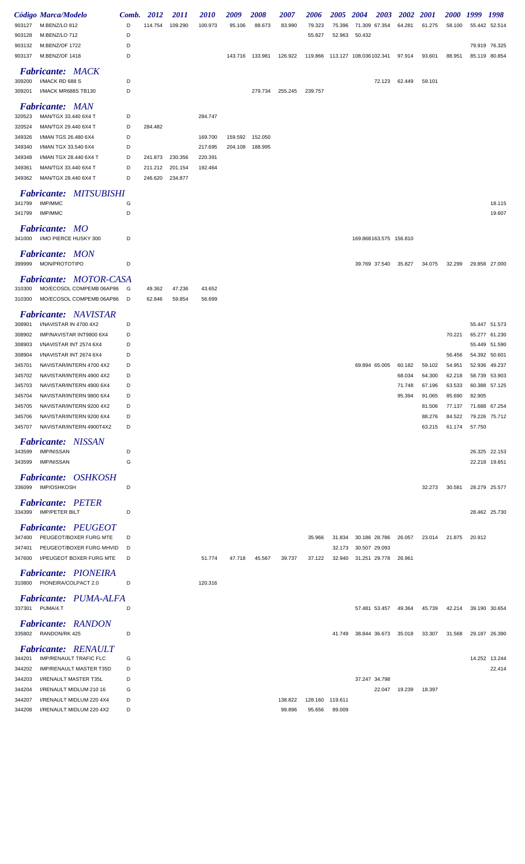|        | Código Marca/Modelo                                     | Comb. | 2012    | <i>2011</i> | <i>2010</i> | 2009    | 2008            | 2007    | 2006    | <b>2005</b> | <b>2004</b>            | <b>2003</b>   | 2002   | <i>2001</i> | <i><b>2000</b></i> | 1999          | 1998          |
|--------|---------------------------------------------------------|-------|---------|-------------|-------------|---------|-----------------|---------|---------|-------------|------------------------|---------------|--------|-------------|--------------------|---------------|---------------|
| 903127 | M.BENZ/LO 812                                           | D     | 114.754 | 109.290     | 100.973     | 95.106  | 88.673          | 83.990  | 79.323  | 75.396      | 71.309                 | 67.354        | 64.281 | 61.275      | 58.100             |               | 55.442 52.514 |
| 903128 | M.BENZ/LO 712                                           | D     |         |             |             |         |                 |         | 55.827  | 52.963      | 50.432                 |               |        |             |                    |               |               |
| 903132 | M.BENZ/OF 1722                                          | D     |         |             |             |         |                 |         |         |             |                        |               |        |             |                    |               | 79.919 76.325 |
| 903137 | M.BENZ/OF 1418                                          | D     |         |             |             |         | 143.716 133.981 | 126.922 | 119.866 |             | 113.127 108.036102.341 |               | 97.914 | 93.601      | 88.951             |               | 85.119 80.854 |
|        | <b>Fabricante: MACK</b>                                 |       |         |             |             |         |                 |         |         |             |                        |               |        |             |                    |               |               |
| 309200 | I/MACK RD 688 S                                         | D     |         |             |             |         |                 |         |         |             |                        | 72.123        | 62.449 | 59.101      |                    |               |               |
| 309201 | I/MACK MR688S TB130                                     | D     |         |             |             |         | 279.734         | 255.245 | 239.757 |             |                        |               |        |             |                    |               |               |
|        |                                                         |       |         |             |             |         |                 |         |         |             |                        |               |        |             |                    |               |               |
|        | <b>Fabricante: MAN</b>                                  |       |         |             |             |         |                 |         |         |             |                        |               |        |             |                    |               |               |
| 320523 | MAN/TGX 33.440 6X4 T                                    | D     |         |             | 284.747     |         |                 |         |         |             |                        |               |        |             |                    |               |               |
| 320524 | MAN/TGX 29.440 6X4 T                                    | D     | 284.482 |             |             |         |                 |         |         |             |                        |               |        |             |                    |               |               |
| 349326 | I/MAN TGS 26.480 6X4                                    | D     |         |             | 169.700     | 159.592 | 152.050         |         |         |             |                        |               |        |             |                    |               |               |
| 349340 | I/MAN TGX 33.540 6X4                                    | D     |         |             | 217.695     |         | 204.108 188.995 |         |         |             |                        |               |        |             |                    |               |               |
| 349348 | I/MAN TGX 28.440 6X4 T                                  | D     | 241.873 | 230.356     | 220.391     |         |                 |         |         |             |                        |               |        |             |                    |               |               |
| 349361 | MAN/TGX 33.440 6X4 T                                    | D     | 211.212 | 201.154     | 192.464     |         |                 |         |         |             |                        |               |        |             |                    |               |               |
| 349362 | MAN/TGX 28.440 6X4 T                                    | D     | 246.620 | 234.877     |             |         |                 |         |         |             |                        |               |        |             |                    |               |               |
|        | <b>Fabricante:</b>                                      |       |         |             |             |         |                 |         |         |             |                        |               |        |             |                    |               |               |
| 341799 | <i>MITSUBISHI</i><br>IMP/MMC                            | G     |         |             |             |         |                 |         |         |             |                        |               |        |             |                    |               | 18.115        |
| 341799 | <b>IMP/MMC</b>                                          | D     |         |             |             |         |                 |         |         |             |                        |               |        |             |                    |               | 19.607        |
|        |                                                         |       |         |             |             |         |                 |         |         |             |                        |               |        |             |                    |               |               |
|        | <b>Fabricante: MO</b>                                   |       |         |             |             |         |                 |         |         |             |                        |               |        |             |                    |               |               |
|        | 341000 I/MO PIERCE HUSKY 300                            | D     |         |             |             |         |                 |         |         |             | 169.868163.575 156.810 |               |        |             |                    |               |               |
|        |                                                         |       |         |             |             |         |                 |         |         |             |                        |               |        |             |                    |               |               |
|        | <b>Fabricante: MON</b><br>MON/PROTOTIPO                 |       |         |             |             |         |                 |         |         |             |                        |               |        |             |                    |               |               |
| 399999 |                                                         | D     |         |             |             |         |                 |         |         |             | 39.769 37.540          |               | 35.827 | 34.075      | 32.299             |               | 29.858 27.000 |
|        | <b>Fabricante: MOTOR-CASA</b>                           |       |         |             |             |         |                 |         |         |             |                        |               |        |             |                    |               |               |
| 310300 | MO/ECOSOL COMPEMB 06AP86                                | G     | 49.362  | 47.236      | 43.652      |         |                 |         |         |             |                        |               |        |             |                    |               |               |
| 310300 | MO/ECOSOL COMPEMB 06AP86                                | D     | 62.846  | 59.854      | 56.699      |         |                 |         |         |             |                        |               |        |             |                    |               |               |
|        |                                                         |       |         |             |             |         |                 |         |         |             |                        |               |        |             |                    |               |               |
|        | <b>Fabricante:</b> NAVISTAR                             | D     |         |             |             |         |                 |         |         |             |                        |               |        |             |                    |               | 55.447 51.573 |
| 308901 | I/NAVISTAR IN 4700 4X2                                  |       |         |             |             |         |                 |         |         |             |                        |               |        |             |                    |               |               |
| 308902 | IMP/NAVISTAR INT9800 6X4                                | D     |         |             |             |         |                 |         |         |             |                        |               |        |             | 70.221             |               | 65.277 61.230 |
| 308903 | I/NAVISTAR INT 2574 6X4                                 | D     |         |             |             |         |                 |         |         |             |                        |               |        |             |                    |               | 55.449 51.590 |
| 308904 | I/NAVISTAR INT 2674 6X4                                 | D     |         |             |             |         |                 |         |         |             |                        |               |        |             | 56.456             | 54.392 50.601 |               |
| 345701 | NAVISTAR/INTERN 4700 4X2                                | D     |         |             |             |         |                 |         |         |             | 69.894 65.005          |               | 60.182 | 59.102      | 54.951             | 52.936        | 49.237        |
| 345702 | NAVISTAR/INTERN 4900 4X2                                | D     |         |             |             |         |                 |         |         |             |                        |               | 68.034 | 64.300      | 62.218             |               | 58.739 53.903 |
| 345703 | NAVISTAR/INTERN 4900 6X4                                | D     |         |             |             |         |                 |         |         |             |                        |               | 71.748 | 67.196      | 63.533             |               | 60.388 57.125 |
| 345704 | NAVISTAR/INTERN 9800 6X4                                | D     |         |             |             |         |                 |         |         |             |                        |               | 95.394 | 91.065      | 85.690             | 82.905        |               |
| 345705 | NAVISTAR/INTERN 9200 4X2                                | D     |         |             |             |         |                 |         |         |             |                        |               |        | 81.506      | 77.137             |               | 71.688 67.254 |
| 345706 | NAVISTAR/INTERN 9200 6X4                                | D     |         |             |             |         |                 |         |         |             |                        |               |        | 88.276      | 84.522             |               | 79.226 75.712 |
| 345707 | NAVISTAR/INTERN 4900T4X2                                | D     |         |             |             |         |                 |         |         |             |                        |               |        | 63.215      | 61.174             | 57.750        |               |
|        | <b>Fabricante: NISSAN</b>                               |       |         |             |             |         |                 |         |         |             |                        |               |        |             |                    |               |               |
| 343599 | <b>IMP/NISSAN</b>                                       | D     |         |             |             |         |                 |         |         |             |                        |               |        |             |                    |               | 26.325 22.153 |
| 343599 | <b>IMP/NISSAN</b>                                       | G     |         |             |             |         |                 |         |         |             |                        |               |        |             |                    |               | 22.218 19.651 |
|        |                                                         |       |         |             |             |         |                 |         |         |             |                        |               |        |             |                    |               |               |
|        | <b>Fabricante: OSHKOSH</b><br>336099 IMP/OSHKOSH        | D     |         |             |             |         |                 |         |         |             |                        |               |        |             |                    |               |               |
|        |                                                         |       |         |             |             |         |                 |         |         |             |                        |               |        | 32.273      | 30.581             |               | 28.279 25.577 |
|        | <b>Fabricante: PETER</b>                                |       |         |             |             |         |                 |         |         |             |                        |               |        |             |                    |               |               |
| 334399 | <b>IMP/PETER BILT</b>                                   | D     |         |             |             |         |                 |         |         |             |                        |               |        |             |                    |               | 28.462 25.730 |
|        | <b>Fabricante: PEUGEOT</b>                              |       |         |             |             |         |                 |         |         |             |                        |               |        |             |                    |               |               |
| 347400 | PEUGEOT/BOXER FURG MTE                                  | D     |         |             |             |         |                 |         | 35.966  | 31.834      | 30.186 28.786          |               | 26.057 | 23.014      | 21.875             | 20.912        |               |
| 347401 | PEUGEOT/BOXER FURG MHVID                                | D     |         |             |             |         |                 |         |         | 32.173      | 30.507 29.093          |               |        |             |                    |               |               |
| 347600 | I/PEUGEOT BOXER FURG MTE                                | D     |         |             | 51.774      | 47.718  | 45.567          | 39.737  | 37.122  | 32.940      | 31.251 29.778          |               | 26.961 |             |                    |               |               |
|        |                                                         |       |         |             |             |         |                 |         |         |             |                        |               |        |             |                    |               |               |
|        | <b>Fabricante: PIONEIRA</b>                             |       |         |             |             |         |                 |         |         |             |                        |               |        |             |                    |               |               |
|        | 310800 PIONEIRA/COLPACT 2.0                             | D     |         |             | 120.316     |         |                 |         |         |             |                        |               |        |             |                    |               |               |
|        | <b>Fabricante: PUMA-ALFA</b>                            |       |         |             |             |         |                 |         |         |             |                        |               |        |             |                    |               |               |
|        | 337301 PUMA/4.T                                         | D     |         |             |             |         |                 |         |         |             |                        | 57.481 53.457 | 49.364 | 45.739      | 42.214             |               | 39.190 30.654 |
|        |                                                         |       |         |             |             |         |                 |         |         |             |                        |               |        |             |                    |               |               |
|        | <b>Fabricante: RANDON</b>                               |       |         |             |             |         |                 |         |         |             |                        |               |        |             |                    |               |               |
| 335802 | RANDON/RK 425                                           | D     |         |             |             |         |                 |         |         | 41.749      | 38.844 36.673          |               | 35.018 | 33.307      | 31.568             |               | 29.187 26.390 |
|        | <b>Fabricante: RENAULT</b>                              |       |         |             |             |         |                 |         |         |             |                        |               |        |             |                    |               |               |
| 344201 | <b>IMP/RENAULT TRAFIC FLC</b>                           | G     |         |             |             |         |                 |         |         |             |                        |               |        |             |                    |               | 14.252 13.244 |
| 344202 |                                                         | D     |         |             |             |         |                 |         |         |             |                        |               |        |             |                    |               | 22.414        |
|        | <b>IMP/RENAULT MASTER T35D</b><br>I/RENAULT MASTER T35L | D     |         |             |             |         |                 |         |         |             |                        |               |        |             |                    |               |               |
| 344203 |                                                         |       |         |             |             |         |                 |         |         |             | 37.247 34.798          |               |        |             |                    |               |               |
| 344204 | I/RENAULT MIDLUM 210 16                                 | G     |         |             |             |         |                 |         |         |             |                        | 22.047        | 19.239 | 18.397      |                    |               |               |
| 344207 | I/RENAULT MIDLUM 220 4X4                                | D     |         |             |             |         |                 | 138.822 | 128.160 | 119.611     |                        |               |        |             |                    |               |               |
| 344208 | I/RENAULT MIDLUM 220 4X2                                | D     |         |             |             |         |                 | 99.896  | 95.656  | 89.009      |                        |               |        |             |                    |               |               |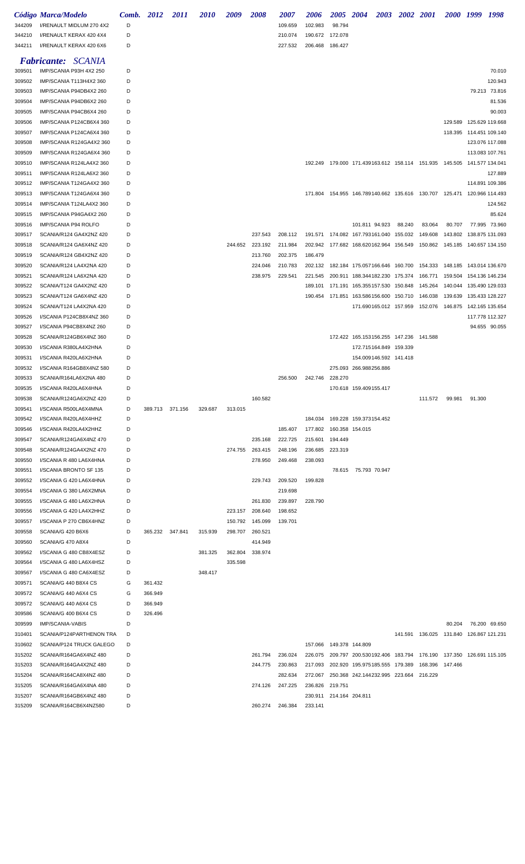|                  | Código Marca/Modelo                                  |        | Comb. 2012      | <i>2011</i>     | <i><b>2010</b></i> | 2009    | 2008               | <i><b>2007</b></i> | 2006                               | 2005 2004                 |                                                                               | 2003 2002 2001 |                                             |                                 | 2000 1999 1998 |                                    |
|------------------|------------------------------------------------------|--------|-----------------|-----------------|--------------------|---------|--------------------|--------------------|------------------------------------|---------------------------|-------------------------------------------------------------------------------|----------------|---------------------------------------------|---------------------------------|----------------|------------------------------------|
| 344209           | I/RENAULT MIDLUM 270 4X2                             | D      |                 |                 |                    |         |                    | 109.659            | 102.983                            | 98.794                    |                                                                               |                |                                             |                                 |                |                                    |
| 344210<br>344211 | I/RENAULT KERAX 420 4X4<br>I/RENAULT KERAX 420 6X6   | D<br>D |                 |                 |                    |         |                    | 210.074<br>227.532 | 190.672 172.078<br>206.468 186.427 |                           |                                                                               |                |                                             |                                 |                |                                    |
|                  |                                                      |        |                 |                 |                    |         |                    |                    |                                    |                           |                                                                               |                |                                             |                                 |                |                                    |
|                  | <b>Fabricante: SCANIA</b>                            |        |                 |                 |                    |         |                    |                    |                                    |                           |                                                                               |                |                                             |                                 |                |                                    |
| 309501           | IMP/SCANIA P93H 4X2 250                              | D      |                 |                 |                    |         |                    |                    |                                    |                           |                                                                               |                |                                             |                                 |                | 70.010                             |
| 309502           | IMP/SCANIA T113H4X2 360                              | D      |                 |                 |                    |         |                    |                    |                                    |                           |                                                                               |                |                                             |                                 |                | 120.943                            |
| 309503           | IMP/SCANIA P94DB4X2 260                              | D      |                 |                 |                    |         |                    |                    |                                    |                           |                                                                               |                |                                             |                                 |                | 79.213 73.816                      |
| 309504           | IMP/SCANIA P94DB6X2 260                              | D      |                 |                 |                    |         |                    |                    |                                    |                           |                                                                               |                |                                             |                                 |                | 81.536                             |
| 309505           | IMP/SCANIA P94CB6X4 260                              | D      |                 |                 |                    |         |                    |                    |                                    |                           |                                                                               |                |                                             |                                 |                | 90.003                             |
| 309506           | IMP/SCANIA P124CB6X4 360                             | D      |                 |                 |                    |         |                    |                    |                                    |                           |                                                                               |                |                                             | 129.589                         |                | 125.629 119.668                    |
| 309507           | IMP/SCANIA P124CA6X4 360                             | D      |                 |                 |                    |         |                    |                    |                                    |                           |                                                                               |                |                                             | 118.395 114.451 109.140         |                |                                    |
| 309508<br>309509 | IMP/SCANIA R124GA4X2 360<br>IMP/SCANIA R124GA6X4 360 | D<br>D |                 |                 |                    |         |                    |                    |                                    |                           |                                                                               |                |                                             |                                 |                | 123.076 117.088<br>113.083 107.761 |
| 309510           | IMP/SCANIA R124LA4X2 360                             | D      |                 |                 |                    |         |                    |                    |                                    |                           | 192.249  179.000  171.439163.612  158.114  151.935  145.505  141.577  134.041 |                |                                             |                                 |                |                                    |
| 309511           | IMP/SCANIA R124LA6X2 360                             | D      |                 |                 |                    |         |                    |                    |                                    |                           |                                                                               |                |                                             |                                 |                | 127.889                            |
| 309512           | IMP/SCANIA T124GA4X2 360                             | D      |                 |                 |                    |         |                    |                    |                                    |                           |                                                                               |                |                                             |                                 |                | 114.891 109.386                    |
| 309513           | IMP/SCANIA T124GA6X4 360                             | D      |                 |                 |                    |         |                    |                    |                                    |                           | 171.804  154.955  146.789140.662  135.616  130.707  125.471  120.966  114.493 |                |                                             |                                 |                |                                    |
| 309514           | IMP/SCANIA T124LA4X2 360                             | D      |                 |                 |                    |         |                    |                    |                                    |                           |                                                                               |                |                                             |                                 |                | 124.562                            |
| 309515           | IMP/SCANIA P94GA4X2 260                              | D      |                 |                 |                    |         |                    |                    |                                    |                           |                                                                               |                |                                             |                                 |                | 85.624                             |
| 309516           | IMP/SCANIA P94 ROLFO                                 | D      |                 |                 |                    |         |                    |                    |                                    |                           | 101.811 94.923                                                                | 88.240         | 83.064                                      | 80.707                          |                | 77.995 73.960                      |
| 309517           | SCANIA/R124 GA4X2NZ 420                              | D      |                 |                 |                    |         | 237.543            | 208.112            |                                    |                           | 191.571  174.082  167.793161.040  155.032                                     |                | 149.608                                     | 143.802                         |                | 138.875 131.093                    |
| 309518           | SCANIA/R124 GA6X4NZ 420                              | D      |                 |                 |                    | 244.652 | 223.192            | 211.984            |                                    |                           | 202.942 177.682 168.620162.964 156.549                                        |                |                                             | 150.862 145.185 140.657 134.150 |                |                                    |
| 309519           | SCANIA/R124 GB4X2NZ 420                              | D      |                 |                 |                    |         | 213.760            | 202.375            | 186.479                            |                           |                                                                               |                |                                             |                                 |                |                                    |
| 309520           | SCANIA/R124 LA4X2NA 420                              | D      |                 |                 |                    |         | 224.046            | 210.783            | 202.132                            |                           | 182.184 175.057166.646 160.700 154.333 148.185 143.014 136.670                |                |                                             |                                 |                |                                    |
| 309521           | SCANIA/R124 LA6X2NA 420                              | D      |                 |                 |                    |         | 238.975            | 229.541            |                                    |                           | 221.545 200.911 188.344182.230 175.374                                        |                |                                             | 166.771 159.504 154.136 146.234 |                |                                    |
| 309522           | SCANIA/T124 GA4X2NZ 420                              | D      |                 |                 |                    |         |                    |                    | 189.101                            |                           | 171.191  165.355157.530  150.848                                              |                | 145.264                                     | 140.044 135.490 129.033         |                |                                    |
| 309523           | SCANIA/T124 GA6X4NZ 420                              | D      |                 |                 |                    |         |                    |                    |                                    |                           | 190.454 171.851 163.586156.600 150.710 146.038                                |                |                                             | 139.639 135.433 128.227         |                |                                    |
| 309524           | SCANIA/T124 LA4X2NA 420                              | D      |                 |                 |                    |         |                    |                    |                                    |                           | 171.690165.012 157.959 152.076 146.875 142.165 135.654                        |                |                                             |                                 |                |                                    |
| 309526           | I/SCANIA P124CB8X4NZ 360                             | D      |                 |                 |                    |         |                    |                    |                                    |                           |                                                                               |                |                                             |                                 |                | 117.778 112.327                    |
| 309527           | I/SCANIA P94CB8X4NZ 260                              | D      |                 |                 |                    |         |                    |                    |                                    |                           |                                                                               |                |                                             |                                 |                | 94.655 90.055                      |
| 309528           | SCANIA/R124GB6X4NZ 360                               | D      |                 |                 |                    |         |                    |                    |                                    |                           | 172.422 165.153156.255 147.236 141.588                                        |                |                                             |                                 |                |                                    |
| 309530           | I/SCANIA R380LA4X2HNA                                | D      |                 |                 |                    |         |                    |                    |                                    |                           | 172.715164.849 159.339                                                        |                |                                             |                                 |                |                                    |
| 309531           | I/SCANIA R420LA6X2HNA                                | D      |                 |                 |                    |         |                    |                    |                                    |                           | 154.009146.592 141.418                                                        |                |                                             |                                 |                |                                    |
| 309532           | I/SCANIA R164GB8X4NZ 580                             | D      |                 |                 |                    |         |                    |                    |                                    |                           | 275.093 266.988256.886                                                        |                |                                             |                                 |                |                                    |
| 309533           | SCANIA/R164LA6X2NA 480                               | D      |                 |                 |                    |         |                    | 256.500            | 242.746 228.270                    |                           |                                                                               |                |                                             |                                 |                |                                    |
| 309535           | I/SCANIA R420LA6X4HNA                                | D      |                 |                 |                    |         |                    |                    |                                    |                           | 170.618 159.409155.417                                                        |                |                                             |                                 |                |                                    |
| 309538           | SCANIA/R124GA6X2NZ 420                               | D      |                 |                 |                    |         | 160.582            |                    |                                    |                           |                                                                               |                | 111.572                                     | 99.981                          | 91.300         |                                    |
| 309541           | I/SCANIA R500LA6X4MNA                                | D      |                 | 389.713 371.156 | 329.687            | 313.015 |                    |                    |                                    |                           |                                                                               |                |                                             |                                 |                |                                    |
| 309542           | I/SCANIA R420LA6X4HHZ                                | D      |                 |                 |                    |         |                    |                    |                                    |                           | 184.034  169.228  159.373154.452                                              |                |                                             |                                 |                |                                    |
| 309546           | I/SCANIA R420LA4X2HHZ                                | D      |                 |                 |                    |         |                    | 185.407            | 177.802                            |                           | 160.358 154.015                                                               |                |                                             |                                 |                |                                    |
| 309547           | SCANIA/R124GA6X4NZ 470                               | D<br>D |                 |                 |                    | 274.755 | 235.168            | 222.725<br>248.196 | 215.601<br>236.685                 | 194.449                   |                                                                               |                |                                             |                                 |                |                                    |
| 309548<br>309550 | SCANIA/R124GA4X2NZ 470<br>I/SCANIA R 480 LA6X4HNA    | D      |                 |                 |                    |         | 263.415<br>278.950 | 249.468            | 238.093                            | 223.319                   |                                                                               |                |                                             |                                 |                |                                    |
| 309551           | I/SCANIA BRONTO SF 135                               | D      |                 |                 |                    |         |                    |                    |                                    |                           | 78.615 75.793 70.947                                                          |                |                                             |                                 |                |                                    |
| 309552           | I/SCANIA G 420 LA6X4HNA                              | D      |                 |                 |                    |         | 229.743            | 209.520            | 199.828                            |                           |                                                                               |                |                                             |                                 |                |                                    |
| 309554           | I/SCANIA G 380 LA6X2MNA                              | D      |                 |                 |                    |         |                    | 219.698            |                                    |                           |                                                                               |                |                                             |                                 |                |                                    |
| 309555           | I/SCANIA G 480 LA6X2HNA                              | D      |                 |                 |                    |         | 261.830            | 239.897            | 228.790                            |                           |                                                                               |                |                                             |                                 |                |                                    |
| 309556           | I/SCANIA G 420 LA4X2HHZ                              | D      |                 |                 |                    |         | 223.157 208.640    | 198.652            |                                    |                           |                                                                               |                |                                             |                                 |                |                                    |
| 309557           | I/SCANIA P 270 CB6X4HNZ                              | D      |                 |                 |                    | 150.792 | 145.099            | 139.701            |                                    |                           |                                                                               |                |                                             |                                 |                |                                    |
| 309558           | SCANIA/G 420 B6X6                                    | D      | 365.232 347.841 |                 | 315.939            | 298.707 | 260.521            |                    |                                    |                           |                                                                               |                |                                             |                                 |                |                                    |
| 309560           | SCANIA/G 470 A8X4                                    | D      |                 |                 |                    |         | 414.949            |                    |                                    |                           |                                                                               |                |                                             |                                 |                |                                    |
| 309562           | I/SCANIA G 480 CB8X4ESZ                              | D      |                 |                 | 381.325            | 362.804 | 338.974            |                    |                                    |                           |                                                                               |                |                                             |                                 |                |                                    |
| 309564           | I/SCANIA G 480 LA6X4HSZ                              | D      |                 |                 |                    | 335.598 |                    |                    |                                    |                           |                                                                               |                |                                             |                                 |                |                                    |
| 309567           | I/SCANIA G 480 CA6X4ESZ                              | D      |                 |                 | 348.417            |         |                    |                    |                                    |                           |                                                                               |                |                                             |                                 |                |                                    |
| 309571           | SCANIA/G 440 B8X4 CS                                 | G      | 361.432         |                 |                    |         |                    |                    |                                    |                           |                                                                               |                |                                             |                                 |                |                                    |
| 309572           | SCANIA/G 440 A6X4 CS                                 | G      | 366.949         |                 |                    |         |                    |                    |                                    |                           |                                                                               |                |                                             |                                 |                |                                    |
| 309572           | SCANIA/G 440 A6X4 CS                                 | D      | 366.949         |                 |                    |         |                    |                    |                                    |                           |                                                                               |                |                                             |                                 |                |                                    |
| 309586           | SCANIA/G 400 B6X4 CS                                 | D      | 326.496         |                 |                    |         |                    |                    |                                    |                           |                                                                               |                |                                             |                                 |                |                                    |
| 309599           | <b>IMP/SCANIA-VABIS</b>                              | D      |                 |                 |                    |         |                    |                    |                                    |                           |                                                                               |                |                                             | 80.204                          |                | 76.200 69.650                      |
| 310401           | SCANIA/P124PARTHENON TRA                             | D      |                 |                 |                    |         |                    |                    |                                    |                           |                                                                               |                | 141.591  136.025  131.840  126.867  121.231 |                                 |                |                                    |
| 310602           | SCANIA/P124 TRUCK GALEGO                             | D      |                 |                 |                    |         |                    |                    |                                    | 157.066  149.378  144.809 |                                                                               |                |                                             |                                 |                |                                    |
| 315202           | SCANIA/R164GA6X4NZ 480                               | D      |                 |                 |                    |         | 261.794            | 236.024            |                                    |                           | 226.075 209.797 200.530192.406 183.794 176.190 137.350 126.691 115.105        |                |                                             |                                 |                |                                    |
| 315203           | SCANIA/R164GA4X2NZ 480                               | D      |                 |                 |                    |         | 244.775            | 230.863            |                                    |                           | 217.093 202.920 195.975185.555 179.389 168.396 147.466                        |                |                                             |                                 |                |                                    |
| 315204           | SCANIA/R164CA8X4NZ 480                               | D      |                 |                 |                    |         |                    | 282.634            |                                    |                           | 272.067 250.368 242.144232.995 223.664 216.229                                |                |                                             |                                 |                |                                    |
| 315205           | SCANIA/R164GA6X4NA 480                               | D      |                 |                 |                    |         | 274.126            | 247.225            | 236.826 219.751                    |                           |                                                                               |                |                                             |                                 |                |                                    |
| 315207           | SCANIA/R164GB6X4NZ 480                               | D      |                 |                 |                    |         |                    |                    |                                    | 230.911 214.164 204.811   |                                                                               |                |                                             |                                 |                |                                    |
| 315209           | SCANIA/R164CB6X4NZ580                                | D      |                 |                 |                    |         | 260.274            | 246.384            | 233.141                            |                           |                                                                               |                |                                             |                                 |                |                                    |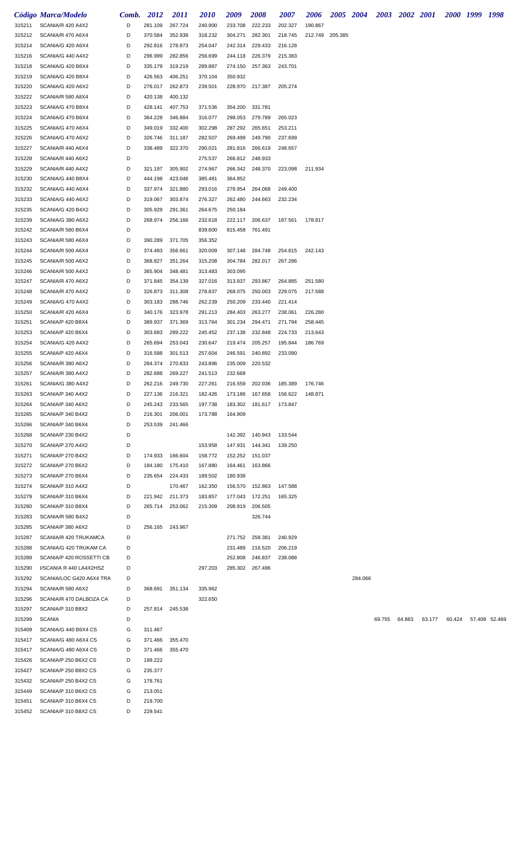|                  | Código Marca/Modelo                          | Comb.  | 2012               | 2011               | <i>2010</i>        | 2009               | 2008                    | <i><b>2007</b></i> | 2006    |         | 2005 2004 | <b>2003</b> | 2002 2001 |        |        | 2000 1999 1998 |               |
|------------------|----------------------------------------------|--------|--------------------|--------------------|--------------------|--------------------|-------------------------|--------------------|---------|---------|-----------|-------------|-----------|--------|--------|----------------|---------------|
| 315211           | SCANIA/R 420 A4X2                            | D      | 281.109            | 267.724            | 240.900            | 233.708            | 222.233                 | 202.327            | 190.867 |         |           |             |           |        |        |                |               |
| 315212           | SCANIA/R 470 A6X4                            | D      | 370.584            | 352.938            | 318.232            | 304.271            | 282.301                 | 218.745            | 212.749 | 205.385 |           |             |           |        |        |                |               |
| 315214           | SCANIA/G 420 A6X4                            | D      | 292.816            | 278.873            | 254.047            | 242.314            | 229.433                 | 216.128            |         |         |           |             |           |        |        |                |               |
| 315216           | SCANIA/G 440 A4X2                            | D      | 296.999            | 282.856            | 256.699            | 244.118            | 226.379                 | 215.383            |         |         |           |             |           |        |        |                |               |
| 315218           | SCANIA/G 420 B6X4                            | D      | 335.179            | 319.219            | 289.887            | 274.150            | 257.363                 | 243.701            |         |         |           |             |           |        |        |                |               |
| 315219           | SCANIA/G 420 B8X4                            | D      | 426.563            | 406.251            | 370.104            | 350.932            |                         |                    |         |         |           |             |           |        |        |                |               |
| 315220           | SCANIA/G 420 A6X2                            | D      | 276.017            | 262.873            | 239.501            | 228.970            | 217.387                 | 205.274            |         |         |           |             |           |        |        |                |               |
| 315222<br>315223 | SCANIA/R 580 A8X4<br>SCANIA/G 470 B8X4       | D<br>D | 420.138<br>428.141 | 400.132<br>407.753 | 371.536            | 354.200            | 331.781                 |                    |         |         |           |             |           |        |        |                |               |
| 315224           | SCANIA/G 470 B6X4                            | D      | 364.228            | 346.884            | 316.077            | 298.053            | 279.789                 | 265.023            |         |         |           |             |           |        |        |                |               |
| 315225           | SCANIA/G 470 A6X4                            | D      | 349.019            | 332.400            | 302.298            | 287.292            | 265.651                 | 253.211            |         |         |           |             |           |        |        |                |               |
| 315226           | SCANIA/G 470 A6X2                            | D      | 326.746            | 311.187            | 282.507            | 269.499            | 249.790                 | 237.699            |         |         |           |             |           |        |        |                |               |
| 315227           | SCANIA/R 440 A6X4                            | D      | 338.489            | 322.370            | 290.021            | 281.816            | 266.619                 | 248.657            |         |         |           |             |           |        |        |                |               |
| 315228           | SCANIA/R 440 A6X2                            | D      |                    |                    | 275.537            | 266.812            | 248.933                 |                    |         |         |           |             |           |        |        |                |               |
| 315229           | SCANIA/R 440 A4X2                            | D      | 321.197            | 305.902            | 274.967            | 266.342            | 248.370                 | 223.098            | 211.934 |         |           |             |           |        |        |                |               |
| 315230           | SCANIA/G 440 B8X4                            | D      | 444.198            | 423.046            | 385.481            | 364.852            |                         |                    |         |         |           |             |           |        |        |                |               |
| 315232           | SCANIA/G 440 A6X4                            | D      | 337.974            | 321.880            | 293.016            | 278.954            | 264.068                 | 249.400            |         |         |           |             |           |        |        |                |               |
| 315233           | SCANIA/G 440 A6X2                            | D      | 319.067            | 303.874            | 276.327            | 262.480            | 244.663                 | 232.234            |         |         |           |             |           |        |        |                |               |
| 315235           | SCANIA/G 420 B4X2                            | D      | 305.929            | 291.361            | 264.675            | 250.184            |                         |                    |         |         |           |             |           |        |        |                |               |
| 315239<br>315242 | SCANIA/G 380 A6X2<br>SCANIA/R 580 B6X4       | D<br>D | 268.974            | 256.166            | 232.618<br>839.600 | 222.117<br>815.458 | 206.637<br>761.491      | 187.561            | 178.817 |         |           |             |           |        |        |                |               |
| 315243           | SCANIA/R 580 A6X4                            | D      | 390.289            | 371.705            | 356.352            |                    |                         |                    |         |         |           |             |           |        |        |                |               |
| 315244           | SCANIA/R 500 A6X4                            | D      | 374.493            | 356.661            | 320.009            | 307.148            | 284.748                 | 254.815            | 242.143 |         |           |             |           |        |        |                |               |
| 315245           | SCANIA/R 500 A6X2                            | D      | 368.827            | 351.264            | 315.208            | 304.784            | 282.017                 | 267.286            |         |         |           |             |           |        |        |                |               |
| 315246           | SCANIA/R 500 A4X2                            | D      | 365.904            | 348.481            | 313.483            | 303.095            |                         |                    |         |         |           |             |           |        |        |                |               |
| 315247           | SCANIA/R 470 A6X2                            | D      | 371.845            | 354.139            | 327.016            | 313.937            | 293.867                 | 264.885            | 251.580 |         |           |             |           |        |        |                |               |
| 315248           | SCANIA/R 470 A4X2                            | D      | 326.873            | 311.308            | 278.837            | 268.075            | 250.003                 | 229.075            | 217.588 |         |           |             |           |        |        |                |               |
| 315249           | SCANIA/G 470 A4X2                            | D      | 303.183            | 288.746            | 262.239            | 250.209            | 233.440                 | 221.414            |         |         |           |             |           |        |        |                |               |
| 315250           | SCANIA/R 420 A6X4                            | D      | 340.176            | 323.978            | 291.213            | 284.403            | 263.277                 | 238.061            | 226.280 |         |           |             |           |        |        |                |               |
| 315251           | SCANIA/P 420 B8X4                            | D      | 389.937            | 371.369            | 313.764            | 301.234            | 294.471                 | 271.794            | 258.445 |         |           |             |           |        |        |                |               |
| 315253           | SCANIA/P 420 B6X4                            | D      | 303.683            | 289.222            | 245.452            | 237.138            | 232.848<br>205.257      | 224.733            | 213.643 |         |           |             |           |        |        |                |               |
| 315254<br>315255 | SCANIA/G 420 A4X2<br>SCANIA/P 420 A6X4       | D<br>D | 265.694<br>316.588 | 253.043<br>301.513 | 230.647<br>257.604 | 219.474<br>246.591 | 240.892                 | 195.844<br>233.090 | 186.769 |         |           |             |           |        |        |                |               |
| 315256           | SCANIA/R 380 A6X2                            | D      | 284.374            | 270.833            | 243.896            | 235.009            | 220.532                 |                    |         |         |           |             |           |        |        |                |               |
| 315257           | SCANIA/R 380 A4X2                            | D      | 282.688            | 269.227            | 241.513            | 232.668            |                         |                    |         |         |           |             |           |        |        |                |               |
| 315261           | SCANIA/G 380 A4X2                            | D      | 262.216            | 249.730            | 227.261            | 216.559            | 202.036                 | 185.389            | 176.746 |         |           |             |           |        |        |                |               |
| 315263           | SCANIA/P 340 A4X2                            | D      | 227.136            | 216.321            | 182.426            |                    | 173.186 167.658         | 156.622            | 148.871 |         |           |             |           |        |        |                |               |
| 315264           | SCANIA/P 340 A6X2                            | D      | 245.243            | 233.565            | 197.738            |                    | 183.302 181.617 173.847 |                    |         |         |           |             |           |        |        |                |               |
| 315265           | SCANIA/P 340 B4X2                            | D      | 216.301            | 206.001            | 173.788            | 164.909            |                         |                    |         |         |           |             |           |        |        |                |               |
| 315266           | SCANIA/P 340 B6X4                            | D      | 253.539            | 241.466            |                    |                    |                         |                    |         |         |           |             |           |        |        |                |               |
| 315268           | SCANIA/P 230 B4X2                            | D      |                    |                    |                    |                    | 142.392 140.943         | 133.544            |         |         |           |             |           |        |        |                |               |
| 315270           | SCANIA/P 270 A4X2                            | D      |                    |                    | 153.958            |                    | 147.931 144.341         | 139.250            |         |         |           |             |           |        |        |                |               |
| 315271<br>315272 | SCANIA/P 270 B4X2<br>SCANIA/P 270 B6X2       | D<br>D | 174.933            | 166.604            | 158.772            |                    | 152.252 151.037         |                    |         |         |           |             |           |        |        |                |               |
| 315273           | SCANIA/P 270 B6X4                            | D      | 184.180<br>235.654 | 175.410<br>224.433 | 167.880<br>189.502 | 164.461<br>180.938 | 163.866                 |                    |         |         |           |             |           |        |        |                |               |
| 315274           | SCANIA/P 310 A4X2                            | D      |                    | 170.467            | 162.350            | 156.570            | 152.863                 | 147.588            |         |         |           |             |           |        |        |                |               |
| 315279           | SCANIA/P 310 B6X4                            | D      | 221.942            | 211.373            | 183.857            | 177.043            | 172.251                 | 165.325            |         |         |           |             |           |        |        |                |               |
| 315280           | SCANIA/P 310 B8X4                            | D      | 265.714            | 253.062            | 215.309            | 208.919            | 206.505                 |                    |         |         |           |             |           |        |        |                |               |
| 315283           | SCANIA/R 580 B4X2                            | D      |                    |                    |                    |                    | 326.744                 |                    |         |         |           |             |           |        |        |                |               |
| 315285           | SCANIA/P 380 A6X2                            | D      | 256.165            | 243.967            |                    |                    |                         |                    |         |         |           |             |           |        |        |                |               |
| 315287           | SCANIA/R 420 TRUKAMCA                        | D      |                    |                    |                    | 271.752            | 258.381                 | 240.929            |         |         |           |             |           |        |        |                |               |
| 315288           | SCANIA/G 420 TRUKAM CA                       | D      |                    |                    |                    | 231.489            | 216.520                 | 206.219            |         |         |           |             |           |        |        |                |               |
| 315289           | SCANIA/P 420 ROSSETTI CB                     | D      |                    |                    |                    | 252.808            | 246.837                 | 238.088            |         |         |           |             |           |        |        |                |               |
| 315290           | I/SCANIA R 440 LA4X2HSZ                      | D      |                    |                    | 297.203            |                    | 285.302 267.496         |                    |         |         |           |             |           |        |        |                |               |
| 315292           | SCANIA/LOC G420 A6X4 TRA                     | D      |                    |                    |                    |                    |                         |                    |         |         | 284.066   |             |           |        |        |                |               |
| 315294<br>315296 | SCANIA/R 580 A6X2<br>SCANIA/R 470 DALBOZA CA | D<br>D | 368.691            | 351.134            | 335.962<br>322.650 |                    |                         |                    |         |         |           |             |           |        |        |                |               |
| 315297           | SCANIA/P 310 B8X2                            | D      | 257.814            | 245.538            |                    |                    |                         |                    |         |         |           |             |           |        |        |                |               |
| 315299           | <b>SCANIA</b>                                | D      |                    |                    |                    |                    |                         |                    |         |         |           | 69.755      | 64.883    | 63.177 | 60.424 |                | 57.408 52.469 |
| 315409           | SCANIA/G 440 B6X4 CS                         | G      | 311.467            |                    |                    |                    |                         |                    |         |         |           |             |           |        |        |                |               |
| 315417           | SCANIA/G 480 A6X4 CS                         | G      | 371.466            | 355.470            |                    |                    |                         |                    |         |         |           |             |           |        |        |                |               |
| 315417           | SCANIA/G 480 A6X4 CS                         | D      | 371.466            | 355.470            |                    |                    |                         |                    |         |         |           |             |           |        |        |                |               |
| 315426           | SCANIA/P 250 B6X2 CS                         | D      | 199.222            |                    |                    |                    |                         |                    |         |         |           |             |           |        |        |                |               |
| 315427           | SCANIA/P 250 B8X2 CS                         | G      | 235.377            |                    |                    |                    |                         |                    |         |         |           |             |           |        |        |                |               |
| 315432           | SCANIA/P 250 B4X2 CS                         | G      | 178.761            |                    |                    |                    |                         |                    |         |         |           |             |           |        |        |                |               |
| 315449           | SCANIA/P 310 B6X2 CS                         | G      | 213.051            |                    |                    |                    |                         |                    |         |         |           |             |           |        |        |                |               |
| 315451<br>315452 | SCANIA/P 310 B6X4 CS<br>SCANIA/P 310 B8X2 CS | D<br>D | 219.700<br>229.541 |                    |                    |                    |                         |                    |         |         |           |             |           |        |        |                |               |
|                  |                                              |        |                    |                    |                    |                    |                         |                    |         |         |           |             |           |        |        |                |               |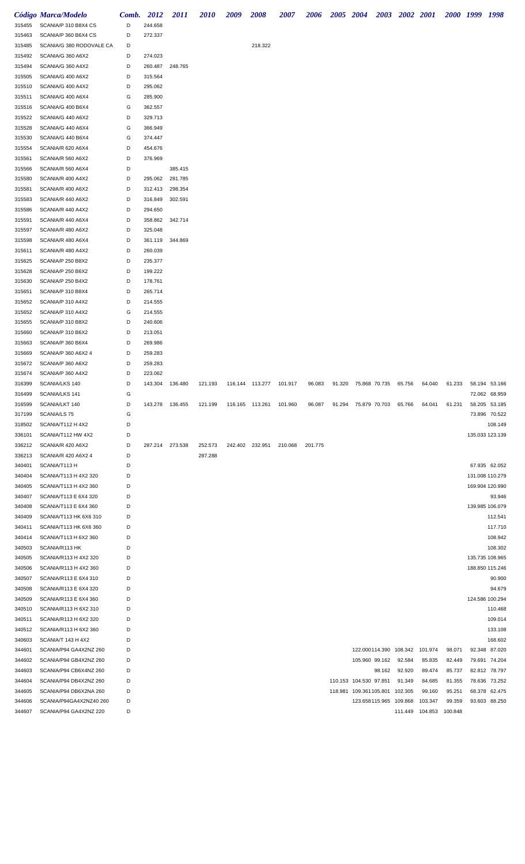| 315455           | Código Marca/Modelo<br>SCANIA/P 310 B8X4 CS     | Comb.<br>D | 2012<br>244.658 | <i>2011</i> | <i><b>2010</b></i> | 2009            | <i><b>2008</b></i>        | <i><b>2007</b></i> | 2006    | 2005 2004 |                                |        | 2003 2002 2001 |                           |        | 2000 1999 1998  |               |
|------------------|-------------------------------------------------|------------|-----------------|-------------|--------------------|-----------------|---------------------------|--------------------|---------|-----------|--------------------------------|--------|----------------|---------------------------|--------|-----------------|---------------|
| 315463           | SCANIA/P 360 B6X4 CS                            | D          | 272.337         |             |                    |                 |                           |                    |         |           |                                |        |                |                           |        |                 |               |
| 315485           | SCANIA/G 380 RODOVALE CA                        | D          |                 |             |                    |                 | 218.322                   |                    |         |           |                                |        |                |                           |        |                 |               |
| 315492           | SCANIA/G 360 A6X2                               | D          | 274.023         |             |                    |                 |                           |                    |         |           |                                |        |                |                           |        |                 |               |
| 315494           | SCANIA/G 360 A4X2                               | D          | 260.487         | 248.765     |                    |                 |                           |                    |         |           |                                |        |                |                           |        |                 |               |
| 315505           | SCANIA/G 400 A6X2                               | D          | 315.564         |             |                    |                 |                           |                    |         |           |                                |        |                |                           |        |                 |               |
| 315510           | SCANIA/G 400 A4X2                               | D          | 295.062         |             |                    |                 |                           |                    |         |           |                                |        |                |                           |        |                 |               |
| 315511           | SCANIA/G 400 A6X4                               | G          | 285.900         |             |                    |                 |                           |                    |         |           |                                |        |                |                           |        |                 |               |
| 315516           | SCANIA/G 400 B6X4                               | G          | 362.557         |             |                    |                 |                           |                    |         |           |                                |        |                |                           |        |                 |               |
| 315522           | SCANIA/G 440 A6X2                               | D          | 329.713         |             |                    |                 |                           |                    |         |           |                                |        |                |                           |        |                 |               |
| 315528           | SCANIA/G 440 A6X4                               | G          | 366.949         |             |                    |                 |                           |                    |         |           |                                |        |                |                           |        |                 |               |
| 315530           | SCANIA/G 440 B6X4                               | G          | 374.447         |             |                    |                 |                           |                    |         |           |                                |        |                |                           |        |                 |               |
| 315554           | SCANIA/R 620 A6X4                               | D          | 454.676         |             |                    |                 |                           |                    |         |           |                                |        |                |                           |        |                 |               |
| 315561           | SCANIA/R 560 A6X2                               | D          | 376.969         |             |                    |                 |                           |                    |         |           |                                |        |                |                           |        |                 |               |
| 315566           | SCANIA/R 560 A6X4                               | D          |                 | 385.415     |                    |                 |                           |                    |         |           |                                |        |                |                           |        |                 |               |
| 315580           | SCANIA/R 400 A4X2                               | D          | 295.062         | 281.785     |                    |                 |                           |                    |         |           |                                |        |                |                           |        |                 |               |
| 315581           | SCANIA/R 400 A6X2                               | D          | 312.413         | 298.354     |                    |                 |                           |                    |         |           |                                |        |                |                           |        |                 |               |
| 315583           | SCANIA/R 440 A6X2                               | D          | 316.849         | 302.591     |                    |                 |                           |                    |         |           |                                |        |                |                           |        |                 |               |
| 315586           | SCANIA/R 440 A4X2                               | D          | 294.650         |             |                    |                 |                           |                    |         |           |                                |        |                |                           |        |                 |               |
| 315591           | SCANIA/R 440 A6X4                               | D          | 358.862         | 342.714     |                    |                 |                           |                    |         |           |                                |        |                |                           |        |                 |               |
| 315597           | SCANIA/R 480 A6X2                               | D          | 325.048         |             |                    |                 |                           |                    |         |           |                                |        |                |                           |        |                 |               |
| 315598           | SCANIA/R 480 A6X4                               | D          | 361.119         | 344.869     |                    |                 |                           |                    |         |           |                                |        |                |                           |        |                 |               |
| 315611           | SCANIA/R 480 A4X2                               | D          | 260.039         |             |                    |                 |                           |                    |         |           |                                |        |                |                           |        |                 |               |
| 315625           | SCANIA/P 250 B8X2                               | D          | 235.377         |             |                    |                 |                           |                    |         |           |                                |        |                |                           |        |                 |               |
| 315628           | SCANIA/P 250 B6X2                               | D          | 199.222         |             |                    |                 |                           |                    |         |           |                                |        |                |                           |        |                 |               |
| 315630           | SCANIA/P 250 B4X2                               | D          | 178.761         |             |                    |                 |                           |                    |         |           |                                |        |                |                           |        |                 |               |
| 315651           | SCANIA/P 310 B8X4                               | D          | 265.714         |             |                    |                 |                           |                    |         |           |                                |        |                |                           |        |                 |               |
| 315652           | SCANIA/P 310 A4X2                               | D          | 214.555         |             |                    |                 |                           |                    |         |           |                                |        |                |                           |        |                 |               |
| 315652           | SCANIA/P 310 A4X2                               | G          | 214.555         |             |                    |                 |                           |                    |         |           |                                |        |                |                           |        |                 |               |
| 315655           | SCANIA/P 310 B8X2                               | D          | 240.606         |             |                    |                 |                           |                    |         |           |                                |        |                |                           |        |                 |               |
| 315660           | SCANIA/P 310 B6X2                               | D          | 213.051         |             |                    |                 |                           |                    |         |           |                                |        |                |                           |        |                 |               |
| 315663           | SCANIA/P 360 B6X4                               | D          | 269.986         |             |                    |                 |                           |                    |         |           |                                |        |                |                           |        |                 |               |
| 315669           | SCANIA/P 360 A6X2 4                             | D          | 259.283         |             |                    |                 |                           |                    |         |           |                                |        |                |                           |        |                 |               |
| 315672           | SCANIA/P 360 A6X2                               | D          | 259.283         |             |                    |                 |                           |                    |         |           |                                |        |                |                           |        |                 |               |
| 315674           | SCANIA/P 360 A4X2                               | D          | 223.062         |             |                    |                 |                           |                    |         |           |                                |        |                |                           |        |                 |               |
| 316399           | SCANIA/LKS 140                                  | D          | 143.304         | 136.480     | 121.193            |                 | 116.144  113.277  101.917 |                    | 96.083  | 91.320    | 75.868 70.735                  |        | 65.756         | 64.040                    | 61.233 | 58.194 53.166   |               |
| 316499           | SCANIA/LKS 141                                  | G          |                 |             |                    |                 |                           |                    |         |           |                                |        |                |                           |        | 72.062 68.959   |               |
| 316599           | SCANIA/LKT 140                                  | D          | 143.278         | 136.455     | 121.199            | 116.165 113.261 |                           | 101.960            | 96.087  | 91.294    | 75.879 70.703                  |        | 65.766         | 64.041                    | 61.231 | 58.205 53.185   |               |
| 317199           | SCANIA/LS 75                                    | G          |                 |             |                    |                 |                           |                    |         |           |                                |        |                |                           |        | 73.896 70.522   |               |
| 318502           | SCANIA/T112 H 4X2                               | D          |                 |             |                    |                 |                           |                    |         |           |                                |        |                |                           |        |                 | 108.149       |
| 336101           | SCANIA/T112 HW 4X2                              | D          |                 |             |                    |                 |                           |                    |         |           |                                |        |                |                           |        | 135.033 123.139 |               |
| 336212           | SCANIA/R 420 A6X2                               | D          | 287.214         | 273.538     | 252.573            | 242.402         | 232.951                   | 210.068            | 201.775 |           |                                |        |                |                           |        |                 |               |
| 336213           | SCANIA/R 420 A6X2 4                             | D          |                 |             | 287.288            |                 |                           |                    |         |           |                                |        |                |                           |        |                 |               |
| 340401           | SCANIA/T113 H                                   | D          |                 |             |                    |                 |                           |                    |         |           |                                |        |                |                           |        |                 | 67.935 62.052 |
| 340404           | SCANIA/T113 H 4X2 320                           | D          |                 |             |                    |                 |                           |                    |         |           |                                |        |                |                           |        | 131.008 110.279 |               |
| 340405           | SCANIA/T113 H 4X2 360                           | D<br>D     |                 |             |                    |                 |                           |                    |         |           |                                |        |                |                           |        | 169.904 120.990 |               |
| 340407           | SCANIA/T113 E 6X4 320                           | D          |                 |             |                    |                 |                           |                    |         |           |                                |        |                |                           |        |                 | 93.946        |
| 340408<br>340409 | SCANIA/T113 E 6X4 360<br>SCANIA/T113 HK 6X6 310 | D          |                 |             |                    |                 |                           |                    |         |           |                                |        |                |                           |        | 139.985 106.079 | 112.541       |
| 340411           | SCANIA/T113 HK 6X6 360                          | D          |                 |             |                    |                 |                           |                    |         |           |                                |        |                |                           |        |                 | 117.710       |
| 340414           | SCANIA/T113 H 6X2 360                           | D          |                 |             |                    |                 |                           |                    |         |           |                                |        |                |                           |        |                 | 108.942       |
| 340503           | SCANIA/R113 HK                                  | D          |                 |             |                    |                 |                           |                    |         |           |                                |        |                |                           |        |                 | 108.302       |
| 340505           | SCANIA/R113 H 4X2 320                           | D          |                 |             |                    |                 |                           |                    |         |           |                                |        |                |                           |        | 135.735 108.965 |               |
| 340506           | SCANIA/R113 H 4X2 360                           | D          |                 |             |                    |                 |                           |                    |         |           |                                |        |                |                           |        | 188.850 115.246 |               |
| 340507           | SCANIA/R113 E 6X4 310                           | D          |                 |             |                    |                 |                           |                    |         |           |                                |        |                |                           |        |                 | 90.900        |
| 340508           | SCANIA/R113 E 6X4 320                           | D          |                 |             |                    |                 |                           |                    |         |           |                                |        |                |                           |        |                 | 94.679        |
| 340509           | SCANIA/R113 E 6X4 360                           | D          |                 |             |                    |                 |                           |                    |         |           |                                |        |                |                           |        | 124.586 100.294 |               |
| 340510           | SCANIA/R113 H 6X2 310                           | D          |                 |             |                    |                 |                           |                    |         |           |                                |        |                |                           |        |                 | 110.468       |
| 340511           | SCANIA/R113 H 6X2 320                           | D          |                 |             |                    |                 |                           |                    |         |           |                                |        |                |                           |        |                 | 109.014       |
| 340512           | SCANIA/R113 H 6X2 360                           | D          |                 |             |                    |                 |                           |                    |         |           |                                |        |                |                           |        |                 | 133.108       |
| 340603           | SCANIA/T 143 H 4X2                              | D          |                 |             |                    |                 |                           |                    |         |           |                                |        |                |                           |        |                 | 168.602       |
| 344601           | SCANIA/P94 GA4X2NZ 260                          | D          |                 |             |                    |                 |                           |                    |         |           | 122.000114.390 108.342 101.974 |        |                |                           | 98.071 | 92.348 87.020   |               |
| 344602           | SCANIA/P94 GB4X2NZ 260                          | D          |                 |             |                    |                 |                           |                    |         |           | 105.960 99.162                 |        | 92.584         | 85.835                    | 82.449 | 79.691 74.204   |               |
| 344603           | SCANIA/P94 CB6X4NZ 260                          | D          |                 |             |                    |                 |                           |                    |         |           |                                | 98.162 | 92.920         | 89.474                    | 85.737 | 82.812 78.797   |               |
| 344604           | SCANIA/P94 DB4X2NZ 260                          | D          |                 |             |                    |                 |                           |                    |         |           | 110.153 104.530 97.851         |        | 91.349         | 84.685                    | 81.355 | 78.636 73.252   |               |
| 344605           | SCANIA/P94 DB6X2NA 260                          | D          |                 |             |                    |                 |                           |                    |         |           | 118.981 109.361105.801 102.305 |        |                | 99.160                    | 95.251 | 68.378 62.475   |               |
| 344606           | SCANIA/P94GA4X2NZ40 260                         | D          |                 |             |                    |                 |                           |                    |         |           | 123.658115.965 109.868         |        |                | 103.347                   | 99.359 | 93.603 88.250   |               |
| 344607           | SCANIA/P94 GA4X2NZ 220                          | D          |                 |             |                    |                 |                           |                    |         |           |                                |        |                | 111.449  104.853  100.848 |        |                 |               |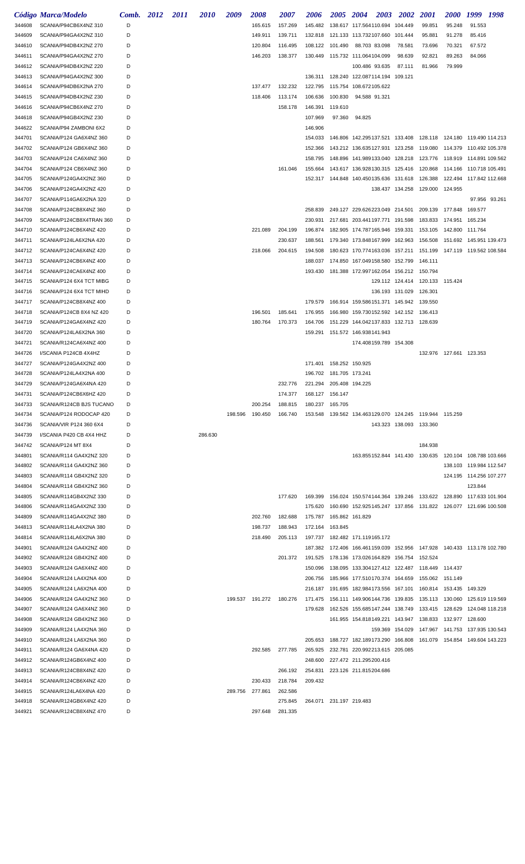|                  | Código Marca/Modelo                                | Comb. 2012 | 2011 | <i>2010</i> | 2009    | 2008                      | 2007                      | 2006                      | 2005            | <b>2004</b><br><b>2003</b>                                           | <b>2002</b>                     | <i>2001</i>     | <i>2000</i>               | 1999 1998                                                                     |
|------------------|----------------------------------------------------|------------|------|-------------|---------|---------------------------|---------------------------|---------------------------|-----------------|----------------------------------------------------------------------|---------------------------------|-----------------|---------------------------|-------------------------------------------------------------------------------|
| 344608           | SCANIA/P94CB6X4NZ 310                              | D          |      |             |         | 165.615                   | 157.269                   |                           |                 | 145.482  138.617  117.564110.694  104.449                            |                                 | 99.851          | 95.248                    | 91.553                                                                        |
| 344609           | SCANIA/P94GA4X2NZ 310                              | D          |      |             |         | 149.911                   | 139.711                   |                           |                 | 132.818  121.133  113.732107.660  101.444                            |                                 | 95.881          | 91.278                    | 85.416                                                                        |
| 344610           | SCANIA/P94DB4X2NZ 270                              | D          |      |             |         | 120.804                   | 116.495                   |                           |                 | 108.122 101.490 88.703 83.098                                        | 78.581                          | 73.696          | 70.321                    | 67.572                                                                        |
| 344611           | SCANIA/P94GA4X2NZ 270                              | D          |      |             |         | 146.203                   | 138.377                   |                           |                 | 130.449  115.732  111.064104.099                                     | 98.639                          | 92.821          | 89.263                    | 84.066                                                                        |
| 344612           | SCANIA/P94DB4X2NZ 220                              | D          |      |             |         |                           |                           |                           |                 | 100.486 93.635                                                       | 87.111                          | 81.966          | 79.999                    |                                                                               |
| 344613           | SCANIA/P94GA4X2NZ 300                              | D          |      |             |         |                           |                           |                           |                 | 136.311  128.240  122.087114.194  109.121                            |                                 |                 |                           |                                                                               |
| 344614           | SCANIA/P94DB6X2NA 270                              | D          |      |             |         | 137.477                   | 132.232                   |                           |                 | 122.795 115.754 108.672105.622                                       |                                 |                 |                           |                                                                               |
| 344615           | SCANIA/P94DB4X2NZ 230                              | D          |      |             |         | 118.406                   | 113.174                   |                           |                 | 106.636 100.830 94.588 91.321                                        |                                 |                 |                           |                                                                               |
| 344616           | SCANIA/P94CB6X4NZ 270                              | D          |      |             |         |                           | 158.178                   | 146.391                   | 119.610         |                                                                      |                                 |                 |                           |                                                                               |
| 344618           | SCANIA/P94GB4X2NZ 230                              | D          |      |             |         |                           |                           | 107.969                   | 97.360          | 94.825                                                               |                                 |                 |                           |                                                                               |
| 344622           | SCANIA/P94 ZAMBONI 6X2                             | D          |      |             |         |                           |                           | 146.906                   |                 |                                                                      |                                 |                 |                           |                                                                               |
| 344701           | SCANIA/P124 GA6X4NZ 360                            | D          |      |             |         |                           |                           | 154.033                   |                 |                                                                      |                                 |                 |                           | 146.806 142.295137.521 133.408 128.118 124.180 119.490 114.213                |
| 344702           | SCANIA/P124 GB6X4NZ 360                            | D          |      |             |         |                           |                           | 152.366                   |                 |                                                                      |                                 |                 |                           | 143.212 136.635127.931 123.258 119.080 114.379 110.492 105.378                |
| 344703           | SCANIA/P124 CA6X4NZ 360                            | D          |      |             |         |                           |                           | 158.795                   |                 |                                                                      |                                 |                 |                           | 148.896  141.989133.040  128.218  123.776  118.919  114.891  109.562          |
| 344704           | SCANIA/P124 CB6X4NZ 360                            | D          |      |             |         |                           | 161.046                   | 155.664                   |                 |                                                                      |                                 |                 |                           | 143.617 136.928130.315 125.416 120.868 114.166 110.718 105.491                |
| 344705           | SCANIA/P124GA4X2NZ 360                             | D          |      |             |         |                           |                           |                           |                 | 152.317  144.848  140.450135.636  131.618  126.388                   |                                 |                 |                           |                                                                               |
| 344706           | SCANIA/P124GA4X2NZ 420                             | D          |      |             |         |                           |                           |                           |                 |                                                                      | 138.437 134.258                 | 129.000 124.955 |                           |                                                                               |
| 344707           | SCANIA/P114GA6X2NA 320                             | D          |      |             |         |                           |                           |                           |                 |                                                                      |                                 |                 |                           | 97.956 93.261                                                                 |
| 344708           | SCANIA/P124CB8X4NZ 360                             | D          |      |             |         |                           |                           | 258.839                   |                 | 249.127 229.626223.049 214.501 209.139 177.848                       |                                 |                 |                           | 169.577                                                                       |
| 344709           | SCANIA/P124CB8X4TRAN 360                           | D          |      |             |         |                           |                           | 230.931                   |                 | 217.681 203.441197.771 191.598 183.833 174.951 165.234               |                                 |                 |                           |                                                                               |
| 344710           | SCANIA/P124CB6X4NZ 420                             | D          |      |             |         | 221.089                   | 204.199                   | 196.874                   |                 | 182.905 174.787165.946 159.331 153.105 142.800 111.764               |                                 |                 |                           |                                                                               |
| 344711           | SCANIA/P124LA6X2NA 420                             | D          |      |             |         |                           | 230.637                   | 188.561                   |                 |                                                                      |                                 |                 |                           | 179.340 173.848167.999 162.963 156.508 151.692 145.951 139.473                |
| 344712           | SCANIA/P124CA6X4NZ 420                             | D          |      |             |         | 218.066                   | 204.615                   | 194.508                   |                 |                                                                      |                                 |                 |                           | 180.623 170.774163.036 157.211 151.199 147.119 119.562 108.584                |
| 344713           | SCANIA/P124CB6X4NZ 400                             | D          |      |             |         |                           |                           | 188.037                   |                 | 174.850 167.049158.580 152.799 146.111                               |                                 |                 |                           |                                                                               |
| 344714           | SCANIA/P124CA6X4NZ 400                             | D          |      |             |         |                           |                           |                           |                 | 193.430  181.388  172.997  162.054  156.212  150.794                 |                                 |                 |                           |                                                                               |
| 344715           | SCANIA/P124 6X4 TCT MIBG                           | D          |      |             |         |                           |                           |                           |                 |                                                                      | 129.112 124.414 120.133 115.424 |                 |                           |                                                                               |
| 344716           | SCANIA/P124 6X4 TCT MIHD                           | D          |      |             |         |                           |                           |                           |                 |                                                                      | 136.193 131.029 126.301         |                 |                           |                                                                               |
| 344717           | SCANIA/P124CB8X4NZ 400                             | D          |      |             |         |                           |                           | 179.579                   |                 | 166.914 159.586151.371 145.942 139.550                               |                                 |                 |                           |                                                                               |
| 344718           | SCANIA/P124CB 8X4 NZ 420                           | D          |      |             |         | 196.501                   | 185.641                   | 176.955                   |                 | 166.980 159.730152.592 142.152 136.413                               |                                 |                 |                           |                                                                               |
| 344719           | SCANIA/P124GA6X4NZ 420                             | D          |      |             |         | 180.764                   | 170.373                   | 164.706                   |                 | 151.229 144.042137.833 132.713 128.639                               |                                 |                 |                           |                                                                               |
| 344720           | SCANIA/P124LA6X2NA 360                             | D          |      |             |         |                           |                           |                           |                 | 159.291  151.572  146.938141.943                                     |                                 |                 |                           |                                                                               |
| 344721           | SCANIA/R124CA6X4NZ 400                             | D          |      |             |         |                           |                           |                           |                 | 174.408159.789 154.308                                               |                                 |                 |                           |                                                                               |
| 344726           | I/SCANIA P124CB 4X4HZ                              | D          |      |             |         |                           |                           |                           |                 |                                                                      |                                 |                 | 132.976  127.661  123.353 |                                                                               |
| 344727           | SCANIA/P124GA4X2NZ 400                             | D          |      |             |         |                           |                           | 171.401  158.252  150.925 |                 |                                                                      |                                 |                 |                           |                                                                               |
| 344728           | SCANIA/P124LA4X2NA 400                             | D          |      |             |         |                           |                           | 196.702 181.705 173.241   |                 |                                                                      |                                 |                 |                           |                                                                               |
| 344729           | SCANIA/P124GA6X4NA 420                             | D          |      |             |         |                           | 232.776                   | 221.294 205.408 194.225   |                 |                                                                      |                                 |                 |                           |                                                                               |
| 344731           | SCANIA/P124CB6X6HZ 420                             | D.         |      |             |         |                           | 174.377  168.127  156.147 |                           |                 |                                                                      |                                 |                 |                           |                                                                               |
| 344733           | SCANIA/R124CB BJS TUCANO                           | D          |      |             |         | 200.254                   | 188.815                   | 180.237 165.705           |                 |                                                                      |                                 |                 |                           |                                                                               |
| 344734           | SCANIA/P124 RODOCAP 420                            | D          |      |             | 198.596 | 190.450                   | 166.740                   | 153.548                   |                 | 139.562 134.463129.070 124.245 119.944 115.259                       |                                 |                 |                           |                                                                               |
| 344736           | SCANIA/VIR P124 360 6X4                            | D          |      |             |         |                           |                           |                           |                 |                                                                      | 143.323 138.093 133.360         |                 |                           |                                                                               |
| 344739           | I/SCANIA P420 CB 4X4 HHZ                           | D          |      | 286.630     |         |                           |                           |                           |                 |                                                                      |                                 |                 |                           |                                                                               |
| 344742           | SCANIA/P124 MT 8X4                                 | D          |      |             |         |                           |                           |                           |                 |                                                                      |                                 | 184.938         |                           |                                                                               |
| 344801           | SCANIA/R114 GA4X2NZ 320                            | D          |      |             |         |                           |                           |                           |                 | 163.855152.844 141.430 130.635                                       |                                 |                 |                           |                                                                               |
| 344802           | SCANIA/R114 GA4X2NZ 360                            | D          |      |             |         |                           |                           |                           |                 |                                                                      |                                 |                 |                           | 138.103 119.984 112.547                                                       |
| 344803           | SCANIA/R114 GB4X2NZ 320                            | D          |      |             |         |                           |                           |                           |                 |                                                                      |                                 |                 |                           | 124.195 114.256 107.277                                                       |
| 344804           | SCANIA/R114 GB4X2NZ 360                            | D          |      |             |         |                           |                           |                           |                 |                                                                      |                                 |                 |                           | 123.844                                                                       |
| 344805           | SCANIA/R114GB4X2NZ 330                             | D          |      |             |         |                           | 177.620                   |                           |                 |                                                                      |                                 |                 |                           | 169.399  156.024  150.574144.364  139.246  133.622  128.890  117.633  101.904 |
| 344806           | SCANIA/R114GA4X2NZ 330                             | D          |      |             |         |                           |                           | 175.620                   |                 |                                                                      |                                 |                 |                           | 160.690 152.925145.247 137.856 131.822 126.077 121.696 100.508                |
| 344809           | SCANIA/R114GA4X2NZ 380                             | D          |      |             |         | 202.760                   | 182.688                   | 175.787                   | 165.862 161.829 |                                                                      |                                 |                 |                           |                                                                               |
| 344813           | SCANIA/R114LA4X2NA 380                             | D          |      |             |         | 198.737                   | 188.943                   | 172.164                   | 163.845         |                                                                      |                                 |                 |                           |                                                                               |
| 344814           | SCANIA/R114LA6X2NA 380                             | D          |      |             |         | 218.490                   | 205.113                   |                           |                 | 197.737  182.482  171.119165.172                                     |                                 |                 |                           |                                                                               |
| 344901           | SCANIA/R124 GA4X2NZ 400                            | D          |      |             |         |                           |                           |                           |                 |                                                                      |                                 |                 |                           | 187.382  172.406  166.461159.039  152.956  147.928  140.433  113.178  102.780 |
| 344902           | SCANIA/R124 GB4X2NZ 400                            | D          |      |             |         |                           | 201.372                   |                           |                 | 191.525  178.136  173.026164.829  156.754  152.524                   |                                 |                 |                           |                                                                               |
| 344903           | SCANIA/R124 GA6X4NZ 400                            | D          |      |             |         |                           |                           | 150.096                   |                 | 138.095 133.304127.412 122.487 118.449 114.437                       |                                 |                 |                           |                                                                               |
| 344904           | SCANIA/R124 LA4X2NA 400                            | D          |      |             |         |                           |                           | 206.756                   |                 | 185.966 177.510170.374 164.659 155.062 151.149                       |                                 |                 |                           |                                                                               |
| 344905           | SCANIA/R124 LA6X2NA 400                            | D          |      |             |         |                           |                           |                           |                 | 216.187  191.695  182.984173.556  167.101  160.814  153.435  149.329 |                                 |                 |                           |                                                                               |
| 344906           | SCANIA/R124 GA4X2NZ 360                            | D<br>D     |      |             |         | 199.537  191.272  180.276 |                           |                           |                 |                                                                      |                                 |                 |                           | 171.475  156.111  149.906144.736  139.835  135.113  130.060  125.619  119.569 |
| 344907           | SCANIA/R124 GA6X4NZ 360                            |            |      |             |         |                           |                           | 179.628                   |                 |                                                                      |                                 |                 |                           | 162.526 155.685147.244 138.749 133.415 128.629 124.048 118.218                |
| 344908           | SCANIA/R124 GB4X2NZ 360                            | D<br>D     |      |             |         |                           |                           |                           |                 | 161.955 154.818149.221 143.947 138.833 132.977 128.600               |                                 |                 |                           |                                                                               |
| 344909           | SCANIA/R124 LA4X2NA 360                            | D          |      |             |         |                           |                           |                           |                 |                                                                      |                                 |                 |                           | 159.369 154.029 147.967 141.753 137.935 130.543                               |
| 344910<br>344911 | SCANIA/R124 LA6X2NA 360<br>SCANIA/R124 GA6X4NA 420 | D          |      |             |         | 292.585                   | 277.785                   |                           |                 | 265.925 232.781 220.992213.615 205.085                               |                                 |                 |                           | 205.653  188.727  182.189173.290  166.808  161.079  154.854  149.604  143.223 |
| 344912           | SCANIA/R124GB6X4NZ 400                             | D          |      |             |         |                           |                           |                           |                 | 248.600 227.472 211.295200.416                                       |                                 |                 |                           |                                                                               |
| 344913           | SCANIA/R124CB8X4NZ 420                             | D          |      |             |         |                           | 266.192                   | 254.831                   |                 | 223.126 211.815204.686                                               |                                 |                 |                           |                                                                               |
| 344914           | SCANIA/R124CB6X4NZ 420                             | D          |      |             |         | 230.433                   | 218.784                   | 209.432                   |                 |                                                                      |                                 |                 |                           |                                                                               |
| 344915           | SCANIA/R124LA6X4NA 420                             | D          |      |             | 289.756 | 277.861                   | 262.586                   |                           |                 |                                                                      |                                 |                 |                           |                                                                               |
| 344918           | SCANIA/R124GB6X4NZ 420                             | D          |      |             |         |                           | 275.845                   | 264.071 231.197 219.483   |                 |                                                                      |                                 |                 |                           |                                                                               |
| 344921           | SCANIA/R124CB8X4NZ 470                             | D          |      |             |         | 297.648 281.335           |                           |                           |                 |                                                                      |                                 |                 |                           |                                                                               |
|                  |                                                    |            |      |             |         |                           |                           |                           |                 |                                                                      |                                 |                 |                           |                                                                               |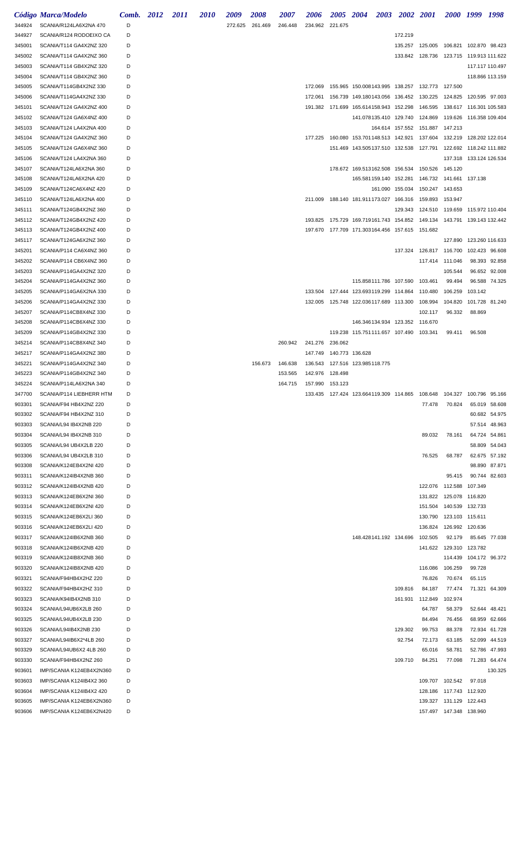|                  | Código Marca/Modelo                                | Comb. 2012 | <i>2011</i> | <i>2010</i> | 2009    | 2008    | <i><b>2007</b></i> | 2006               | 2005 2004       |                                | 2003 2002 2001                                     |                                                                      |                         | 2000 1999 1998           |         |
|------------------|----------------------------------------------------|------------|-------------|-------------|---------|---------|--------------------|--------------------|-----------------|--------------------------------|----------------------------------------------------|----------------------------------------------------------------------|-------------------------|--------------------------|---------|
| 344924           | SCANIA/R124LA6X2NA 470                             | D          |             |             | 272.625 | 261.469 | 246.448            | 234.962 221.675    |                 |                                |                                                    |                                                                      |                         |                          |         |
| 344927           | SCANIA/R124 RODOEIXO CA                            | D          |             |             |         |         |                    |                    |                 |                                | 172.219                                            |                                                                      |                         |                          |         |
| 345001           | SCANIA/T114 GA4X2NZ 320                            | D          |             |             |         |         |                    |                    |                 |                                |                                                    | 135.257  125.005  106.821  102.870  98.423                           |                         |                          |         |
| 345002           | SCANIA/T114 GA4X2NZ 360                            | D          |             |             |         |         |                    |                    |                 |                                |                                                    | 133.842 128.736 123.715 119.913 111.622                              |                         |                          |         |
| 345003           | SCANIA/T114 GB4X2NZ 320                            | D          |             |             |         |         |                    |                    |                 |                                |                                                    |                                                                      |                         | 117.117 110.497          |         |
| 345004           | SCANIA/T114 GB4X2NZ 360                            | D          |             |             |         |         |                    |                    |                 |                                |                                                    |                                                                      |                         | 118.866 113.159          |         |
| 345005           | SCANIA/T114GB4X2NZ 330                             | D          |             |             |         |         |                    | 172.069            |                 |                                |                                                    | 155.965 150.008143.995 138.257 132.773 127.500                       |                         |                          |         |
| 345006           | SCANIA/T114GA4X2NZ 330                             | D          |             |             |         |         |                    | 172.061            |                 |                                | 156.739 149.180143.056 136.452 130.225             |                                                                      | 124.825 120.595 97.003  |                          |         |
| 345101           | SCANIA/T124 GA4X2NZ 400                            | D          |             |             |         |         |                    | 191.382            |                 |                                | 171.699 165.614158.943 152.298 146.595             |                                                                      |                         |                          |         |
| 345102           | SCANIA/T124 GA6X4NZ 400                            | D          |             |             |         |         |                    |                    |                 |                                | 141.078135.410 129.740 124.869                     |                                                                      |                         |                          |         |
| 345103           | SCANIA/T124 LA4X2NA 400                            | D          |             |             |         |         |                    |                    |                 |                                | 164.614 157.552                                    | 151.887 147.213                                                      |                         |                          |         |
| 345104           | SCANIA/T124 GA4X2NZ 360                            | D<br>D     |             |             |         |         |                    | 177.225            |                 | 160.080 153.701148.513 142.921 |                                                    |                                                                      |                         |                          |         |
| 345105<br>345106 | SCANIA/T124 GA6X4NZ 360<br>SCANIA/T124 LA4X2NA 360 | D          |             |             |         |         |                    |                    |                 |                                |                                                    | 151.469  143.505137.510  132.538  127.791  122.692  118.242  111.882 | 137.318 133.124 126.534 |                          |         |
| 345107           | SCANIA/T124LA6X2NA 360                             | D          |             |             |         |         |                    |                    |                 | 178.672 169.513162.508 156.534 |                                                    | 150.526                                                              | 145.120                 |                          |         |
| 345108           | SCANIA/T124LA6X2NA 420                             | D          |             |             |         |         |                    |                    |                 |                                | 165.581159.140 152.281                             | 146.732  141.661  137.138                                            |                         |                          |         |
| 345109           | SCANIA/T124CA6X4NZ 420                             | D          |             |             |         |         |                    |                    |                 |                                |                                                    | 161.090 155.034 150.247 143.653                                      |                         |                          |         |
| 345110           | SCANIA/T124LA6X2NA 400                             | D          |             |             |         |         |                    |                    |                 |                                |                                                    | 211.009  188.140  181.911173.027  166.316  159.893  153.947          |                         |                          |         |
| 345111           | SCANIA/T124GB4X2NZ 360                             | D          |             |             |         |         |                    |                    |                 |                                |                                                    | 129.343  124.510  119.659  115.972  110.404                          |                         |                          |         |
| 345112           | SCANIA/T124GB4X2NZ 420                             | D          |             |             |         |         |                    | 193.825            |                 |                                |                                                    | 175.729 169.719161.743 154.852 149.134 143.791 139.143 132.442       |                         |                          |         |
| 345113           | SCANIA/T124GB4X2NZ 400                             | D          |             |             |         |         |                    |                    |                 |                                | 197.670  177.709  171.303164.456  157.615  151.682 |                                                                      |                         |                          |         |
| 345117           | SCANIA/T124GA6X2NZ 360                             | D          |             |             |         |         |                    |                    |                 |                                |                                                    |                                                                      | 127.890                 | 123.260 116.633          |         |
| 345201           | SCANIA/P114 CA6X4NZ 360                            | D          |             |             |         |         |                    |                    |                 |                                |                                                    | 137.324 126.817 116.700                                              |                         | 102.423 96.608           |         |
| 345202           | SCANIA/P114 CB6X4NZ 360                            | D          |             |             |         |         |                    |                    |                 |                                |                                                    | 117.414 111.046                                                      |                         | 98.393 92.858            |         |
| 345203           | SCANIA/P114GA4X2NZ 320                             | D          |             |             |         |         |                    |                    |                 |                                |                                                    |                                                                      | 105.544                 | 96.652 92.008            |         |
| 345204           | SCANIA/P114GA4X2NZ 360                             | D          |             |             |         |         |                    |                    |                 |                                | 115.858111.786 107.590 103.461                     |                                                                      | 99.494                  | 96.588 74.325            |         |
| 345205           | SCANIA/P114GA6X2NA 330                             | D          |             |             |         |         |                    | 133.504            |                 |                                | 127.444 123.693119.299 114.864 110.480             |                                                                      | 106.259                 | 103.142                  |         |
| 345206           | SCANIA/P114GA4X2NZ 330                             | D          |             |             |         |         |                    |                    |                 |                                | 132.005  125.748  122.036117.689  113.300  108.994 |                                                                      | 104.820                 | 101.728 81.240           |         |
| 345207           | SCANIA/P114CB8X4NZ 330                             | D          |             |             |         |         |                    |                    |                 |                                |                                                    | 102.117                                                              | 96.332                  | 88.869                   |         |
| 345208           | SCANIA/P114CB6X4NZ 330                             | D          |             |             |         |         |                    |                    |                 |                                | 146.346134.934 123.352 116.670                     |                                                                      |                         |                          |         |
| 345209           | SCANIA/P114GB4X2NZ 330                             | D          |             |             |         |         |                    |                    |                 |                                | 119.238 115.751111.657 107.490 103.341             |                                                                      | 99.411                  | 96.508                   |         |
| 345214           | SCANIA/P114CB8X4NZ 340                             | D          |             |             |         |         | 260.942            | 241.276            | 236.062         |                                |                                                    |                                                                      |                         |                          |         |
| 345217           | SCANIA/P114GA4X2NZ 380<br>SCANIA/P114GA4X2NZ 340   | D<br>D     |             |             |         |         |                    | 147.749            | 140.773 136.628 | 127.516 123.985118.775         |                                                    |                                                                      |                         |                          |         |
| 345221<br>345223 | SCANIA/P114GB4X2NZ 340                             | D          |             |             |         | 156.673 | 146.638<br>153.565 | 136.543<br>142.976 | 128.498         |                                |                                                    |                                                                      |                         |                          |         |
| 345224           | SCANIA/P114LA6X2NA 340                             | D          |             |             |         |         | 164.715            | 157.990 153.123    |                 |                                |                                                    |                                                                      |                         |                          |         |
| 347700           | SCANIA/P114 LIEBHERR HTM                           | D          |             |             |         |         |                    | 133.435            |                 | 127.424 123.664119.309 114.865 |                                                    | 108.648                                                              | 104.327                 | 100.796                  | 95.166  |
| 903301           | SCANIA/F94 HB4X2NZ 220                             | D          |             |             |         |         |                    |                    |                 |                                |                                                    | 77.478                                                               | 70.824                  | 65.019 58.608            |         |
| 903302           | SCANIA/F94 HB4X2NZ 310                             | D          |             |             |         |         |                    |                    |                 |                                |                                                    |                                                                      |                         | 60.682 54.975            |         |
| 903303           | SCANIA/L94 IB4X2NB 220                             | D          |             |             |         |         |                    |                    |                 |                                |                                                    |                                                                      |                         | 57.514 48.963            |         |
| 903304           | SCANIA/L94 IB4X2NB 310                             | D          |             |             |         |         |                    |                    |                 |                                |                                                    | 89.032                                                               | 78.161                  | 64.724 54.861            |         |
| 903305           | SCANIA/L94 UB4X2LB 220                             | D          |             |             |         |         |                    |                    |                 |                                |                                                    |                                                                      |                         | 58.809 54.043            |         |
| 903306           | SCANIA/L94 UB4X2LB 310                             | D          |             |             |         |         |                    |                    |                 |                                |                                                    | 76.525                                                               | 68.787                  | 62.675 57.192            |         |
| 903308           | SCANIA/K124EB4X2NI 420                             | D          |             |             |         |         |                    |                    |                 |                                |                                                    |                                                                      |                         | 98.890 87.871            |         |
| 903311           | SCANIA/K124IB4X2NB 360                             | D          |             |             |         |         |                    |                    |                 |                                |                                                    |                                                                      | 95.415                  | 90.744 82.603            |         |
| 903312           | SCANIA/K124IB4X2NB 420                             | D          |             |             |         |         |                    |                    |                 |                                |                                                    | 122.076                                                              | 112.588                 | 107.349                  |         |
| 903313           | SCANIA/K124EB6X2NI 360                             | D          |             |             |         |         |                    |                    |                 |                                |                                                    | 131.822                                                              | 125.078 116.820         |                          |         |
| 903314           | SCANIA/K124EB6X2NI 420                             | D          |             |             |         |         |                    |                    |                 |                                |                                                    | 151.504                                                              | 140.539                 | 132.733                  |         |
| 903315           | SCANIA/K124EB6X2LI 360                             | D          |             |             |         |         |                    |                    |                 |                                |                                                    | 130.790                                                              | 123.103 115.611         |                          |         |
| 903316           | SCANIA/K124EB6X2LI 420                             | D          |             |             |         |         |                    |                    |                 |                                |                                                    | 136.824                                                              | 126.992 120.636         |                          |         |
| 903317           | SCANIA/K124IB6X2NB 360                             | D<br>D     |             |             |         |         |                    |                    |                 |                                | 148.428141.192 134.696                             | 102.505<br>141.622 129.310                                           | 92.179                  | 85.645 77.038<br>123.782 |         |
| 903318<br>903319 | SCANIA/K124IB6X2NB 420<br>SCANIA/K124IB8X2NB 360   | D          |             |             |         |         |                    |                    |                 |                                |                                                    |                                                                      | 114.439                 | 104.172 96.372           |         |
| 903320           | SCANIA/K124IB8X2NB 420                             | D          |             |             |         |         |                    |                    |                 |                                |                                                    | 116.086                                                              | 106.259                 | 99.728                   |         |
| 903321           | SCANIA/F94HB4X2HZ 220                              | D          |             |             |         |         |                    |                    |                 |                                |                                                    | 76.826                                                               | 70.674                  | 65.115                   |         |
| 903322           | SCANIA/F94HB4X2HZ 310                              | D          |             |             |         |         |                    |                    |                 |                                | 109.816                                            | 84.187                                                               | 77.474                  | 71.321 64.309            |         |
| 903323           | SCANIA/K94IB4X2NB 310                              | D          |             |             |         |         |                    |                    |                 |                                | 161.931 112.849                                    |                                                                      | 102.974                 |                          |         |
| 903324           | SCANIA/L94UB6X2LB 260                              | D          |             |             |         |         |                    |                    |                 |                                |                                                    | 64.787                                                               | 58.379                  | 52.644 48.421            |         |
| 903325           | SCANIA/L94UB4X2LB 230                              | D          |             |             |         |         |                    |                    |                 |                                |                                                    | 84.494                                                               | 76.456                  | 68.959 62.666            |         |
| 903326           | SCANIA/L94IB4X2NB 230                              | D          |             |             |         |         |                    |                    |                 |                                | 129.302                                            | 99.753                                                               | 88.378                  | 72.934 61.728            |         |
| 903327           | SCANIA/L94IB6X2*4LB 260                            | D          |             |             |         |         |                    |                    |                 |                                | 92.754                                             | 72.173                                                               | 63.185                  | 52.099 44.519            |         |
| 903329           | SCANIA/L94UB6X2 4LB 260                            | D          |             |             |         |         |                    |                    |                 |                                |                                                    | 65.016                                                               | 58.781                  | 52.786 47.993            |         |
| 903330           | SCANIA/F94HB4X2NZ 260                              | D          |             |             |         |         |                    |                    |                 |                                | 109.710                                            | 84.251                                                               | 77.098                  | 71.283 64.474            |         |
| 903601           | IMP/SCANIA K124EB4X2N360                           | D          |             |             |         |         |                    |                    |                 |                                |                                                    |                                                                      |                         |                          | 130.325 |
| 903603           | IMP/SCANIA K124IB4X2 360                           | D          |             |             |         |         |                    |                    |                 |                                |                                                    | 109.707                                                              | 102.542                 | 97.018                   |         |
| 903604           | IMP/SCANIA K124IB4X2 420                           | D          |             |             |         |         |                    |                    |                 |                                |                                                    | 128.186 117.743 112.920                                              |                         |                          |         |
| 903605           | IMP/SCANIA K124EB6X2N360                           | D          |             |             |         |         |                    |                    |                 |                                |                                                    | 139.327                                                              | 131.129 122.443         |                          |         |
| 903606           | IMP/SCANIA K124EB6X2N420                           | D          |             |             |         |         |                    |                    |                 |                                |                                                    | 157.497  147.348  138.960                                            |                         |                          |         |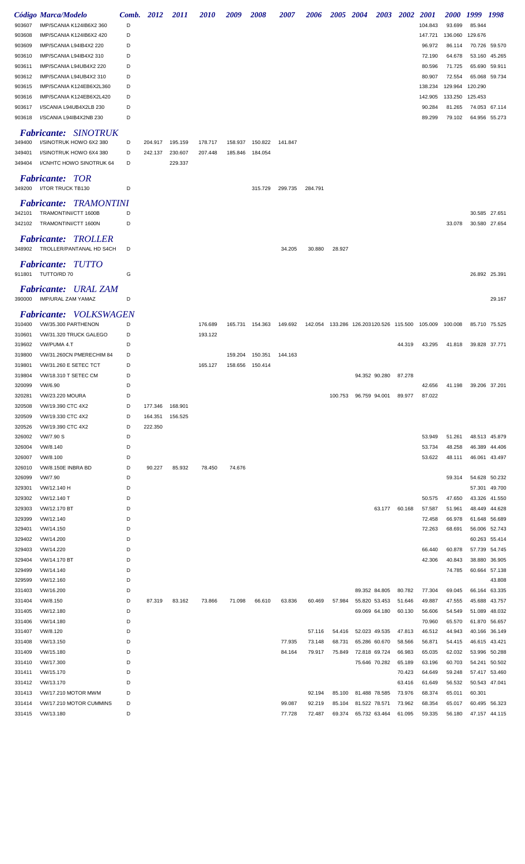|                  | Código Marca/Modelo                                    | Comb.  | 2012    | <i>2011</i> | <i>2010</i> | 2009            | <i><b>2008</b></i> | <i><b>2007</b></i> | <i><b>2006</b></i> | <b>2005</b> | <b>2004</b><br><b>2003</b>                                  | <b>2002</b> | <i>2001</i>      | <i><b>2000</b></i> | 1999 1998 |                                |
|------------------|--------------------------------------------------------|--------|---------|-------------|-------------|-----------------|--------------------|--------------------|--------------------|-------------|-------------------------------------------------------------|-------------|------------------|--------------------|-----------|--------------------------------|
| 903607           | IMP/SCANIA K124IB6X2 360                               | D      |         |             |             |                 |                    |                    |                    |             |                                                             |             | 104.843          | 93.699             | 85.944    |                                |
| 903608           | IMP/SCANIA K124IB6X2 420                               | D      |         |             |             |                 |                    |                    |                    |             |                                                             |             | 147.721          | 136.060            | 129.676   |                                |
| 903609           | IMP/SCANIA L94IB4X2 220                                | D      |         |             |             |                 |                    |                    |                    |             |                                                             |             | 96.972           | 86.114             |           | 70.726 59.570                  |
| 903610           | IMP/SCANIA L94IB4X2 310                                | D      |         |             |             |                 |                    |                    |                    |             |                                                             |             | 72.190           | 64.678             | 53.160    | 45.265                         |
| 903611<br>903612 | IMP/SCANIA L94UB4X2 220<br>IMP/SCANIA L94UB4X2 310     | D<br>D |         |             |             |                 |                    |                    |                    |             |                                                             |             | 80.596<br>80.907 | 71.725<br>72.554   | 65.690    | 59.911<br>65.068 59.734        |
| 903615           | IMP/SCANIA K124EB6X2L360                               | D      |         |             |             |                 |                    |                    |                    |             |                                                             |             | 138.234          | 129.964            | 120.290   |                                |
| 903616           | IMP/SCANIA K124EB6X2L420                               | D      |         |             |             |                 |                    |                    |                    |             |                                                             |             | 142.905          | 133.250            | 125.453   |                                |
| 903617           | I/SCANIA L94UB4X2LB 230                                | D      |         |             |             |                 |                    |                    |                    |             |                                                             |             | 90.284           | 81.265             |           | 74.053 67.114                  |
| 903618           | I/SCANIA L94IB4X2NB 230                                | D      |         |             |             |                 |                    |                    |                    |             |                                                             |             | 89.299           | 79.102             |           | 64.956 55.273                  |
|                  | <b>Fabricante: SINOTRUK</b>                            |        |         |             |             |                 |                    |                    |                    |             |                                                             |             |                  |                    |           |                                |
| 349400           | I/SINOTRUK HOWO 6X2 380                                | D      | 204.917 | 195.159     | 178.717     | 158.937         | 150.822            | 141.847            |                    |             |                                                             |             |                  |                    |           |                                |
| 349401           | I/SINOTRUK HOWO 6X4 380                                | D      | 242.137 | 230.607     | 207.448     | 185.846         | 184.054            |                    |                    |             |                                                             |             |                  |                    |           |                                |
| 349404           | I/CNHTC HOWO SINOTRUK 64                               | D      |         | 229.337     |             |                 |                    |                    |                    |             |                                                             |             |                  |                    |           |                                |
| 349200           | <b>Fabricante: TOR</b><br>I/TOR TRUCK TB130            | D      |         |             |             |                 | 315.729            | 299.735            | 284.791            |             |                                                             |             |                  |                    |           |                                |
|                  | <b>Fabricante: TRAMONTINI</b>                          |        |         |             |             |                 |                    |                    |                    |             |                                                             |             |                  |                    |           |                                |
| 342101<br>342102 | TRAMONTINI/CTT 1600B<br>TRAMONTINI/CTT 1600N           | D<br>D |         |             |             |                 |                    |                    |                    |             |                                                             |             |                  | 33.078             |           | 30.585 27.651<br>30.580 27.654 |
|                  |                                                        |        |         |             |             |                 |                    |                    |                    |             |                                                             |             |                  |                    |           |                                |
| 348902           | <b>Fabricante: TROLLER</b><br>TROLLER/PANTANAL HD S4CH | D      |         |             |             |                 |                    | 34.205             | 30.880             | 28.927      |                                                             |             |                  |                    |           |                                |
|                  | <b>Fabricante: TUTTO</b>                               |        |         |             |             |                 |                    |                    |                    |             |                                                             |             |                  |                    |           |                                |
|                  | 911801 TUTTO/RD 70                                     | G      |         |             |             |                 |                    |                    |                    |             |                                                             |             |                  |                    |           | 26.892 25.391                  |
|                  | <b>Fabricante:</b> URAL ZAM                            |        |         |             |             |                 |                    |                    |                    |             |                                                             |             |                  |                    |           |                                |
|                  | 390000 IMP/URAL ZAM YAMAZ                              | D      |         |             |             |                 |                    |                    |                    |             |                                                             |             |                  |                    |           | 29.167                         |
|                  | <i><b>Fabricante:</b></i><br><i>VOLKSWAGEN</i>         |        |         |             |             |                 |                    |                    |                    |             |                                                             |             |                  |                    |           |                                |
| 310400           | VW/35.300 PARTHENON                                    | D      |         |             | 176.689     |                 | 165.731 154.363    | 149.692            |                    |             | 142.054  133.286  126.203120.526  115.500  105.009  100.008 |             |                  |                    |           | 85.710 75.525                  |
| 310601           | VW/31.320 TRUCK GALEGO                                 | D      |         |             | 193.122     |                 |                    |                    |                    |             |                                                             |             |                  |                    |           |                                |
| 319602           | VW/PUMA 4.T                                            | D      |         |             |             |                 |                    |                    |                    |             |                                                             | 44.319      | 43.295           | 41.818             |           | 39.828 37.771                  |
| 319800           | VW/31.260CN PMERECHIM 84                               | D<br>D |         |             |             | 159.204         | 150.351            | 144.163            |                    |             |                                                             |             |                  |                    |           |                                |
| 319801<br>319804 | VW/31.260 E SETEC TCT<br>VW/18.310 T SETEC CM          | D      |         |             | 165.127     | 158.656 150.414 |                    |                    |                    |             | 94.352 90.280                                               | 87.278      |                  |                    |           |                                |
| 320099           | VW/6.90                                                | D      |         |             |             |                 |                    |                    |                    |             |                                                             |             | 42.656           | 41.198             |           | 39.206 37.201                  |
| 320281           | <b>VW/23.220 MOURA</b>                                 | D      |         |             |             |                 |                    |                    |                    |             | 100.753 96.759 94.001                                       | 89.977      | 87.022           |                    |           |                                |
| 320508           | VW/19.390 CTC 4X2                                      | D      | 177.346 | 168.901     |             |                 |                    |                    |                    |             |                                                             |             |                  |                    |           |                                |
| 320509           | VW/19.330 CTC 4X2                                      | D      | 164.351 | 156.525     |             |                 |                    |                    |                    |             |                                                             |             |                  |                    |           |                                |
| 320526           | VW/19.390 CTC 4X2                                      | D      | 222.350 |             |             |                 |                    |                    |                    |             |                                                             |             |                  |                    |           |                                |
| 326002           | VW/7.90 S                                              | D      |         |             |             |                 |                    |                    |                    |             |                                                             |             | 53.949           | 51.261             |           | 48.513 45.879                  |
| 326004           | VW/8.140                                               | D      |         |             |             |                 |                    |                    |                    |             |                                                             |             | 53.734           | 48.258             |           | 46.389 44.406                  |
| 326007           | VW/8.100                                               | D      |         |             |             |                 |                    |                    |                    |             |                                                             |             | 53.622           | 48.111             |           | 46.061 43.497                  |
| 326010           | <b>VW/8.150E INBRA BD</b>                              | D      | 90.227  | 85.932      | 78.450      | 74.676          |                    |                    |                    |             |                                                             |             |                  |                    |           |                                |
| 326099           | VW/7.90                                                | D<br>D |         |             |             |                 |                    |                    |                    |             |                                                             |             |                  | 59.314             |           | 54.628 50.232                  |
| 329301<br>329302 | VW/12.140 H<br>VW/12.140 T                             | D      |         |             |             |                 |                    |                    |                    |             |                                                             |             | 50.575           | 47.650             |           | 57.301 49.700<br>43.326 41.550 |
| 329303           | VW/12.170 BT                                           | D      |         |             |             |                 |                    |                    |                    |             | 63.177                                                      | 60.168      | 57.587           | 51.961             |           | 48.449 44.628                  |
| 329399           | VW/12.140                                              | D      |         |             |             |                 |                    |                    |                    |             |                                                             |             | 72.458           | 66.978             |           | 61.648 56.689                  |
| 329401           | VW/14.150                                              | D      |         |             |             |                 |                    |                    |                    |             |                                                             |             | 72.263           | 68.691             |           | 56.006 52.743                  |
| 329402           | VW/14.200                                              | D      |         |             |             |                 |                    |                    |                    |             |                                                             |             |                  |                    |           | 60.263 55.414                  |
| 329403           | VW/14.220                                              | D      |         |             |             |                 |                    |                    |                    |             |                                                             |             | 66.440           | 60.878             |           | 57.739 54.745                  |
| 329404           | VW/14.170 BT                                           | D      |         |             |             |                 |                    |                    |                    |             |                                                             |             | 42.306           | 40.843             |           | 38.880 36.905                  |
| 329499           | VW/14.140                                              | D      |         |             |             |                 |                    |                    |                    |             |                                                             |             |                  | 74.785             |           | 60.664 57.138                  |
| 329599           | VW/12.160                                              | D      |         |             |             |                 |                    |                    |                    |             |                                                             |             |                  |                    |           | 43.808                         |
| 331403           | VW/16.200                                              | D      |         |             |             |                 |                    |                    |                    |             | 89.352 84.805                                               | 80.782      | 77.304           | 69.045             |           | 66.164 63.335                  |
| 331404           | VW/8.150                                               | D<br>D | 87.319  | 83.162      | 73.866      | 71.098          | 66.610             | 63.836             | 60.469             | 57.984      | 55.820 53.453                                               | 51.646      | 49.887           | 47.555             |           | 45.688 43.757                  |
| 331405<br>331406 | VW/12.180<br>VW/14.180                                 | D      |         |             |             |                 |                    |                    |                    |             | 69.069 64.180                                               | 60.130      | 56.606<br>70.960 | 54.549<br>65.570   |           | 51.089 48.032<br>61.870 56.657 |
| 331407           | VW/8.120                                               | D      |         |             |             |                 |                    |                    | 57.116             | 54.416      | 52.023 49.535                                               | 47.813      | 46.512           | 44.943             |           | 40.166 36.149                  |
| 331408           | VW/13.150                                              | D      |         |             |             |                 |                    | 77.935             | 73.148             | 68.731      | 65.286 60.670                                               | 58.566      | 56.871           | 54.415             |           | 46.615 43.421                  |
| 331409           | VW/15.180                                              | D      |         |             |             |                 |                    | 84.164             | 79.917             | 75.849      | 72.818 69.724                                               | 66.983      | 65.035           | 62.032             |           | 53.996 50.288                  |
| 331410           | VW/17.300                                              | D      |         |             |             |                 |                    |                    |                    |             | 75.646 70.282                                               | 65.189      | 63.196           | 60.703             |           | 54.241 50.502                  |
| 331411           | VW/15.170                                              | D      |         |             |             |                 |                    |                    |                    |             |                                                             | 70.423      | 64.649           | 59.248             |           | 57.417 53.460                  |
| 331412           | VW/13.170                                              | D      |         |             |             |                 |                    |                    |                    |             |                                                             | 63.416      | 61.649           | 56.532             |           | 50.543 47.041                  |
| 331413           | VW/17.210 MOTOR MWM                                    | D      |         |             |             |                 |                    |                    | 92.194             | 85.100      | 81.488 78.585                                               | 73.976      | 68.374           | 65.011             | 60.301    |                                |
| 331414           | VW/17.210 MOTOR CUMMINS                                | D      |         |             |             |                 |                    | 99.087             | 92.219             | 85.104      | 81.522 78.571                                               | 73.962      | 68.354           | 65.017             |           | 60.495 56.323                  |
| 331415           | VW/13.180                                              | D      |         |             |             |                 |                    | 77.728             | 72.487             | 69.374      | 65.732 63.464                                               | 61.095      | 59.335           | 56.180             |           | 47.157 44.115                  |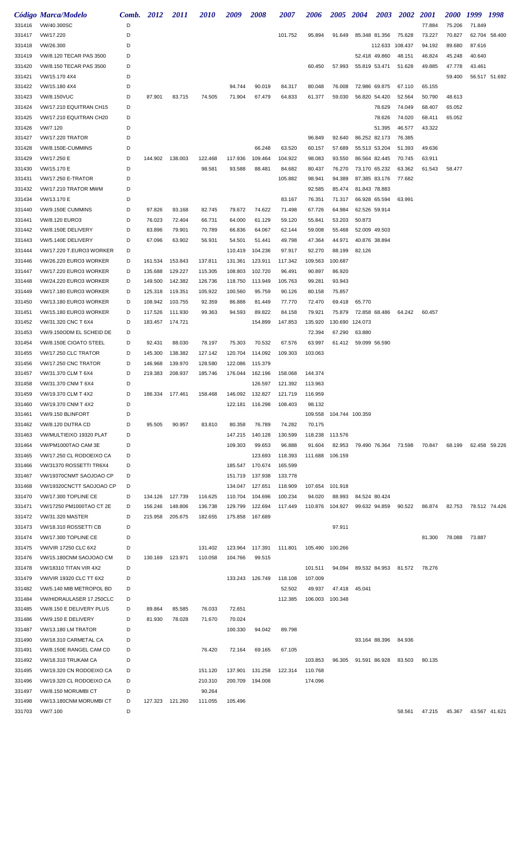|                  | Código Marca/Modelo                                  | Comb. 2012 |                 | 2011            | 2010               | 2009               | 2008                       | 2007               | 2006               | 2005 2004         |                      | 2003             | <b>2002</b>      | <i>2001</i>      | <b>2000</b>                    | 1999 1998 |               |
|------------------|------------------------------------------------------|------------|-----------------|-----------------|--------------------|--------------------|----------------------------|--------------------|--------------------|-------------------|----------------------|------------------|------------------|------------------|--------------------------------|-----------|---------------|
| 331416           | VW/40.300SC                                          | D          |                 |                 |                    |                    |                            |                    |                    |                   |                      |                  |                  | 77.884           | 75.206                         | 71.849    |               |
| 331417           | VW/17.220                                            | D          |                 |                 |                    |                    |                            | 101.752            | 95.894             | 91.649            |                      | 85.348 81.356    | 75.628           | 73.227           | 70.827                         |           | 62.704 58.400 |
| 331418           | VW/26.300                                            | D          |                 |                 |                    |                    |                            |                    |                    |                   |                      | 112.633          | 108.437          | 94.192           | 89.680                         | 87.616    |               |
| 331419           | VW/8.120 TECAR PAS 3500                              | D          |                 |                 |                    |                    |                            |                    |                    |                   |                      | 52.418 49.860    | 48.151           | 46.824           | 45.248                         | 40.640    |               |
| 331420           | VW/8.150 TECAR PAS 3500                              | D          |                 |                 |                    |                    |                            |                    | 60.450             | 57.993            | 55.819 53.471        |                  | 51.628           | 49.885           | 47.778                         | 43.461    |               |
| 331421           | VW/15.170 4X4                                        | D          |                 |                 |                    |                    |                            |                    |                    |                   |                      |                  |                  |                  | 59.400                         |           | 56.517 51.692 |
| 331422           | VW/15.180 4X4                                        | D          |                 |                 |                    | 94.744             | 90.019                     | 84.317             | 80.048             | 76.008            |                      | 72.986 69.875    | 67.110           | 65.155           |                                |           |               |
| 331423           | <b>VW/8.150VUC</b>                                   | D          | 87.901          | 83.715          | 74.505             | 71.904             | 67.479                     | 64.833             | 61.377             | 59.030            |                      | 56.820 54.420    | 52.564           | 50.790           | 48.613                         |           |               |
| 331424           | VW/17.210 EQUITRAN CH15                              | D<br>D     |                 |                 |                    |                    |                            |                    |                    |                   |                      | 78.629           | 74.049           | 68.407           | 65.052                         |           |               |
| 331425<br>331426 | VW/17.210 EQUITRAN CH20<br>VW/7.120                  | D          |                 |                 |                    |                    |                            |                    |                    |                   |                      | 78.626<br>51.395 | 74.020<br>46.577 | 68.411<br>43.322 | 65.052                         |           |               |
| 331427           | <b>VW/17.220 TRATOR</b>                              | D          |                 |                 |                    |                    |                            |                    | 96.849             | 92.640            |                      | 86.252 82.173    | 76.385           |                  |                                |           |               |
| 331428           | VW/8.150E-CUMMINS                                    | D          |                 |                 |                    |                    | 66.248                     | 63.520             | 60.157             | 57.689            |                      | 55.513 53.204    | 51.393           | 49.636           |                                |           |               |
| 331429           | VW/17.250 E                                          | D          | 144.902         | 138.003         | 122.468            | 117.936            | 109.464                    | 104.922            | 98.083             | 93.550            |                      | 86.564 82.445    | 70.745           | 63.911           |                                |           |               |
| 331430           | VW/15.170 E                                          | D          |                 |                 | 98.581             | 93.588             | 88.481                     | 84.682             | 80.437             | 76.270            |                      | 73.170 65.232    | 63.362           | 61.543           | 58.477                         |           |               |
| 331431           | <b>VW/17.250 E-TRATOR</b>                            | D          |                 |                 |                    |                    |                            | 105.882            | 98.941             | 94.389            |                      | 87.385 83.176    | 77.682           |                  |                                |           |               |
| 331432           | VW/17.210 TRATOR MWM                                 | D          |                 |                 |                    |                    |                            |                    | 92.585             | 85.474            | 81.843 78.883        |                  |                  |                  |                                |           |               |
| 331434           | VW/13.170 E                                          | D          |                 |                 |                    |                    |                            | 83.167             | 76.351             | 71.317            | 66.928 65.594        |                  | 63.991           |                  |                                |           |               |
| 331440           | VW/9.150E CUMMINS                                    | D          | 97.826          | 93.168          | 82.745             | 79.672             | 74.622                     | 71.498             | 67.726             | 64.984            | 62.526 59.914        |                  |                  |                  |                                |           |               |
| 331441           | VW/8.120 EURO3                                       | D          | 76.023          | 72.404          | 66.731             | 64.000             | 61.129                     | 59.120             | 55.841             | 53.203            | 50.873               |                  |                  |                  |                                |           |               |
| 331442           | VW/8.150E DELIVERY                                   | D          | 83.896          | 79.901          | 70.789             | 66.836             | 64.067                     | 62.144             | 59.008             | 55.468            | 52.009 49.503        |                  |                  |                  |                                |           |               |
| 331443           | VW/5.140E DELIVERY                                   | D          | 67.096          | 63.902          | 56.931             | 54.501             | 51.441                     | 49.798             | 47.364             | 44.971            | 40.876 38.894        |                  |                  |                  |                                |           |               |
| 331444           | VW/17.220 T.EURO3 WORKER<br>VW/26.220 EURO3 WORKER   | D<br>D     | 161.534         | 153.843         | 137.811            | 110.419<br>131.361 | 104.236<br>123.911         | 97.917<br>117.342  | 92.270<br>109.563  | 88.199<br>100.687 | 82.126               |                  |                  |                  |                                |           |               |
| 331446<br>331447 | VW/17.220 EURO3 WORKER                               | D          | 135.688         | 129.227         | 115.305            | 108.803            | 102.720                    | 96.491             | 90.897             | 86.920            |                      |                  |                  |                  |                                |           |               |
| 331448           | VW/24.220 EURO3 WORKER                               | D          | 149.500         | 142.382         | 126.736            | 118.750            | 113.949                    | 105.763            | 99.281             | 93.943            |                      |                  |                  |                  |                                |           |               |
| 331449           | VW/17.180 EURO3 WORKER                               | D          | 125.318         | 119.351         | 105.922            | 100.560            | 95.759                     | 90.126             | 80.158             | 75.857            |                      |                  |                  |                  |                                |           |               |
| 331450           | VW/13.180 EURO3 WORKER                               | D          | 108.942         | 103.755         | 92.359             | 86.888             | 81.449                     | 77.770             | 72.470             | 69.418            | 65.770               |                  |                  |                  |                                |           |               |
| 331451           | VW/15.180 EURO3 WORKER                               | D          | 117.526         | 111.930         | 99.363             | 94.593             | 89.822                     | 84.158             | 79.921             | 75.879            | 72.858 68.486        |                  | 64.242           | 60.457           |                                |           |               |
| 331452           | VW/31.320 CNC T 6X4                                  | D          | 183.457         | 174.721         |                    |                    | 154.899                    | 147.853            | 135.920            | 130.690           | 124.073              |                  |                  |                  |                                |           |               |
| 331453           | VW/9.150ODM EL SCHEID DE                             | D          |                 |                 |                    |                    |                            |                    | 72.394             | 67.290            | 63.880               |                  |                  |                  |                                |           |               |
| 331454           | VW/8.150E CIOATO STEEL                               | D          | 92.431          | 88.030          | 78.197             | 75.303             | 70.532                     | 67.576             | 63.997             |                   | 61.412 59.099 56.590 |                  |                  |                  |                                |           |               |
| 331455           | VW/17.250 CLC TRATOR                                 | D          | 145.300         | 138.382         | 127.142            | 120.704            | 114.092                    | 109.303            | 103.063            |                   |                      |                  |                  |                  |                                |           |               |
| 331456           | VW/17.250 CNC TRATOR                                 | D          | 146.968         | 139.970         | 128.580            | 122.086            | 115.379                    |                    |                    |                   |                      |                  |                  |                  |                                |           |               |
| 331457           | VW/31.370 CLM T 6X4                                  | D          | 219.383         | 208.937         | 185.746            | 176.044            | 162.196                    | 158.068            | 144.374            |                   |                      |                  |                  |                  |                                |           |               |
| 331458<br>331459 | VW/31.370 CNM T 6X4                                  | D          |                 | 186.334 177.461 |                    | 146.092            | 126.597                    | 121.392            | 113.963            |                   |                      |                  |                  |                  |                                |           |               |
| 331460           | VW/19.370 CLM T 4X2<br>VW/19.370 CNM T 4X2           | D          |                 |                 | 158.468            |                    | 132.827<br>122.181 116.298 | 121.719<br>108.403 | 116.959<br>98.132  |                   |                      |                  |                  |                  |                                |           |               |
| 331461           | VW/9.150 BLINFORT                                    | D          |                 |                 |                    |                    |                            |                    | 109.558            | 104.744 100.359   |                      |                  |                  |                  |                                |           |               |
| 331462           | VW/8.120 DUTRA CD                                    | D          | 95.505          | 90.957          | 83.810             | 80.358             | 76.789                     | 74.282             | 70.175             |                   |                      |                  |                  |                  |                                |           |               |
| 331463           | VW/MULTIEIXO 19320 PLAT                              | D          |                 |                 |                    | 147.215            | 140.128                    | 130.599            | 118.238            | 113.576           |                      |                  |                  |                  |                                |           |               |
| 331464           | VW/PM1000TAO CAM 3E                                  | D          |                 |                 |                    | 109.303            | 99.653                     | 96.888             | 91.604             | 82.953            |                      | 79.490 76.364    | 73.598           | 70.847           | 68.199                         |           | 62.458 59.226 |
| 331465           | VW/17.250 CL RODOEIXO CA                             | D          |                 |                 |                    |                    | 123.693                    | 118.393            | 111.688 106.159    |                   |                      |                  |                  |                  |                                |           |               |
| 331466           | VW/31370 ROSSETTI TR6X4                              | D          |                 |                 |                    | 185.547            | 170.674                    | 165.599            |                    |                   |                      |                  |                  |                  |                                |           |               |
| 331467           | VW/19370CNMT SAOJOAO CP                              | D          |                 |                 |                    | 151.719            | 137.938                    | 133.778            |                    |                   |                      |                  |                  |                  |                                |           |               |
| 331468           | VW/19320CNCTT SAOJOAO CP                             | D          |                 |                 |                    | 134.047            | 127.651                    | 118.909            | 107.654            | 101.918           |                      |                  |                  |                  |                                |           |               |
| 331470           | VW/17.300 TOPLINE CE                                 | D          | 134.126 127.739 |                 | 116.625            | 110.704            | 104.696                    | 100.234            | 94.020             | 88.993            | 84.524 80.424        |                  |                  |                  |                                |           |               |
| 331471           | VW/17250 PM1000TAO CT 2E                             | D          | 156.246         | 148.806         | 136.738            | 129.799            | 122.694                    | 117.449            | 110.876            | 104.927           |                      | 99.632 94.859    | 90.522           | 86.874           | 82.753                         |           | 78.512 74.426 |
| 331472           | VW/31.320 MASTER                                     | D          | 215.958         | 205.675         | 182.655            | 175.858            | 167.689                    |                    |                    |                   |                      |                  |                  |                  |                                |           |               |
| 331473           | VW/18.310 ROSSETTI CB                                | D<br>D     |                 |                 |                    |                    |                            |                    |                    | 97.911            |                      |                  |                  |                  | 78.088                         |           |               |
| 331474<br>331475 | VW/17.300 TOPLINE CE<br><b>VW/VIR 17250 CLC 6X2</b>  | D          |                 |                 | 131.402            | 123.964            | 117.391                    | 111.801            | 105.490            | 100.266           |                      |                  |                  | 81.300           |                                | 73.887    |               |
| 331476           | VW/15.180CNM SAOJOAO CM                              | D          | 130.169         | 123.971         | 110.058            | 104.766            | 99.515                     |                    |                    |                   |                      |                  |                  |                  |                                |           |               |
| 331478           | VW/18310 TITAN VIR 4X2                               | D          |                 |                 |                    |                    |                            |                    | 101.511            | 94.094            |                      | 89.532 84.953    | 81.572           | 78.276           |                                |           |               |
| 331479           | VW/VIR 19320 CLC TT 6X2                              | D          |                 |                 |                    |                    | 133.243 126.749            | 118.108            | 107.009            |                   |                      |                  |                  |                  |                                |           |               |
| 331482           | VW/5.140 MIB METROPOL BD                             | D          |                 |                 |                    |                    |                            | 52.502             | 49.937             | 47.418            | 45.041               |                  |                  |                  |                                |           |               |
| 331484           | VW/HIDRAULASER 17.250CLC                             | D          |                 |                 |                    |                    |                            | 112.385            | 106.003            | 100.348           |                      |                  |                  |                  |                                |           |               |
| 331485           | VW/8.150 E DELIVERY PLUS                             | D          | 89.864          | 85.585          | 76.033             | 72.651             |                            |                    |                    |                   |                      |                  |                  |                  |                                |           |               |
| 331486           | VW/9.150 E DELIVERY                                  | D          | 81.930          | 78.028          | 71.670             | 70.024             |                            |                    |                    |                   |                      |                  |                  |                  |                                |           |               |
| 331487           | VW/13.180 LM TRATOR                                  | D          |                 |                 |                    | 100.330            | 94.042                     | 89.798             |                    |                   |                      |                  |                  |                  |                                |           |               |
| 331490           | VW/18.310 CARMETAL CA                                | D          |                 |                 |                    |                    |                            |                    |                    |                   |                      | 93.164 88.396    | 84.936           |                  |                                |           |               |
| 331491           | VW/8.150E RANGEL CAM CD                              | D          |                 |                 | 76.420             | 72.164             | 69.165                     | 67.105             |                    |                   |                      |                  |                  |                  |                                |           |               |
| 331492           | VW/18.310 TRUKAM CA                                  | D          |                 |                 |                    |                    |                            |                    | 103.853            | 96.305            |                      | 91.591 86.928    | 83.503           | 80.135           |                                |           |               |
| 331495           | VW/19.320 CN RODOEIXO CA<br>VW/19.320 CL RODOEIXO CA | D<br>D     |                 |                 | 151.120<br>210.310 | 137.901            | 131.258<br>194.008         | 122.314            | 110.768<br>174.096 |                   |                      |                  |                  |                  |                                |           |               |
| 331496<br>331497 | VW/8.150 MORUMBICT                                   | D          |                 |                 | 90.264             | 200.709            |                            |                    |                    |                   |                      |                  |                  |                  |                                |           |               |
| 331498           | VW/13.180CNM MORUMBICT                               | D          | 127.323 121.260 |                 | 111.055            | 105.496            |                            |                    |                    |                   |                      |                  |                  |                  |                                |           |               |
| 331703           | VW/7.100                                             | D          |                 |                 |                    |                    |                            |                    |                    |                   |                      |                  | 58.561           |                  | 47.215  45.367  43.567  41.621 |           |               |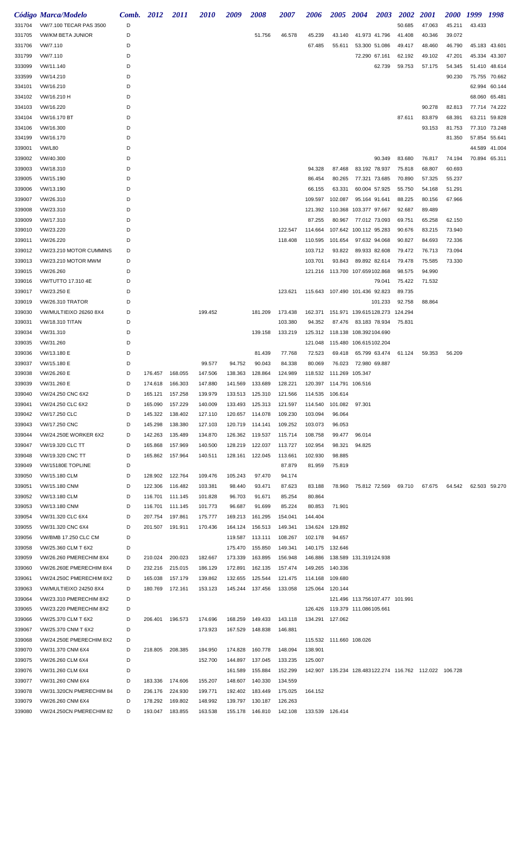|        | Código Marca/Modelo      | Comb.  | 2012            | <i>2011</i> | <i><b>2010</b></i> | 2009    | 2008                      | 2007    | 2006                           | <i><b>2005</b></i> | 2004                             | <b>2003</b> | 2002    | <i>2001</i>                                                 | <i><b>2000</b></i> | 1999   | 1998          |
|--------|--------------------------|--------|-----------------|-------------|--------------------|---------|---------------------------|---------|--------------------------------|--------------------|----------------------------------|-------------|---------|-------------------------------------------------------------|--------------------|--------|---------------|
| 331704 | VW/7.100 TECAR PAS 3500  | D      |                 |             |                    |         |                           |         |                                |                    |                                  |             | 50.685  | 47.063                                                      | 45.211             | 43.433 |               |
| 331705 | <b>VW/KM BETA JUNIOR</b> | D      |                 |             |                    |         | 51.756                    | 46.578  | 45.239                         | 43.140             | 41.973 41.796                    |             | 41.408  | 40.346                                                      | 39.072             |        |               |
| 331706 | VW/7.110                 | D      |                 |             |                    |         |                           |         | 67.485                         | 55.611             | 53.300 51.086                    |             | 49.417  | 48.460                                                      | 46.790             |        | 45.183 43.601 |
| 331799 | VW/7.110                 | D      |                 |             |                    |         |                           |         |                                |                    | 72.290 67.161                    |             | 62.192  | 49.102                                                      | 47.201             |        | 45.334 43.307 |
| 333099 | VW/11.140                | D      |                 |             |                    |         |                           |         |                                |                    |                                  | 62.739      | 59.753  | 57.175                                                      | 54.345             |        | 51.410 48.614 |
|        |                          |        |                 |             |                    |         |                           |         |                                |                    |                                  |             |         |                                                             |                    |        |               |
| 333599 | VW/14.210                | D      |                 |             |                    |         |                           |         |                                |                    |                                  |             |         |                                                             | 90.230             |        | 75.755 70.662 |
| 334101 | VW/16.210                | D      |                 |             |                    |         |                           |         |                                |                    |                                  |             |         |                                                             |                    |        | 62.994 60.144 |
| 334102 | VW/16.210 H              | D      |                 |             |                    |         |                           |         |                                |                    |                                  |             |         |                                                             |                    |        | 68.060 65.481 |
| 334103 | VW/16.220                | D      |                 |             |                    |         |                           |         |                                |                    |                                  |             |         | 90.278                                                      | 82.813             |        | 77.714 74.222 |
| 334104 | VW/16.170 BT             | D      |                 |             |                    |         |                           |         |                                |                    |                                  |             | 87.611  | 83.879                                                      | 68.391             |        | 63.211 59.828 |
| 334106 | VW/16.300                | D      |                 |             |                    |         |                           |         |                                |                    |                                  |             |         | 93.153                                                      | 81.753             |        | 77.310 73.248 |
| 334199 | VW/16.170                | D      |                 |             |                    |         |                           |         |                                |                    |                                  |             |         |                                                             | 81.350             |        | 57.854 55.641 |
| 339001 | <b>VW/L80</b>            | D      |                 |             |                    |         |                           |         |                                |                    |                                  |             |         |                                                             |                    |        | 44.589 41.004 |
| 339002 | VW/40.300                | D      |                 |             |                    |         |                           |         |                                |                    |                                  | 90.349      | 83.680  | 76.817                                                      | 74.194             |        | 70.894 65.311 |
| 339003 | VW/18.310                | D      |                 |             |                    |         |                           |         | 94.328                         | 87.468             | 83.192 78.937                    |             | 75.818  | 68.807                                                      | 60.693             |        |               |
| 339005 | VW/15.190                | D      |                 |             |                    |         |                           |         | 86.454                         | 80.265             | 77.321 73.685                    |             | 70.890  | 57.325                                                      | 55.237             |        |               |
| 339006 | VW/13.190                | D      |                 |             |                    |         |                           |         | 66.155                         | 63.331             | 60.004 57.925                    |             | 55.750  | 54.168                                                      | 51.291             |        |               |
| 339007 | VW/26.310                | D      |                 |             |                    |         |                           |         | 109.597                        | 102.087            | 95.164 91.641                    |             | 88.225  | 80.156                                                      | 67.966             |        |               |
| 339008 | VW/23.310                | D      |                 |             |                    |         |                           |         | 121.392                        |                    | 110.368 103.377 97.667           |             | 92.687  | 89.489                                                      |                    |        |               |
| 339009 | VW/17.310                | D      |                 |             |                    |         |                           |         | 87.255                         | 80.967             | 77.012 73.093                    |             | 69.751  | 65.258                                                      | 62.150             |        |               |
| 339010 | VW/23.220                | D      |                 |             |                    |         |                           | 122.547 | 114.664                        |                    | 107.642 100.112 95.283           |             | 90.676  | 83.215                                                      | 73.940             |        |               |
| 339011 | VW/26.220                | D      |                 |             |                    |         |                           | 118.408 | 110.595                        | 101.654            | 97.632 94.068                    |             | 90.827  | 84.693                                                      | 72.336             |        |               |
| 339012 | VW/23.210 MOTOR CUMMINS  | D      |                 |             |                    |         |                           |         | 103.712                        | 93.822             | 89.933 82.608                    |             | 79.472  | 76.713                                                      | 73.094             |        |               |
| 339013 | VW/23.210 MOTOR MWM      | D      |                 |             |                    |         |                           |         | 103.701                        | 93.843             | 89.892 82.614                    |             | 79.478  | 75.585                                                      | 73.330             |        |               |
| 339015 | VW/26.260                | D      |                 |             |                    |         |                           |         | 121.216                        |                    | 113.700 107.659102.868           |             | 98.575  | 94.990                                                      |                    |        |               |
| 339016 | VW/TUTTO 17.310 4E       | D      |                 |             |                    |         |                           |         |                                |                    |                                  | 79.041      | 75.422  | 71.532                                                      |                    |        |               |
| 339017 | VW/23.250 E              | D      |                 |             |                    |         |                           | 123.621 | 115.643 107.490 101.436 92.823 |                    |                                  |             | 89.735  |                                                             |                    |        |               |
| 339019 | <b>VW/26.310 TRATOR</b>  | D      |                 |             |                    |         |                           |         |                                |                    |                                  | 101.233     | 92.758  | 88.864                                                      |                    |        |               |
|        |                          |        |                 |             |                    |         |                           |         |                                |                    |                                  |             |         |                                                             |                    |        |               |
| 339030 | VW/MULTIEIXO 26260 8X4   | D      |                 |             | 199.452            |         | 181.209                   | 173.438 | 162.371                        |                    | 151.971 139.615128.273           |             | 124.294 |                                                             |                    |        |               |
| 339031 | <b>VW/18.310 TITAN</b>   | D      |                 |             |                    |         |                           | 103.380 | 94.352                         | 87.476             | 83.183 78.934                    |             | 75.831  |                                                             |                    |        |               |
| 339034 | VW/31.310                | D      |                 |             |                    |         | 139.158                   | 133.219 |                                |                    | 125.312  118.138  108.392104.690 |             |         |                                                             |                    |        |               |
| 339035 | VW/31.260                | D      |                 |             |                    |         |                           |         | 121.048                        |                    | 115.480 106.615102.204           |             |         |                                                             |                    |        |               |
| 339036 | VW/13.180 E              | D      |                 |             |                    |         | 81.439                    | 77.768  | 72.523                         | 69.418             | 65.799 63.474                    |             | 61.124  | 59.353                                                      | 56.209             |        |               |
| 339037 | VW/15.180 E              | D      |                 |             | 99.577             | 94.752  | 90.043                    | 84.338  | 80.069                         | 76.023             | 72.980 69.887                    |             |         |                                                             |                    |        |               |
| 339038 | VW/26.260 E              | D      | 176.457         | 168.055     | 147.506            | 138.363 | 128.864                   | 124.989 | 118.532                        | 111.269 105.347    |                                  |             |         |                                                             |                    |        |               |
| 339039 | VW/31.260 E              | D      | 174.618         | 166.303     | 147.880            | 141.569 | 133.689                   | 128.221 | 120.397 114.791 106.516        |                    |                                  |             |         |                                                             |                    |        |               |
| 339040 | VW/24.250 CNC 6X2        | D      | 165.121         | 157.258     | 139.979            |         | 133.513  125.310  121.566 |         | 114.535 106.614                |                    |                                  |             |         |                                                             |                    |        |               |
| 339041 | VW/24.250 CLC 6X2        | D      | 165.090         | 157.229     | 140.009            |         | 133.493 125.313           | 121.597 | 114.540  101.082               |                    | 97.301                           |             |         |                                                             |                    |        |               |
| 339042 | VW/17.250 CLC            | D      | 145.322         | 138.402     | 127.110            | 120.657 | 114.078                   | 109.230 | 103.094                        | 96.064             |                                  |             |         |                                                             |                    |        |               |
| 339043 | <b>VW/17.250 CNC</b>     | D      | 145.298         | 138.380     | 127.103            | 120.719 | 114.141                   | 109.252 | 103.073                        | 96.053             |                                  |             |         |                                                             |                    |        |               |
| 339044 | VW/24.250E WORKER 6X2    | D      | 142.263         | 135.489     | 134.870            | 126.362 | 119.537                   | 115.714 | 108.758                        | 99.477             | 96.014                           |             |         |                                                             |                    |        |               |
| 339047 | VW/19.320 CLC TT         | D      | 165.868         | 157.969     | 140.500            | 128.219 | 122.037                   | 113.727 | 102.954                        | 98.321             | 94.825                           |             |         |                                                             |                    |        |               |
| 339048 | VW/19.320 CNC TT         | D      | 165.862         | 157.964     | 140.511            | 128.161 | 122.045                   | 113.661 | 102.930                        | 98.885             |                                  |             |         |                                                             |                    |        |               |
| 339049 | VW/15180E TOPLINE        | D      |                 |             |                    |         |                           | 87.879  | 81.959                         | 75.819             |                                  |             |         |                                                             |                    |        |               |
| 339050 | VW/15.180 CLM            | D      | 128.902         | 122.764     | 109.476            | 105.243 | 97.470                    | 94.174  |                                |                    |                                  |             |         |                                                             |                    |        |               |
| 339051 | VW/15.180 CNM            | D      | 122.306         | 116.482     | 103.381            | 98.440  | 93.471                    | 87.623  | 83.188                         |                    | 78.960 75.812 72.569             |             | 69.710  | 67.675                                                      | 64.542             |        | 62.503 59.270 |
| 339052 | VW/13.180 CLM            | D      | 116.701         | 111.145     | 101.828            | 96.703  | 91.671                    | 85.254  | 80.864                         |                    |                                  |             |         |                                                             |                    |        |               |
| 339053 | VW/13.180 CNM            | D      | 116.701         | 111.145     | 101.773            | 96.687  | 91.699                    | 85.224  | 80.853                         | 71.901             |                                  |             |         |                                                             |                    |        |               |
| 339054 | VW/31.320 CLC 6X4        | D      | 207.754         | 197.861     | 175.777            | 169.213 | 161.295                   | 154.041 | 144.404                        |                    |                                  |             |         |                                                             |                    |        |               |
| 339055 | VW/31.320 CNC 6X4        | D      | 201.507         | 191.911     | 170.436            | 164.124 | 156.513                   | 149.341 | 134.624                        | 129.892            |                                  |             |         |                                                             |                    |        |               |
| 339056 | VW/BMB 17.250 CLC CM     | D      |                 |             |                    | 119.587 | 113.111                   | 108.267 | 102.178                        | 94.657             |                                  |             |         |                                                             |                    |        |               |
| 339058 | VW/25.360 CLM T 6X2      | D      |                 |             |                    | 175.470 | 155.850                   | 149.341 | 140.175 132.646                |                    |                                  |             |         |                                                             |                    |        |               |
| 339059 | VW/26.260 PMERECHIM 8X4  | D      | 210.024         | 200.023     | 182.667            | 173.339 | 163.895                   | 156.948 | 146.886                        |                    | 138.589 131.319124.938           |             |         |                                                             |                    |        |               |
| 339060 | VW/26.260E PMERECHIM 8X4 | D      | 232.216         | 215.015     | 186.129            | 172.891 | 162.135                   | 157.474 | 149.265                        | 140.336            |                                  |             |         |                                                             |                    |        |               |
| 339061 | VW/24.250C PMERECHIM 8X2 | D      | 165.038         | 157.179     | 139.862            | 132.655 | 125.544                   | 121.475 | 114.168                        | 109.680            |                                  |             |         |                                                             |                    |        |               |
| 339063 | VW/MULTIEIXO 24250 8X4   | D      | 180.769         | 172.161     | 153.123            | 145.244 | 137.456                   | 133.058 | 125.064                        | 120.144            |                                  |             |         |                                                             |                    |        |               |
| 339064 | VW/23.310 PMERECHIM 8X2  | D      |                 |             |                    |         |                           |         |                                |                    | 121.496 113.756107.477 101.991   |             |         |                                                             |                    |        |               |
| 339065 | VW/23.220 PMERECHIM 8X2  | D      |                 |             |                    |         |                           |         |                                |                    | 126.426  119.379  111.086105.661 |             |         |                                                             |                    |        |               |
| 339066 | VW/25.370 CLM T 6X2      | D      | 206.401 196.573 |             | 174.696            | 168.259 | 149.433                   | 143.118 | 134.291 127.062                |                    |                                  |             |         |                                                             |                    |        |               |
| 339067 | VW/25.370 CNM T 6X2      | D      |                 |             | 173.923            | 167.529 | 148.838                   | 146.881 |                                |                    |                                  |             |         |                                                             |                    |        |               |
|        |                          |        |                 |             |                    |         |                           |         |                                |                    |                                  |             |         |                                                             |                    |        |               |
| 339068 | VW/24.250E PMERECHIM 8X2 | D<br>D |                 |             |                    |         |                           |         | 115.532 111.660 108.026        |                    |                                  |             |         |                                                             |                    |        |               |
| 339070 | VW/31.370 CNM 6X4        |        | 218.805         | 208.385     | 184.950            | 174.828 | 160.778                   | 148.094 | 138.901                        |                    |                                  |             |         |                                                             |                    |        |               |
| 339075 | VW/26.260 CLM 6X4        | D      |                 |             | 152.700            | 144.897 | 137.045                   | 133.235 | 125.007                        |                    |                                  |             |         |                                                             |                    |        |               |
| 339076 | VW/31.260 CLM 6X4        | D      |                 |             |                    | 161.589 | 155.884                   | 152.299 |                                |                    |                                  |             |         | 142.907  135.234  128.483122.274  116.762  112.022  106.728 |                    |        |               |
| 339077 | VW/31.260 CNM 6X4        | D      | 183.336         | 174.606     | 155.207            | 148.607 | 140.330                   | 134.559 |                                |                    |                                  |             |         |                                                             |                    |        |               |
| 339078 | VW/31.320CN PMERECHIM 84 | D      | 236.176         | 224.930     | 199.771            | 192.402 | 183.449                   | 175.025 | 164.152                        |                    |                                  |             |         |                                                             |                    |        |               |
| 339079 | VW/26.260 CNM 6X4        | D      | 178.292         | 169.802     | 148.992            | 139.797 | 130.187                   | 126.263 |                                |                    |                                  |             |         |                                                             |                    |        |               |
| 339080 | VW/24.250CN PMERECHIM 82 | D      | 193.047         | 183.855     | 163.538            |         | 155.178 146.810           | 142.108 | 133.539 126.414                |                    |                                  |             |         |                                                             |                    |        |               |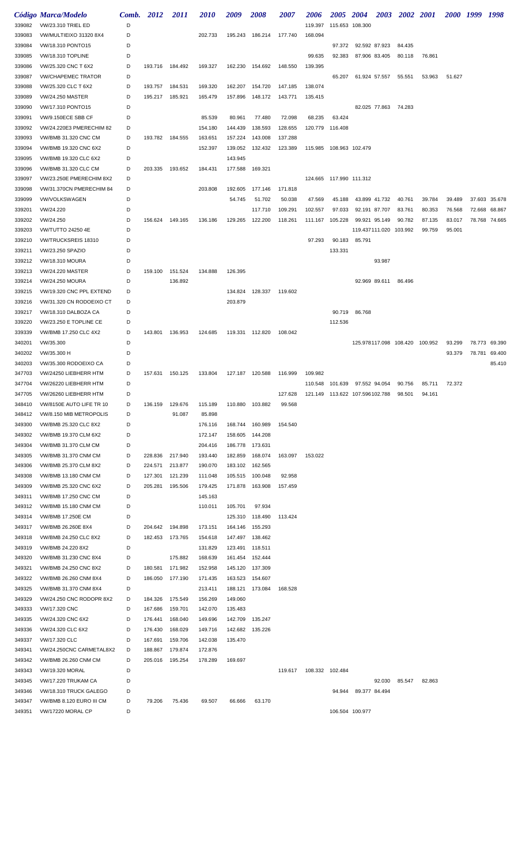|                  | Código Marca/Modelo                                     | <b>Comb.</b> 2012 |                 | <i>2011</i> | <i>2010</i> | 2009    | 2008             | <i><b>2007</b></i> | 2006               | <i><b>2005</b></i>            | <b>2004</b>     | <b>2003</b>            | 2002 2001                      |        | 2000 1999 |        | 1998          |
|------------------|---------------------------------------------------------|-------------------|-----------------|-------------|-------------|---------|------------------|--------------------|--------------------|-------------------------------|-----------------|------------------------|--------------------------------|--------|-----------|--------|---------------|
| 339082           | <b>VW/23.310 TRIEL ED</b>                               | D                 |                 |             |             |         |                  |                    | 119.397            | 115.653 108.300               |                 |                        |                                |        |           |        |               |
| 339083           | VW/MULTIEIXO 31320 8X4                                  | D                 |                 |             | 202.733     |         | 195.243 186.214  | 177.740            | 168.094            |                               |                 |                        |                                |        |           |        |               |
| 339084           | VW/18.310 PONTO15                                       | D                 |                 |             |             |         |                  |                    |                    | 97.372                        | 92.592 87.923   |                        | 84.435                         |        |           |        |               |
| 339085           | VW/18.310 TOPLINE                                       | D                 |                 |             |             |         |                  |                    | 99.635             | 92.383                        | 87.906 83.405   |                        | 80.118                         | 76.861 |           |        |               |
| 339086           | VW/25.320 CNC T 6X2                                     | D                 | 193.716 184.492 |             | 169.327     | 162.230 | 154.692          | 148.550            | 139.395            |                               |                 |                        |                                |        |           |        |               |
| 339087           | <b>VW/CHAPEMEC TRATOR</b>                               | D                 |                 |             |             |         |                  |                    |                    | 65.207                        |                 | 61.924 57.557          | 55.551                         | 53.963 | 51.627    |        |               |
| 339088           | VW/25.320 CLC T 6X2                                     | D<br>D            | 193.757         | 184.531     | 169.320     | 162.207 | 154.720          | 147.185            | 138.074<br>135.415 |                               |                 |                        |                                |        |           |        |               |
| 339089<br>339090 | <b>VW/24.250 MASTER</b><br>VW/17.310 PONTO15            | D                 | 195.217         | 185.921     | 165.479     | 157.896 | 148.172          | 143.771            |                    |                               |                 | 82.025 77.863 74.283   |                                |        |           |        |               |
| 339091           | VW/9.150ECE SBB CF                                      | D                 |                 |             | 85.539      | 80.961  | 77.480           | 72.098             | 68.235             | 63.424                        |                 |                        |                                |        |           |        |               |
| 339092           | VW/24.220E3 PMERECHIM 82                                | D                 |                 |             | 154.180     | 144.439 | 138.593          | 128.655            | 120.779            | 116.408                       |                 |                        |                                |        |           |        |               |
| 339093           | VW/BMB 31.320 CNC CM                                    | D                 | 193.782 184.555 |             | 163.651     | 157.224 | 143.008          | 137.288            |                    |                               |                 |                        |                                |        |           |        |               |
| 339094           | VW/BMB 19.320 CNC 6X2                                   | D                 |                 |             | 152.397     | 139.052 | 132.432          | 123.389            |                    | 115.985 108.963 102.479       |                 |                        |                                |        |           |        |               |
| 339095           | VW/BMB 19.320 CLC 6X2                                   | D                 |                 |             |             | 143.945 |                  |                    |                    |                               |                 |                        |                                |        |           |        |               |
| 339096           | VW/BMB 31.320 CLC CM                                    | D                 | 203.335         | 193.652     | 184.431     | 177.588 | 169.321          |                    |                    |                               |                 |                        |                                |        |           |        |               |
| 339097           | VW/23.250E PMERECHIM 8X2                                | D                 |                 |             |             |         |                  |                    |                    | 124.665 117.990 111.312       |                 |                        |                                |        |           |        |               |
| 339098           | VW/31.370CN PMERECHIM 84                                | D                 |                 |             | 203.808     | 192.605 | 177.146          | 171.818            |                    |                               |                 |                        |                                |        |           |        |               |
| 339099           | <b>VW/VOLKSWAGEN</b>                                    | D                 |                 |             |             | 54.745  | 51.702           | 50.038             | 47.569             | 45.188                        |                 | 43.899 41.732          | 40.761                         | 39.784 | 39.489    |        | 37.603 35.678 |
| 339201           | VW/24.220                                               | D                 |                 |             |             |         | 117.710          | 109.291            | 102.557            | 97.033                        | 92.191 87.707   |                        | 83.761                         | 80.353 | 76.568    | 72.668 | 68.867        |
| 339202           | VW/24.250                                               | D                 | 156.624         | 149.165     | 136.186     | 129.265 | 122.200          | 118.261            | 111.167            | 105.228                       | 99.921 95.149   |                        | 90.782                         | 87.135 | 83.017    |        | 78.768 74.665 |
| 339203           | <b>VW/TUTTO 24250 4E</b>                                | D                 |                 |             |             |         |                  |                    |                    |                               |                 | 119.437111.020 103.992 |                                | 99.759 | 95.001    |        |               |
| 339210           | VW/TRUCKSREIS 18310                                     | D                 |                 |             |             |         |                  |                    | 97.293             | 90.183                        | 85.791          |                        |                                |        |           |        |               |
| 339211           | VW/23.250 SPAZIO                                        | D                 |                 |             |             |         |                  |                    |                    | 133.331                       |                 |                        |                                |        |           |        |               |
| 339212           | <b>VW/18.310 MOURA</b>                                  | D                 |                 |             |             |         |                  |                    |                    |                               |                 | 93.987                 |                                |        |           |        |               |
| 339213           | <b>VW/24.220 MASTER</b>                                 | D                 | 159.100         | 151.524     | 134.888     | 126.395 |                  |                    |                    |                               |                 |                        |                                |        |           |        |               |
| 339214           | <b>VW/24.250 MOURA</b>                                  | D                 |                 | 136.892     |             |         |                  |                    |                    |                               |                 | 92.969 89.611          | 86.496                         |        |           |        |               |
| 339215           | VW/19.320 CNC PPL EXTEND                                | D                 |                 |             |             | 134.824 | 128.337          | 119.602            |                    |                               |                 |                        |                                |        |           |        |               |
| 339216           | VW/31.320 CN RODOEIXO CT                                | D                 |                 |             |             | 203.879 |                  |                    |                    |                               |                 |                        |                                |        |           |        |               |
| 339217           | VW/18.310 DALBOZA CA                                    | D                 |                 |             |             |         |                  |                    |                    | 90.719                        | 86.768          |                        |                                |        |           |        |               |
| 339220           | VW/23.250 E TOPLINE CE                                  | D                 |                 |             |             |         |                  |                    |                    | 112.536                       |                 |                        |                                |        |           |        |               |
| 339339           | VW/BMB 17.250 CLC 4X2                                   | D                 | 143.801 136.953 |             | 124.685     |         | 119.331 112.820  | 108.042            |                    |                               |                 |                        |                                |        |           |        |               |
| 340201           | VW/35.300                                               | D                 |                 |             |             |         |                  |                    |                    |                               |                 |                        | 125.978117.098 108.420 100.952 |        | 93.299    |        | 78.773 69.390 |
| 340202           | VW/35.300 H                                             | D                 |                 |             |             |         |                  |                    |                    |                               |                 |                        |                                |        | 93.379    |        | 78.781 69.400 |
| 340203           | VW/35.300 RODOEIXO CA                                   | D                 |                 |             |             |         |                  |                    |                    |                               |                 |                        |                                |        |           |        | 85.410        |
| 347703           | VW/24250 LIEBHERR HTM                                   | D                 | 157.631         | 150.125     | 133.804     |         | 127.187 120.588  | 116.999            | 109.982            |                               |                 |                        |                                |        |           |        |               |
| 347704           | VW/26220 LIEBHERR HTM                                   | D                 |                 |             |             |         |                  |                    |                    | 110.548 101.639 97.552 94.054 |                 |                        | 90.756                         | 85.711 | 72.372    |        |               |
| 347705           | VW/26260 LIEBHERR HTM                                   | D                 |                 |             |             |         |                  | 127.628            |                    |                               |                 |                        | 98.501                         | 94.161 |           |        |               |
| 348410           | VW/8150E AUTO LIFE TR 10                                | D                 | 136.159         | 129.676     | 115.189     |         | 110.880 103.882  | 99.568             |                    |                               |                 |                        |                                |        |           |        |               |
| 348412           | VW/8.150 MIB METROPOLIS                                 | D                 |                 | 91.087      | 85.898      |         |                  |                    |                    |                               |                 |                        |                                |        |           |        |               |
| 349300           | VW/BMB 25.320 CLC 8X2                                   | D                 |                 |             | 176.116     |         | 168.744 160.989  | 154.540            |                    |                               |                 |                        |                                |        |           |        |               |
| 349302           | VW/BMB 19.370 CLM 6X2                                   | D                 |                 |             | 172.147     |         | 158.605 144.208  |                    |                    |                               |                 |                        |                                |        |           |        |               |
| 349304           | VW/BMB 31.370 CLM CM                                    | D                 |                 |             | 204.416     |         | 186.778 173.631  |                    |                    |                               |                 |                        |                                |        |           |        |               |
| 349305           | VW/BMB 31.370 CNM CM                                    | D                 | 228.836         | 217.940     | 193.440     | 182.859 | 168.074          | 163.097            | 153.022            |                               |                 |                        |                                |        |           |        |               |
| 349306           | VW/BMB 25.370 CLM 8X2                                   | D                 | 224.571         | 213.877     | 190.070     |         | 183.102 162.565  |                    |                    |                               |                 |                        |                                |        |           |        |               |
| 349308           | <b>VW/BMB 13.180 CNM CM</b>                             | D                 | 127.301         | 121.239     | 111.048     |         | 105.515 100.048  | 92.958             |                    |                               |                 |                        |                                |        |           |        |               |
| 349309           | VW/BMB 25.320 CNC 6X2                                   | D                 | 205.281         | 195.506     | 179.425     |         | 171.878  163.908 | 157.459            |                    |                               |                 |                        |                                |        |           |        |               |
| 349311           | VW/BMB 17.250 CNC CM                                    | D<br>D            |                 |             | 145.163     |         | 97.934           |                    |                    |                               |                 |                        |                                |        |           |        |               |
| 349312<br>349314 | <b>VW/BMB 15.180 CNM CM</b><br><b>VW/BMB 17.250E CM</b> | D                 |                 |             | 110.011     | 105.701 | 125.310 118.490  | 113.424            |                    |                               |                 |                        |                                |        |           |        |               |
| 349317           | VW/BMB 26.260E 8X4                                      | D                 | 204.642 194.898 |             | 173.151     | 164.146 | 155.293          |                    |                    |                               |                 |                        |                                |        |           |        |               |
| 349318           | VW/BMB 24.250 CLC 8X2                                   | D                 | 182.453         | 173.765     | 154.618     |         | 147.497 138.462  |                    |                    |                               |                 |                        |                                |        |           |        |               |
| 349319           | VW/BMB 24.220 8X2                                       | D                 |                 |             | 131.829     |         | 123.491 118.511  |                    |                    |                               |                 |                        |                                |        |           |        |               |
| 349320           | VW/BMB 31.230 CNC 8X4                                   | D                 |                 | 175.882     | 168.639     |         | 161.454 152.444  |                    |                    |                               |                 |                        |                                |        |           |        |               |
| 349321           | VW/BMB 24.250 CNC 8X2                                   | D                 | 180.581         | 171.982     | 152.958     |         | 145.120 137.309  |                    |                    |                               |                 |                        |                                |        |           |        |               |
| 349322           | VW/BMB 26.260 CNM 8X4                                   | D                 | 186.050         | 177.190     | 171.435     | 163.523 | 154.607          |                    |                    |                               |                 |                        |                                |        |           |        |               |
| 349325           | VW/BMB 31.370 CNM 8X4                                   | D                 |                 |             | 213.411     | 188.121 | 173.084          | 168.528            |                    |                               |                 |                        |                                |        |           |        |               |
| 349329           | VW/24.250 CNC RODOPR 8X2                                | D                 | 184.326         | 175.549     | 156.269     | 149.060 |                  |                    |                    |                               |                 |                        |                                |        |           |        |               |
| 349333           | VW/17.320 CNC                                           | D                 | 167.686         | 159.701     | 142.070     | 135.483 |                  |                    |                    |                               |                 |                        |                                |        |           |        |               |
| 349335           | VW/24.320 CNC 6X2                                       | D                 | 176.441         | 168.040     | 149.696     | 142.709 | 135.247          |                    |                    |                               |                 |                        |                                |        |           |        |               |
| 349336           | VW/24.320 CLC 6X2                                       | D                 | 176.430         | 168.029     | 149.716     | 142.682 | 135.226          |                    |                    |                               |                 |                        |                                |        |           |        |               |
| 349337           | VW/17.320 CLC                                           | D                 | 167.691         | 159.706     | 142.038     | 135.470 |                  |                    |                    |                               |                 |                        |                                |        |           |        |               |
| 349341           | VW/24.250CNC CARMETAL8X2                                | D                 | 188.867         | 179.874     | 172.876     |         |                  |                    |                    |                               |                 |                        |                                |        |           |        |               |
| 349342           | VW/BMB 26.260 CNM CM                                    | D                 | 205.016         | 195.254     | 178.289     | 169.697 |                  |                    |                    |                               |                 |                        |                                |        |           |        |               |
| 349343           | <b>VW/19.320 MORAL</b>                                  | D                 |                 |             |             |         |                  | 119.617            | 108.332 102.484    |                               |                 |                        |                                |        |           |        |               |
| 349345           | <b>VW/17.220 TRUKAM CA</b>                              | D                 |                 |             |             |         |                  |                    |                    |                               |                 | 92.030                 | 85.547                         | 82.863 |           |        |               |
| 349346           | VW/18.310 TRUCK GALEGO                                  | D                 |                 |             |             |         |                  |                    |                    | 94.944                        | 89.377 84.494   |                        |                                |        |           |        |               |
| 349347           | VW/BMB 8.120 EURO III CM                                | D                 | 79.206          | 75.436      | 69.507      | 66.666  | 63.170           |                    |                    |                               |                 |                        |                                |        |           |        |               |
| 349351           | VW/17220 MORAL CP                                       | D                 |                 |             |             |         |                  |                    |                    |                               | 106.504 100.977 |                        |                                |        |           |        |               |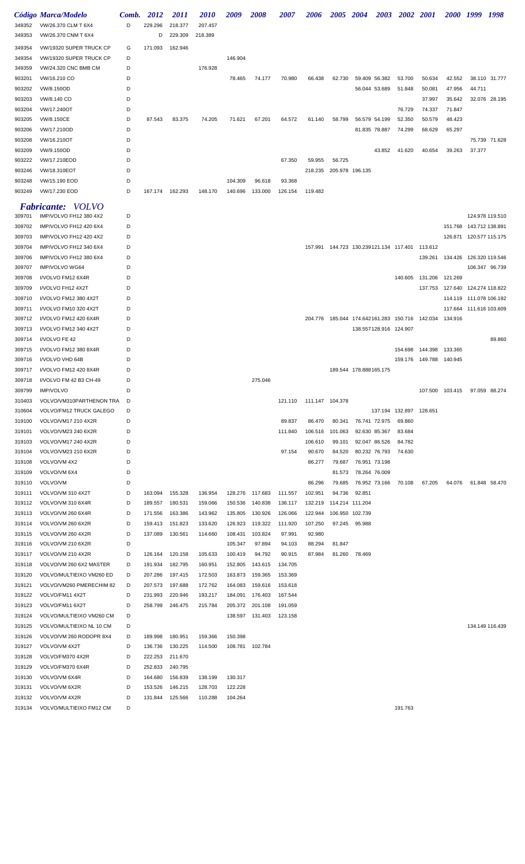|                  | Código Marca/Modelo                                 | Comb.  | 2012               | <i>2011</i>        | <i>2010</i>        | 2009               | <i><b>2008</b></i> | <i><b>2007</b></i> | <i><b>2006</b></i> | <i><b>2005</b></i> | <b>2004</b>            | 2003                   | 2002 2001                                          |                                                             | <i><b>2000</b></i>              | 1999                    | 1998            |
|------------------|-----------------------------------------------------|--------|--------------------|--------------------|--------------------|--------------------|--------------------|--------------------|--------------------|--------------------|------------------------|------------------------|----------------------------------------------------|-------------------------------------------------------------|---------------------------------|-------------------------|-----------------|
| 349352           | VW/26.370 CLM T 6X4                                 | D      | 229.296            | 218.377            | 207.457            |                    |                    |                    |                    |                    |                        |                        |                                                    |                                                             |                                 |                         |                 |
| 349353           | VW/26.370 CNM T 6X4                                 |        | D                  | 229.309            | 218.389            |                    |                    |                    |                    |                    |                        |                        |                                                    |                                                             |                                 |                         |                 |
| 349354           | VW/19320 SUPER TRUCK CP                             | G      | 171.093            | 162.946            |                    |                    |                    |                    |                    |                    |                        |                        |                                                    |                                                             |                                 |                         |                 |
| 349354           | VW/19320 SUPER TRUCK CP                             | D      |                    |                    |                    | 146.904            |                    |                    |                    |                    |                        |                        |                                                    |                                                             |                                 |                         |                 |
| 349359           | <b>VW/24.320 CNC BMB CM</b>                         | D      |                    |                    | 176.928            |                    |                    |                    |                    |                    |                        |                        |                                                    |                                                             |                                 |                         |                 |
| 903201           | VW/16.210 CO                                        | D      |                    |                    |                    | 78.465             | 74.177             | 70.980             | 66.438             | 62.730             |                        | 59.409 56.382          | 53.700                                             | 50.634                                                      | 42.552                          |                         | 38.110 31.777   |
| 903202           | VW/8.150OD                                          | D      |                    |                    |                    |                    |                    |                    |                    |                    |                        | 56.044 53.689          | 51.848                                             | 50.081                                                      | 47.956                          | 44.711                  |                 |
| 903203           | VW/8.140 CO                                         | D      |                    |                    |                    |                    |                    |                    |                    |                    |                        |                        |                                                    | 37.997                                                      | 35.642                          |                         | 32.076 28.195   |
| 903204           | VW/17.240OT                                         | D      |                    |                    |                    |                    |                    |                    |                    |                    |                        |                        | 76.729                                             | 74.337                                                      | 71.847                          |                         |                 |
| 903205           | VW/8.150CE                                          | D      | 87.543             | 83.375             | 74.205             | 71.621             | 67.201             | 64.572             | 61.140             | 58.799             |                        | 56.579 54.199          | 52.350                                             | 50.579                                                      | 48.423                          |                         |                 |
| 903206           | VW/17.210OD                                         | D      |                    |                    |                    |                    |                    |                    |                    |                    |                        | 81.835 78.887          | 74.299                                             | 68.629                                                      | 65.297                          |                         |                 |
| 903208           | VW/16.210OT                                         | D      |                    |                    |                    |                    |                    |                    |                    |                    |                        |                        |                                                    |                                                             |                                 |                         | 75.739 71.628   |
| 903209           | VW/9.150OD                                          | D      |                    |                    |                    |                    |                    |                    |                    |                    |                        | 43.852                 | 41.620                                             | 40.654                                                      | 39.263                          | 37.377                  |                 |
| 903222           | VW/17.210EOD                                        | D<br>D |                    |                    |                    |                    |                    | 67.350             | 59.955<br>218.235  | 56.725             |                        |                        |                                                    |                                                             |                                 |                         |                 |
| 903246<br>903248 | VW/18.310EOT<br>VW/15.190 EOD                       | D      |                    |                    |                    | 104.309            | 96.618             | 93.368             |                    | 205.978 196.135    |                        |                        |                                                    |                                                             |                                 |                         |                 |
| 903249           | VW/17.230 EOD                                       | D      | 167.174            | 162.293            | 148.170            | 140.696            | 133.000            | 126.154            | 119.482            |                    |                        |                        |                                                    |                                                             |                                 |                         |                 |
|                  |                                                     |        |                    |                    |                    |                    |                    |                    |                    |                    |                        |                        |                                                    |                                                             |                                 |                         |                 |
|                  | <b>Fabricante:</b> VOLVO                            |        |                    |                    |                    |                    |                    |                    |                    |                    |                        |                        |                                                    |                                                             |                                 |                         |                 |
| 309701           | IMP/VOLVO FH12 380 4X2                              | D      |                    |                    |                    |                    |                    |                    |                    |                    |                        |                        |                                                    |                                                             |                                 |                         | 124.978 119.510 |
| 309702           | IMP/VOLVO FH12 420 6X4                              | D      |                    |                    |                    |                    |                    |                    |                    |                    |                        |                        |                                                    |                                                             |                                 | 151.768 143.712 138.891 |                 |
| 309703<br>309704 | IMP/VOLVO FH12 420 4X2<br>IMP/VOLVO FH12 340 6X4    | D<br>D |                    |                    |                    |                    |                    |                    |                    |                    |                        |                        | 157.991  144.723  130.239121.134  117.401  113.612 |                                                             |                                 | 126.871 120.577 115.175 |                 |
| 309706           | IMP/VOLVO FH12 380 6X4                              | D      |                    |                    |                    |                    |                    |                    |                    |                    |                        |                        |                                                    |                                                             | 139.261 134.426                 | 126.320 119.546         |                 |
| 309707           | IMP/VOLVO WG64                                      | D      |                    |                    |                    |                    |                    |                    |                    |                    |                        |                        |                                                    |                                                             |                                 |                         | 106.347 96.739  |
| 309708           | I/VOLVO FM12 6X4R                                   | D      |                    |                    |                    |                    |                    |                    |                    |                    |                        |                        | 140.605                                            | 131.206 121.269                                             |                                 |                         |                 |
| 309709           | I/VOLVO FH12 4X2T                                   | D      |                    |                    |                    |                    |                    |                    |                    |                    |                        |                        |                                                    |                                                             | 137.753 127.640 124.274 118.822 |                         |                 |
| 309710           | I/VOLVO FM12 380 4X2T                               | D      |                    |                    |                    |                    |                    |                    |                    |                    |                        |                        |                                                    |                                                             |                                 | 114.119 111.078 106.192 |                 |
| 309711           | I/VOLVO FM10 320 4X2T                               | D      |                    |                    |                    |                    |                    |                    |                    |                    |                        |                        |                                                    |                                                             |                                 | 117.664 111.616 103.609 |                 |
| 309712           | I/VOLVO FM12 420 6X4R                               | D      |                    |                    |                    |                    |                    |                    |                    |                    |                        |                        |                                                    | 204.776  185.044  174.642161.283  150.716  142.034  134.916 |                                 |                         |                 |
| 309713           | I/VOLVO FM12 340 4X2T                               | D      |                    |                    |                    |                    |                    |                    |                    |                    |                        | 138.557128.916 124.907 |                                                    |                                                             |                                 |                         |                 |
| 309714           | I/VOLVO FE 42                                       | D      |                    |                    |                    |                    |                    |                    |                    |                    |                        |                        |                                                    |                                                             |                                 |                         | 89.860          |
| 309715           | I/VOLVO FM12 380 8X4R                               | D      |                    |                    |                    |                    |                    |                    |                    |                    |                        |                        | 154.698                                            | 144.398                                                     | 133.365                         |                         |                 |
| 309716           | I/VOLVO VHD 64B                                     | D      |                    |                    |                    |                    |                    |                    |                    |                    |                        |                        | 159.176                                            | 149.788 140.945                                             |                                 |                         |                 |
| 309717           | I/VOLVO FM12 420 8X4R                               | D      |                    |                    |                    |                    |                    |                    |                    |                    | 189.544 178.888165.175 |                        |                                                    |                                                             |                                 |                         |                 |
| 309718           | I/VOLVO FM 42 B3 CH-49                              | D      |                    |                    |                    |                    | 275.046            |                    |                    |                    |                        |                        |                                                    |                                                             |                                 |                         |                 |
| 309799           | <b>IMP/VOLVO</b>                                    | D      |                    |                    |                    |                    |                    |                    |                    |                    |                        |                        |                                                    |                                                             | 107.500 103.415                 |                         | 97.059 88.274   |
| 310403           | VOLVO/VM310PARTHENON TRA                            | D      |                    |                    |                    |                    |                    | 121.110            | 111.147 104.378    |                    |                        |                        |                                                    |                                                             |                                 |                         |                 |
| 310604           | <b>VOLVO/FM12 TRUCK GALEGO</b>                      | D<br>D |                    |                    |                    |                    |                    | 89.837             | 86.470             |                    |                        | 76.741 72.975          | 137.194 132.897 128.651<br>69.860                  |                                                             |                                 |                         |                 |
| 319100<br>319101 | VOLVO/VM17 210 4X2R<br>VOLVO/VM23 240 6X2R          | D      |                    |                    |                    |                    |                    | 111.840            | 106.516            | 80.341<br>101.063  |                        | 92.630 85.367          | 83.684                                             |                                                             |                                 |                         |                 |
| 319103           | VOLVO/VM17 240 4X2R                                 | D      |                    |                    |                    |                    |                    |                    | 106.610            | 99.101             |                        | 92.047 86.526          | 84.782                                             |                                                             |                                 |                         |                 |
| 319104           | VOLVO/VM23 210 6X2R                                 | D      |                    |                    |                    |                    |                    | 97.154             | 90.670             | 84.520             |                        | 80.232 76.793          | 74.630                                             |                                                             |                                 |                         |                 |
| 319108           | VOLVO/VM 4X2                                        | D      |                    |                    |                    |                    |                    |                    | 86.277             | 79.687             |                        | 76.951 73.198          |                                                    |                                                             |                                 |                         |                 |
| 319109           | VOLVO/VM 6X4                                        | D      |                    |                    |                    |                    |                    |                    |                    | 81.573             | 78.264 76.009          |                        |                                                    |                                                             |                                 |                         |                 |
| 319110           | VOLVO/VM                                            | D      |                    |                    |                    |                    |                    |                    | 86.296             | 79.685             |                        | 76.952 73.166          | 70.108                                             | 67.205                                                      | 64.076                          |                         | 61.848 58.470   |
| 319111           | VOLVO/VM 310 4X2T                                   | D      | 163.094            | 155.328            | 136.954            |                    | 128.276 117.683    | 111.557            | 102.951            | 94.736             | 92.851                 |                        |                                                    |                                                             |                                 |                         |                 |
| 319112           | VOLVO/VM 310 6X4R                                   | D      | 189.557            | 180.531            | 159.066            | 150.536            | 140.838            | 136.117            | 132.219            | 114.214 111.204    |                        |                        |                                                    |                                                             |                                 |                         |                 |
| 319113           | VOLVO/VM 260 6X4R                                   | D      | 171.556            | 163.386            | 143.962            | 135.805            | 130.926            | 126.066            | 122.944            |                    | 106.950 102.739        |                        |                                                    |                                                             |                                 |                         |                 |
| 319114           | VOLVO/VM 260 6X2R                                   | D      | 159.413            | 151.823            | 133.620            | 126.923            | 119.322            | 111.920            | 107.250            |                    | 97.245 95.988          |                        |                                                    |                                                             |                                 |                         |                 |
| 319115           | VOLVO/VM 260 4X2R                                   | D      | 137.089            | 130.561            | 114.660            | 108.431            | 103.824            | 97.991             | 92.980             |                    |                        |                        |                                                    |                                                             |                                 |                         |                 |
| 319116           | VOLVO/VM 210 6X2R                                   | D      |                    |                    |                    | 105.347            | 97.894             | 94.103             | 88.294             | 81.847             |                        |                        |                                                    |                                                             |                                 |                         |                 |
| 319117           | VOLVO/VM 210 4X2R                                   | D<br>D | 126.164            | 120.158            | 105.633            | 100.419            | 94.792             | 90.915             | 87.984             |                    | 81.260 78.469          |                        |                                                    |                                                             |                                 |                         |                 |
| 319118<br>319120 | VOLVO/VM 260 6X2 MASTER<br>VOLVO/MULTIEIXO VM260 ED | D      | 191.934<br>207.286 | 182.795<br>197.415 | 160.951<br>172.503 | 152.805<br>163.873 | 143.615<br>159.365 | 134.705<br>153.369 |                    |                    |                        |                        |                                                    |                                                             |                                 |                         |                 |
| 319121           | VOLVO/VM260 PMERECHIM 82                            | D      | 207.573            | 197.688            | 172.762            | 164.083            | 159.616            | 153.618            |                    |                    |                        |                        |                                                    |                                                             |                                 |                         |                 |
| 319122           | VOLVO/FM11 4X2T                                     | D      | 231.993            | 220.946            | 193.217            | 184.091            | 176.403            | 167.544            |                    |                    |                        |                        |                                                    |                                                             |                                 |                         |                 |
| 319123           | VOLVO/FM11 6X2T                                     | D      | 258.799            | 246.475            | 215.784            |                    | 205.372 201.108    | 191.059            |                    |                    |                        |                        |                                                    |                                                             |                                 |                         |                 |
| 319124           | VOLVO/MULTIEIXO VM260 CM                            | D      |                    |                    |                    |                    | 138.597 131.403    | 123.158            |                    |                    |                        |                        |                                                    |                                                             |                                 |                         |                 |
| 319125           | VOLVO/MULTIEIXO NL 10 CM                            | D      |                    |                    |                    |                    |                    |                    |                    |                    |                        |                        |                                                    |                                                             |                                 |                         | 134.149 116.439 |
| 319126           | VOLVO/VM 260 RODOPR 8X4                             | D      | 189.998            | 180.951            | 159.366            | 150.398            |                    |                    |                    |                    |                        |                        |                                                    |                                                             |                                 |                         |                 |
| 319127           | VOLVO/VM 4X2T                                       | D      | 136.736            | 130.225            | 114.500            |                    | 108.781 102.784    |                    |                    |                    |                        |                        |                                                    |                                                             |                                 |                         |                 |
| 319128           | VOLVO/FM370 4X2R                                    | D      | 222.253            | 211.670            |                    |                    |                    |                    |                    |                    |                        |                        |                                                    |                                                             |                                 |                         |                 |
| 319129           | VOLVO/FM370 6X4R                                    | D      | 252.833            | 240.795            |                    |                    |                    |                    |                    |                    |                        |                        |                                                    |                                                             |                                 |                         |                 |
| 319130           | VOLVO/VM 6X4R                                       | D      | 164.680            | 156.839            | 138.199            | 130.317            |                    |                    |                    |                    |                        |                        |                                                    |                                                             |                                 |                         |                 |
| 319131           | VOLVO/VM 6X2R                                       | D      | 153.526            | 146.215            | 128.703            | 122.228            |                    |                    |                    |                    |                        |                        |                                                    |                                                             |                                 |                         |                 |
| 319132           | VOLVO/VM 4X2R                                       | D      | 131.844            | 125.566            | 110.288            | 104.264            |                    |                    |                    |                    |                        |                        |                                                    |                                                             |                                 |                         |                 |
| 319134           | VOLVO/MULTIEIXO FM12 CM                             | D      |                    |                    |                    |                    |                    |                    |                    |                    |                        |                        | 191.763                                            |                                                             |                                 |                         |                 |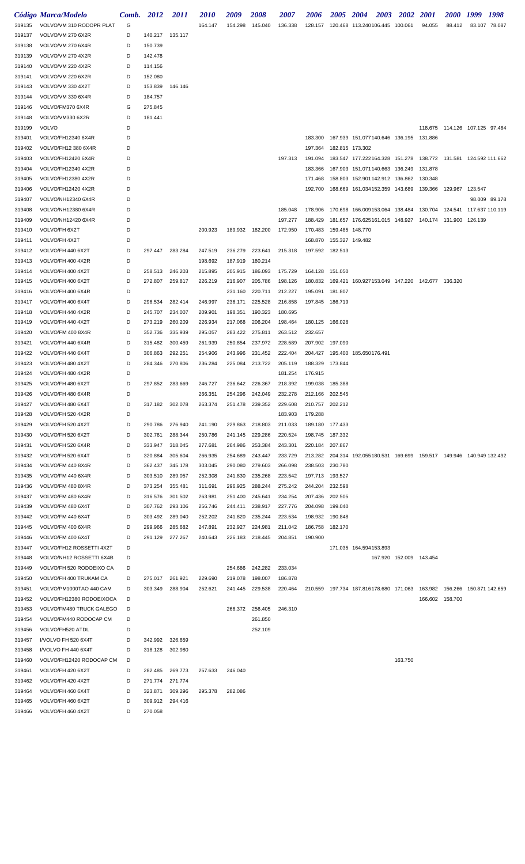|        | Código Marca/Modelo      | Comb. | 2012    | <i>2011</i> | <i>2010</i> | 2009            | 2008    | 2007    | 2006            | <b>2005</b>     | <b>2004</b><br>2003                                                    | <b>2002</b>             | <i>2001</i>     | <i><b>2000</b></i>             | 1999 | 1998          |
|--------|--------------------------|-------|---------|-------------|-------------|-----------------|---------|---------|-----------------|-----------------|------------------------------------------------------------------------|-------------------------|-----------------|--------------------------------|------|---------------|
| 319135 | VOLVO/VM 310 RODOPR PLAT | G     |         |             | 164.147     | 154.298         | 145.040 | 136.338 | 128.157         |                 | 120.468 113.240106.445 100.061                                         |                         | 94.055          | 88.412                         |      | 83.107 78.087 |
| 319137 | VOLVO/VM 270 6X2R        | D     | 140.217 | 135.117     |             |                 |         |         |                 |                 |                                                                        |                         |                 |                                |      |               |
| 319138 | VOLVO/VM 270 6X4R        | D     | 150.739 |             |             |                 |         |         |                 |                 |                                                                        |                         |                 |                                |      |               |
| 319139 | VOLVO/VM 270 4X2R        | D     | 142.478 |             |             |                 |         |         |                 |                 |                                                                        |                         |                 |                                |      |               |
| 319140 | VOLVO/VM 220 4X2R        | D     | 114.156 |             |             |                 |         |         |                 |                 |                                                                        |                         |                 |                                |      |               |
| 319141 | VOLVO/VM 220 6X2R        | D     | 152.080 |             |             |                 |         |         |                 |                 |                                                                        |                         |                 |                                |      |               |
| 319143 | VOLVO/VM 330 4X2T        | D     | 153.839 | 146.146     |             |                 |         |         |                 |                 |                                                                        |                         |                 |                                |      |               |
| 319144 | VOLVO/VM 330 6X4R        | D     | 184.757 |             |             |                 |         |         |                 |                 |                                                                        |                         |                 |                                |      |               |
| 319146 | VOLVO/FM370 6X4R         | G     | 275.845 |             |             |                 |         |         |                 |                 |                                                                        |                         |                 |                                |      |               |
| 319148 | VOLVO/VM330 6X2R         | D     | 181.441 |             |             |                 |         |         |                 |                 |                                                                        |                         |                 |                                |      |               |
| 319199 | <b>VOLVO</b>             | D     |         |             |             |                 |         |         |                 |                 |                                                                        |                         |                 | 118.675 114.126 107.125 97.464 |      |               |
| 319401 | VOLVO/FH12340 6X4R       | D     |         |             |             |                 |         |         | 183.300         |                 | 167.939 151.077140.646 136.195                                         |                         | 131.886         |                                |      |               |
| 319402 | VOLVO/FH12 380 6X4R      | D     |         |             |             |                 |         |         | 197.364         | 182.815 173.302 |                                                                        |                         |                 |                                |      |               |
| 319403 | VOLVO/FH12420 6X4R       | D     |         |             |             |                 |         | 197.313 | 191.094         |                 | 183.547 177.222164.328 151.278 138.772 131.581 124.592 111.662         |                         |                 |                                |      |               |
| 319404 | VOLVO/FH12340 4X2R       | D     |         |             |             |                 |         |         | 183.366         |                 | 167.903 151.071140.663 136.249                                         |                         | 131.878         |                                |      |               |
| 319405 | VOLVO/FH12380 4X2R       | D     |         |             |             |                 |         |         | 171.468         |                 | 158.803 152.901142.912 136.862                                         |                         | 130.348         |                                |      |               |
| 319406 | VOLVO/FH12420 4X2R       | D     |         |             |             |                 |         |         | 192.700         |                 | 168.669  161.034152.359  143.689  139.366                              |                         |                 | 129.967 123.547                |      |               |
| 319407 | VOLVO/NH12340 6X4R       | D     |         |             |             |                 |         |         |                 |                 |                                                                        |                         |                 |                                |      | 98.009 89.178 |
| 319408 | VOLVO/NH12380 6X4R       | D     |         |             |             |                 |         | 185.048 | 178.906         |                 | 170.698  166.009153.064  138.484                                       |                         | 130.704         |                                |      |               |
| 319409 | VOLVO/NH12420 6X4R       | D     |         |             |             |                 |         | 197.277 | 188.429         |                 | 181.657 176.625161.015 148.927 140.174 131.900 126.139                 |                         |                 |                                |      |               |
| 319410 | VOLVO/FH 6X2T            | D     |         |             | 200.923     | 189.932         | 182.200 | 172.950 | 170.483         | 159.485 148.770 |                                                                        |                         |                 |                                |      |               |
| 319411 | VOLVO/FH 4X2T            | D     |         |             |             |                 |         |         | 168,870         | 155.327 149.482 |                                                                        |                         |                 |                                |      |               |
| 319412 | VOLVO/FH 440 6X2T        | D     | 297.447 | 283.284     | 247.519     | 236.279         | 223.641 | 215.318 | 197.592 182.513 |                 |                                                                        |                         |                 |                                |      |               |
| 319413 | VOLVO/FH 400 4X2R        | D     |         |             | 198.692     | 187.919         | 180.214 |         |                 |                 |                                                                        |                         |                 |                                |      |               |
| 319414 | VOLVO/FH 400 4X2T        | D     | 258.513 | 246.203     | 215.895     | 205.915         | 186.093 | 175.729 | 164.128 151.050 |                 |                                                                        |                         |                 |                                |      |               |
| 319415 | VOLVO/FH 400 6X2T        | D     | 272.807 | 259.817     | 226.219     | 216.907         | 205.786 | 198.126 |                 |                 | 180.832  169.421  160.927153.049  147.220  142.677  136.320            |                         |                 |                                |      |               |
| 319416 | VOLVO/FH 400 6X4R        | D     |         |             |             | 231.160         | 220.711 | 212.227 | 195.091         | 181.807         |                                                                        |                         |                 |                                |      |               |
| 319417 | VOLVO/FH 400 6X4T        | D     | 296.534 | 282.414     | 246.997     | 236.171         | 225.528 | 216.858 | 197.845 186.719 |                 |                                                                        |                         |                 |                                |      |               |
| 319418 | VOLVO/FH 440 4X2R        | D     | 245.707 | 234.007     | 209.901     | 198.351         | 190.323 | 180.695 |                 |                 |                                                                        |                         |                 |                                |      |               |
| 319419 | VOLVO/FH 440 4X2T        | D     | 273.219 | 260.209     | 226.934     | 217.068         | 206.204 | 198.464 | 180.125         | 166.028         |                                                                        |                         |                 |                                |      |               |
| 319420 | VOLVO/FM 400 8X4R        | D     | 352.736 | 335.939     | 295.057     | 283.422         | 275.811 | 263.512 | 232.657         |                 |                                                                        |                         |                 |                                |      |               |
| 319421 | VOLVO/FH 440 6X4R        | D     | 315.482 | 300.459     | 261.939     | 250.854         | 237.972 | 228.589 | 207.902         | 197.090         |                                                                        |                         |                 |                                |      |               |
| 319422 | VOLVO/FH 440 6X4T        | D     | 306.863 | 292.251     | 254.906     | 243.996         | 231.452 | 222.404 |                 |                 | 204.427  195.400  185.650176.491                                       |                         |                 |                                |      |               |
| 319423 | VOLVO/FH 480 4X2T        | D     | 284.346 | 270.806     | 236.284     | 225.084         | 213.722 | 205.119 | 188.329         | 173.844         |                                                                        |                         |                 |                                |      |               |
| 319424 | VOLVO/FH 480 4X2R        | D     |         |             |             |                 |         | 181.254 | 176.915         |                 |                                                                        |                         |                 |                                |      |               |
| 319425 | VOLVO/FH 480 6X2T        | D     | 297.852 | 283.669     | 246.727     | 236.642 226.367 |         | 218.392 | 199.038 185.388 |                 |                                                                        |                         |                 |                                |      |               |
| 319426 | VOLVO/FH 480 6X4R        |       |         |             | 266.351     | 254.296         | 242.049 | 232.278 | 212.166         | 202.545         |                                                                        |                         |                 |                                |      |               |
| 319427 | VOLVO/FH 480 6X4T        | D     | 317.182 | 302.078     | 263.374     | 251.478         | 239.352 | 229.608 | 210.757 202.212 |                 |                                                                        |                         |                 |                                |      |               |
| 319428 | VOLVO/FH 520 4X2R        | D     |         |             |             |                 |         | 183.903 | 179.288         |                 |                                                                        |                         |                 |                                |      |               |
| 319429 | VOLVO/FH 520 4X2T        | D     | 290.786 | 276.940     | 241.190     | 229.863         | 218.803 | 211.033 | 189.180 177.433 |                 |                                                                        |                         |                 |                                |      |               |
| 319430 | VOLVO/FH 520 6X2T        | D     | 302.761 | 288.344     | 250.786     | 241.145         | 229.286 | 220.524 | 198.745 187.332 |                 |                                                                        |                         |                 |                                |      |               |
| 319431 | VOLVO/FH 520 6X4R        | D     | 333.947 | 318.045     | 277.681     | 264.986         | 253.384 | 243.301 | 220.184         | 207.867         |                                                                        |                         |                 |                                |      |               |
| 319432 | VOLVO/FH 520 6X4T        | D     | 320.884 | 305.604     | 266.935     | 254.689         | 243.447 | 233.729 |                 |                 | 213.282 204.314 192.055180.531 169.699 159.517 149.946 140.949 132.492 |                         |                 |                                |      |               |
| 319434 | VOLVO/FM 440 8X4R        | D     | 362.437 | 345.178     | 303.045     | 290.080         | 279.603 | 266.098 | 238.503         | 230.780         |                                                                        |                         |                 |                                |      |               |
| 319435 | VOLVO/FM 440 6X4R        | D     | 303.510 | 289.057     | 252.308     | 241.830         | 235.268 | 223.542 | 197.713 193.527 |                 |                                                                        |                         |                 |                                |      |               |
| 319436 | VOLVO/FM 480 8X4R        | D     | 373.254 | 355.481     | 311.691     | 296.925         | 288.244 | 275.242 | 244.204         | 232.598         |                                                                        |                         |                 |                                |      |               |
| 319437 | VOLVO/FM 480 6X4R        | D     | 316.576 | 301.502     | 263.981     | 251.400         | 245.641 | 234.254 | 207.436         | 202.505         |                                                                        |                         |                 |                                |      |               |
| 319439 | VOLVO/FM 480 6X4T        | D     | 307.762 | 293.106     | 256.746     | 244.411         | 238.917 | 227.776 | 204.098         | 199.040         |                                                                        |                         |                 |                                |      |               |
| 319442 | VOLVO/FM 440 6X4T        | D     | 303.492 | 289.040     | 252.202     | 241.820         | 235.244 | 223.534 | 198.932         | 190.848         |                                                                        |                         |                 |                                |      |               |
| 319445 | VOLVO/FM 400 6X4R        | D     | 299.966 | 285.682     | 247.891     | 232.927         | 224.981 | 211.042 | 186.758         | 182.170         |                                                                        |                         |                 |                                |      |               |
| 319446 | VOLVO/FM 400 6X4T        | D     | 291.129 | 277.267     | 240.643     | 226.183         | 218.445 | 204.851 | 190.900         |                 |                                                                        |                         |                 |                                |      |               |
| 319447 | VOLVO/FH12 ROSSETTI 4X2T | D     |         |             |             |                 |         |         |                 |                 | 171.035 164.594153.893                                                 |                         |                 |                                |      |               |
| 319448 | VOLVO/NH12 ROSSETTI 6X4B | D     |         |             |             |                 |         |         |                 |                 |                                                                        | 167.920 152.009 143.454 |                 |                                |      |               |
| 319449 | VOLVO/FH 520 RODOEIXO CA | D     |         |             |             | 254.686         | 242.282 | 233.034 |                 |                 |                                                                        |                         |                 |                                |      |               |
| 319450 | VOLVO/FH 400 TRUKAM CA   | D     | 275.017 | 261.921     | 229.690     | 219.078         | 198.007 | 186.878 |                 |                 |                                                                        |                         |                 |                                |      |               |
| 319451 | VOLVO/PM1000TAO 440 CAM  | D     | 303.349 | 288.904     | 252.621     | 241.445         | 229.538 | 220.464 |                 |                 | 210.559 197.734 187.816178.680 171.063 163.982 156.266 150.871 142.659 |                         |                 |                                |      |               |
| 319452 | VOLVO/FH12380 RODOEIXOCA | D     |         |             |             |                 |         |         |                 |                 |                                                                        |                         | 166.602 158.700 |                                |      |               |
| 319453 | VOLVO/FM480 TRUCK GALEGO | D     |         |             |             | 266.372         | 256.405 | 246.310 |                 |                 |                                                                        |                         |                 |                                |      |               |
| 319454 | VOLVO/FM440 RODOCAP CM   | D     |         |             |             |                 | 261.850 |         |                 |                 |                                                                        |                         |                 |                                |      |               |
| 319456 | VOLVO/FH520 ATDL         | D     |         |             |             |                 | 252.109 |         |                 |                 |                                                                        |                         |                 |                                |      |               |
| 319457 | I/VOLVO FH 520 6X4T      | D     | 342.992 | 326.659     |             |                 |         |         |                 |                 |                                                                        |                         |                 |                                |      |               |
| 319458 | I/VOLVO FH 440 6X4T      | D     | 318.128 | 302.980     |             |                 |         |         |                 |                 |                                                                        |                         |                 |                                |      |               |
| 319460 | VOLVO/FH12420 RODOCAP CM | D     |         |             |             |                 |         |         |                 |                 |                                                                        | 163.750                 |                 |                                |      |               |
| 319461 | VOLVO/FH 420 6X2T        | D     | 282.485 | 269.773     | 257.633     | 246.040         |         |         |                 |                 |                                                                        |                         |                 |                                |      |               |
| 319462 | VOLVO/FH 420 4X2T        | D     | 271.774 | 271.774     |             |                 |         |         |                 |                 |                                                                        |                         |                 |                                |      |               |
| 319464 | VOLVO/FH 460 6X4T        | D     | 323.871 | 309.296     | 295.378     | 282.086         |         |         |                 |                 |                                                                        |                         |                 |                                |      |               |
| 319465 | VOLVO/FH 460 6X2T        | D     | 309.912 | 294.416     |             |                 |         |         |                 |                 |                                                                        |                         |                 |                                |      |               |
| 319466 | VOLVO/FH 460 4X2T        | D     | 270.058 |             |             |                 |         |         |                 |                 |                                                                        |                         |                 |                                |      |               |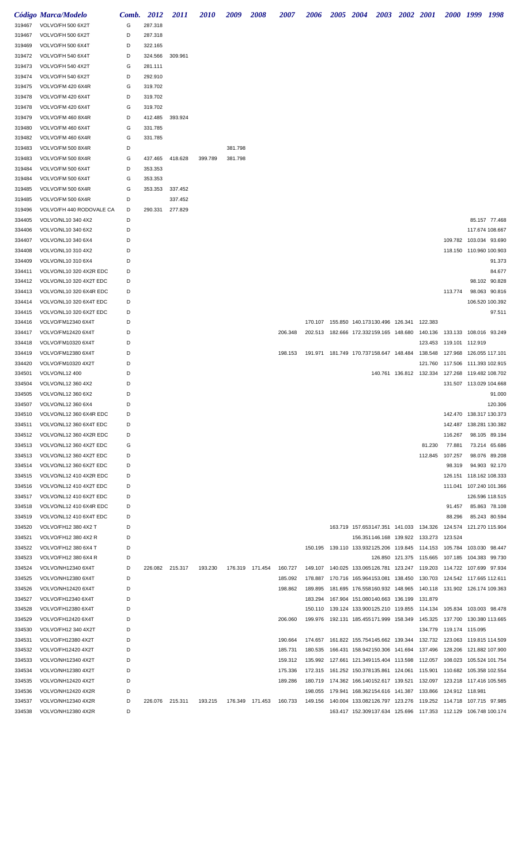|        | Código Marca/Modelo      | Comb. | 2012    | <i>2011</i> | <i>2010</i> | 2009    | 2008            | <i><b>2007</b></i> | <i><b>2006</b></i> | 2005 2004 |                                                                     | 2003 2002 2001                  |                                    |                           | 2000 1999 1998          |               |
|--------|--------------------------|-------|---------|-------------|-------------|---------|-----------------|--------------------|--------------------|-----------|---------------------------------------------------------------------|---------------------------------|------------------------------------|---------------------------|-------------------------|---------------|
| 319467 | VOLVO/FH 500 6X2T        | G     | 287.318 |             |             |         |                 |                    |                    |           |                                                                     |                                 |                                    |                           |                         |               |
| 319467 | VOLVO/FH 500 6X2T        | D     | 287.318 |             |             |         |                 |                    |                    |           |                                                                     |                                 |                                    |                           |                         |               |
| 319469 | VOLVO/FH 500 6X4T        | D     | 322.165 |             |             |         |                 |                    |                    |           |                                                                     |                                 |                                    |                           |                         |               |
| 319472 | VOLVO/FH 540 6X4T        | D     | 324.566 | 309.961     |             |         |                 |                    |                    |           |                                                                     |                                 |                                    |                           |                         |               |
| 319473 | VOLVO/FH 540 4X2T        | G     | 281.111 |             |             |         |                 |                    |                    |           |                                                                     |                                 |                                    |                           |                         |               |
| 319474 | VOLVO/FH 540 6X2T        | D     | 292.910 |             |             |         |                 |                    |                    |           |                                                                     |                                 |                                    |                           |                         |               |
| 319475 | VOLVO/FM 420 6X4R        | G     | 319.702 |             |             |         |                 |                    |                    |           |                                                                     |                                 |                                    |                           |                         |               |
| 319478 | VOLVO/FM 420 6X4T        | D     | 319.702 |             |             |         |                 |                    |                    |           |                                                                     |                                 |                                    |                           |                         |               |
| 319478 | VOLVO/FM 420 6X4T        | G     | 319.702 |             |             |         |                 |                    |                    |           |                                                                     |                                 |                                    |                           |                         |               |
| 319479 | VOLVO/FM 460 8X4R        | D     | 412.485 | 393.924     |             |         |                 |                    |                    |           |                                                                     |                                 |                                    |                           |                         |               |
| 319480 | VOLVO/FM 460 6X4T        | G     | 331.785 |             |             |         |                 |                    |                    |           |                                                                     |                                 |                                    |                           |                         |               |
| 319482 | VOLVO/FM 460 6X4R        | G     | 331.785 |             |             |         |                 |                    |                    |           |                                                                     |                                 |                                    |                           |                         |               |
| 319483 | VOLVO/FM 500 8X4R        | D     |         |             |             | 381.798 |                 |                    |                    |           |                                                                     |                                 |                                    |                           |                         |               |
| 319483 | VOLVO/FM 500 8X4R        | G     | 437.465 | 418.628     | 399.789     | 381.798 |                 |                    |                    |           |                                                                     |                                 |                                    |                           |                         |               |
| 319484 | VOLVO/FM 500 6X4T        | D     | 353.353 |             |             |         |                 |                    |                    |           |                                                                     |                                 |                                    |                           |                         |               |
| 319484 | VOLVO/FM 500 6X4T        | G     | 353.353 |             |             |         |                 |                    |                    |           |                                                                     |                                 |                                    |                           |                         |               |
| 319485 | VOLVO/FM 500 6X4R        | G     | 353.353 | 337.452     |             |         |                 |                    |                    |           |                                                                     |                                 |                                    |                           |                         |               |
| 319485 | VOLVO/FM 500 6X4R        | D     |         | 337.452     |             |         |                 |                    |                    |           |                                                                     |                                 |                                    |                           |                         |               |
| 319496 | VOLVO/FH 440 RODOVALE CA | D     | 290.331 | 277.829     |             |         |                 |                    |                    |           |                                                                     |                                 |                                    |                           |                         |               |
| 334405 | VOLVO/NL10 340 4X2       | D     |         |             |             |         |                 |                    |                    |           |                                                                     |                                 |                                    |                           |                         | 85.157 77.468 |
| 334406 | VOLVO/NL10 340 6X2       | D     |         |             |             |         |                 |                    |                    |           |                                                                     |                                 |                                    |                           | 117.674 108.667         |               |
| 334407 | VOLVO/NL10 340 6X4       | D     |         |             |             |         |                 |                    |                    |           |                                                                     |                                 |                                    | 109.782                   | 103.034 93.690          |               |
| 334408 | VOLVO/NL10 310 4X2       | D     |         |             |             |         |                 |                    |                    |           |                                                                     |                                 |                                    |                           | 118.150 110.960 100.903 |               |
| 334409 | VOLVO/NL10 310 6X4       | D     |         |             |             |         |                 |                    |                    |           |                                                                     |                                 |                                    |                           |                         | 91.373        |
| 334411 | VOLVO/NL10 320 4X2R EDC  | D     |         |             |             |         |                 |                    |                    |           |                                                                     |                                 |                                    |                           |                         | 84.677        |
|        | VOLVO/NL10 320 4X2T EDC  | D     |         |             |             |         |                 |                    |                    |           |                                                                     |                                 |                                    |                           |                         | 98.102 90.828 |
| 334412 |                          |       |         |             |             |         |                 |                    |                    |           |                                                                     |                                 |                                    |                           |                         |               |
| 334413 | VOLVO/NL10 320 6X4R EDC  | D     |         |             |             |         |                 |                    |                    |           |                                                                     |                                 |                                    | 113.774                   | 98.063                  | 90.816        |
| 334414 | VOLVO/NL10 320 6X4T EDC  | D     |         |             |             |         |                 |                    |                    |           |                                                                     |                                 |                                    |                           | 106.520 100.392         |               |
| 334415 | VOLVO/NL10 320 6X2T EDC  | D     |         |             |             |         |                 |                    |                    |           |                                                                     |                                 |                                    |                           |                         | 97.511        |
| 334416 | VOLVO/FM12340 6X4T       | D     |         |             |             |         |                 |                    | 170.107            |           | 155.850 140.173130.496 126.341                                      |                                 | 122.383                            |                           |                         |               |
| 334417 | VOLVO/FM12420 6X4T       | D     |         |             |             |         |                 | 206.348            |                    |           | 202.513 182.666 172.332159.165 148.680                              |                                 | 140.136  133.133  108.016  93.249  |                           |                         |               |
| 334418 | VOLVO/FM10320 6X4T       | D     |         |             |             |         |                 |                    |                    |           |                                                                     |                                 |                                    | 123.453  119.101  112.919 |                         |               |
| 334419 | VOLVO/FM12380 6X4T       | D     |         |             |             |         |                 | 198.153            | 191.971            |           | 181.749 170.737158.647 148.484                                      |                                 | 138.548                            | 127.968                   | 126.055 117.101         |               |
| 334420 | VOLVO/FM10320 4X2T       | D     |         |             |             |         |                 |                    |                    |           |                                                                     |                                 | 121.760                            | 117.506                   | 111.393 102.915         |               |
| 334501 | VOLVO/NL12 400           | D     |         |             |             |         |                 |                    |                    |           |                                                                     | 140.761 136.812 132.334 127.268 |                                    |                           | 119.482 108.702         |               |
| 334504 | VOLVO/NL12 360 4X2       | D     |         |             |             |         |                 |                    |                    |           |                                                                     |                                 |                                    |                           | 131.507 113.029 104.668 |               |
| 334505 | VOLVO/NL12 360 6X2       | D     |         |             |             |         |                 |                    |                    |           |                                                                     |                                 |                                    |                           |                         | 91.000        |
| 334507 | VOLVO/NL12 360 6X4       | D     |         |             |             |         |                 |                    |                    |           |                                                                     |                                 |                                    |                           |                         | 120.306       |
| 334510 | VOLVO/NL12 360 6X4R EDC  | D     |         |             |             |         |                 |                    |                    |           |                                                                     |                                 |                                    | 142.470                   | 138.317 130.373         |               |
| 334511 | VOLVO/NL12 360 6X4T EDC  | D     |         |             |             |         |                 |                    |                    |           |                                                                     |                                 |                                    | 142.487                   | 138.281 130.382         |               |
| 334512 | VOLVO/NL12 360 4X2R EDC  | D     |         |             |             |         |                 |                    |                    |           |                                                                     |                                 |                                    | 116.267                   |                         | 98.105 89.194 |
| 334513 | VOLVO/NL12 360 4X2T EDC  | G     |         |             |             |         |                 |                    |                    |           |                                                                     |                                 | 81.230                             | 77.881                    |                         | 73.214 65.686 |
| 334513 | VOLVO/NL12 360 4X2T EDC  | D     |         |             |             |         |                 |                    |                    |           |                                                                     |                                 | 112.845 107.257                    |                           |                         | 98.076 89.208 |
| 334514 | VOLVO/NL12 360 6X2T EDC  | D     |         |             |             |         |                 |                    |                    |           |                                                                     |                                 |                                    | 98.319                    |                         | 94.903 92.170 |
| 334515 | VOLVO/NL12 410 4X2R EDC  | D     |         |             |             |         |                 |                    |                    |           |                                                                     |                                 |                                    | 126.151                   | 118.162 108.333         |               |
| 334516 | VOLVO/NL12 410 4X2T EDC  | D     |         |             |             |         |                 |                    |                    |           |                                                                     |                                 |                                    |                           | 111.041 107.240 101.366 |               |
| 334517 | VOLVO/NL12 410 6X2T EDC  | D     |         |             |             |         |                 |                    |                    |           |                                                                     |                                 |                                    |                           | 126.596 118.515         |               |
| 334518 | VOLVO/NL12 410 6X4R EDC  | D     |         |             |             |         |                 |                    |                    |           |                                                                     |                                 |                                    | 91.457                    |                         | 85.863 78.108 |
| 334519 | VOLVO/NL12 410 6X4T EDC  | D     |         |             |             |         |                 |                    |                    |           |                                                                     |                                 |                                    | 88.296                    |                         | 85.243 80.594 |
| 334520 | VOLVO/FH12 380 4X2 T     | D     |         |             |             |         |                 |                    |                    |           | 163.719 157.653147.351 141.033 134.326 124.574                      |                                 |                                    |                           | 121.270 115.904         |               |
| 334521 | VOLVO/FH12 380 4X2 R     | D     |         |             |             |         |                 |                    |                    |           | 156.351146.168 139.922 133.273 123.524                              |                                 |                                    |                           |                         |               |
| 334522 | VOLVO/FH12 380 6X4 T     | D     |         |             |             |         |                 |                    | 150.195            |           | 139.110  133.932125.206  119.845  114.153  105.784  103.030  98.447 |                                 |                                    |                           |                         |               |
| 334523 | VOLVO/FH12 380 6X4 R     | D     |         |             |             |         |                 |                    |                    |           |                                                                     | 126.850 121.375 115.665 107.185 |                                    |                           | 104.383 99.730          |               |
| 334524 | VOLVO/NH12340 6X4T       | D     | 226.082 | 215.317     | 193.230     |         | 176.319 171.454 | 160.727            | 149.107            |           | 140.025 133.065126.781 123.247 119.203 114.722 107.699 97.934       |                                 |                                    |                           |                         |               |
| 334525 | VOLVO/NH12380 6X4T       | D     |         |             |             |         |                 | 185.092            | 178.887            |           | 170.716 165.964153.081 138.450 130.703 124.542 117.665 112.611      |                                 |                                    |                           |                         |               |
| 334526 | VOLVO/NH12420 6X4T       | D     |         |             |             |         |                 | 198.862            | 189.895            |           | 181.695 176.558160.932 148.965 140.118 131.902 126.174 109.363      |                                 |                                    |                           |                         |               |
| 334527 | VOLVO/FH12340 6X4T       | D     |         |             |             |         |                 |                    | 183.294            |           | 167.904 151.080140.663 136.199                                      |                                 | 131.879                            |                           |                         |               |
| 334528 | VOLVO/FH12380 6X4T       | D     |         |             |             |         |                 |                    | 150.110            |           | 139.124 133.900125.210 119.855 114.134 105.834 103.003 98.478       |                                 |                                    |                           |                         |               |
| 334529 | VOLVO/FH12420 6X4T       | D     |         |             |             |         |                 | 206.060            | 199.976            |           | 192.131 185.455171.999 158.349                                      |                                 | 145.325  137.700  130.380  113.665 |                           |                         |               |
| 334530 | VOLVO/FH12 340 4X2T      | D     |         |             |             |         |                 |                    |                    |           |                                                                     |                                 |                                    | 134.779 119.174 115.095   |                         |               |
| 334531 | VOLVO/FH12380 4X2T       | D     |         |             |             |         |                 | 190.664            | 174.657            |           | 161.822 155.754145.662 139.344 132.732 123.063 119.815 114.509      |                                 |                                    |                           |                         |               |
| 334532 | VOLVO/FH12420 4X2T       | D     |         |             |             |         |                 | 185.731            | 180.535            |           | 166.431 158.942150.306 141.694 137.496 128.206                      |                                 |                                    |                           | 121.882 107.900         |               |
| 334533 | VOLVO/NH12340 4X2T       | D     |         |             |             |         |                 | 159.312            | 135.992            |           | 127.661 121.349115.404 113.598 112.057 108.023 105.524 101.754      |                                 |                                    |                           |                         |               |
| 334534 | VOLVO/NH12380 4X2T       | D     |         |             |             |         |                 | 175.336            | 172.315            |           | 161.252 150.378135.861 124.061 115.901 110.682 105.358 102.554      |                                 |                                    |                           |                         |               |
| 334535 | VOLVO/NH12420 4X2T       | D     |         |             |             |         |                 | 189.286            | 180.719            |           | 174.362 166.140152.617 139.521 132.097 123.218 117.416 105.565      |                                 |                                    |                           |                         |               |
| 334536 | VOLVO/NH12420 4X2R       | D     |         |             |             |         |                 |                    | 198.055            |           | 179.941 168.362154.616 141.387 133.866 124.912 118.981              |                                 |                                    |                           |                         |               |
| 334537 | VOLVO/NH12340 4X2R       | D     | 226.076 | 215.311     | 193.215     |         | 176.349 171.453 | 160.733            | 149.156            |           | 140.004 133.082126.797 123.276 119.252 114.718 107.715 97.985       |                                 |                                    |                           |                         |               |
|        |                          |       |         |             |             |         |                 |                    |                    |           | 163.417 152.309137.634 125.696 117.353 112.129 106.748 100.174      |                                 |                                    |                           |                         |               |
| 334538 | VOLVO/NH12380 4X2R       | D     |         |             |             |         |                 |                    |                    |           |                                                                     |                                 |                                    |                           |                         |               |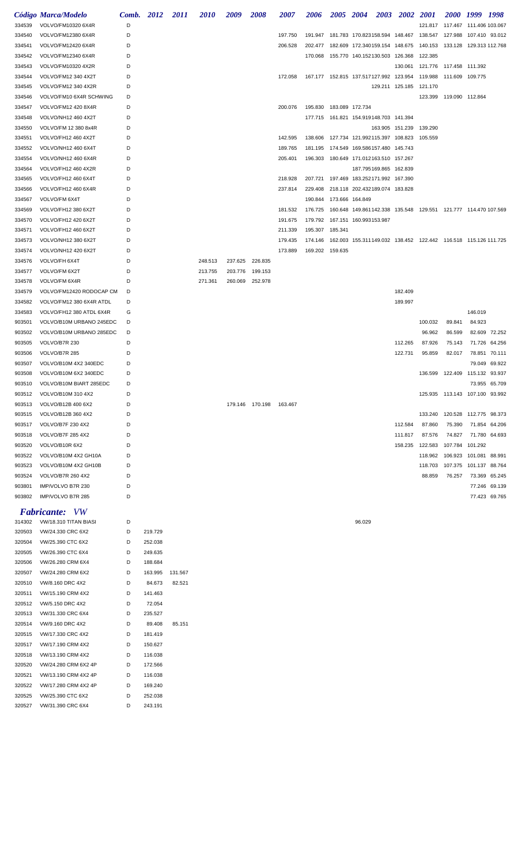|                  | Código Marca/Modelo                        | Comb. 2012 |         | <i>2011</i> | <i>2010</i> | 2009    | <i><b>2008</b></i> | <i><b>2007</b></i> | 2006                                      | 2005 | <b>2004</b>                               | <b>2003</b> | <b>2002</b>                                        | <b>2001</b>                                                                   | 2000 1999              |         | - 1998        |
|------------------|--------------------------------------------|------------|---------|-------------|-------------|---------|--------------------|--------------------|-------------------------------------------|------|-------------------------------------------|-------------|----------------------------------------------------|-------------------------------------------------------------------------------|------------------------|---------|---------------|
| 334539           | VOLVO/FM10320 6X4R                         | D          |         |             |             |         |                    |                    |                                           |      |                                           |             |                                                    | 121.817 117.467 111.406 103.067                                               |                        |         |               |
| 334540           | VOLVO/FM12380 6X4R                         | D          |         |             |             |         |                    | 197.750            |                                           |      |                                           |             |                                                    | 191.947  181.783  170.823158.594  148.467  138.547  127.988  107.410  93.012  |                        |         |               |
| 334541           | VOLVO/FM12420 6X4R                         | D          |         |             |             |         |                    | 206.528            |                                           |      | 202.477  182.609  172.340159.154  148.675 |             |                                                    |                                                                               |                        |         |               |
| 334542           | VOLVO/FM12340 6X4R                         | D          |         |             |             |         |                    |                    |                                           |      | 170.068  155.770  140.152130.503  126.368 |             |                                                    | 122.385                                                                       |                        |         |               |
| 334543           | VOLVO/FM10320 4X2R                         | D          |         |             |             |         |                    |                    |                                           |      |                                           |             |                                                    | 130.061  121.776  117.458  111.392                                            |                        |         |               |
| 334544           | VOLVO/FM12 340 4X2T                        | D          |         |             |             |         |                    | 172.058            | 167.177  152.815  137.517127.992  123.954 |      |                                           |             |                                                    | 119.988 111.609 109.775                                                       |                        |         |               |
| 334545           | VOLVO/FM12 340 4X2R                        | D          |         |             |             |         |                    |                    |                                           |      |                                           |             | 129.211 125.185                                    | 121.170                                                                       |                        |         |               |
| 334546           | VOLVO/FM10 6X4R SCHWING                    | D          |         |             |             |         |                    |                    |                                           |      |                                           |             |                                                    | 123.399 119.090 112.864                                                       |                        |         |               |
| 334547           | VOLVO/FM12 420 8X4R                        | D          |         |             |             |         |                    | 200.076            | 195.830  183.089  172.734                 |      |                                           |             |                                                    |                                                                               |                        |         |               |
| 334548           | VOLVO/NH12 460 4X2T                        | D          |         |             |             |         |                    |                    |                                           |      | 177.715  161.821  154.919148.703  141.394 |             |                                                    |                                                                               |                        |         |               |
| 334550           | VOLVO/FM 12 380 8x4R                       | D          |         |             |             |         |                    |                    |                                           |      |                                           |             | 163.905 151.239                                    | 139.290                                                                       |                        |         |               |
| 334551           | VOLVO/FH12 460 4X2T                        | D          |         |             |             |         |                    | 142.595            |                                           |      |                                           |             | 138.606  127.734  121.992115.397  108.823  105.559 |                                                                               |                        |         |               |
| 334552           | VOLVO/NH12 460 6X4T                        | D          |         |             |             |         |                    | 189.765            |                                           |      | 181.195 174.549 169.586157.480 145.743    |             |                                                    |                                                                               |                        |         |               |
| 334554<br>334564 | VOLVO/NH12 460 6X4R<br>VOLVO/FH12 460 4X2R | D<br>D     |         |             |             |         |                    | 205.401            | 196.303 180.649 171.012163.510 157.267    |      | 187.795169.865 162.839                    |             |                                                    |                                                                               |                        |         |               |
| 334565           | VOLVO/FH12 460 6X4T                        | D          |         |             |             |         |                    | 218.928            |                                           |      | 207.721 197.469 183.252171.992 167.390    |             |                                                    |                                                                               |                        |         |               |
| 334566           | VOLVO/FH12 460 6X4R                        | D          |         |             |             |         |                    | 237.814            |                                           |      | 229.408 218.118 202.432189.074 183.828    |             |                                                    |                                                                               |                        |         |               |
| 334567           | VOLVO/FM 6X4T                              | D          |         |             |             |         |                    |                    | 190.844 173.666 164.849                   |      |                                           |             |                                                    |                                                                               |                        |         |               |
| 334569           | VOLVO/FH12 380 6X2T                        | D          |         |             |             |         |                    | 181.532            |                                           |      |                                           |             |                                                    | 176.725  160.648  149.861142.338  135.548  129.551  121.777  114.470  107.569 |                        |         |               |
| 334570           | VOLVO/FH12 420 6X2T                        | D          |         |             |             |         |                    | 191.675            | 179.792  167.151  160.993153.987          |      |                                           |             |                                                    |                                                                               |                        |         |               |
| 334571           | VOLVO/FH12 460 6X2T                        | D          |         |             |             |         |                    | 211.339            | 195.307 185.341                           |      |                                           |             |                                                    |                                                                               |                        |         |               |
| 334573           | VOLVO/NH12 380 6X2T                        | D          |         |             |             |         |                    | 179.435            |                                           |      |                                           |             |                                                    | 174.146  162.003  155.311149.032  138.452  122.442  116.518  115.126  111.725 |                        |         |               |
| 334574           | VOLVO/NH12 420 6X2T                        | D          |         |             |             |         |                    | 173.889            | 169.202 159.635                           |      |                                           |             |                                                    |                                                                               |                        |         |               |
| 334576           | VOLVO/FH 6X4T                              | D          |         |             | 248.513     | 237.625 | 226.835            |                    |                                           |      |                                           |             |                                                    |                                                                               |                        |         |               |
| 334577           | VOLVO/FM 6X2T                              | D          |         |             | 213.755     | 203.776 | 199.153            |                    |                                           |      |                                           |             |                                                    |                                                                               |                        |         |               |
| 334578           | VOLVO/FM 6X4R                              | D          |         |             | 271.361     | 260.069 | 252.978            |                    |                                           |      |                                           |             |                                                    |                                                                               |                        |         |               |
| 334579           | VOLVO/FM12420 RODOCAP CM                   | D          |         |             |             |         |                    |                    |                                           |      |                                           |             | 182.409                                            |                                                                               |                        |         |               |
| 334582           | VOLVO/FM12 380 6X4R ATDL                   | D          |         |             |             |         |                    |                    |                                           |      |                                           |             | 189.997                                            |                                                                               |                        |         |               |
| 334583           | VOLVO/FH12 380 ATDL 6X4R                   | G          |         |             |             |         |                    |                    |                                           |      |                                           |             |                                                    |                                                                               |                        | 146.019 |               |
| 903501           | VOLVO/B10M URBANO 245EDC                   | D          |         |             |             |         |                    |                    |                                           |      |                                           |             |                                                    | 100.032                                                                       | 89.841                 | 84.923  |               |
| 903502           | VOLVO/B10M URBANO 285EDC                   | D          |         |             |             |         |                    |                    |                                           |      |                                           |             |                                                    | 96.962                                                                        | 86.599                 |         | 82.609 72.252 |
| 903505           | VOLVO/B7R 230                              | D          |         |             |             |         |                    |                    |                                           |      |                                           |             | 112.265                                            | 87.926                                                                        | 75.143                 |         | 71.726 64.256 |
| 903506           | VOLVO/B7R 285                              | D          |         |             |             |         |                    |                    |                                           |      |                                           |             | 122.731                                            | 95.859                                                                        | 82.017                 |         | 78.851 70.111 |
| 903507           | VOLVO/B10M 4X2 340EDC                      | D          |         |             |             |         |                    |                    |                                           |      |                                           |             |                                                    |                                                                               |                        |         | 79.049 69.922 |
| 903508           | VOLVO/B10M 6X2 340EDC                      | D          |         |             |             |         |                    |                    |                                           |      |                                           |             |                                                    | 136.599  122.409  115.132  93.937                                             |                        |         |               |
| 903510           | VOLVO/B10M BIART 285EDC                    | D          |         |             |             |         |                    |                    |                                           |      |                                           |             |                                                    |                                                                               |                        |         | 73.955 65.709 |
| 903512<br>903513 | VOLVO/B10M 310 4X2<br>VOLVO/B12B 400 6X2   | D<br>D     |         |             |             |         | 179.146 170.198    |                    |                                           |      |                                           |             |                                                    | 125.935  113.143  107.100  93.992                                             |                        |         |               |
| 903515           | VOLVO/B12B 360 4X2                         | D          |         |             |             |         |                    | 163.467            |                                           |      |                                           |             |                                                    | 133.240                                                                       | 120.528 112.775 98.373 |         |               |
| 903517           | VOLVO/B7F 230 4X2                          | D          |         |             |             |         |                    |                    |                                           |      |                                           |             | 112.584                                            | 87.860                                                                        | 75.390                 |         | 71.854 64.206 |
| 903518           | VOLVO/B7F 285 4X2                          | D          |         |             |             |         |                    |                    |                                           |      |                                           |             | 111.817                                            | 87.576                                                                        | 74.827                 |         | 71.780 64.693 |
| 903520           | VOLVO/B10R 6X2                             | D          |         |             |             |         |                    |                    |                                           |      |                                           |             | 158.235                                            | 122.583                                                                       | 107.784 101.292        |         |               |
| 903522           | VOLVO/B10M 4X2 GH10A                       | D          |         |             |             |         |                    |                    |                                           |      |                                           |             |                                                    | 118.962 106.923 101.081 88.991                                                |                        |         |               |
| 903523           | VOLVO/B10M 4X2 GH10B                       | D          |         |             |             |         |                    |                    |                                           |      |                                           |             |                                                    | 118.703                                                                       | 107.375 101.137 88.764 |         |               |
| 903524           | VOLVO/B7R 260 4X2                          | D          |         |             |             |         |                    |                    |                                           |      |                                           |             |                                                    | 88.859                                                                        | 76.257                 |         | 73.369 65.245 |
| 903801           | IMP/VOLVO B7R 230                          | D          |         |             |             |         |                    |                    |                                           |      |                                           |             |                                                    |                                                                               |                        |         | 77.246 69.139 |
| 903802           | IMP/VOLVO B7R 285                          | D          |         |             |             |         |                    |                    |                                           |      |                                           |             |                                                    |                                                                               |                        |         | 77.423 69.765 |
|                  | <b>Fabricante:</b><br>- VW                 |            |         |             |             |         |                    |                    |                                           |      |                                           |             |                                                    |                                                                               |                        |         |               |
| 314302           | VW/18.310 TITAN BIASI                      | D          |         |             |             |         |                    |                    |                                           |      | 96.029                                    |             |                                                    |                                                                               |                        |         |               |
| 320503           | VW/24.330 CRC 6X2                          | D          | 219.729 |             |             |         |                    |                    |                                           |      |                                           |             |                                                    |                                                                               |                        |         |               |
| 320504           | VW/25.390 CTC 6X2                          | D          | 252.038 |             |             |         |                    |                    |                                           |      |                                           |             |                                                    |                                                                               |                        |         |               |
| 320505           | VW/26.390 CTC 6X4                          | D          | 249.635 |             |             |         |                    |                    |                                           |      |                                           |             |                                                    |                                                                               |                        |         |               |
| 320506           | VW/26.280 CRM 6X4                          | D          | 188.684 |             |             |         |                    |                    |                                           |      |                                           |             |                                                    |                                                                               |                        |         |               |
| 320507           | VW/24.280 CRM 6X2                          | D          | 163.995 | 131.567     |             |         |                    |                    |                                           |      |                                           |             |                                                    |                                                                               |                        |         |               |
| 320510           | VW/8.160 DRC 4X2                           | D          | 84.673  | 82.521      |             |         |                    |                    |                                           |      |                                           |             |                                                    |                                                                               |                        |         |               |
| 320511           | VW/15.190 CRM 4X2                          | D          | 141.463 |             |             |         |                    |                    |                                           |      |                                           |             |                                                    |                                                                               |                        |         |               |
| 320512           | VW/5.150 DRC 4X2                           | D          | 72.054  |             |             |         |                    |                    |                                           |      |                                           |             |                                                    |                                                                               |                        |         |               |
| 320513           | VW/31.330 CRC 6X4                          | D          | 235.527 |             |             |         |                    |                    |                                           |      |                                           |             |                                                    |                                                                               |                        |         |               |
| 320514           | VW/9.160 DRC 4X2                           | D          | 89.408  | 85.151      |             |         |                    |                    |                                           |      |                                           |             |                                                    |                                                                               |                        |         |               |
| 320515           | VW/17.330 CRC 4X2                          | D          | 181.419 |             |             |         |                    |                    |                                           |      |                                           |             |                                                    |                                                                               |                        |         |               |
| 320517           | VW/17.190 CRM 4X2                          | D          | 150.627 |             |             |         |                    |                    |                                           |      |                                           |             |                                                    |                                                                               |                        |         |               |
| 320518           | VW/13.190 CRM 4X2                          | D          | 116.038 |             |             |         |                    |                    |                                           |      |                                           |             |                                                    |                                                                               |                        |         |               |
| 320520           | VW/24.280 CRM 6X2 4P                       | D          | 172.566 |             |             |         |                    |                    |                                           |      |                                           |             |                                                    |                                                                               |                        |         |               |
| 320521           | VW/13.190 CRM 4X2 4P                       | D          | 116.038 |             |             |         |                    |                    |                                           |      |                                           |             |                                                    |                                                                               |                        |         |               |
| 320522           | VW/17.280 CRM 4X2 4P                       | D          | 169.240 |             |             |         |                    |                    |                                           |      |                                           |             |                                                    |                                                                               |                        |         |               |
| 320525           | VW/25.390 CTC 6X2                          | D<br>D     | 252.038 |             |             |         |                    |                    |                                           |      |                                           |             |                                                    |                                                                               |                        |         |               |
| 320527           | VW/31.390 CRC 6X4                          |            | 243.191 |             |             |         |                    |                    |                                           |      |                                           |             |                                                    |                                                                               |                        |         |               |